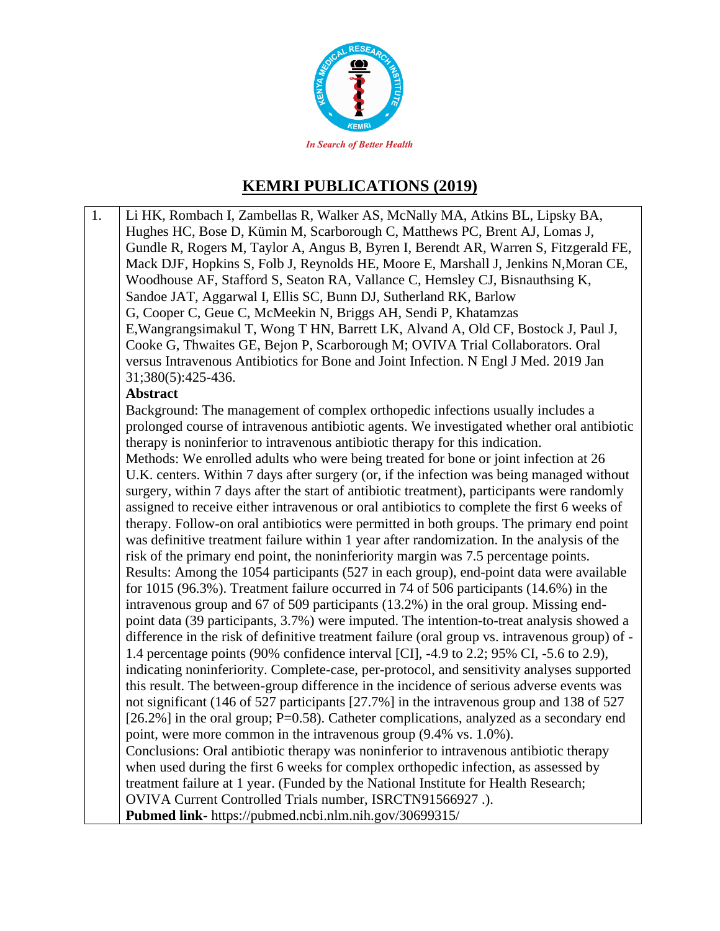

## **KEMRI PUBLICATIONS (2019)**

1. Li HK, Rombach I, Zambellas R, Walker AS, McNally MA, Atkins BL, Lipsky BA, Hughes HC, Bose D, Kümin M, Scarborough C, Matthews PC, Brent AJ, Lomas J, Gundle R, Rogers M, Taylor A, Angus B, Byren I, Berendt AR, Warren S, Fitzgerald FE, Mack DJF, Hopkins S, Folb J, Reynolds HE, Moore E, Marshall J, Jenkins N,Moran CE, Woodhouse AF, Stafford S, Seaton RA, Vallance C, Hemsley CJ, Bisnauthsing K, Sandoe JAT, Aggarwal I, Ellis SC, Bunn DJ, Sutherland RK, Barlow G, Cooper C, Geue C, McMeekin N, Briggs AH, Sendi P, Khatamzas E,Wangrangsimakul T, Wong T HN, Barrett LK, Alvand A, Old CF, Bostock J, Paul J, Cooke G, Thwaites GE, Bejon P, Scarborough M; OVIVA Trial Collaborators. Oral versus Intravenous Antibiotics for Bone and Joint Infection. N Engl J Med. 2019 Jan 31;380(5):425-436. **Abstract** Background: The management of complex orthopedic infections usually includes a prolonged course of intravenous antibiotic agents. We investigated whether oral antibiotic therapy is noninferior to intravenous antibiotic therapy for this indication. Methods: We enrolled adults who were being treated for bone or joint infection at 26 U.K. centers. Within 7 days after surgery (or, if the infection was being managed without surgery, within 7 days after the start of antibiotic treatment), participants were randomly assigned to receive either intravenous or oral antibiotics to complete the first 6 weeks of therapy. Follow-on oral antibiotics were permitted in both groups. The primary end point was definitive treatment failure within 1 year after randomization. In the analysis of the risk of the primary end point, the noninferiority margin was 7.5 percentage points. Results: Among the 1054 participants (527 in each group), end-point data were available for 1015 (96.3%). Treatment failure occurred in 74 of 506 participants (14.6%) in the intravenous group and 67 of 509 participants (13.2%) in the oral group. Missing endpoint data (39 participants, 3.7%) were imputed. The intention-to-treat analysis showed a difference in the risk of definitive treatment failure (oral group vs. intravenous group) of - 1.4 percentage points (90% confidence interval [CI], -4.9 to 2.2; 95% CI, -5.6 to 2.9), indicating noninferiority. Complete-case, per-protocol, and sensitivity analyses supported this result. The between-group difference in the incidence of serious adverse events was not significant (146 of 527 participants [27.7%] in the intravenous group and 138 of 527 [26.2%] in the oral group; P=0.58). Catheter complications, analyzed as a secondary end point, were more common in the intravenous group (9.4% vs. 1.0%). Conclusions: Oral antibiotic therapy was noninferior to intravenous antibiotic therapy when used during the first 6 weeks for complex orthopedic infection, as assessed by treatment failure at 1 year. (Funded by the National Institute for Health Research; OVIVA Current Controlled Trials number, ISRCTN91566927 .). **Pubmed link**- https://pubmed.ncbi.nlm.nih.gov/30699315/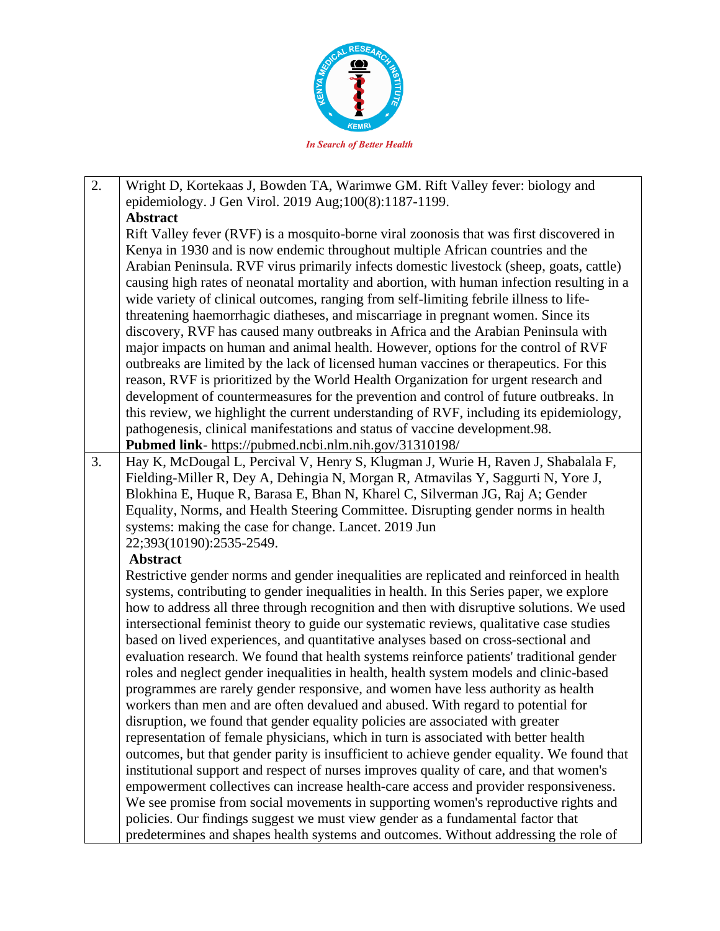

- 2. Wright D, Kortekaas J, Bowden TA, Warimwe GM. Rift Valley fever: biology and epidemiology. J Gen Virol. 2019 Aug;100(8):1187-1199. **Abstract** Rift Valley fever (RVF) is a mosquito-borne viral zoonosis that was first discovered in Kenya in 1930 and is now endemic throughout multiple African countries and the Arabian Peninsula. RVF virus primarily infects domestic livestock (sheep, goats, cattle) causing high rates of neonatal mortality and abortion, with human infection resulting in a wide variety of clinical outcomes, ranging from self-limiting febrile illness to lifethreatening haemorrhagic diatheses, and miscarriage in pregnant women. Since its discovery, RVF has caused many outbreaks in Africa and the Arabian Peninsula with major impacts on human and animal health. However, options for the control of RVF outbreaks are limited by the lack of licensed human vaccines or therapeutics. For this reason, RVF is prioritized by the World Health Organization for urgent research and development of countermeasures for the prevention and control of future outbreaks. In this review, we highlight the current understanding of RVF, including its epidemiology, pathogenesis, clinical manifestations and status of vaccine development.98. **Pubmed link**- https://pubmed.ncbi.nlm.nih.gov/31310198/ 3. Hay K, McDougal L, Percival V, Henry S, Klugman J, Wurie H, Raven J, Shabalala F, Fielding-Miller R, Dey A, Dehingia N, Morgan R, Atmavilas Y, Saggurti N, Yore J,
- Blokhina E, Huque R, Barasa E, Bhan N, Kharel C, Silverman JG, Raj A; Gender Equality, Norms, and Health Steering Committee. Disrupting gender norms in health systems: making the case for change. Lancet. 2019 Jun 22;393(10190):2535-2549.

## **Abstract**

Restrictive gender norms and gender inequalities are replicated and reinforced in health systems, contributing to gender inequalities in health. In this Series paper, we explore how to address all three through recognition and then with disruptive solutions. We used intersectional feminist theory to guide our systematic reviews, qualitative case studies based on lived experiences, and quantitative analyses based on cross-sectional and evaluation research. We found that health systems reinforce patients' traditional gender roles and neglect gender inequalities in health, health system models and clinic-based programmes are rarely gender responsive, and women have less authority as health workers than men and are often devalued and abused. With regard to potential for disruption, we found that gender equality policies are associated with greater representation of female physicians, which in turn is associated with better health outcomes, but that gender parity is insufficient to achieve gender equality. We found that institutional support and respect of nurses improves quality of care, and that women's empowerment collectives can increase health-care access and provider responsiveness. We see promise from social movements in supporting women's reproductive rights and policies. Our findings suggest we must view gender as a fundamental factor that predetermines and shapes health systems and outcomes. Without addressing the role of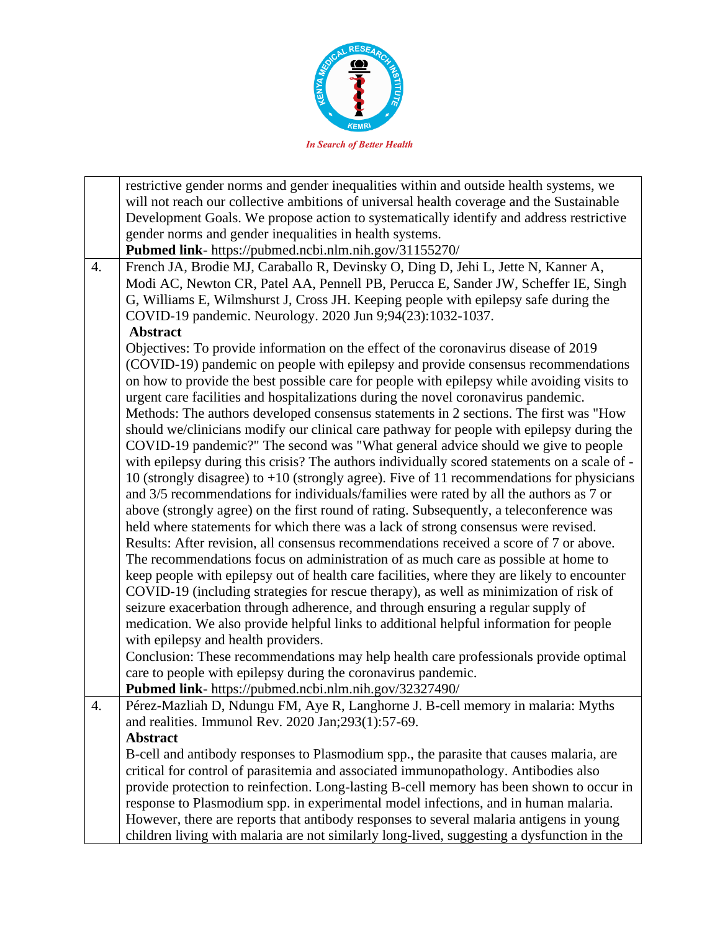

|    | restrictive gender norms and gender inequalities within and outside health systems, we       |
|----|----------------------------------------------------------------------------------------------|
|    | will not reach our collective ambitions of universal health coverage and the Sustainable     |
|    | Development Goals. We propose action to systematically identify and address restrictive      |
|    | gender norms and gender inequalities in health systems.                                      |
|    | Pubmed link- https://pubmed.ncbi.nlm.nih.gov/31155270/                                       |
| 4. | French JA, Brodie MJ, Caraballo R, Devinsky O, Ding D, Jehi L, Jette N, Kanner A,            |
|    | Modi AC, Newton CR, Patel AA, Pennell PB, Perucca E, Sander JW, Scheffer IE, Singh           |
|    | G, Williams E, Wilmshurst J, Cross JH. Keeping people with epilepsy safe during the          |
|    | COVID-19 pandemic. Neurology. 2020 Jun 9;94(23):1032-1037.                                   |
|    | <b>Abstract</b>                                                                              |
|    | Objectives: To provide information on the effect of the coronavirus disease of 2019          |
|    | (COVID-19) pandemic on people with epilepsy and provide consensus recommendations            |
|    | on how to provide the best possible care for people with epilepsy while avoiding visits to   |
|    | urgent care facilities and hospitalizations during the novel coronavirus pandemic.           |
|    | Methods: The authors developed consensus statements in 2 sections. The first was "How        |
|    | should we/clinicians modify our clinical care pathway for people with epilepsy during the    |
|    | COVID-19 pandemic?" The second was "What general advice should we give to people             |
|    | with epilepsy during this crisis? The authors individually scored statements on a scale of - |
|    | 10 (strongly disagree) to $+10$ (strongly agree). Five of 11 recommendations for physicians  |
|    | and 3/5 recommendations for individuals/families were rated by all the authors as 7 or       |
|    | above (strongly agree) on the first round of rating. Subsequently, a teleconference was      |
|    | held where statements for which there was a lack of strong consensus were revised.           |
|    | Results: After revision, all consensus recommendations received a score of 7 or above.       |
|    | The recommendations focus on administration of as much care as possible at home to           |
|    | keep people with epilepsy out of health care facilities, where they are likely to encounter  |
|    | COVID-19 (including strategies for rescue therapy), as well as minimization of risk of       |
|    | seizure exacerbation through adherence, and through ensuring a regular supply of             |
|    | medication. We also provide helpful links to additional helpful information for people       |
|    | with epilepsy and health providers.                                                          |
|    | Conclusion: These recommendations may help health care professionals provide optimal         |
|    | care to people with epilepsy during the coronavirus pandemic.                                |
|    | Pubmed link- https://pubmed.ncbi.nlm.nih.gov/32327490/                                       |
| 4. | Pérez-Mazliah D, Ndungu FM, Aye R, Langhorne J. B-cell memory in malaria: Myths              |
|    | and realities. Immunol Rev. 2020 Jan; 293(1): 57-69.                                         |
|    | <b>Abstract</b>                                                                              |
|    | B-cell and antibody responses to Plasmodium spp., the parasite that causes malaria, are      |
|    | critical for control of parasitemia and associated immunopathology. Antibodies also          |
|    | provide protection to reinfection. Long-lasting B-cell memory has been shown to occur in     |
|    | response to Plasmodium spp. in experimental model infections, and in human malaria.          |
|    | However, there are reports that antibody responses to several malaria antigens in young      |
|    | children living with malaria are not similarly long-lived, suggesting a dysfunction in the   |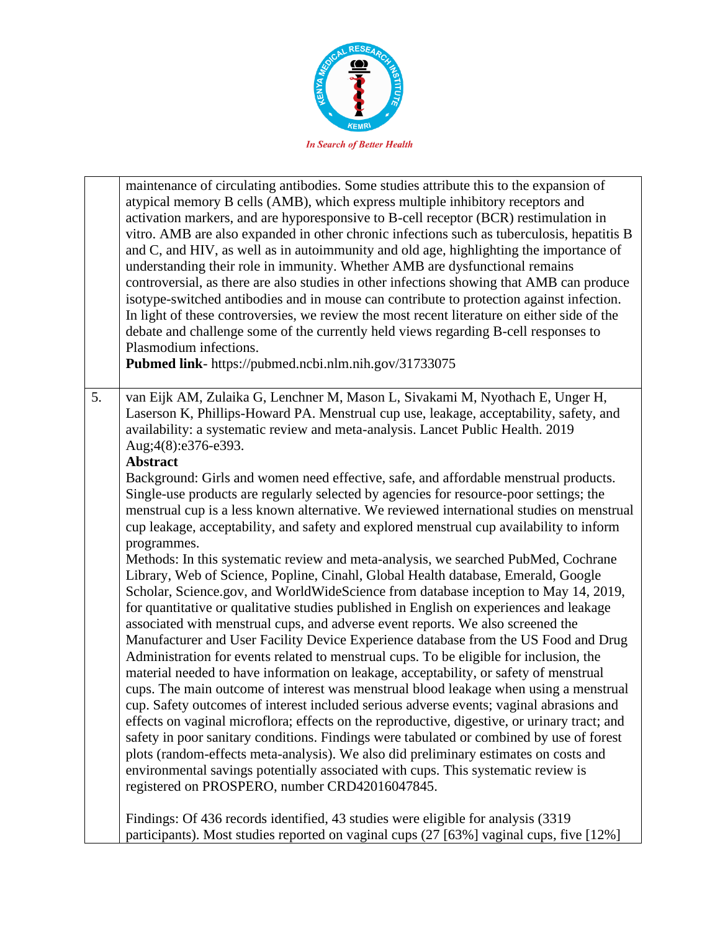

|    | maintenance of circulating antibodies. Some studies attribute this to the expansion of<br>atypical memory B cells (AMB), which express multiple inhibitory receptors and<br>activation markers, and are hyporesponsive to B-cell receptor (BCR) restimulation in<br>vitro. AMB are also expanded in other chronic infections such as tuberculosis, hepatitis B<br>and C, and HIV, as well as in autoimmunity and old age, highlighting the importance of<br>understanding their role in immunity. Whether AMB are dysfunctional remains<br>controversial, as there are also studies in other infections showing that AMB can produce<br>isotype-switched antibodies and in mouse can contribute to protection against infection.<br>In light of these controversies, we review the most recent literature on either side of the<br>debate and challenge some of the currently held views regarding B-cell responses to<br>Plasmodium infections.<br>Pubmed link- https://pubmed.ncbi.nlm.nih.gov/31733075                                                                                                                                                                                                                                                                                                                                                                                                                                                                                                                                                                                                                                                                                                                                                                                                                                                                                                                                                                                                                               |
|----|-----------------------------------------------------------------------------------------------------------------------------------------------------------------------------------------------------------------------------------------------------------------------------------------------------------------------------------------------------------------------------------------------------------------------------------------------------------------------------------------------------------------------------------------------------------------------------------------------------------------------------------------------------------------------------------------------------------------------------------------------------------------------------------------------------------------------------------------------------------------------------------------------------------------------------------------------------------------------------------------------------------------------------------------------------------------------------------------------------------------------------------------------------------------------------------------------------------------------------------------------------------------------------------------------------------------------------------------------------------------------------------------------------------------------------------------------------------------------------------------------------------------------------------------------------------------------------------------------------------------------------------------------------------------------------------------------------------------------------------------------------------------------------------------------------------------------------------------------------------------------------------------------------------------------------------------------------------------------------------------------------------------------------------------|
| 5. | van Eijk AM, Zulaika G, Lenchner M, Mason L, Sivakami M, Nyothach E, Unger H,<br>Laserson K, Phillips-Howard PA. Menstrual cup use, leakage, acceptability, safety, and<br>availability: a systematic review and meta-analysis. Lancet Public Health. 2019<br>Aug;4(8):e376-e393.<br><b>Abstract</b><br>Background: Girls and women need effective, safe, and affordable menstrual products.<br>Single-use products are regularly selected by agencies for resource-poor settings; the<br>menstrual cup is a less known alternative. We reviewed international studies on menstrual<br>cup leakage, acceptability, and safety and explored menstrual cup availability to inform<br>programmes.<br>Methods: In this systematic review and meta-analysis, we searched PubMed, Cochrane<br>Library, Web of Science, Popline, Cinahl, Global Health database, Emerald, Google<br>Scholar, Science.gov, and WorldWideScience from database inception to May 14, 2019,<br>for quantitative or qualitative studies published in English on experiences and leakage<br>associated with menstrual cups, and adverse event reports. We also screened the<br>Manufacturer and User Facility Device Experience database from the US Food and Drug<br>Administration for events related to menstrual cups. To be eligible for inclusion, the<br>material needed to have information on leakage, acceptability, or safety of menstrual<br>cups. The main outcome of interest was menstrual blood leakage when using a menstrual<br>cup. Safety outcomes of interest included serious adverse events; vaginal abrasions and<br>effects on vaginal microflora; effects on the reproductive, digestive, or urinary tract; and<br>safety in poor sanitary conditions. Findings were tabulated or combined by use of forest<br>plots (random-effects meta-analysis). We also did preliminary estimates on costs and<br>environmental savings potentially associated with cups. This systematic review is<br>registered on PROSPERO, number CRD42016047845. |
|    | Findings: Of 436 records identified, 43 studies were eligible for analysis (3319)<br>participants). Most studies reported on vaginal cups (27 [63%] vaginal cups, five [12%]                                                                                                                                                                                                                                                                                                                                                                                                                                                                                                                                                                                                                                                                                                                                                                                                                                                                                                                                                                                                                                                                                                                                                                                                                                                                                                                                                                                                                                                                                                                                                                                                                                                                                                                                                                                                                                                            |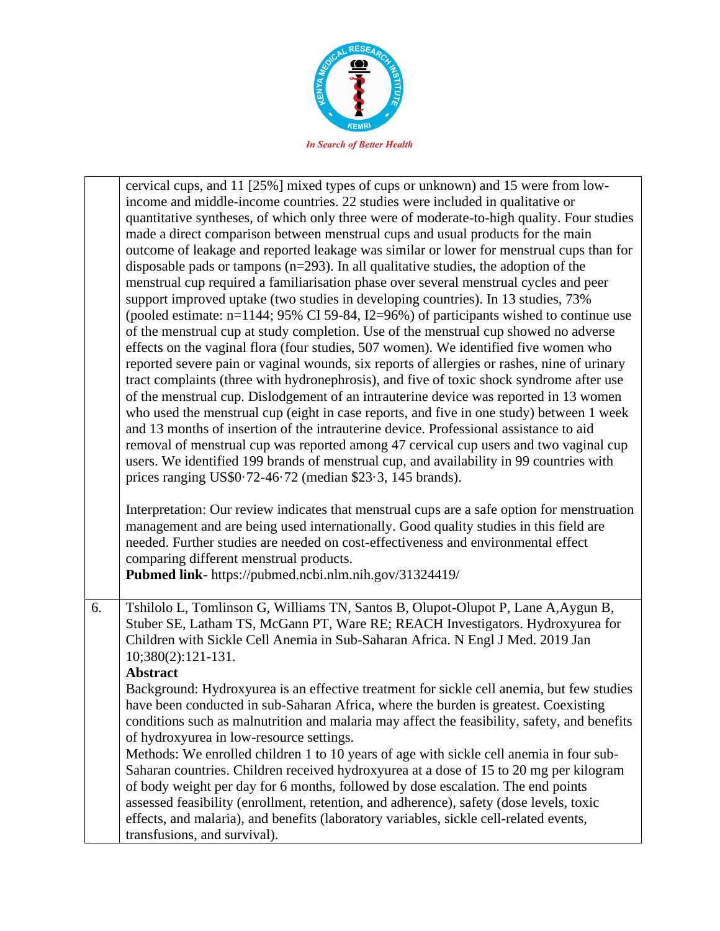

|    | cervical cups, and 11 [25%] mixed types of cups or unknown) and 15 were from low-<br>income and middle-income countries. 22 studies were included in qualitative or<br>quantitative syntheses, of which only three were of moderate-to-high quality. Four studies<br>made a direct comparison between menstrual cups and usual products for the main<br>outcome of leakage and reported leakage was similar or lower for menstrual cups than for<br>disposable pads or tampons $(n=293)$ . In all qualitative studies, the adoption of the<br>menstrual cup required a familiarisation phase over several menstrual cycles and peer<br>support improved uptake (two studies in developing countries). In 13 studies, 73%<br>(pooled estimate: $n=1144$ ; 95% CI 59-84, I2=96%) of participants wished to continue use<br>of the menstrual cup at study completion. Use of the menstrual cup showed no adverse<br>effects on the vaginal flora (four studies, 507 women). We identified five women who<br>reported severe pain or vaginal wounds, six reports of allergies or rashes, nine of urinary<br>tract complaints (three with hydronephrosis), and five of toxic shock syndrome after use<br>of the menstrual cup. Dislodgement of an intrauterine device was reported in 13 women<br>who used the menstrual cup (eight in case reports, and five in one study) between 1 week<br>and 13 months of insertion of the intrauterine device. Professional assistance to aid |
|----|--------------------------------------------------------------------------------------------------------------------------------------------------------------------------------------------------------------------------------------------------------------------------------------------------------------------------------------------------------------------------------------------------------------------------------------------------------------------------------------------------------------------------------------------------------------------------------------------------------------------------------------------------------------------------------------------------------------------------------------------------------------------------------------------------------------------------------------------------------------------------------------------------------------------------------------------------------------------------------------------------------------------------------------------------------------------------------------------------------------------------------------------------------------------------------------------------------------------------------------------------------------------------------------------------------------------------------------------------------------------------------------------------------------------------------------------------------------------------------|
|    | removal of menstrual cup was reported among 47 cervical cup users and two vaginal cup<br>users. We identified 199 brands of menstrual cup, and availability in 99 countries with<br>prices ranging US\$0.72-46.72 (median \$23.3, 145 brands).                                                                                                                                                                                                                                                                                                                                                                                                                                                                                                                                                                                                                                                                                                                                                                                                                                                                                                                                                                                                                                                                                                                                                                                                                                 |
|    | Interpretation: Our review indicates that menstrual cups are a safe option for menstruation<br>management and are being used internationally. Good quality studies in this field are<br>needed. Further studies are needed on cost-effectiveness and environmental effect<br>comparing different menstrual products.<br>Pubmed link- https://pubmed.ncbi.nlm.nih.gov/31324419/                                                                                                                                                                                                                                                                                                                                                                                                                                                                                                                                                                                                                                                                                                                                                                                                                                                                                                                                                                                                                                                                                                 |
| 6. | Tshilolo L, Tomlinson G, Williams TN, Santos B, Olupot-Olupot P, Lane A, Aygun B,<br>Stuber SE, Latham TS, McGann PT, Ware RE; REACH Investigators. Hydroxyurea for<br>Children with Sickle Cell Anemia in Sub-Saharan Africa. N Engl J Med. 2019 Jan<br>10;380(2):121-131.<br><b>Abstract</b>                                                                                                                                                                                                                                                                                                                                                                                                                                                                                                                                                                                                                                                                                                                                                                                                                                                                                                                                                                                                                                                                                                                                                                                 |
|    | Background: Hydroxyurea is an effective treatment for sickle cell anemia, but few studies<br>have been conducted in sub-Saharan Africa, where the burden is greatest. Coexisting<br>conditions such as malnutrition and malaria may affect the feasibility, safety, and benefits<br>of hydroxyurea in low-resource settings.                                                                                                                                                                                                                                                                                                                                                                                                                                                                                                                                                                                                                                                                                                                                                                                                                                                                                                                                                                                                                                                                                                                                                   |
|    | Methods: We enrolled children 1 to 10 years of age with sickle cell anemia in four sub-<br>Saharan countries. Children received hydroxyurea at a dose of 15 to 20 mg per kilogram<br>of body weight per day for 6 months, followed by dose escalation. The end points<br>assessed feasibility (enrollment, retention, and adherence), safety (dose levels, toxic<br>effects, and malaria), and benefits (laboratory variables, sickle cell-related events,<br>transfusions, and survival).                                                                                                                                                                                                                                                                                                                                                                                                                                                                                                                                                                                                                                                                                                                                                                                                                                                                                                                                                                                     |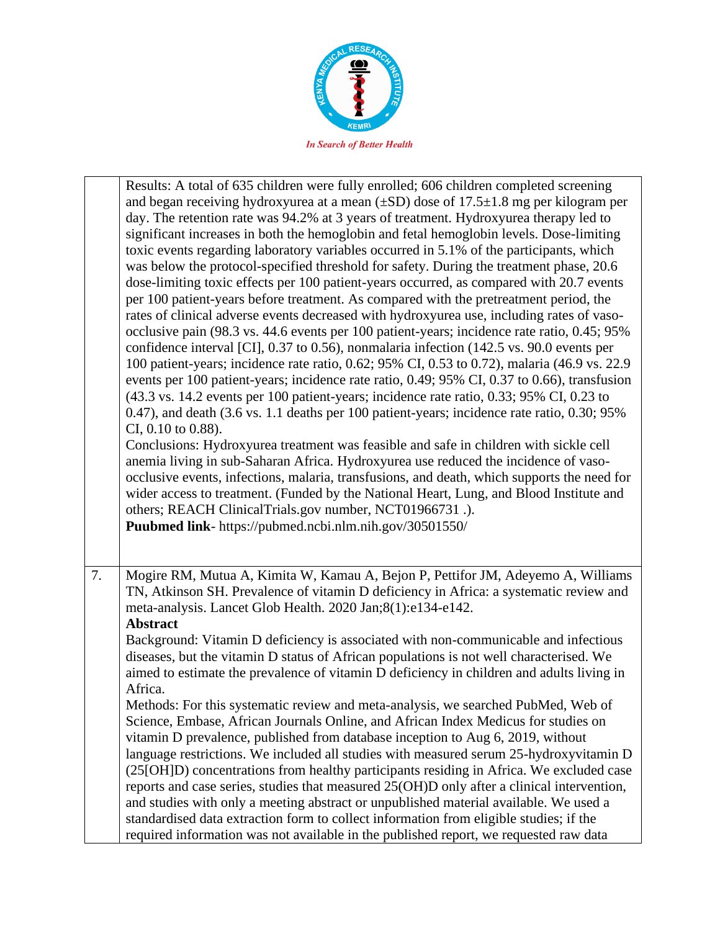

|    | Results: A total of 635 children were fully enrolled; 606 children completed screening<br>and began receiving hydroxyurea at a mean $(\pm SD)$ dose of 17.5 $\pm$ 1.8 mg per kilogram per<br>day. The retention rate was 94.2% at 3 years of treatment. Hydroxyurea therapy led to<br>significant increases in both the hemoglobin and fetal hemoglobin levels. Dose-limiting<br>toxic events regarding laboratory variables occurred in 5.1% of the participants, which<br>was below the protocol-specified threshold for safety. During the treatment phase, 20.6<br>dose-limiting toxic effects per 100 patient-years occurred, as compared with 20.7 events<br>per 100 patient-years before treatment. As compared with the pretreatment period, the<br>rates of clinical adverse events decreased with hydroxyurea use, including rates of vaso-<br>occlusive pain (98.3 vs. 44.6 events per 100 patient-years; incidence rate ratio, 0.45; 95%<br>confidence interval [CI], 0.37 to 0.56), nonmalaria infection (142.5 vs. 90.0 events per<br>100 patient-years; incidence rate ratio, 0.62; 95% CI, 0.53 to 0.72), malaria (46.9 vs. 22.9<br>events per 100 patient-years; incidence rate ratio, 0.49; 95% CI, 0.37 to 0.66), transfusion<br>(43.3 vs. 14.2 events per 100 patient-years; incidence rate ratio, 0.33; 95% CI, 0.23 to<br>0.47), and death (3.6 vs. 1.1 deaths per 100 patient-years; incidence rate ratio, 0.30; 95%<br>CI, 0.10 to 0.88).<br>Conclusions: Hydroxyurea treatment was feasible and safe in children with sickle cell<br>anemia living in sub-Saharan Africa. Hydroxyurea use reduced the incidence of vaso-<br>occlusive events, infections, malaria, transfusions, and death, which supports the need for<br>wider access to treatment. (Funded by the National Heart, Lung, and Blood Institute and<br>others; REACH ClinicalTrials.gov number, NCT01966731.).<br>Puubmed link- https://pubmed.ncbi.nlm.nih.gov/30501550/ |
|----|-------------------------------------------------------------------------------------------------------------------------------------------------------------------------------------------------------------------------------------------------------------------------------------------------------------------------------------------------------------------------------------------------------------------------------------------------------------------------------------------------------------------------------------------------------------------------------------------------------------------------------------------------------------------------------------------------------------------------------------------------------------------------------------------------------------------------------------------------------------------------------------------------------------------------------------------------------------------------------------------------------------------------------------------------------------------------------------------------------------------------------------------------------------------------------------------------------------------------------------------------------------------------------------------------------------------------------------------------------------------------------------------------------------------------------------------------------------------------------------------------------------------------------------------------------------------------------------------------------------------------------------------------------------------------------------------------------------------------------------------------------------------------------------------------------------------------------------------------------------------------------------------------------------------------------------------------------------------|
| 7. | Mogire RM, Mutua A, Kimita W, Kamau A, Bejon P, Pettifor JM, Adeyemo A, Williams<br>TN, Atkinson SH. Prevalence of vitamin D deficiency in Africa: a systematic review and<br>meta-analysis. Lancet Glob Health. 2020 Jan;8(1):e134-e142.<br><b>Abstract</b><br>Background: Vitamin D deficiency is associated with non-communicable and infectious<br>diseases, but the vitamin D status of African populations is not well characterised. We<br>aimed to estimate the prevalence of vitamin D deficiency in children and adults living in<br>Africa.<br>Methods: For this systematic review and meta-analysis, we searched PubMed, Web of<br>Science, Embase, African Journals Online, and African Index Medicus for studies on<br>vitamin D prevalence, published from database inception to Aug 6, 2019, without<br>language restrictions. We included all studies with measured serum 25-hydroxyvitamin D<br>(25[OH]D) concentrations from healthy participants residing in Africa. We excluded case<br>reports and case series, studies that measured 25(OH)D only after a clinical intervention,<br>and studies with only a meeting abstract or unpublished material available. We used a<br>standardised data extraction form to collect information from eligible studies; if the<br>required information was not available in the published report, we requested raw data                                                                                                                                                                                                                                                                                                                                                                                                                                                                                                                                                                               |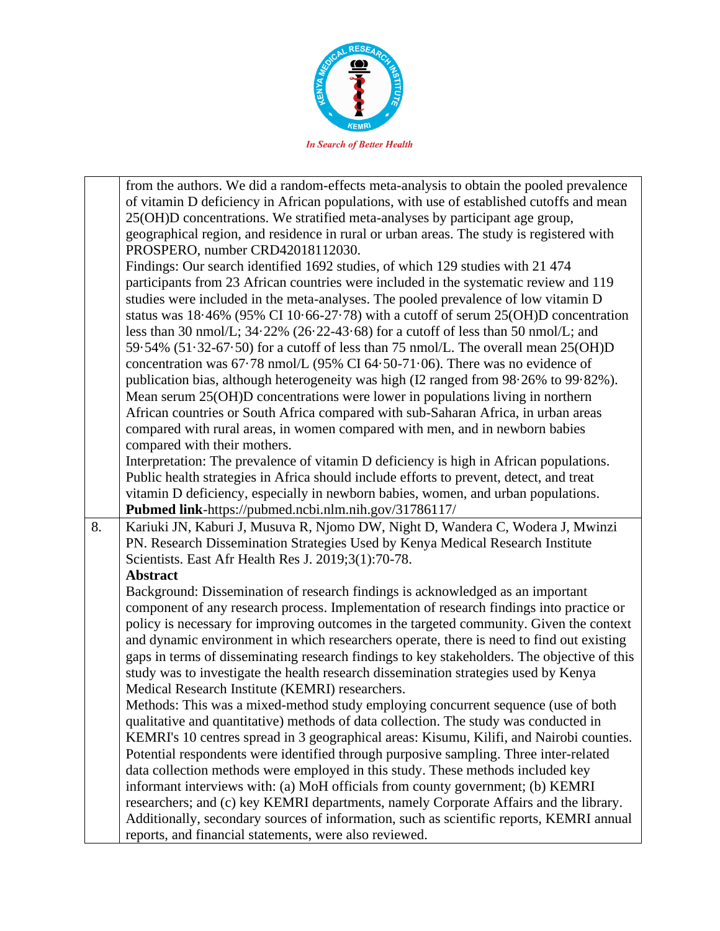

|    | from the authors. We did a random-effects meta-analysis to obtain the pooled prevalence                                                            |
|----|----------------------------------------------------------------------------------------------------------------------------------------------------|
|    | of vitamin D deficiency in African populations, with use of established cutoffs and mean                                                           |
|    | 25(OH)D concentrations. We stratified meta-analyses by participant age group,                                                                      |
|    | geographical region, and residence in rural or urban areas. The study is registered with                                                           |
|    | PROSPERO, number CRD42018112030.                                                                                                                   |
|    | Findings: Our search identified 1692 studies, of which 129 studies with 21 474                                                                     |
|    | participants from 23 African countries were included in the systematic review and 119                                                              |
|    | studies were included in the meta-analyses. The pooled prevalence of low vitamin D                                                                 |
|    | status was $18.46\%$ (95% CI 10.66-27.78) with a cutoff of serum 25(OH)D concentration                                                             |
|    | less than 30 nmol/L; $34.22\%$ (26.22-43.68) for a cutoff of less than 50 nmol/L; and                                                              |
|    | 59.54% (51.32-67.50) for a cutoff of less than 75 nmol/L. The overall mean $25(OH)D$                                                               |
|    | concentration was $67.78$ nmol/L (95% CI $64.50-71.06$ ). There was no evidence of                                                                 |
|    | publication bias, although heterogeneity was high (I2 ranged from 98.26% to 99.82%).                                                               |
|    | Mean serum 25(OH)D concentrations were lower in populations living in northern                                                                     |
|    | African countries or South Africa compared with sub-Saharan Africa, in urban areas                                                                 |
|    | compared with rural areas, in women compared with men, and in newborn babies                                                                       |
|    | compared with their mothers.                                                                                                                       |
|    | Interpretation: The prevalence of vitamin D deficiency is high in African populations.                                                             |
|    | Public health strategies in Africa should include efforts to prevent, detect, and treat                                                            |
|    | vitamin D deficiency, especially in newborn babies, women, and urban populations.                                                                  |
|    | Pubmed link-https://pubmed.ncbi.nlm.nih.gov/31786117/                                                                                              |
| 8. | Kariuki JN, Kaburi J, Musuva R, Njomo DW, Night D, Wandera C, Wodera J, Mwinzi                                                                     |
|    |                                                                                                                                                    |
|    | PN. Research Dissemination Strategies Used by Kenya Medical Research Institute                                                                     |
|    | Scientists. East Afr Health Res J. 2019;3(1):70-78.                                                                                                |
|    | <b>Abstract</b>                                                                                                                                    |
|    | Background: Dissemination of research findings is acknowledged as an important                                                                     |
|    | component of any research process. Implementation of research findings into practice or                                                            |
|    | policy is necessary for improving outcomes in the targeted community. Given the context                                                            |
|    | and dynamic environment in which researchers operate, there is need to find out existing                                                           |
|    | gaps in terms of disseminating research findings to key stakeholders. The objective of this                                                        |
|    | study was to investigate the health research dissemination strategies used by Kenya                                                                |
|    | Medical Research Institute (KEMRI) researchers.                                                                                                    |
|    | Methods: This was a mixed-method study employing concurrent sequence (use of both                                                                  |
|    | qualitative and quantitative) methods of data collection. The study was conducted in                                                               |
|    | KEMRI's 10 centres spread in 3 geographical areas: Kisumu, Kilifi, and Nairobi counties.                                                           |
|    | Potential respondents were identified through purposive sampling. Three inter-related                                                              |
|    | data collection methods were employed in this study. These methods included key                                                                    |
|    | informant interviews with: (a) MoH officials from county government; (b) KEMRI                                                                     |
|    | researchers; and (c) key KEMRI departments, namely Corporate Affairs and the library.                                                              |
|    | Additionally, secondary sources of information, such as scientific reports, KEMRI annual<br>reports, and financial statements, were also reviewed. |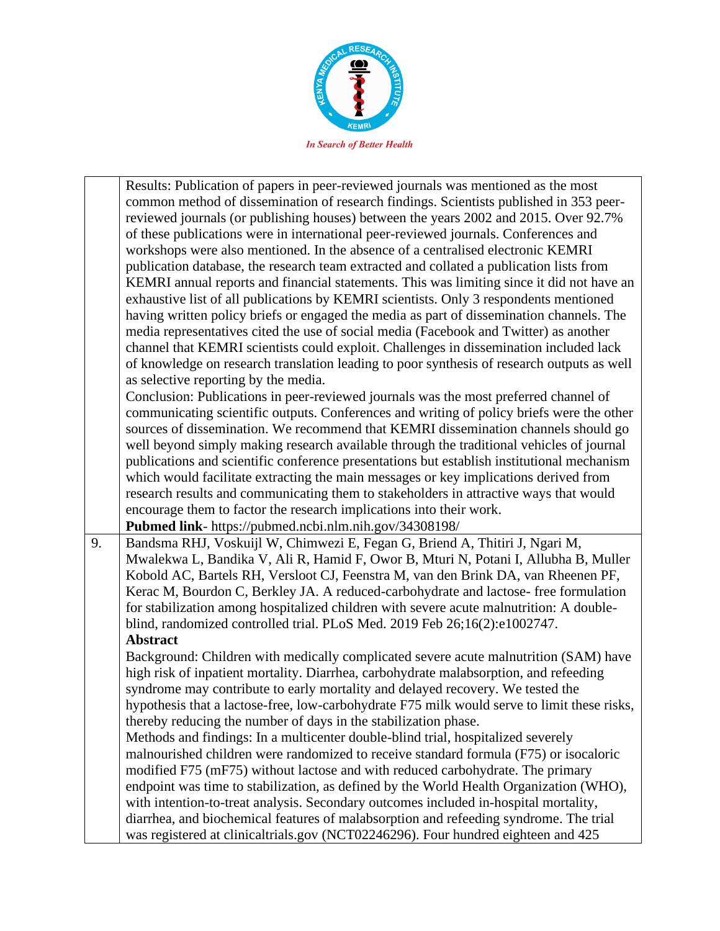

|    | Results: Publication of papers in peer-reviewed journals was mentioned as the most          |
|----|---------------------------------------------------------------------------------------------|
|    | common method of dissemination of research findings. Scientists published in 353 peer-      |
|    | reviewed journals (or publishing houses) between the years 2002 and 2015. Over 92.7%        |
|    | of these publications were in international peer-reviewed journals. Conferences and         |
|    | workshops were also mentioned. In the absence of a centralised electronic KEMRI             |
|    | publication database, the research team extracted and collated a publication lists from     |
|    | KEMRI annual reports and financial statements. This was limiting since it did not have an   |
|    | exhaustive list of all publications by KEMRI scientists. Only 3 respondents mentioned       |
|    | having written policy briefs or engaged the media as part of dissemination channels. The    |
|    | media representatives cited the use of social media (Facebook and Twitter) as another       |
|    | channel that KEMRI scientists could exploit. Challenges in dissemination included lack      |
|    | of knowledge on research translation leading to poor synthesis of research outputs as well  |
|    | as selective reporting by the media.                                                        |
|    | Conclusion: Publications in peer-reviewed journals was the most preferred channel of        |
|    | communicating scientific outputs. Conferences and writing of policy briefs were the other   |
|    | sources of dissemination. We recommend that KEMRI dissemination channels should go          |
|    | well beyond simply making research available through the traditional vehicles of journal    |
|    | publications and scientific conference presentations but establish institutional mechanism  |
|    | which would facilitate extracting the main messages or key implications derived from        |
|    | research results and communicating them to stakeholders in attractive ways that would       |
|    | encourage them to factor the research implications into their work.                         |
|    | Pubmed link- https://pubmed.ncbi.nlm.nih.gov/34308198/                                      |
| 9. | Bandsma RHJ, Voskuijl W, Chimwezi E, Fegan G, Briend A, Thitiri J, Ngari M,                 |
|    | Mwalekwa L, Bandika V, Ali R, Hamid F, Owor B, Mturi N, Potani I, Allubha B, Muller         |
|    | Kobold AC, Bartels RH, Versloot CJ, Feenstra M, van den Brink DA, van Rheenen PF,           |
|    | Kerac M, Bourdon C, Berkley JA. A reduced-carbohydrate and lactose-free formulation         |
|    | for stabilization among hospitalized children with severe acute malnutrition: A double-     |
|    | blind, randomized controlled trial. PLoS Med. 2019 Feb 26;16(2):e1002747.                   |
|    | <b>Abstract</b>                                                                             |
|    | Background: Children with medically complicated severe acute malnutrition (SAM) have        |
|    | high risk of inpatient mortality. Diarrhea, carbohydrate malabsorption, and refeeding       |
|    | syndrome may contribute to early mortality and delayed recovery. We tested the              |
|    | hypothesis that a lactose-free, low-carbohydrate F75 milk would serve to limit these risks, |
|    | thereby reducing the number of days in the stabilization phase.                             |
|    | Methods and findings: In a multicenter double-blind trial, hospitalized severely            |
|    | malnourished children were randomized to receive standard formula (F75) or isocaloric       |
|    | modified F75 (mF75) without lactose and with reduced carbohydrate. The primary              |
|    | endpoint was time to stabilization, as defined by the World Health Organization (WHO),      |
|    | with intention-to-treat analysis. Secondary outcomes included in-hospital mortality,        |
|    | diarrhea, and biochemical features of malabsorption and refeeding syndrome. The trial       |
|    | was registered at clinicaltrials.gov (NCT02246296). Four hundred eighteen and 425           |
|    |                                                                                             |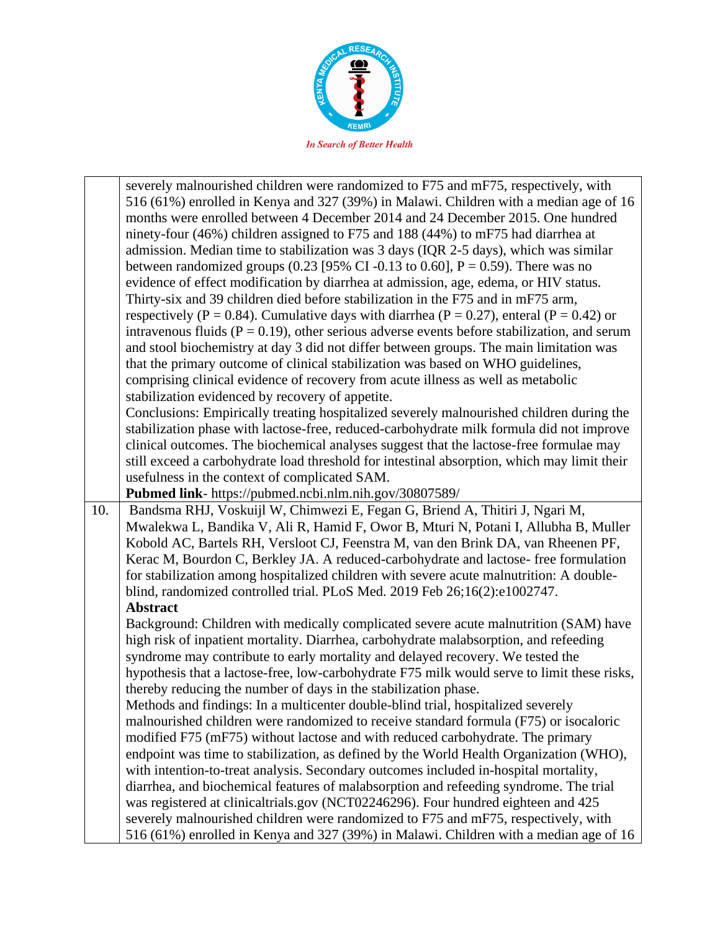

|     | severely malnourished children were randomized to F75 and mF75, respectively, with              |
|-----|-------------------------------------------------------------------------------------------------|
|     | 516 (61%) enrolled in Kenya and 327 (39%) in Malawi. Children with a median age of 16           |
|     | months were enrolled between 4 December 2014 and 24 December 2015. One hundred                  |
|     | ninety-four (46%) children assigned to F75 and 188 (44%) to mF75 had diarrhea at                |
|     | admission. Median time to stabilization was 3 days (IQR 2-5 days), which was similar            |
|     | between randomized groups (0.23 [95% CI -0.13 to 0.60], $P = 0.59$ ). There was no              |
|     | evidence of effect modification by diarrhea at admission, age, edema, or HIV status.            |
|     | Thirty-six and 39 children died before stabilization in the F75 and in mF75 arm,                |
|     | respectively (P = 0.84). Cumulative days with diarrhea (P = 0.27), enteral (P = 0.42) or        |
|     |                                                                                                 |
|     | intravenous fluids ( $P = 0.19$ ), other serious adverse events before stabilization, and serum |
|     | and stool biochemistry at day 3 did not differ between groups. The main limitation was          |
|     | that the primary outcome of clinical stabilization was based on WHO guidelines,                 |
|     | comprising clinical evidence of recovery from acute illness as well as metabolic                |
|     | stabilization evidenced by recovery of appetite.                                                |
|     | Conclusions: Empirically treating hospitalized severely malnourished children during the        |
|     | stabilization phase with lactose-free, reduced-carbohydrate milk formula did not improve        |
|     | clinical outcomes. The biochemical analyses suggest that the lactose-free formulae may          |
|     | still exceed a carbohydrate load threshold for intestinal absorption, which may limit their     |
|     | usefulness in the context of complicated SAM.                                                   |
|     | Pubmed link- https://pubmed.ncbi.nlm.nih.gov/30807589/                                          |
| 10. | Bandsma RHJ, Voskuijl W, Chimwezi E, Fegan G, Briend A, Thitiri J, Ngari M,                     |
|     | Mwalekwa L, Bandika V, Ali R, Hamid F, Owor B, Mturi N, Potani I, Allubha B, Muller             |
|     | Kobold AC, Bartels RH, Versloot CJ, Feenstra M, van den Brink DA, van Rheenen PF,               |
|     | Kerac M, Bourdon C, Berkley JA. A reduced-carbohydrate and lactose-free formulation             |
|     | for stabilization among hospitalized children with severe acute malnutrition: A double-         |
|     | blind, randomized controlled trial. PLoS Med. 2019 Feb 26;16(2):e1002747.                       |
|     | <b>Abstract</b>                                                                                 |
|     | Background: Children with medically complicated severe acute malnutrition (SAM) have            |
|     | high risk of inpatient mortality. Diarrhea, carbohydrate malabsorption, and refeeding           |
|     | syndrome may contribute to early mortality and delayed recovery. We tested the                  |
|     | hypothesis that a lactose-free, low-carbohydrate F75 milk would serve to limit these risks,     |
|     | thereby reducing the number of days in the stabilization phase.                                 |
|     | Methods and findings: In a multicenter double-blind trial, hospitalized severely                |
|     | malnourished children were randomized to receive standard formula (F75) or isocaloric           |
|     | modified F75 (mF75) without lactose and with reduced carbohydrate. The primary                  |
|     | endpoint was time to stabilization, as defined by the World Health Organization (WHO),          |
|     | with intention-to-treat analysis. Secondary outcomes included in-hospital mortality,            |
|     | diarrhea, and biochemical features of malabsorption and refeeding syndrome. The trial           |
|     | was registered at clinicaltrials.gov (NCT02246296). Four hundred eighteen and 425               |
|     | severely malnourished children were randomized to F75 and mF75, respectively, with              |
|     | 516 (61%) enrolled in Kenya and 327 (39%) in Malawi. Children with a median age of 16           |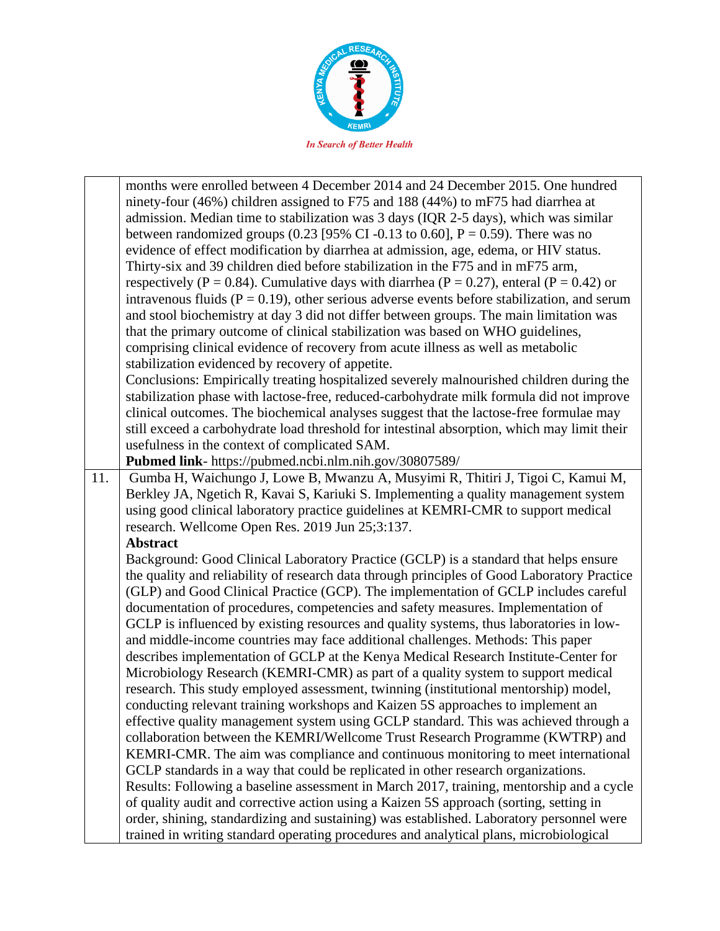

|     | months were enrolled between 4 December 2014 and 24 December 2015. One hundred                                                                                                     |
|-----|------------------------------------------------------------------------------------------------------------------------------------------------------------------------------------|
|     | ninety-four (46%) children assigned to F75 and 188 (44%) to mF75 had diarrhea at                                                                                                   |
|     | admission. Median time to stabilization was 3 days (IQR 2-5 days), which was similar                                                                                               |
|     | between randomized groups (0.23 [95% CI -0.13 to 0.60], $P = 0.59$ ). There was no                                                                                                 |
|     | evidence of effect modification by diarrhea at admission, age, edema, or HIV status.                                                                                               |
|     | Thirty-six and 39 children died before stabilization in the F75 and in mF75 arm,                                                                                                   |
|     |                                                                                                                                                                                    |
|     | respectively (P = 0.84). Cumulative days with diarrhea (P = 0.27), enteral (P = 0.42) or                                                                                           |
|     | intravenous fluids ( $P = 0.19$ ), other serious adverse events before stabilization, and serum                                                                                    |
|     | and stool biochemistry at day 3 did not differ between groups. The main limitation was                                                                                             |
|     | that the primary outcome of clinical stabilization was based on WHO guidelines,                                                                                                    |
|     | comprising clinical evidence of recovery from acute illness as well as metabolic                                                                                                   |
|     | stabilization evidenced by recovery of appetite.                                                                                                                                   |
|     | Conclusions: Empirically treating hospitalized severely malnourished children during the                                                                                           |
|     | stabilization phase with lactose-free, reduced-carbohydrate milk formula did not improve                                                                                           |
|     | clinical outcomes. The biochemical analyses suggest that the lactose-free formulae may                                                                                             |
|     | still exceed a carbohydrate load threshold for intestinal absorption, which may limit their                                                                                        |
|     | usefulness in the context of complicated SAM.                                                                                                                                      |
|     | Pubmed link- https://pubmed.ncbi.nlm.nih.gov/30807589/                                                                                                                             |
| 11. | Gumba H, Waichungo J, Lowe B, Mwanzu A, Musyimi R, Thitiri J, Tigoi C, Kamui M,                                                                                                    |
|     | Berkley JA, Ngetich R, Kavai S, Kariuki S. Implementing a quality management system                                                                                                |
|     | using good clinical laboratory practice guidelines at KEMRI-CMR to support medical                                                                                                 |
|     | research. Wellcome Open Res. 2019 Jun 25;3:137.                                                                                                                                    |
|     | <b>Abstract</b>                                                                                                                                                                    |
|     | Background: Good Clinical Laboratory Practice (GCLP) is a standard that helps ensure                                                                                               |
|     | the quality and reliability of research data through principles of Good Laboratory Practice                                                                                        |
|     | (GLP) and Good Clinical Practice (GCP). The implementation of GCLP includes careful                                                                                                |
|     | documentation of procedures, competencies and safety measures. Implementation of                                                                                                   |
|     | GCLP is influenced by existing resources and quality systems, thus laboratories in low-                                                                                            |
|     | and middle-income countries may face additional challenges. Methods: This paper                                                                                                    |
|     | describes implementation of GCLP at the Kenya Medical Research Institute-Center for                                                                                                |
|     | Microbiology Research (KEMRI-CMR) as part of a quality system to support medical                                                                                                   |
|     | research. This study employed assessment, twinning (institutional mentorship) model,                                                                                               |
|     | conducting relevant training workshops and Kaizen 5S approaches to implement an                                                                                                    |
|     | effective quality management system using GCLP standard. This was achieved through a                                                                                               |
|     | collaboration between the KEMRI/Wellcome Trust Research Programme (KWTRP) and                                                                                                      |
|     | KEMRI-CMR. The aim was compliance and continuous monitoring to meet international                                                                                                  |
|     | GCLP standards in a way that could be replicated in other research organizations.                                                                                                  |
|     |                                                                                                                                                                                    |
|     | Results: Following a baseline assessment in March 2017, training, mentorship and a cycle                                                                                           |
|     | of quality audit and corrective action using a Kaizen 5S approach (sorting, setting in                                                                                             |
|     | order, shining, standardizing and sustaining) was established. Laboratory personnel were<br>trained in writing standard operating procedures and analytical plans, microbiological |
|     |                                                                                                                                                                                    |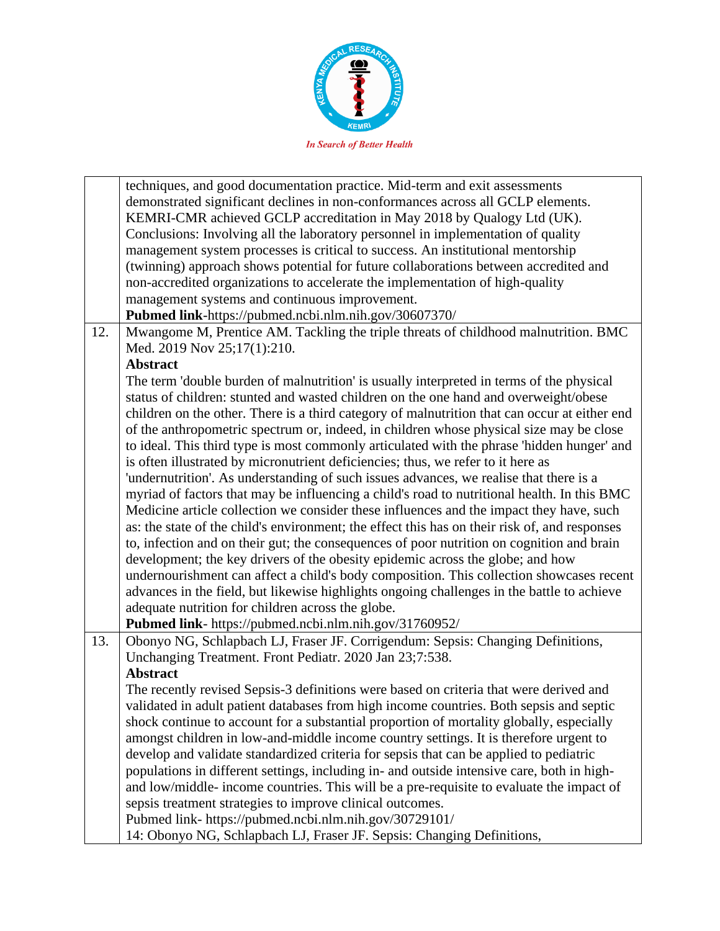

| techniques, and good documentation practice. Mid-term and exit assessments<br>demonstrated significant declines in non-conformances across all GCLP elements. |  |
|---------------------------------------------------------------------------------------------------------------------------------------------------------------|--|
|                                                                                                                                                               |  |
| KEMRI-CMR achieved GCLP accreditation in May 2018 by Qualogy Ltd (UK).                                                                                        |  |
| Conclusions: Involving all the laboratory personnel in implementation of quality                                                                              |  |
|                                                                                                                                                               |  |
| management system processes is critical to success. An institutional mentorship                                                                               |  |
| (twinning) approach shows potential for future collaborations between accredited and                                                                          |  |
| non-accredited organizations to accelerate the implementation of high-quality                                                                                 |  |
| management systems and continuous improvement.                                                                                                                |  |
| Pubmed link-https://pubmed.ncbi.nlm.nih.gov/30607370/                                                                                                         |  |
| Mwangome M, Prentice AM. Tackling the triple threats of childhood malnutrition. BMC<br>12.                                                                    |  |
| Med. 2019 Nov 25;17(1):210.                                                                                                                                   |  |
| <b>Abstract</b>                                                                                                                                               |  |
| The term 'double burden of malnutrition' is usually interpreted in terms of the physical                                                                      |  |
| status of children: stunted and wasted children on the one hand and overweight/obese                                                                          |  |
| children on the other. There is a third category of malnutrition that can occur at either end                                                                 |  |
| of the anthropometric spectrum or, indeed, in children whose physical size may be close                                                                       |  |
| to ideal. This third type is most commonly articulated with the phrase 'hidden hunger' and                                                                    |  |
| is often illustrated by micronutrient deficiencies; thus, we refer to it here as                                                                              |  |
| 'undernutrition'. As understanding of such issues advances, we realise that there is a                                                                        |  |
| myriad of factors that may be influencing a child's road to nutritional health. In this BMC                                                                   |  |
| Medicine article collection we consider these influences and the impact they have, such                                                                       |  |
| as: the state of the child's environment; the effect this has on their risk of, and responses                                                                 |  |
| to, infection and on their gut; the consequences of poor nutrition on cognition and brain                                                                     |  |
| development; the key drivers of the obesity epidemic across the globe; and how                                                                                |  |
| undernourishment can affect a child's body composition. This collection showcases recent                                                                      |  |
|                                                                                                                                                               |  |
| advances in the field, but likewise highlights ongoing challenges in the battle to achieve                                                                    |  |
| adequate nutrition for children across the globe.                                                                                                             |  |
| Pubmed link- https://pubmed.ncbi.nlm.nih.gov/31760952/                                                                                                        |  |
| Obonyo NG, Schlapbach LJ, Fraser JF. Corrigendum: Sepsis: Changing Definitions,<br>13.                                                                        |  |
| Unchanging Treatment. Front Pediatr. 2020 Jan 23;7:538.                                                                                                       |  |
| <b>Abstract</b>                                                                                                                                               |  |
| The recently revised Sepsis-3 definitions were based on criteria that were derived and                                                                        |  |
| validated in adult patient databases from high income countries. Both sepsis and septic                                                                       |  |
| shock continue to account for a substantial proportion of mortality globally, especially                                                                      |  |
| amongst children in low-and-middle income country settings. It is therefore urgent to                                                                         |  |
| develop and validate standardized criteria for sepsis that can be applied to pediatric                                                                        |  |
| populations in different settings, including in- and outside intensive care, both in high-                                                                    |  |
| and low/middle- income countries. This will be a pre-requisite to evaluate the impact of                                                                      |  |
| sepsis treatment strategies to improve clinical outcomes.                                                                                                     |  |
| Pubmed link- https://pubmed.ncbi.nlm.nih.gov/30729101/                                                                                                        |  |
| 14: Obonyo NG, Schlapbach LJ, Fraser JF. Sepsis: Changing Definitions,                                                                                        |  |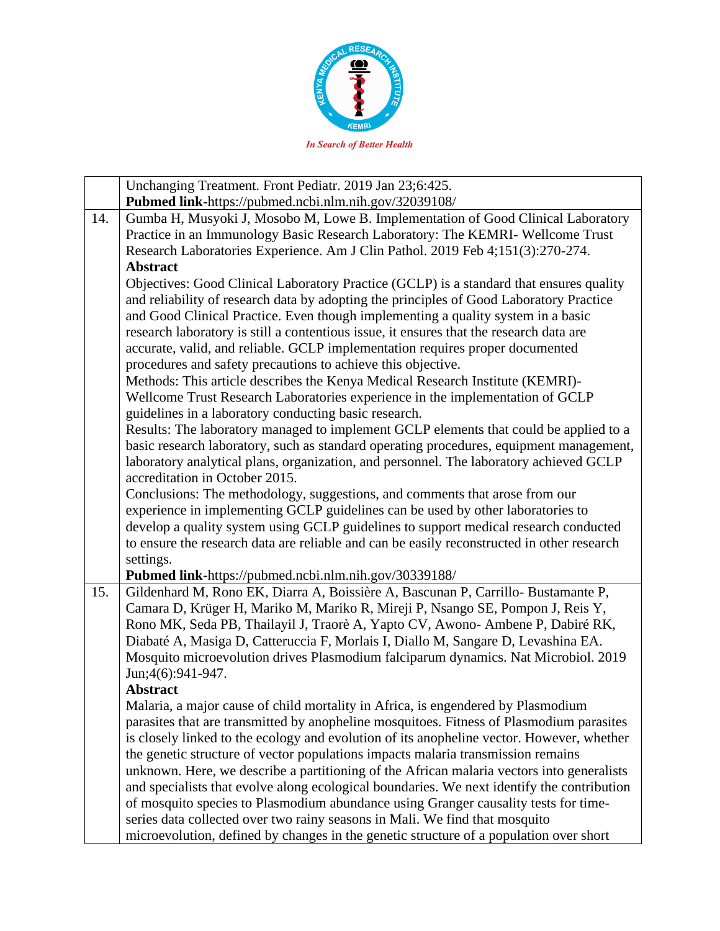

|     | Unchanging Treatment. Front Pediatr. 2019 Jan 23;6:425.                                                 |
|-----|---------------------------------------------------------------------------------------------------------|
|     | Pubmed link-https://pubmed.ncbi.nlm.nih.gov/32039108/                                                   |
| 14. | Gumba H, Musyoki J, Mosobo M, Lowe B. Implementation of Good Clinical Laboratory                        |
|     | Practice in an Immunology Basic Research Laboratory: The KEMRI-Wellcome Trust                           |
|     | Research Laboratories Experience. Am J Clin Pathol. 2019 Feb 4;151(3):270-274.                          |
|     | <b>Abstract</b>                                                                                         |
|     | Objectives: Good Clinical Laboratory Practice (GCLP) is a standard that ensures quality                 |
|     | and reliability of research data by adopting the principles of Good Laboratory Practice                 |
|     | and Good Clinical Practice. Even though implementing a quality system in a basic                        |
|     | research laboratory is still a contentious issue, it ensures that the research data are                 |
|     | accurate, valid, and reliable. GCLP implementation requires proper documented                           |
|     | procedures and safety precautions to achieve this objective.                                            |
|     | Methods: This article describes the Kenya Medical Research Institute (KEMRI)-                           |
|     | Wellcome Trust Research Laboratories experience in the implementation of GCLP                           |
|     | guidelines in a laboratory conducting basic research.                                                   |
|     | Results: The laboratory managed to implement GCLP elements that could be applied to a                   |
|     | basic research laboratory, such as standard operating procedures, equipment management,                 |
|     | laboratory analytical plans, organization, and personnel. The laboratory achieved GCLP                  |
|     | accreditation in October 2015.                                                                          |
|     | Conclusions: The methodology, suggestions, and comments that arose from our                             |
|     | experience in implementing GCLP guidelines can be used by other laboratories to                         |
|     | develop a quality system using GCLP guidelines to support medical research conducted                    |
|     | to ensure the research data are reliable and can be easily reconstructed in other research<br>settings. |
|     | Pubmed link-https://pubmed.ncbi.nlm.nih.gov/30339188/                                                   |
| 15. | Gildenhard M, Rono EK, Diarra A, Boissière A, Bascunan P, Carrillo- Bustamante P,                       |
|     | Camara D, Krüger H, Mariko M, Mariko R, Mireji P, Nsango SE, Pompon J, Reis Y,                          |
|     | Rono MK, Seda PB, Thailayil J, Traorè A, Yapto CV, Awono- Ambene P, Dabiré RK,                          |
|     | Diabaté A, Masiga D, Catteruccia F, Morlais I, Diallo M, Sangare D, Levashina EA.                       |
|     | Mosquito microevolution drives Plasmodium falciparum dynamics. Nat Microbiol. 2019                      |
|     | Jun;4(6):941-947.                                                                                       |
|     | <b>Abstract</b>                                                                                         |
|     | Malaria, a major cause of child mortality in Africa, is engendered by Plasmodium                        |
|     | parasites that are transmitted by anopheline mosquitoes. Fitness of Plasmodium parasites                |
|     | is closely linked to the ecology and evolution of its anopheline vector. However, whether               |
|     | the genetic structure of vector populations impacts malaria transmission remains                        |
|     | unknown. Here, we describe a partitioning of the African malaria vectors into generalists               |
|     | and specialists that evolve along ecological boundaries. We next identify the contribution              |
|     | of mosquito species to Plasmodium abundance using Granger causality tests for time-                     |
|     | series data collected over two rainy seasons in Mali. We find that mosquito                             |
|     | microevolution, defined by changes in the genetic structure of a population over short                  |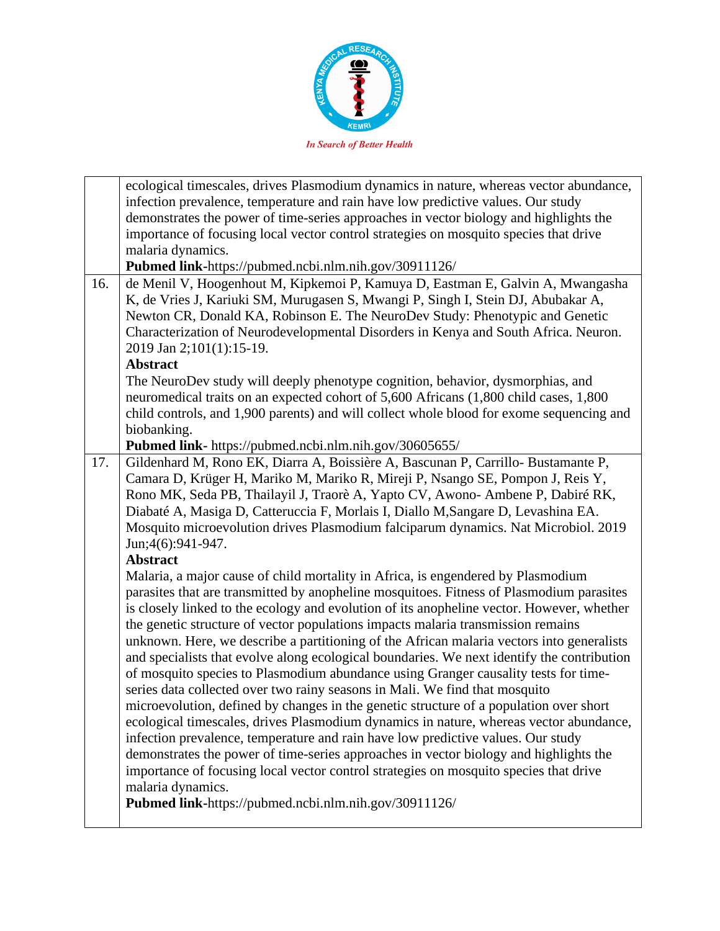

|     | ecological timescales, drives Plasmodium dynamics in nature, whereas vector abundance,<br>infection prevalence, temperature and rain have low predictive values. Our study                                                                         |
|-----|----------------------------------------------------------------------------------------------------------------------------------------------------------------------------------------------------------------------------------------------------|
|     | demonstrates the power of time-series approaches in vector biology and highlights the                                                                                                                                                              |
|     | importance of focusing local vector control strategies on mosquito species that drive                                                                                                                                                              |
|     | malaria dynamics.                                                                                                                                                                                                                                  |
|     | Pubmed link-https://pubmed.ncbi.nlm.nih.gov/30911126/                                                                                                                                                                                              |
| 16. | de Menil V, Hoogenhout M, Kipkemoi P, Kamuya D, Eastman E, Galvin A, Mwangasha<br>K, de Vries J, Kariuki SM, Murugasen S, Mwangi P, Singh I, Stein DJ, Abubakar A,<br>Newton CR, Donald KA, Robinson E. The NeuroDev Study: Phenotypic and Genetic |
|     | Characterization of Neurodevelopmental Disorders in Kenya and South Africa. Neuron.                                                                                                                                                                |
|     | 2019 Jan 2;101(1):15-19.                                                                                                                                                                                                                           |
|     | <b>Abstract</b>                                                                                                                                                                                                                                    |
|     | The NeuroDev study will deeply phenotype cognition, behavior, dysmorphias, and                                                                                                                                                                     |
|     | neuromedical traits on an expected cohort of 5,600 Africans (1,800 child cases, 1,800                                                                                                                                                              |
|     | child controls, and 1,900 parents) and will collect whole blood for exome sequencing and                                                                                                                                                           |
|     | biobanking.                                                                                                                                                                                                                                        |
|     | Pubmed link- https://pubmed.ncbi.nlm.nih.gov/30605655/                                                                                                                                                                                             |
| 17. | Gildenhard M, Rono EK, Diarra A, Boissière A, Bascunan P, Carrillo-Bustamante P,                                                                                                                                                                   |
|     | Camara D, Krüger H, Mariko M, Mariko R, Mireji P, Nsango SE, Pompon J, Reis Y,<br>Rono MK, Seda PB, Thailayil J, Traorè A, Yapto CV, Awono- Ambene P, Dabiré RK,                                                                                   |
|     | Diabaté A, Masiga D, Catteruccia F, Morlais I, Diallo M, Sangare D, Levashina EA.                                                                                                                                                                  |
|     | Mosquito microevolution drives Plasmodium falciparum dynamics. Nat Microbiol. 2019                                                                                                                                                                 |
|     | Jun;4(6):941-947.                                                                                                                                                                                                                                  |
|     | <b>Abstract</b>                                                                                                                                                                                                                                    |
|     | Malaria, a major cause of child mortality in Africa, is engendered by Plasmodium                                                                                                                                                                   |
|     | parasites that are transmitted by anopheline mosquitoes. Fitness of Plasmodium parasites                                                                                                                                                           |
|     | is closely linked to the ecology and evolution of its anopheline vector. However, whether                                                                                                                                                          |
|     | the genetic structure of vector populations impacts malaria transmission remains                                                                                                                                                                   |
|     | unknown. Here, we describe a partitioning of the African malaria vectors into generalists                                                                                                                                                          |
|     | and specialists that evolve along ecological boundaries. We next identify the contribution                                                                                                                                                         |
|     | of mosquito species to Plasmodium abundance using Granger causality tests for time-                                                                                                                                                                |
|     | series data collected over two rainy seasons in Mali. We find that mosquito                                                                                                                                                                        |
|     | microevolution, defined by changes in the genetic structure of a population over short                                                                                                                                                             |
|     | ecological timescales, drives Plasmodium dynamics in nature, whereas vector abundance,                                                                                                                                                             |
|     | infection prevalence, temperature and rain have low predictive values. Our study                                                                                                                                                                   |
|     | demonstrates the power of time-series approaches in vector biology and highlights the                                                                                                                                                              |
|     | importance of focusing local vector control strategies on mosquito species that drive                                                                                                                                                              |
|     | malaria dynamics.                                                                                                                                                                                                                                  |
|     | Pubmed link-https://pubmed.ncbi.nlm.nih.gov/30911126/                                                                                                                                                                                              |
|     |                                                                                                                                                                                                                                                    |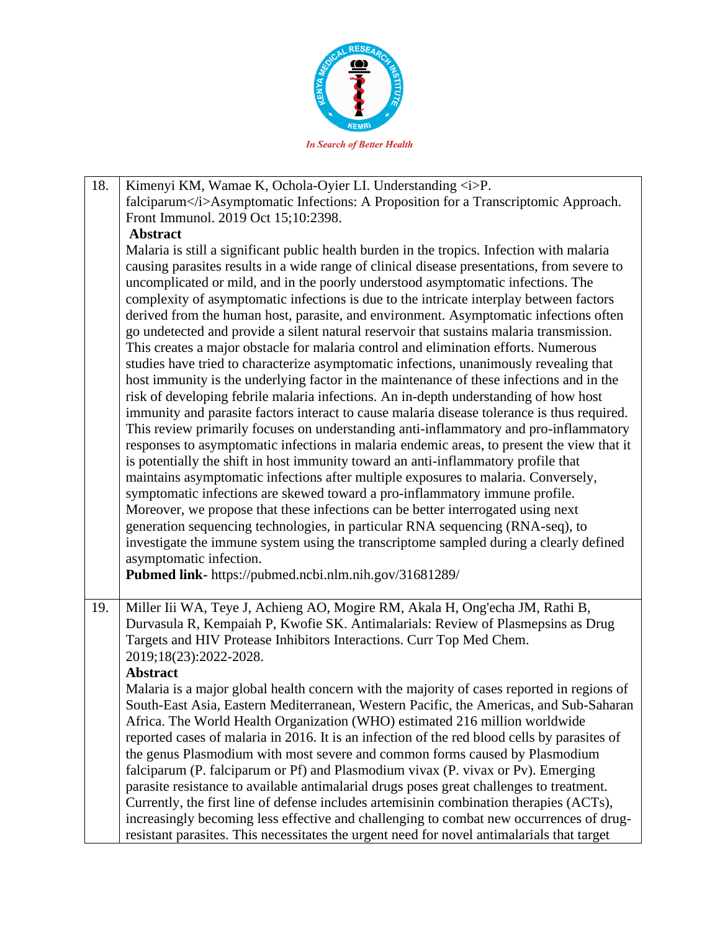

18. Kimenyi KM, Wamae K, Ochola-Oyier LI. Understanding  $\langle i \rangle P$ . falciparum</i>Asymptomatic Infections: A Proposition for a Transcriptomic Approach. Front Immunol. 2019 Oct 15;10:2398. **Abstract** Malaria is still a significant public health burden in the tropics. Infection with malaria causing parasites results in a wide range of clinical disease presentations, from severe to uncomplicated or mild, and in the poorly understood asymptomatic infections. The complexity of asymptomatic infections is due to the intricate interplay between factors derived from the human host, parasite, and environment. Asymptomatic infections often go undetected and provide a silent natural reservoir that sustains malaria transmission. This creates a major obstacle for malaria control and elimination efforts. Numerous studies have tried to characterize asymptomatic infections, unanimously revealing that host immunity is the underlying factor in the maintenance of these infections and in the risk of developing febrile malaria infections. An in-depth understanding of how host immunity and parasite factors interact to cause malaria disease tolerance is thus required. This review primarily focuses on understanding anti-inflammatory and pro-inflammatory responses to asymptomatic infections in malaria endemic areas, to present the view that it is potentially the shift in host immunity toward an anti-inflammatory profile that maintains asymptomatic infections after multiple exposures to malaria. Conversely, symptomatic infections are skewed toward a pro-inflammatory immune profile. Moreover, we propose that these infections can be better interrogated using next generation sequencing technologies, in particular RNA sequencing (RNA-seq), to investigate the immune system using the transcriptome sampled during a clearly defined asymptomatic infection. **Pubmed link-** https://pubmed.ncbi.nlm.nih.gov/31681289/ 19. Miller Iii WA, Teye J, Achieng AO, Mogire RM, Akala H, Ong'echa JM, Rathi B, Durvasula R, Kempaiah P, Kwofie SK. Antimalarials: Review of Plasmepsins as Drug Targets and HIV Protease Inhibitors Interactions. Curr Top Med Chem. 2019;18(23):2022-2028. **Abstract** Malaria is a major global health concern with the majority of cases reported in regions of South-East Asia, Eastern Mediterranean, Western Pacific, the Americas, and Sub-Saharan Africa. The World Health Organization (WHO) estimated 216 million worldwide reported cases of malaria in 2016. It is an infection of the red blood cells by parasites of the genus Plasmodium with most severe and common forms caused by Plasmodium falciparum (P. falciparum or Pf) and Plasmodium vivax (P. vivax or Pv). Emerging parasite resistance to available antimalarial drugs poses great challenges to treatment. Currently, the first line of defense includes artemisinin combination therapies (ACTs), increasingly becoming less effective and challenging to combat new occurrences of drugresistant parasites. This necessitates the urgent need for novel antimalarials that target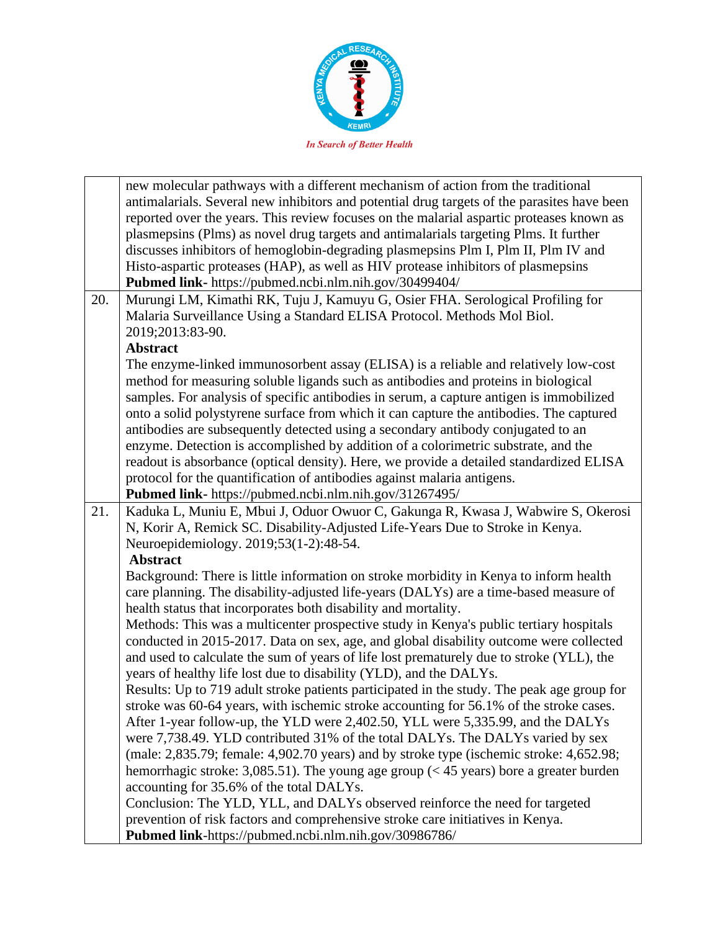

|     | new molecular pathways with a different mechanism of action from the traditional            |
|-----|---------------------------------------------------------------------------------------------|
|     | antimalarials. Several new inhibitors and potential drug targets of the parasites have been |
|     | reported over the years. This review focuses on the malarial aspartic proteases known as    |
|     | plasmepsins (Plms) as novel drug targets and antimalarials targeting Plms. It further       |
|     | discusses inhibitors of hemoglobin-degrading plasmepsins Plm I, Plm II, Plm IV and          |
|     | Histo-aspartic proteases (HAP), as well as HIV protease inhibitors of plasmepsins           |
|     | Pubmed link- https://pubmed.ncbi.nlm.nih.gov/30499404/                                      |
| 20. | Murungi LM, Kimathi RK, Tuju J, Kamuyu G, Osier FHA. Serological Profiling for              |
|     | Malaria Surveillance Using a Standard ELISA Protocol. Methods Mol Biol.                     |
|     | 2019;2013:83-90.                                                                            |
|     | <b>Abstract</b>                                                                             |
|     | The enzyme-linked immunosorbent assay (ELISA) is a reliable and relatively low-cost         |
|     | method for measuring soluble ligands such as antibodies and proteins in biological          |
|     | samples. For analysis of specific antibodies in serum, a capture antigen is immobilized     |
|     | onto a solid polystyrene surface from which it can capture the antibodies. The captured     |
|     | antibodies are subsequently detected using a secondary antibody conjugated to an            |
|     | enzyme. Detection is accomplished by addition of a colorimetric substrate, and the          |
|     | readout is absorbance (optical density). Here, we provide a detailed standardized ELISA     |
|     | protocol for the quantification of antibodies against malaria antigens.                     |
|     | Pubmed link- https://pubmed.ncbi.nlm.nih.gov/31267495/                                      |
| 21. | Kaduka L, Muniu E, Mbui J, Oduor Owuor C, Gakunga R, Kwasa J, Wabwire S, Okerosi            |
|     | N, Korir A, Remick SC. Disability-Adjusted Life-Years Due to Stroke in Kenya.               |
|     | Neuroepidemiology. 2019;53(1-2):48-54.                                                      |
|     | <b>Abstract</b>                                                                             |
|     | Background: There is little information on stroke morbidity in Kenya to inform health       |
|     | care planning. The disability-adjusted life-years (DALYs) are a time-based measure of       |
|     | health status that incorporates both disability and mortality.                              |
|     | Methods: This was a multicenter prospective study in Kenya's public tertiary hospitals      |
|     | conducted in 2015-2017. Data on sex, age, and global disability outcome were collected      |
|     | and used to calculate the sum of years of life lost prematurely due to stroke (YLL), the    |
|     | years of healthy life lost due to disability (YLD), and the DALYs.                          |
|     | Results: Up to 719 adult stroke patients participated in the study. The peak age group for  |
|     | stroke was 60-64 years, with ischemic stroke accounting for 56.1% of the stroke cases.      |
|     | After 1-year follow-up, the YLD were 2,402.50, YLL were 5,335.99, and the DALYs             |
|     | were 7,738.49. YLD contributed 31% of the total DALYs. The DALYs varied by sex              |
|     | (male: 2,835.79; female: 4,902.70 years) and by stroke type (ischemic stroke: 4,652.98;     |
|     | hemorrhagic stroke: 3,085.51). The young age group ( $<$ 45 years) bore a greater burden    |
|     | accounting for 35.6% of the total DALYs.                                                    |
|     | Conclusion: The YLD, YLL, and DALYs observed reinforce the need for targeted                |
|     | prevention of risk factors and comprehensive stroke care initiatives in Kenya.              |
|     | Pubmed link-https://pubmed.ncbi.nlm.nih.gov/30986786/                                       |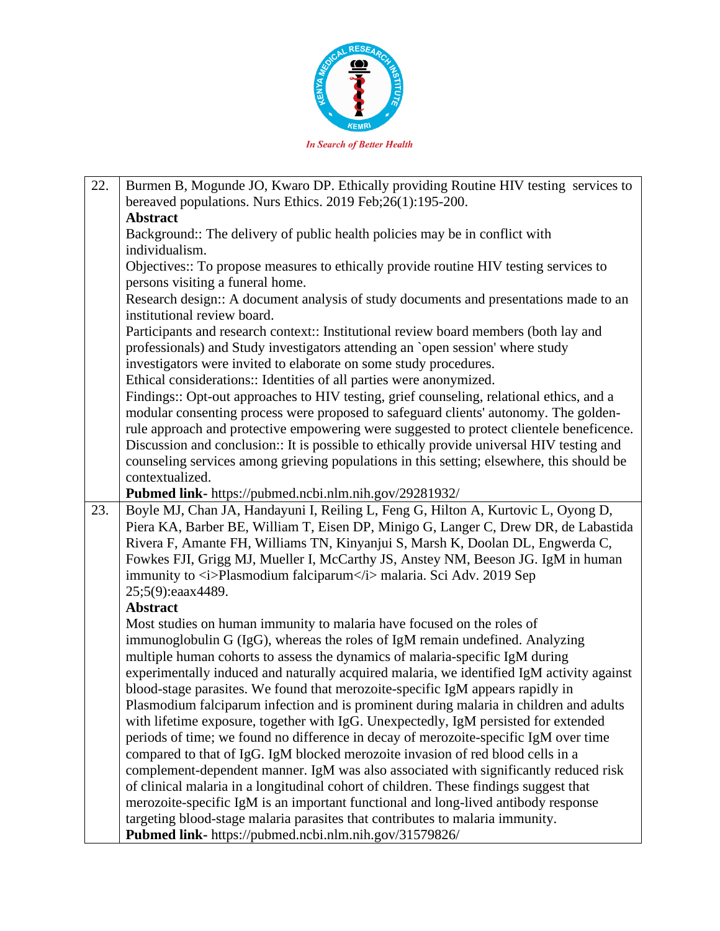

| 22. | Burmen B, Mogunde JO, Kwaro DP. Ethically providing Routine HIV testing services to<br>bereaved populations. Nurs Ethics. 2019 Feb;26(1):195-200. |
|-----|---------------------------------------------------------------------------------------------------------------------------------------------------|
|     | <b>Abstract</b>                                                                                                                                   |
|     | Background: The delivery of public health policies may be in conflict with<br>individualism.                                                      |
|     |                                                                                                                                                   |
|     | Objectives:: To propose measures to ethically provide routine HIV testing services to<br>persons visiting a funeral home.                         |
|     | Research design:: A document analysis of study documents and presentations made to an                                                             |
|     | institutional review board.                                                                                                                       |
|     | Participants and research context:: Institutional review board members (both lay and                                                              |
|     | professionals) and Study investigators attending an `open session' where study                                                                    |
|     | investigators were invited to elaborate on some study procedures.                                                                                 |
|     |                                                                                                                                                   |
|     | Ethical considerations:: Identities of all parties were anonymized.                                                                               |
|     | Findings:: Opt-out approaches to HIV testing, grief counseling, relational ethics, and a                                                          |
|     | modular consenting process were proposed to safeguard clients' autonomy. The golden-                                                              |
|     | rule approach and protective empowering were suggested to protect clientele beneficence.                                                          |
|     | Discussion and conclusion:: It is possible to ethically provide universal HIV testing and                                                         |
|     | counseling services among grieving populations in this setting; elsewhere, this should be                                                         |
|     | contextualized.                                                                                                                                   |
|     | Pubmed link- https://pubmed.ncbi.nlm.nih.gov/29281932/                                                                                            |
| 23. | Boyle MJ, Chan JA, Handayuni I, Reiling L, Feng G, Hilton A, Kurtovic L, Oyong D,                                                                 |
|     | Piera KA, Barber BE, William T, Eisen DP, Minigo G, Langer C, Drew DR, de Labastida                                                               |
|     | Rivera F, Amante FH, Williams TN, Kinyanjui S, Marsh K, Doolan DL, Engwerda C,                                                                    |
|     | Fowkes FJI, Grigg MJ, Mueller I, McCarthy JS, Anstey NM, Beeson JG. IgM in human                                                                  |
|     | immunity to <i>Plasmodium falciparum</i> malaria. Sci Adv. 2019 Sep                                                                               |
|     | 25;5(9):eaax4489.                                                                                                                                 |
|     | Abstract                                                                                                                                          |
|     | Most studies on human immunity to malaria have focused on the roles of                                                                            |
|     | immunoglobulin G (IgG), whereas the roles of IgM remain undefined. Analyzing                                                                      |
|     | multiple human cohorts to assess the dynamics of malaria-specific IgM during                                                                      |
|     |                                                                                                                                                   |
|     | experimentally induced and naturally acquired malaria, we identified IgM activity against                                                         |
|     | blood-stage parasites. We found that merozoite-specific IgM appears rapidly in                                                                    |
|     | Plasmodium falciparum infection and is prominent during malaria in children and adults                                                            |
|     | with lifetime exposure, together with IgG. Unexpectedly, IgM persisted for extended                                                               |
|     | periods of time; we found no difference in decay of merozoite-specific IgM over time                                                              |
|     | compared to that of IgG. IgM blocked merozoite invasion of red blood cells in a                                                                   |
|     | complement-dependent manner. IgM was also associated with significantly reduced risk                                                              |
|     | of clinical malaria in a longitudinal cohort of children. These findings suggest that                                                             |
|     | merozoite-specific IgM is an important functional and long-lived antibody response                                                                |
|     | targeting blood-stage malaria parasites that contributes to malaria immunity.                                                                     |
|     | Pubmed link- https://pubmed.ncbi.nlm.nih.gov/31579826/                                                                                            |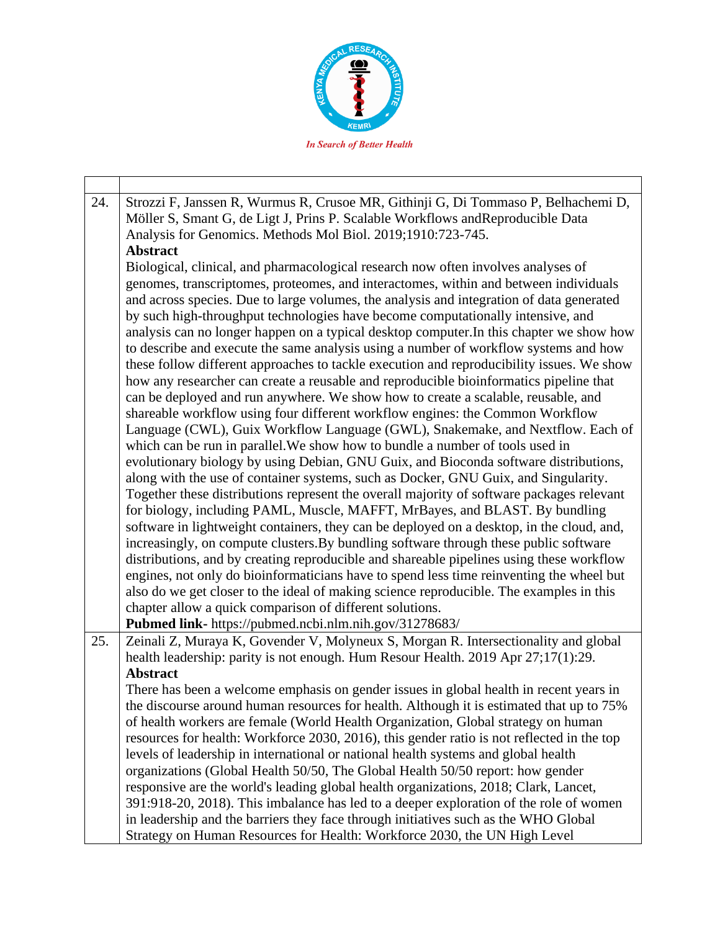

24. Strozzi F, Janssen R, Wurmus R, Crusoe MR, Githinji G, Di Tommaso P, Belhachemi D, Möller S, Smant G, de Ligt J, Prins P. Scalable Workflows andReproducible Data Analysis for Genomics. Methods Mol Biol. 2019;1910:723-745. **Abstract** Biological, clinical, and pharmacological research now often involves analyses of genomes, transcriptomes, proteomes, and interactomes, within and between individuals and across species. Due to large volumes, the analysis and integration of data generated by such high-throughput technologies have become computationally intensive, and analysis can no longer happen on a typical desktop computer.In this chapter we show how to describe and execute the same analysis using a number of workflow systems and how these follow different approaches to tackle execution and reproducibility issues. We show how any researcher can create a reusable and reproducible bioinformatics pipeline that can be deployed and run anywhere. We show how to create a scalable, reusable, and shareable workflow using four different workflow engines: the Common Workflow Language (CWL), Guix Workflow Language (GWL), Snakemake, and Nextflow. Each of which can be run in parallel.We show how to bundle a number of tools used in evolutionary biology by using Debian, GNU Guix, and Bioconda software distributions, along with the use of container systems, such as Docker, GNU Guix, and Singularity. Together these distributions represent the overall majority of software packages relevant for biology, including PAML, Muscle, MAFFT, MrBayes, and BLAST. By bundling software in lightweight containers, they can be deployed on a desktop, in the cloud, and, increasingly, on compute clusters.By bundling software through these public software distributions, and by creating reproducible and shareable pipelines using these workflow engines, not only do bioinformaticians have to spend less time reinventing the wheel but also do we get closer to the ideal of making science reproducible. The examples in this chapter allow a quick comparison of different solutions. **Pubmed link-** https://pubmed.ncbi.nlm.nih.gov/31278683/ 25. Zeinali Z, Muraya K, Govender V, Molyneux S, Morgan R. Intersectionality and global health leadership: parity is not enough. Hum Resour Health. 2019 Apr 27;17(1):29. **Abstract** There has been a welcome emphasis on gender issues in global health in recent years in the discourse around human resources for health. Although it is estimated that up to 75% of health workers are female (World Health Organization, Global strategy on human resources for health: Workforce 2030, 2016), this gender ratio is not reflected in the top levels of leadership in international or national health systems and global health organizations (Global Health 50/50, The Global Health 50/50 report: how gender responsive are the world's leading global health organizations, 2018; Clark, Lancet, 391:918-20, 2018). This imbalance has led to a deeper exploration of the role of women in leadership and the barriers they face through initiatives such as the WHO Global Strategy on Human Resources for Health: Workforce 2030, the UN High Level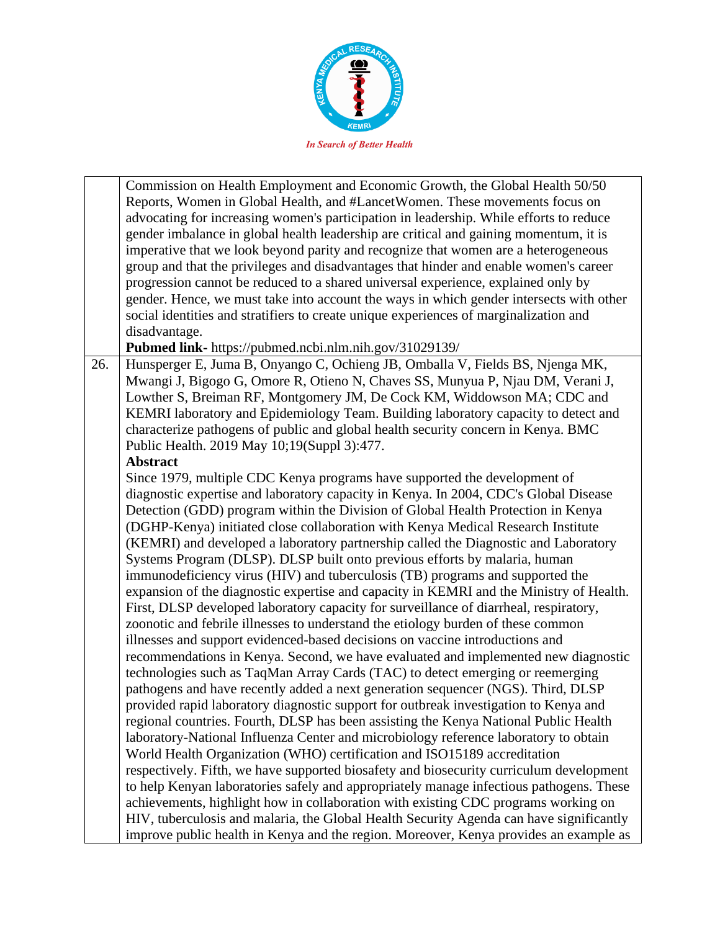

Commission on Health Employment and Economic Growth, the Global Health 50/50 Reports, Women in Global Health, and #LancetWomen. These movements focus on advocating for increasing women's participation in leadership. While efforts to reduce gender imbalance in global health leadership are critical and gaining momentum, it is imperative that we look beyond parity and recognize that women are a heterogeneous group and that the privileges and disadvantages that hinder and enable women's career progression cannot be reduced to a shared universal experience, explained only by gender. Hence, we must take into account the ways in which gender intersects with other social identities and stratifiers to create unique experiences of marginalization and disadvantage.

**Pubmed link-** https://pubmed.ncbi.nlm.nih.gov/31029139/

26. Hunsperger E, Juma B, Onyango C, Ochieng JB, Omballa V, Fields BS, Njenga MK, Mwangi J, Bigogo G, Omore R, Otieno N, Chaves SS, Munyua P, Njau DM, Verani J, Lowther S, Breiman RF, Montgomery JM, De Cock KM, Widdowson MA; CDC and KEMRI laboratory and Epidemiology Team. Building laboratory capacity to detect and characterize pathogens of public and global health security concern in Kenya. BMC Public Health. 2019 May 10;19(Suppl 3):477.

## **Abstract**

Since 1979, multiple CDC Kenya programs have supported the development of diagnostic expertise and laboratory capacity in Kenya. In 2004, CDC's Global Disease Detection (GDD) program within the Division of Global Health Protection in Kenya (DGHP-Kenya) initiated close collaboration with Kenya Medical Research Institute (KEMRI) and developed a laboratory partnership called the Diagnostic and Laboratory Systems Program (DLSP). DLSP built onto previous efforts by malaria, human immunodeficiency virus (HIV) and tuberculosis (TB) programs and supported the expansion of the diagnostic expertise and capacity in KEMRI and the Ministry of Health. First, DLSP developed laboratory capacity for surveillance of diarrheal, respiratory, zoonotic and febrile illnesses to understand the etiology burden of these common illnesses and support evidenced-based decisions on vaccine introductions and recommendations in Kenya. Second, we have evaluated and implemented new diagnostic technologies such as TaqMan Array Cards (TAC) to detect emerging or reemerging pathogens and have recently added a next generation sequencer (NGS). Third, DLSP provided rapid laboratory diagnostic support for outbreak investigation to Kenya and regional countries. Fourth, DLSP has been assisting the Kenya National Public Health laboratory-National Influenza Center and microbiology reference laboratory to obtain World Health Organization (WHO) certification and ISO15189 accreditation respectively. Fifth, we have supported biosafety and biosecurity curriculum development to help Kenyan laboratories safely and appropriately manage infectious pathogens. These achievements, highlight how in collaboration with existing CDC programs working on HIV, tuberculosis and malaria, the Global Health Security Agenda can have significantly improve public health in Kenya and the region. Moreover, Kenya provides an example as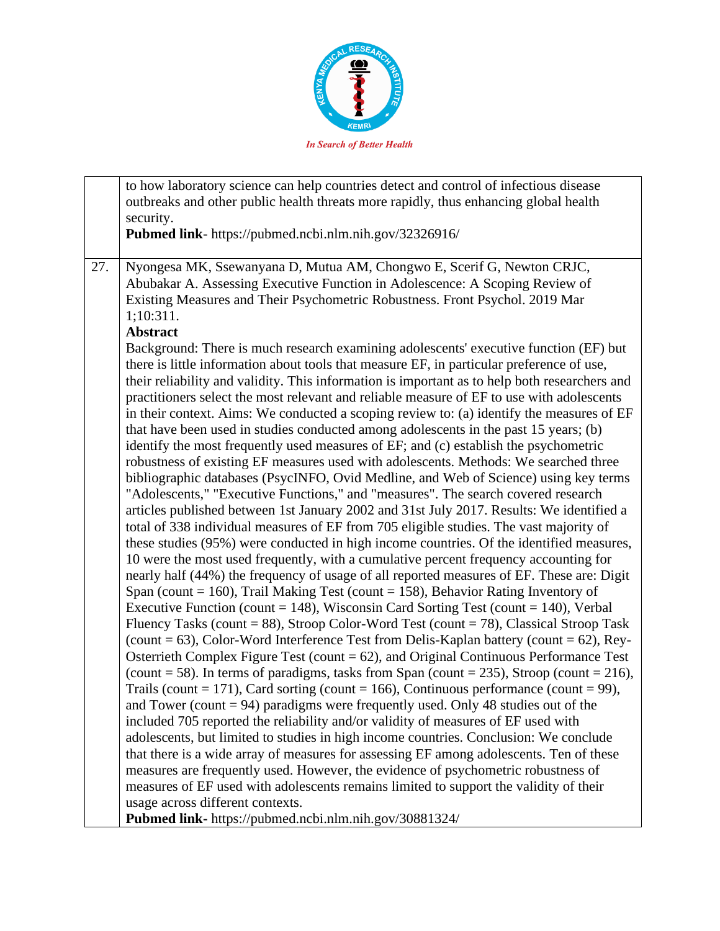

|     | to how laboratory science can help countries detect and control of infectious disease<br>outbreaks and other public health threats more rapidly, thus enhancing global health                                                                                                                                                                                                                                                                                                                                                                                                                                                                                                                                                                                                                                                                                                                                                                                                                                                                                                                                                                                                                                                                                                                                                                                                                                                                                                                                                                                                                                                                                                                                                                                                                                                                                                                                                                                                                                                                                                                                                                                                                                                                                                                                                       |
|-----|-------------------------------------------------------------------------------------------------------------------------------------------------------------------------------------------------------------------------------------------------------------------------------------------------------------------------------------------------------------------------------------------------------------------------------------------------------------------------------------------------------------------------------------------------------------------------------------------------------------------------------------------------------------------------------------------------------------------------------------------------------------------------------------------------------------------------------------------------------------------------------------------------------------------------------------------------------------------------------------------------------------------------------------------------------------------------------------------------------------------------------------------------------------------------------------------------------------------------------------------------------------------------------------------------------------------------------------------------------------------------------------------------------------------------------------------------------------------------------------------------------------------------------------------------------------------------------------------------------------------------------------------------------------------------------------------------------------------------------------------------------------------------------------------------------------------------------------------------------------------------------------------------------------------------------------------------------------------------------------------------------------------------------------------------------------------------------------------------------------------------------------------------------------------------------------------------------------------------------------------------------------------------------------------------------------------------------------|
|     | security.                                                                                                                                                                                                                                                                                                                                                                                                                                                                                                                                                                                                                                                                                                                                                                                                                                                                                                                                                                                                                                                                                                                                                                                                                                                                                                                                                                                                                                                                                                                                                                                                                                                                                                                                                                                                                                                                                                                                                                                                                                                                                                                                                                                                                                                                                                                           |
|     | Pubmed link- https://pubmed.ncbi.nlm.nih.gov/32326916/                                                                                                                                                                                                                                                                                                                                                                                                                                                                                                                                                                                                                                                                                                                                                                                                                                                                                                                                                                                                                                                                                                                                                                                                                                                                                                                                                                                                                                                                                                                                                                                                                                                                                                                                                                                                                                                                                                                                                                                                                                                                                                                                                                                                                                                                              |
|     |                                                                                                                                                                                                                                                                                                                                                                                                                                                                                                                                                                                                                                                                                                                                                                                                                                                                                                                                                                                                                                                                                                                                                                                                                                                                                                                                                                                                                                                                                                                                                                                                                                                                                                                                                                                                                                                                                                                                                                                                                                                                                                                                                                                                                                                                                                                                     |
| 27. | Nyongesa MK, Ssewanyana D, Mutua AM, Chongwo E, Scerif G, Newton CRJC,<br>Abubakar A. Assessing Executive Function in Adolescence: A Scoping Review of<br>Existing Measures and Their Psychometric Robustness. Front Psychol. 2019 Mar<br>1;10:311.<br><b>Abstract</b>                                                                                                                                                                                                                                                                                                                                                                                                                                                                                                                                                                                                                                                                                                                                                                                                                                                                                                                                                                                                                                                                                                                                                                                                                                                                                                                                                                                                                                                                                                                                                                                                                                                                                                                                                                                                                                                                                                                                                                                                                                                              |
|     | Background: There is much research examining adolescents' executive function (EF) but<br>there is little information about tools that measure EF, in particular preference of use,<br>their reliability and validity. This information is important as to help both researchers and<br>practitioners select the most relevant and reliable measure of EF to use with adolescents<br>in their context. Aims: We conducted a scoping review to: (a) identify the measures of EF<br>that have been used in studies conducted among adolescents in the past 15 years; (b)<br>identify the most frequently used measures of EF; and (c) establish the psychometric<br>robustness of existing EF measures used with adolescents. Methods: We searched three<br>bibliographic databases (PsycINFO, Ovid Medline, and Web of Science) using key terms<br>"Adolescents," "Executive Functions," and "measures". The search covered research<br>articles published between 1st January 2002 and 31st July 2017. Results: We identified a<br>total of 338 individual measures of EF from 705 eligible studies. The vast majority of<br>these studies (95%) were conducted in high income countries. Of the identified measures,<br>10 were the most used frequently, with a cumulative percent frequency accounting for<br>nearly half (44%) the frequency of usage of all reported measures of EF. These are: Digit<br>Span (count = 160), Trail Making Test (count = 158), Behavior Rating Inventory of<br>Executive Function (count = 148), Wisconsin Card Sorting Test (count = 140), Verbal<br>Fluency Tasks (count = 88), Stroop Color-Word Test (count = 78), Classical Stroop Task<br>(count = 63), Color-Word Interference Test from Delis-Kaplan battery (count = 62), Rey-<br>Osterrieth Complex Figure Test (count $= 62$ ), and Original Continuous Performance Test<br>(count = 58). In terms of paradigms, tasks from Span (count = 235), Stroop (count = 216),<br>Trails (count = 171), Card sorting (count = 166), Continuous performance (count = 99),<br>and Tower (count $= 94$ ) paradigms were frequently used. Only 48 studies out of the<br>included 705 reported the reliability and/or validity of measures of EF used with<br>adolescents, but limited to studies in high income countries. Conclusion: We conclude |
|     | that there is a wide array of measures for assessing EF among adolescents. Ten of these<br>measures are frequently used. However, the evidence of psychometric robustness of<br>measures of EF used with adolescents remains limited to support the validity of their                                                                                                                                                                                                                                                                                                                                                                                                                                                                                                                                                                                                                                                                                                                                                                                                                                                                                                                                                                                                                                                                                                                                                                                                                                                                                                                                                                                                                                                                                                                                                                                                                                                                                                                                                                                                                                                                                                                                                                                                                                                               |
|     | usage across different contexts.<br>Pubmed link- https://pubmed.ncbi.nlm.nih.gov/30881324/                                                                                                                                                                                                                                                                                                                                                                                                                                                                                                                                                                                                                                                                                                                                                                                                                                                                                                                                                                                                                                                                                                                                                                                                                                                                                                                                                                                                                                                                                                                                                                                                                                                                                                                                                                                                                                                                                                                                                                                                                                                                                                                                                                                                                                          |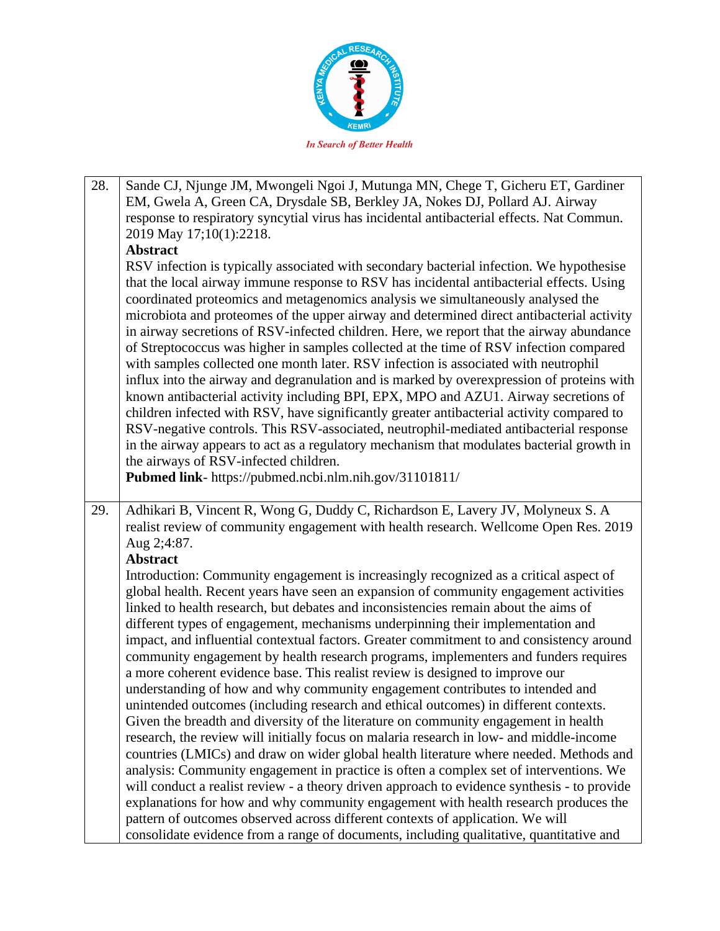

| 28. | Sande CJ, Njunge JM, Mwongeli Ngoi J, Mutunga MN, Chege T, Gicheru ET, Gardiner                                                                                                                                                                                                                                                                                                                                                                                                                                                                                                                                                                                                                                                                                                                                                                                                                                                                                                                                                                                                                                                                                                                                              |
|-----|------------------------------------------------------------------------------------------------------------------------------------------------------------------------------------------------------------------------------------------------------------------------------------------------------------------------------------------------------------------------------------------------------------------------------------------------------------------------------------------------------------------------------------------------------------------------------------------------------------------------------------------------------------------------------------------------------------------------------------------------------------------------------------------------------------------------------------------------------------------------------------------------------------------------------------------------------------------------------------------------------------------------------------------------------------------------------------------------------------------------------------------------------------------------------------------------------------------------------|
|     | EM, Gwela A, Green CA, Drysdale SB, Berkley JA, Nokes DJ, Pollard AJ. Airway<br>response to respiratory syncytial virus has incidental antibacterial effects. Nat Commun.                                                                                                                                                                                                                                                                                                                                                                                                                                                                                                                                                                                                                                                                                                                                                                                                                                                                                                                                                                                                                                                    |
|     | 2019 May 17;10(1):2218.                                                                                                                                                                                                                                                                                                                                                                                                                                                                                                                                                                                                                                                                                                                                                                                                                                                                                                                                                                                                                                                                                                                                                                                                      |
|     | <b>Abstract</b>                                                                                                                                                                                                                                                                                                                                                                                                                                                                                                                                                                                                                                                                                                                                                                                                                                                                                                                                                                                                                                                                                                                                                                                                              |
|     | RSV infection is typically associated with secondary bacterial infection. We hypothesise<br>that the local airway immune response to RSV has incidental antibacterial effects. Using<br>coordinated proteomics and metagenomics analysis we simultaneously analysed the<br>microbiota and proteomes of the upper airway and determined direct antibacterial activity<br>in airway secretions of RSV-infected children. Here, we report that the airway abundance<br>of Streptococcus was higher in samples collected at the time of RSV infection compared<br>with samples collected one month later. RSV infection is associated with neutrophil<br>influx into the airway and degranulation and is marked by overexpression of proteins with<br>known antibacterial activity including BPI, EPX, MPO and AZU1. Airway secretions of<br>children infected with RSV, have significantly greater antibacterial activity compared to<br>RSV-negative controls. This RSV-associated, neutrophil-mediated antibacterial response<br>in the airway appears to act as a regulatory mechanism that modulates bacterial growth in<br>the airways of RSV-infected children.<br>Pubmed link- https://pubmed.ncbi.nlm.nih.gov/31101811/ |
|     |                                                                                                                                                                                                                                                                                                                                                                                                                                                                                                                                                                                                                                                                                                                                                                                                                                                                                                                                                                                                                                                                                                                                                                                                                              |
| 29. | Adhikari B, Vincent R, Wong G, Duddy C, Richardson E, Lavery JV, Molyneux S. A                                                                                                                                                                                                                                                                                                                                                                                                                                                                                                                                                                                                                                                                                                                                                                                                                                                                                                                                                                                                                                                                                                                                               |
|     |                                                                                                                                                                                                                                                                                                                                                                                                                                                                                                                                                                                                                                                                                                                                                                                                                                                                                                                                                                                                                                                                                                                                                                                                                              |
|     | realist review of community engagement with health research. Wellcome Open Res. 2019                                                                                                                                                                                                                                                                                                                                                                                                                                                                                                                                                                                                                                                                                                                                                                                                                                                                                                                                                                                                                                                                                                                                         |
|     | Aug 2;4:87.                                                                                                                                                                                                                                                                                                                                                                                                                                                                                                                                                                                                                                                                                                                                                                                                                                                                                                                                                                                                                                                                                                                                                                                                                  |
|     | <b>Abstract</b>                                                                                                                                                                                                                                                                                                                                                                                                                                                                                                                                                                                                                                                                                                                                                                                                                                                                                                                                                                                                                                                                                                                                                                                                              |
|     | Introduction: Community engagement is increasingly recognized as a critical aspect of<br>global health. Recent years have seen an expansion of community engagement activities                                                                                                                                                                                                                                                                                                                                                                                                                                                                                                                                                                                                                                                                                                                                                                                                                                                                                                                                                                                                                                               |
|     | linked to health research, but debates and inconsistencies remain about the aims of                                                                                                                                                                                                                                                                                                                                                                                                                                                                                                                                                                                                                                                                                                                                                                                                                                                                                                                                                                                                                                                                                                                                          |
|     | different types of engagement, mechanisms underpinning their implementation and                                                                                                                                                                                                                                                                                                                                                                                                                                                                                                                                                                                                                                                                                                                                                                                                                                                                                                                                                                                                                                                                                                                                              |
|     | impact, and influential contextual factors. Greater commitment to and consistency around                                                                                                                                                                                                                                                                                                                                                                                                                                                                                                                                                                                                                                                                                                                                                                                                                                                                                                                                                                                                                                                                                                                                     |
|     | community engagement by health research programs, implementers and funders requires                                                                                                                                                                                                                                                                                                                                                                                                                                                                                                                                                                                                                                                                                                                                                                                                                                                                                                                                                                                                                                                                                                                                          |
|     | a more coherent evidence base. This realist review is designed to improve our                                                                                                                                                                                                                                                                                                                                                                                                                                                                                                                                                                                                                                                                                                                                                                                                                                                                                                                                                                                                                                                                                                                                                |
|     | understanding of how and why community engagement contributes to intended and                                                                                                                                                                                                                                                                                                                                                                                                                                                                                                                                                                                                                                                                                                                                                                                                                                                                                                                                                                                                                                                                                                                                                |
|     | unintended outcomes (including research and ethical outcomes) in different contexts.<br>Given the breadth and diversity of the literature on community engagement in health                                                                                                                                                                                                                                                                                                                                                                                                                                                                                                                                                                                                                                                                                                                                                                                                                                                                                                                                                                                                                                                  |
|     | research, the review will initially focus on malaria research in low- and middle-income                                                                                                                                                                                                                                                                                                                                                                                                                                                                                                                                                                                                                                                                                                                                                                                                                                                                                                                                                                                                                                                                                                                                      |
|     | countries (LMICs) and draw on wider global health literature where needed. Methods and                                                                                                                                                                                                                                                                                                                                                                                                                                                                                                                                                                                                                                                                                                                                                                                                                                                                                                                                                                                                                                                                                                                                       |
|     | analysis: Community engagement in practice is often a complex set of interventions. We                                                                                                                                                                                                                                                                                                                                                                                                                                                                                                                                                                                                                                                                                                                                                                                                                                                                                                                                                                                                                                                                                                                                       |
|     | will conduct a realist review - a theory driven approach to evidence synthesis - to provide                                                                                                                                                                                                                                                                                                                                                                                                                                                                                                                                                                                                                                                                                                                                                                                                                                                                                                                                                                                                                                                                                                                                  |
|     | explanations for how and why community engagement with health research produces the                                                                                                                                                                                                                                                                                                                                                                                                                                                                                                                                                                                                                                                                                                                                                                                                                                                                                                                                                                                                                                                                                                                                          |
|     | pattern of outcomes observed across different contexts of application. We will<br>consolidate evidence from a range of documents, including qualitative, quantitative and                                                                                                                                                                                                                                                                                                                                                                                                                                                                                                                                                                                                                                                                                                                                                                                                                                                                                                                                                                                                                                                    |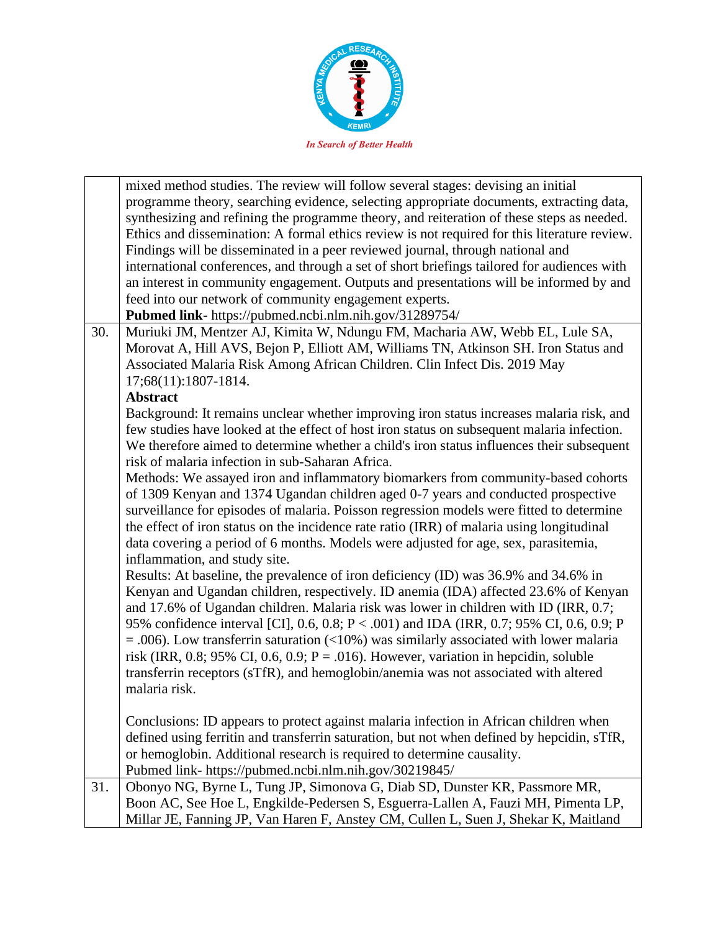

|     | mixed method studies. The review will follow several stages: devising an initial             |
|-----|----------------------------------------------------------------------------------------------|
|     | programme theory, searching evidence, selecting appropriate documents, extracting data,      |
|     | synthesizing and refining the programme theory, and reiteration of these steps as needed.    |
|     | Ethics and dissemination: A formal ethics review is not required for this literature review. |
|     | Findings will be disseminated in a peer reviewed journal, through national and               |
|     | international conferences, and through a set of short briefings tailored for audiences with  |
|     | an interest in community engagement. Outputs and presentations will be informed by and       |
|     | feed into our network of community engagement experts.                                       |
|     | Pubmed link- https://pubmed.ncbi.nlm.nih.gov/31289754/                                       |
| 30. | Muriuki JM, Mentzer AJ, Kimita W, Ndungu FM, Macharia AW, Webb EL, Lule SA,                  |
|     | Morovat A, Hill AVS, Bejon P, Elliott AM, Williams TN, Atkinson SH. Iron Status and          |
|     | Associated Malaria Risk Among African Children. Clin Infect Dis. 2019 May                    |
|     | 17;68(11):1807-1814.                                                                         |
|     | <b>Abstract</b>                                                                              |
|     | Background: It remains unclear whether improving iron status increases malaria risk, and     |
|     | few studies have looked at the effect of host iron status on subsequent malaria infection.   |
|     | We therefore aimed to determine whether a child's iron status influences their subsequent    |
|     | risk of malaria infection in sub-Saharan Africa.                                             |
|     | Methods: We assayed iron and inflammatory biomarkers from community-based cohorts            |
|     | of 1309 Kenyan and 1374 Ugandan children aged 0-7 years and conducted prospective            |
|     |                                                                                              |
|     | surveillance for episodes of malaria. Poisson regression models were fitted to determine     |
|     | the effect of iron status on the incidence rate ratio (IRR) of malaria using longitudinal    |
|     | data covering a period of 6 months. Models were adjusted for age, sex, parasitemia,          |
|     | inflammation, and study site.                                                                |
|     | Results: At baseline, the prevalence of iron deficiency (ID) was 36.9% and 34.6% in          |
|     | Kenyan and Ugandan children, respectively. ID anemia (IDA) affected 23.6% of Kenyan          |
|     | and 17.6% of Ugandan children. Malaria risk was lower in children with ID (IRR, 0.7;         |
|     | 95% confidence interval [CI], 0.6, 0.8; P < .001) and IDA (IRR, 0.7; 95% CI, 0.6, 0.9; P     |
|     | $=$ .006). Low transferrin saturation (<10%) was similarly associated with lower malaria     |
|     | risk (IRR, 0.8; 95% CI, 0.6, 0.9; $P = .016$ ). However, variation in hepcidin, soluble      |
|     | transferrin receptors (sTfR), and hemoglobin/anemia was not associated with altered          |
|     | malaria risk.                                                                                |
|     |                                                                                              |
|     | Conclusions: ID appears to protect against malaria infection in African children when        |
|     | defined using ferritin and transferrin saturation, but not when defined by hepcidin, sTfR,   |
|     | or hemoglobin. Additional research is required to determine causality.                       |
|     | Pubmed link- https://pubmed.ncbi.nlm.nih.gov/30219845/                                       |
| 31. | Obonyo NG, Byrne L, Tung JP, Simonova G, Diab SD, Dunster KR, Passmore MR,                   |
|     | Boon AC, See Hoe L, Engkilde-Pedersen S, Esguerra-Lallen A, Fauzi MH, Pimenta LP,            |
|     | Millar JE, Fanning JP, Van Haren F, Anstey CM, Cullen L, Suen J, Shekar K, Maitland          |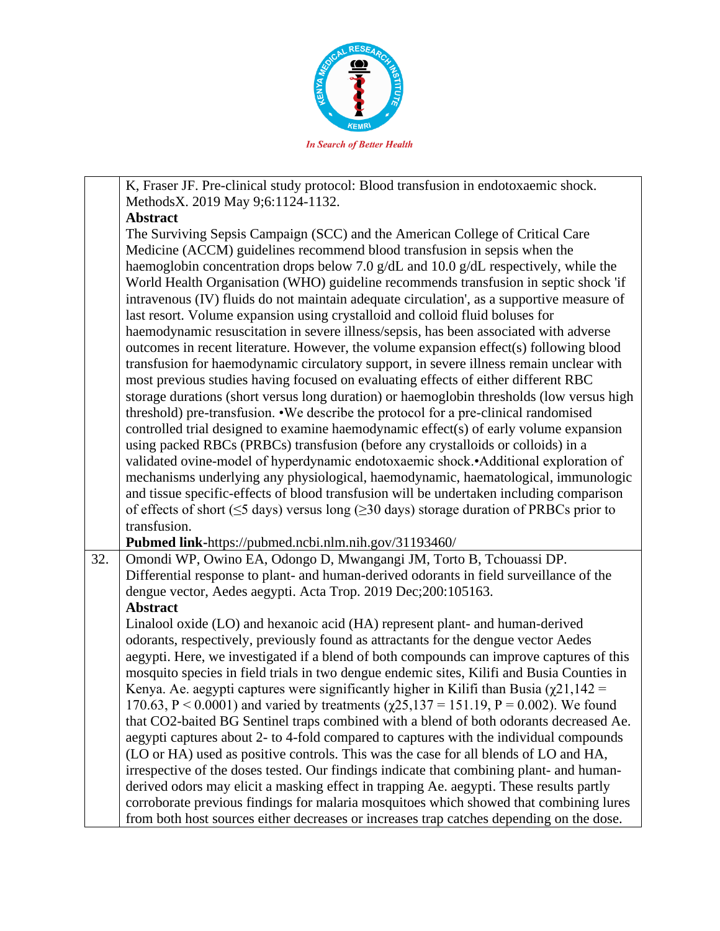

|     | K, Fraser JF. Pre-clinical study protocol: Blood transfusion in endotoxaemic shock.                                                                                                       |
|-----|-------------------------------------------------------------------------------------------------------------------------------------------------------------------------------------------|
|     | MethodsX. 2019 May 9;6:1124-1132.                                                                                                                                                         |
|     | <b>Abstract</b>                                                                                                                                                                           |
|     | The Surviving Sepsis Campaign (SCC) and the American College of Critical Care                                                                                                             |
|     | Medicine (ACCM) guidelines recommend blood transfusion in sepsis when the                                                                                                                 |
|     | haemoglobin concentration drops below 7.0 g/dL and 10.0 g/dL respectively, while the                                                                                                      |
|     | World Health Organisation (WHO) guideline recommends transfusion in septic shock 'if                                                                                                      |
|     | intravenous (IV) fluids do not maintain adequate circulation', as a supportive measure of                                                                                                 |
|     | last resort. Volume expansion using crystalloid and colloid fluid boluses for                                                                                                             |
|     | haemodynamic resuscitation in severe illness/sepsis, has been associated with adverse                                                                                                     |
|     | outcomes in recent literature. However, the volume expansion effect(s) following blood                                                                                                    |
|     | transfusion for haemodynamic circulatory support, in severe illness remain unclear with                                                                                                   |
|     | most previous studies having focused on evaluating effects of either different RBC                                                                                                        |
|     | storage durations (short versus long duration) or haemoglobin thresholds (low versus high                                                                                                 |
|     | threshold) pre-transfusion. •We describe the protocol for a pre-clinical randomised                                                                                                       |
|     | controlled trial designed to examine haemodynamic effect(s) of early volume expansion                                                                                                     |
|     | using packed RBCs (PRBCs) transfusion (before any crystalloids or colloids) in a                                                                                                          |
|     | validated ovine-model of hyperdynamic endotoxaemic shock.•Additional exploration of                                                                                                       |
|     | mechanisms underlying any physiological, haemodynamic, haematological, immunologic                                                                                                        |
|     | and tissue specific-effects of blood transfusion will be undertaken including comparison                                                                                                  |
|     | of effects of short ( $\leq$ 5 days) versus long ( $\geq$ 30 days) storage duration of PRBCs prior to<br>transfusion.                                                                     |
|     | Pubmed link-https://pubmed.ncbi.nlm.nih.gov/31193460/                                                                                                                                     |
| 32. | Omondi WP, Owino EA, Odongo D, Mwangangi JM, Torto B, Tchouassi DP.                                                                                                                       |
|     | Differential response to plant- and human-derived odorants in field surveillance of the                                                                                                   |
|     |                                                                                                                                                                                           |
|     |                                                                                                                                                                                           |
|     | dengue vector, Aedes aegypti. Acta Trop. 2019 Dec;200:105163.                                                                                                                             |
|     | <b>Abstract</b>                                                                                                                                                                           |
|     | Linalool oxide (LO) and hexanoic acid (HA) represent plant- and human-derived                                                                                                             |
|     | odorants, respectively, previously found as attractants for the dengue vector Aedes                                                                                                       |
|     | aegypti. Here, we investigated if a blend of both compounds can improve captures of this                                                                                                  |
|     | mosquito species in field trials in two dengue endemic sites, Kilifi and Busia Counties in<br>Kenya. Ae. aegypti captures were significantly higher in Kilifi than Busia $(\chi21, 142 =$ |
|     | 170.63, P < 0.0001) and varied by treatments $(\chi$ 25,137 = 151.19, P = 0.002). We found                                                                                                |
|     | that CO2-baited BG Sentinel traps combined with a blend of both odorants decreased Ae.                                                                                                    |
|     | aegypti captures about 2- to 4-fold compared to captures with the individual compounds                                                                                                    |
|     | (LO or HA) used as positive controls. This was the case for all blends of LO and HA,                                                                                                      |
|     | irrespective of the doses tested. Our findings indicate that combining plant- and human-                                                                                                  |
|     | derived odors may elicit a masking effect in trapping Ae. aegypti. These results partly                                                                                                   |
|     | corroborate previous findings for malaria mosquitoes which showed that combining lures                                                                                                    |
|     | from both host sources either decreases or increases trap catches depending on the dose.                                                                                                  |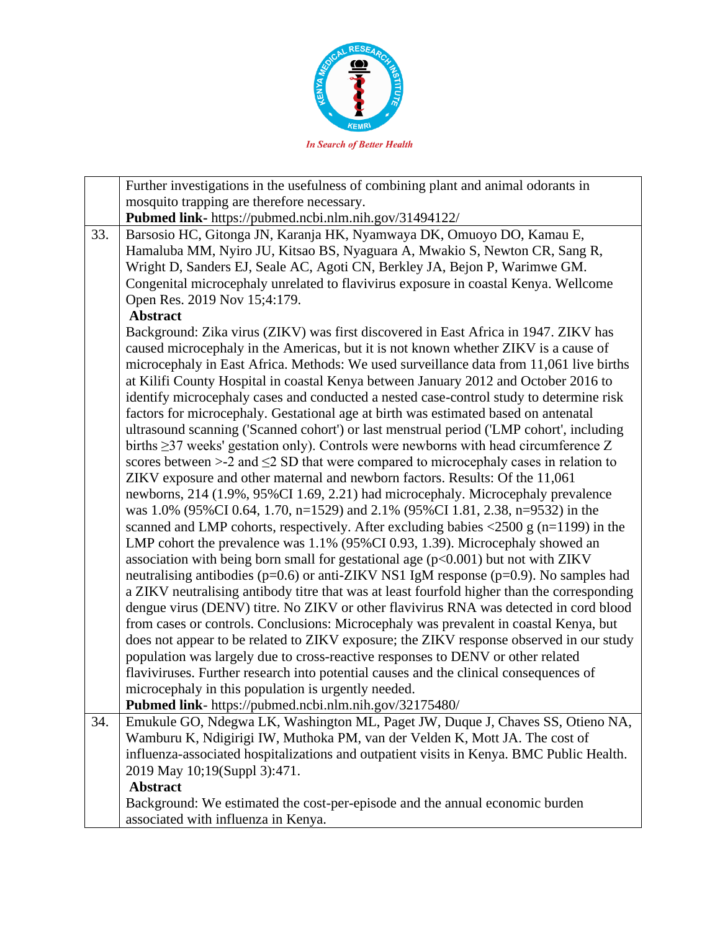

|     | Further investigations in the usefulness of combining plant and animal odorants in                                                                                                                                                                                                                                                                                                                                                                                                                                                                                                                                                                                                                                                                                                                                                                                                                                                                                                                                                                                                                                                                                                                                                                                                                                                                                                                                                                                                                                                                                                                                                                                                                                                                                                                                                                                                                                                                                                                                                                                                                     |
|-----|--------------------------------------------------------------------------------------------------------------------------------------------------------------------------------------------------------------------------------------------------------------------------------------------------------------------------------------------------------------------------------------------------------------------------------------------------------------------------------------------------------------------------------------------------------------------------------------------------------------------------------------------------------------------------------------------------------------------------------------------------------------------------------------------------------------------------------------------------------------------------------------------------------------------------------------------------------------------------------------------------------------------------------------------------------------------------------------------------------------------------------------------------------------------------------------------------------------------------------------------------------------------------------------------------------------------------------------------------------------------------------------------------------------------------------------------------------------------------------------------------------------------------------------------------------------------------------------------------------------------------------------------------------------------------------------------------------------------------------------------------------------------------------------------------------------------------------------------------------------------------------------------------------------------------------------------------------------------------------------------------------------------------------------------------------------------------------------------------------|
|     | mosquito trapping are therefore necessary.                                                                                                                                                                                                                                                                                                                                                                                                                                                                                                                                                                                                                                                                                                                                                                                                                                                                                                                                                                                                                                                                                                                                                                                                                                                                                                                                                                                                                                                                                                                                                                                                                                                                                                                                                                                                                                                                                                                                                                                                                                                             |
|     | Pubmed link- https://pubmed.ncbi.nlm.nih.gov/31494122/                                                                                                                                                                                                                                                                                                                                                                                                                                                                                                                                                                                                                                                                                                                                                                                                                                                                                                                                                                                                                                                                                                                                                                                                                                                                                                                                                                                                                                                                                                                                                                                                                                                                                                                                                                                                                                                                                                                                                                                                                                                 |
| 33. | Barsosio HC, Gitonga JN, Karanja HK, Nyamwaya DK, Omuoyo DO, Kamau E,<br>Hamaluba MM, Nyiro JU, Kitsao BS, Nyaguara A, Mwakio S, Newton CR, Sang R,<br>Wright D, Sanders EJ, Seale AC, Agoti CN, Berkley JA, Bejon P, Warimwe GM.<br>Congenital microcephaly unrelated to flavivirus exposure in coastal Kenya. Wellcome<br>Open Res. 2019 Nov 15;4:179.                                                                                                                                                                                                                                                                                                                                                                                                                                                                                                                                                                                                                                                                                                                                                                                                                                                                                                                                                                                                                                                                                                                                                                                                                                                                                                                                                                                                                                                                                                                                                                                                                                                                                                                                               |
|     | <b>Abstract</b>                                                                                                                                                                                                                                                                                                                                                                                                                                                                                                                                                                                                                                                                                                                                                                                                                                                                                                                                                                                                                                                                                                                                                                                                                                                                                                                                                                                                                                                                                                                                                                                                                                                                                                                                                                                                                                                                                                                                                                                                                                                                                        |
|     | Background: Zika virus (ZIKV) was first discovered in East Africa in 1947. ZIKV has<br>caused microcephaly in the Americas, but it is not known whether ZIKV is a cause of<br>microcephaly in East Africa. Methods: We used surveillance data from 11,061 live births<br>at Kilifi County Hospital in coastal Kenya between January 2012 and October 2016 to<br>identify microcephaly cases and conducted a nested case-control study to determine risk<br>factors for microcephaly. Gestational age at birth was estimated based on antenatal<br>ultrasound scanning ('Scanned cohort') or last menstrual period ('LMP cohort', including<br>births $\geq$ 37 weeks' gestation only). Controls were newborns with head circumference Z<br>scores between $>2$ and $\leq$ 2 SD that were compared to microcephaly cases in relation to<br>ZIKV exposure and other maternal and newborn factors. Results: Of the 11,061<br>newborns, 214 (1.9%, 95%CI 1.69, 2.21) had microcephaly. Microcephaly prevalence<br>was 1.0% (95%CI 0.64, 1.70, n=1529) and 2.1% (95%CI 1.81, 2.38, n=9532) in the<br>scanned and LMP cohorts, respectively. After excluding babies $\langle 2500 \text{ g} \rangle$ (n=1199) in the<br>LMP cohort the prevalence was 1.1% (95%CI 0.93, 1.39). Microcephaly showed an<br>association with being born small for gestational age $(p<0.001)$ but not with ZIKV<br>neutralising antibodies ( $p=0.6$ ) or anti-ZIKV NS1 IgM response ( $p=0.9$ ). No samples had<br>a ZIKV neutralising antibody titre that was at least fourfold higher than the corresponding<br>dengue virus (DENV) titre. No ZIKV or other flavivirus RNA was detected in cord blood<br>from cases or controls. Conclusions: Microcephaly was prevalent in coastal Kenya, but<br>does not appear to be related to ZIKV exposure; the ZIKV response observed in our study<br>population was largely due to cross-reactive responses to DENV or other related<br>flaviviruses. Further research into potential causes and the clinical consequences of<br>microcephaly in this population is urgently needed. |
|     | Pubmed link- https://pubmed.ncbi.nlm.nih.gov/32175480/                                                                                                                                                                                                                                                                                                                                                                                                                                                                                                                                                                                                                                                                                                                                                                                                                                                                                                                                                                                                                                                                                                                                                                                                                                                                                                                                                                                                                                                                                                                                                                                                                                                                                                                                                                                                                                                                                                                                                                                                                                                 |
| 34. | Emukule GO, Ndegwa LK, Washington ML, Paget JW, Duque J, Chaves SS, Otieno NA,                                                                                                                                                                                                                                                                                                                                                                                                                                                                                                                                                                                                                                                                                                                                                                                                                                                                                                                                                                                                                                                                                                                                                                                                                                                                                                                                                                                                                                                                                                                                                                                                                                                                                                                                                                                                                                                                                                                                                                                                                         |
|     | Wamburu K, Ndigirigi IW, Muthoka PM, van der Velden K, Mott JA. The cost of                                                                                                                                                                                                                                                                                                                                                                                                                                                                                                                                                                                                                                                                                                                                                                                                                                                                                                                                                                                                                                                                                                                                                                                                                                                                                                                                                                                                                                                                                                                                                                                                                                                                                                                                                                                                                                                                                                                                                                                                                            |
|     | influenza-associated hospitalizations and outpatient visits in Kenya. BMC Public Health.                                                                                                                                                                                                                                                                                                                                                                                                                                                                                                                                                                                                                                                                                                                                                                                                                                                                                                                                                                                                                                                                                                                                                                                                                                                                                                                                                                                                                                                                                                                                                                                                                                                                                                                                                                                                                                                                                                                                                                                                               |
|     | 2019 May 10;19(Suppl 3):471.                                                                                                                                                                                                                                                                                                                                                                                                                                                                                                                                                                                                                                                                                                                                                                                                                                                                                                                                                                                                                                                                                                                                                                                                                                                                                                                                                                                                                                                                                                                                                                                                                                                                                                                                                                                                                                                                                                                                                                                                                                                                           |
|     | <b>Abstract</b>                                                                                                                                                                                                                                                                                                                                                                                                                                                                                                                                                                                                                                                                                                                                                                                                                                                                                                                                                                                                                                                                                                                                                                                                                                                                                                                                                                                                                                                                                                                                                                                                                                                                                                                                                                                                                                                                                                                                                                                                                                                                                        |
|     | Background: We estimated the cost-per-episode and the annual economic burden                                                                                                                                                                                                                                                                                                                                                                                                                                                                                                                                                                                                                                                                                                                                                                                                                                                                                                                                                                                                                                                                                                                                                                                                                                                                                                                                                                                                                                                                                                                                                                                                                                                                                                                                                                                                                                                                                                                                                                                                                           |
|     | associated with influenza in Kenya.                                                                                                                                                                                                                                                                                                                                                                                                                                                                                                                                                                                                                                                                                                                                                                                                                                                                                                                                                                                                                                                                                                                                                                                                                                                                                                                                                                                                                                                                                                                                                                                                                                                                                                                                                                                                                                                                                                                                                                                                                                                                    |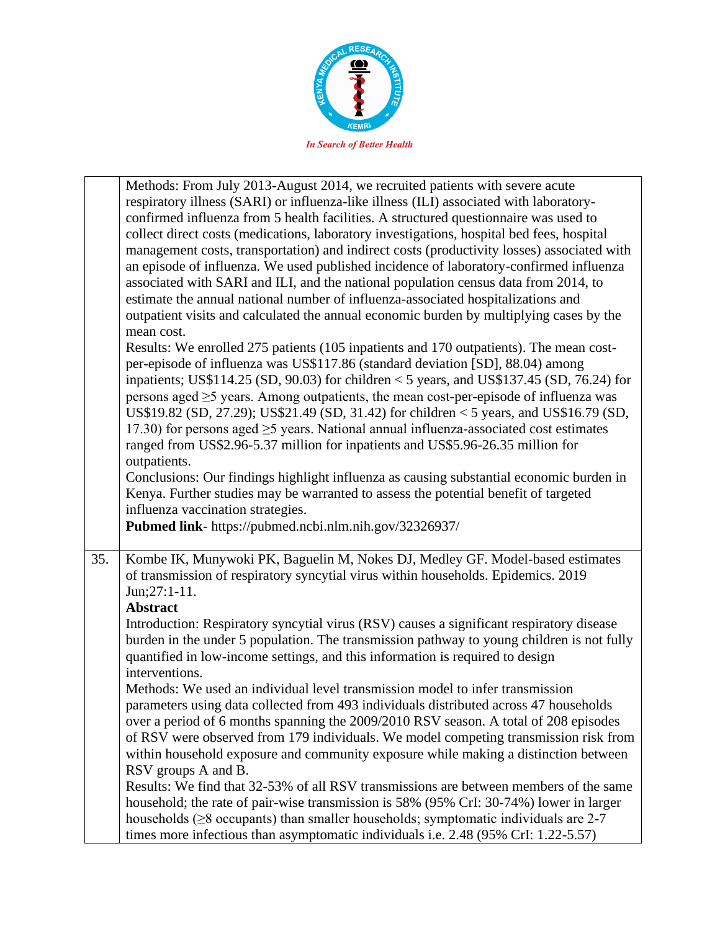

|     | Methods: From July 2013-August 2014, we recruited patients with severe acute                                                                                                    |
|-----|---------------------------------------------------------------------------------------------------------------------------------------------------------------------------------|
|     | respiratory illness (SARI) or influenza-like illness (ILI) associated with laboratory-                                                                                          |
|     | confirmed influenza from 5 health facilities. A structured questionnaire was used to                                                                                            |
|     | collect direct costs (medications, laboratory investigations, hospital bed fees, hospital                                                                                       |
|     | management costs, transportation) and indirect costs (productivity losses) associated with                                                                                      |
|     | an episode of influenza. We used published incidence of laboratory-confirmed influenza                                                                                          |
|     | associated with SARI and ILI, and the national population census data from 2014, to                                                                                             |
|     | estimate the annual national number of influenza-associated hospitalizations and                                                                                                |
|     | outpatient visits and calculated the annual economic burden by multiplying cases by the                                                                                         |
|     | mean cost.                                                                                                                                                                      |
|     | Results: We enrolled 275 patients (105 inpatients and 170 outpatients). The mean cost-                                                                                          |
|     |                                                                                                                                                                                 |
|     | per-episode of influenza was US\$117.86 (standard deviation [SD], 88.04) among                                                                                                  |
|     | inpatients; US\$114.25 (SD, 90.03) for children $<$ 5 years, and US\$137.45 (SD, 76.24) for                                                                                     |
|     | persons aged $\geq$ 5 years. Among outpatients, the mean cost-per-episode of influenza was                                                                                      |
|     | US\$19.82 (SD, 27.29); US\$21.49 (SD, 31.42) for children < 5 years, and US\$16.79 (SD,                                                                                         |
|     | 17.30) for persons aged $\geq$ 5 years. National annual influenza-associated cost estimates                                                                                     |
|     | ranged from US\$2.96-5.37 million for inpatients and US\$5.96-26.35 million for                                                                                                 |
|     | outpatients.                                                                                                                                                                    |
|     | Conclusions: Our findings highlight influenza as causing substantial economic burden in                                                                                         |
|     | Kenya. Further studies may be warranted to assess the potential benefit of targeted                                                                                             |
|     | influenza vaccination strategies.                                                                                                                                               |
|     |                                                                                                                                                                                 |
|     |                                                                                                                                                                                 |
|     | Pubmed link- https://pubmed.ncbi.nlm.nih.gov/32326937/                                                                                                                          |
| 35. | Kombe IK, Munywoki PK, Baguelin M, Nokes DJ, Medley GF. Model-based estimates                                                                                                   |
|     | of transmission of respiratory syncytial virus within households. Epidemics. 2019                                                                                               |
|     | Jun;27:1-11.                                                                                                                                                                    |
|     | <b>Abstract</b>                                                                                                                                                                 |
|     | Introduction: Respiratory syncytial virus (RSV) causes a significant respiratory disease                                                                                        |
|     |                                                                                                                                                                                 |
|     | burden in the under 5 population. The transmission pathway to young children is not fully                                                                                       |
|     | quantified in low-income settings, and this information is required to design                                                                                                   |
|     | interventions.                                                                                                                                                                  |
|     | Methods: We used an individual level transmission model to infer transmission                                                                                                   |
|     | parameters using data collected from 493 individuals distributed across 47 households                                                                                           |
|     | over a period of 6 months spanning the 2009/2010 RSV season. A total of 208 episodes                                                                                            |
|     | of RSV were observed from 179 individuals. We model competing transmission risk from                                                                                            |
|     | within household exposure and community exposure while making a distinction between                                                                                             |
|     | RSV groups A and B.                                                                                                                                                             |
|     | Results: We find that 32-53% of all RSV transmissions are between members of the same                                                                                           |
|     | household; the rate of pair-wise transmission is 58% (95% CrI: 30-74%) lower in larger                                                                                          |
|     | households ( $\geq$ 8 occupants) than smaller households; symptomatic individuals are 2-7<br>times more infectious than asymptomatic individuals i.e. 2.48 (95% CrI: 1.22-5.57) |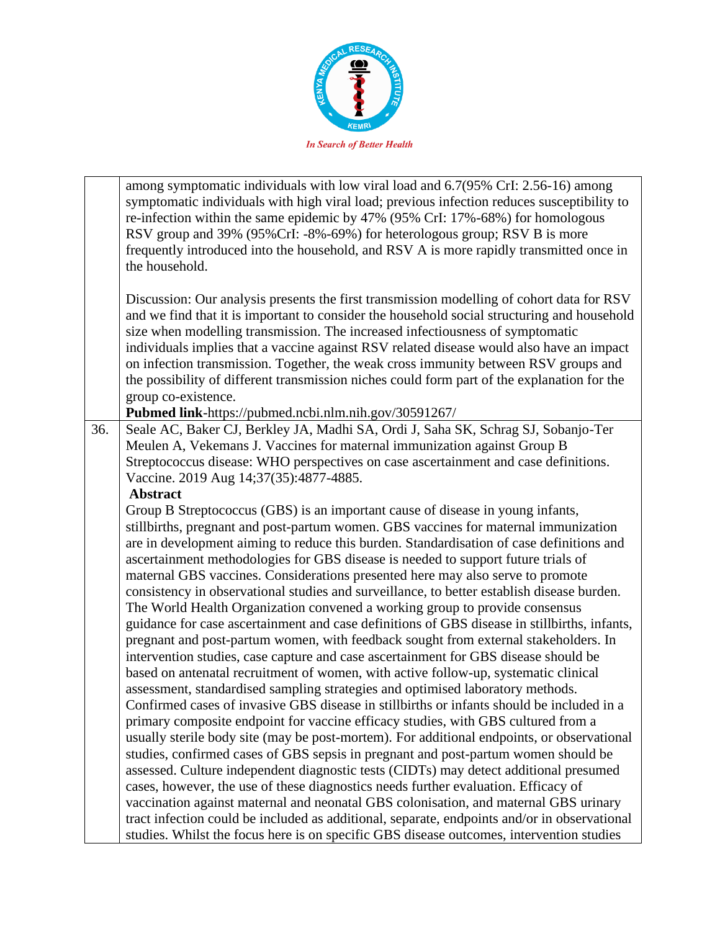

|     | among symptomatic individuals with low viral load and 6.7(95% CrI: 2.56-16) among<br>symptomatic individuals with high viral load; previous infection reduces susceptibility to<br>re-infection within the same epidemic by 47% (95% CrI: 17%-68%) for homologous<br>RSV group and 39% (95%CrI: -8%-69%) for heterologous group; RSV B is more<br>frequently introduced into the household, and RSV A is more rapidly transmitted once in<br>the household.                                                                         |
|-----|-------------------------------------------------------------------------------------------------------------------------------------------------------------------------------------------------------------------------------------------------------------------------------------------------------------------------------------------------------------------------------------------------------------------------------------------------------------------------------------------------------------------------------------|
|     | Discussion: Our analysis presents the first transmission modelling of cohort data for RSV<br>and we find that it is important to consider the household social structuring and household<br>size when modelling transmission. The increased infectiousness of symptomatic<br>individuals implies that a vaccine against RSV related disease would also have an impact<br>on infection transmission. Together, the weak cross immunity between RSV groups and                                                                        |
|     | the possibility of different transmission niches could form part of the explanation for the                                                                                                                                                                                                                                                                                                                                                                                                                                         |
|     | group co-existence.                                                                                                                                                                                                                                                                                                                                                                                                                                                                                                                 |
|     | Pubmed link-https://pubmed.ncbi.nlm.nih.gov/30591267/                                                                                                                                                                                                                                                                                                                                                                                                                                                                               |
| 36. | Seale AC, Baker CJ, Berkley JA, Madhi SA, Ordi J, Saha SK, Schrag SJ, Sobanjo-Ter<br>Meulen A, Vekemans J. Vaccines for maternal immunization against Group B<br>Streptococcus disease: WHO perspectives on case ascertainment and case definitions.<br>Vaccine. 2019 Aug 14;37(35):4877-4885.<br><b>Abstract</b>                                                                                                                                                                                                                   |
|     | Group B Streptococcus (GBS) is an important cause of disease in young infants,                                                                                                                                                                                                                                                                                                                                                                                                                                                      |
|     | stillbirths, pregnant and post-partum women. GBS vaccines for maternal immunization<br>are in development aiming to reduce this burden. Standardisation of case definitions and<br>ascertainment methodologies for GBS disease is needed to support future trials of<br>maternal GBS vaccines. Considerations presented here may also serve to promote<br>consistency in observational studies and surveillance, to better establish disease burden.<br>The World Health Organization convened a working group to provide consensus |
|     | guidance for case ascertainment and case definitions of GBS disease in stillbirths, infants,<br>pregnant and post-partum women, with feedback sought from external stakeholders. In<br>intervention studies, case capture and case ascertainment for GBS disease should be<br>based on antenatal recruitment of women, with active follow-up, systematic clinical<br>assessment, standardised sampling strategies and optimised laboratory methods.                                                                                 |
|     | Confirmed cases of invasive GBS disease in stillbirths or infants should be included in a<br>primary composite endpoint for vaccine efficacy studies, with GBS cultured from a<br>usually sterile body site (may be post-mortem). For additional endpoints, or observational                                                                                                                                                                                                                                                        |
|     | studies, confirmed cases of GBS sepsis in pregnant and post-partum women should be<br>assessed. Culture independent diagnostic tests (CIDTs) may detect additional presumed<br>cases, however, the use of these diagnostics needs further evaluation. Efficacy of                                                                                                                                                                                                                                                                   |
|     | vaccination against maternal and neonatal GBS colonisation, and maternal GBS urinary<br>tract infection could be included as additional, separate, endpoints and/or in observational<br>studies. Whilst the focus here is on specific GBS disease outcomes, intervention studies                                                                                                                                                                                                                                                    |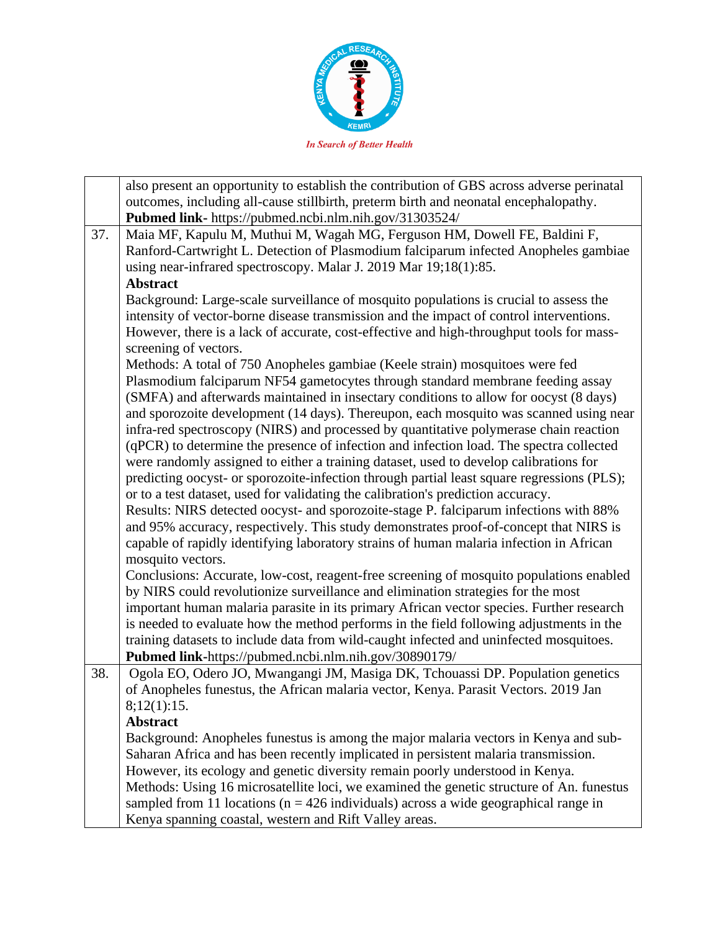

|     | also present an opportunity to establish the contribution of GBS across adverse perinatal<br>outcomes, including all-cause stillbirth, preterm birth and neonatal encephalopathy.<br>Pubmed link- https://pubmed.ncbi.nlm.nih.gov/31303524/ |
|-----|---------------------------------------------------------------------------------------------------------------------------------------------------------------------------------------------------------------------------------------------|
| 37. | Maia MF, Kapulu M, Muthui M, Wagah MG, Ferguson HM, Dowell FE, Baldini F,                                                                                                                                                                   |
|     | Ranford-Cartwright L. Detection of Plasmodium falciparum infected Anopheles gambiae                                                                                                                                                         |
|     | using near-infrared spectroscopy. Malar J. 2019 Mar 19;18(1):85.                                                                                                                                                                            |
|     | <b>Abstract</b>                                                                                                                                                                                                                             |
|     | Background: Large-scale surveillance of mosquito populations is crucial to assess the                                                                                                                                                       |
|     | intensity of vector-borne disease transmission and the impact of control interventions.                                                                                                                                                     |
|     | However, there is a lack of accurate, cost-effective and high-throughput tools for mass-                                                                                                                                                    |
|     | screening of vectors.                                                                                                                                                                                                                       |
|     | Methods: A total of 750 Anopheles gambiae (Keele strain) mosquitoes were fed                                                                                                                                                                |
|     | Plasmodium falciparum NF54 gametocytes through standard membrane feeding assay                                                                                                                                                              |
|     | (SMFA) and afterwards maintained in insectary conditions to allow for oocyst (8 days)                                                                                                                                                       |
|     | and sporozoite development (14 days). Thereupon, each mosquito was scanned using near                                                                                                                                                       |
|     | infra-red spectroscopy (NIRS) and processed by quantitative polymerase chain reaction                                                                                                                                                       |
|     | (qPCR) to determine the presence of infection and infection load. The spectra collected                                                                                                                                                     |
|     | were randomly assigned to either a training dataset, used to develop calibrations for                                                                                                                                                       |
|     | predicting oocyst- or sporozoite-infection through partial least square regressions (PLS);                                                                                                                                                  |
|     | or to a test dataset, used for validating the calibration's prediction accuracy.                                                                                                                                                            |
|     | Results: NIRS detected oocyst- and sporozoite-stage P. falciparum infections with 88%                                                                                                                                                       |
|     | and 95% accuracy, respectively. This study demonstrates proof-of-concept that NIRS is                                                                                                                                                       |
|     | capable of rapidly identifying laboratory strains of human malaria infection in African                                                                                                                                                     |
|     | mosquito vectors.                                                                                                                                                                                                                           |
|     | Conclusions: Accurate, low-cost, reagent-free screening of mosquito populations enabled                                                                                                                                                     |
|     | by NIRS could revolutionize surveillance and elimination strategies for the most                                                                                                                                                            |
|     | important human malaria parasite in its primary African vector species. Further research                                                                                                                                                    |
|     | is needed to evaluate how the method performs in the field following adjustments in the                                                                                                                                                     |
|     | training datasets to include data from wild-caught infected and uninfected mosquitoes.                                                                                                                                                      |
|     | Pubmed link-https://pubmed.ncbi.nlm.nih.gov/30890179/                                                                                                                                                                                       |
| 38. | Ogola EO, Odero JO, Mwangangi JM, Masiga DK, Tchouassi DP. Population genetics                                                                                                                                                              |
|     | of Anopheles funestus, the African malaria vector, Kenya. Parasit Vectors. 2019 Jan                                                                                                                                                         |
|     | 8;12(1):15.                                                                                                                                                                                                                                 |
|     | <b>Abstract</b>                                                                                                                                                                                                                             |
|     | Background: Anopheles funestus is among the major malaria vectors in Kenya and sub-                                                                                                                                                         |
|     | Saharan Africa and has been recently implicated in persistent malaria transmission.                                                                                                                                                         |
|     | However, its ecology and genetic diversity remain poorly understood in Kenya.                                                                                                                                                               |
|     | Methods: Using 16 microsatellite loci, we examined the genetic structure of An. funestus                                                                                                                                                    |
|     | sampled from 11 locations ( $n = 426$ individuals) across a wide geographical range in                                                                                                                                                      |
|     | Kenya spanning coastal, western and Rift Valley areas.                                                                                                                                                                                      |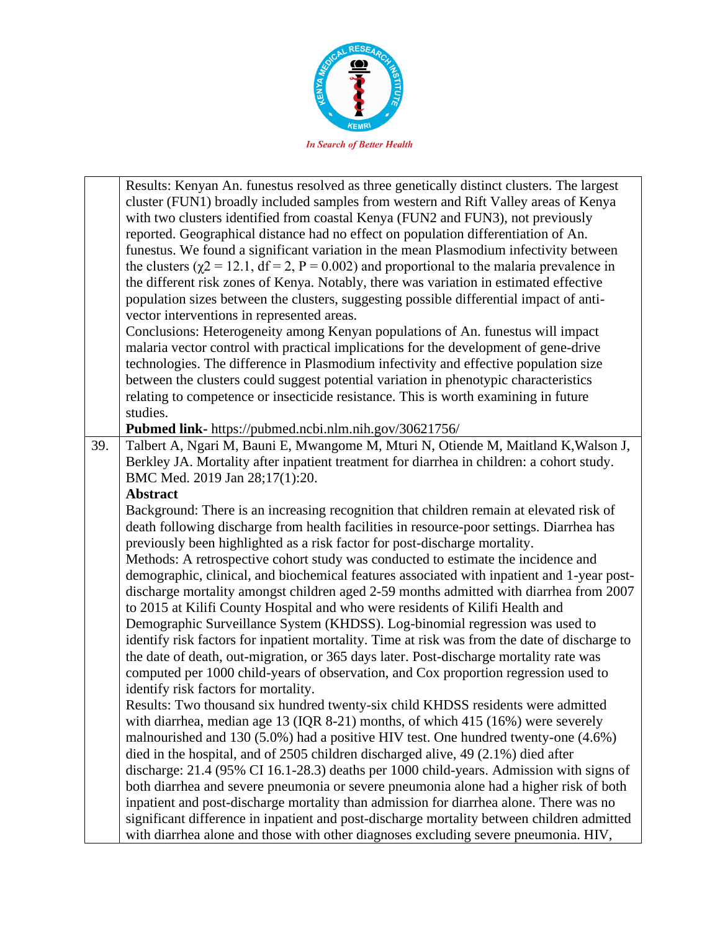

|     | Results: Kenyan An. funestus resolved as three genetically distinct clusters. The largest        |
|-----|--------------------------------------------------------------------------------------------------|
|     | cluster (FUN1) broadly included samples from western and Rift Valley areas of Kenya              |
|     | with two clusters identified from coastal Kenya (FUN2 and FUN3), not previously                  |
|     | reported. Geographical distance had no effect on population differentiation of An.               |
|     | funestus. We found a significant variation in the mean Plasmodium infectivity between            |
|     | the clusters ( $\chi$ 2 = 12.1, df = 2, P = 0.002) and proportional to the malaria prevalence in |
|     | the different risk zones of Kenya. Notably, there was variation in estimated effective           |
|     | population sizes between the clusters, suggesting possible differential impact of anti-          |
|     | vector interventions in represented areas.                                                       |
|     | Conclusions: Heterogeneity among Kenyan populations of An. funestus will impact                  |
|     | malaria vector control with practical implications for the development of gene-drive             |
|     |                                                                                                  |
|     | technologies. The difference in Plasmodium infectivity and effective population size             |
|     | between the clusters could suggest potential variation in phenotypic characteristics             |
|     | relating to competence or insecticide resistance. This is worth examining in future              |
|     | studies.                                                                                         |
|     | Pubmed link- https://pubmed.ncbi.nlm.nih.gov/30621756/                                           |
| 39. | Talbert A, Ngari M, Bauni E, Mwangome M, Mturi N, Otiende M, Maitland K, Walson J,               |
|     | Berkley JA. Mortality after inpatient treatment for diarrhea in children: a cohort study.        |
|     | BMC Med. 2019 Jan 28;17(1):20.                                                                   |
|     | <b>Abstract</b>                                                                                  |
|     | Background: There is an increasing recognition that children remain at elevated risk of          |
|     | death following discharge from health facilities in resource-poor settings. Diarrhea has         |
|     | previously been highlighted as a risk factor for post-discharge mortality.                       |
|     | Methods: A retrospective cohort study was conducted to estimate the incidence and                |
|     | demographic, clinical, and biochemical features associated with inpatient and 1-year post-       |
|     | discharge mortality amongst children aged 2-59 months admitted with diarrhea from 2007           |
|     | to 2015 at Kilifi County Hospital and who were residents of Kilifi Health and                    |
|     | Demographic Surveillance System (KHDSS). Log-binomial regression was used to                     |
|     | identify risk factors for inpatient mortality. Time at risk was from the date of discharge to    |
|     | the date of death, out-migration, or 365 days later. Post-discharge mortality rate was           |
|     | computed per 1000 child-years of observation, and Cox proportion regression used to              |
|     | identify risk factors for mortality.                                                             |
|     | Results: Two thousand six hundred twenty-six child KHDSS residents were admitted                 |
|     | with diarrhea, median age 13 (IQR 8-21) months, of which 415 (16%) were severely                 |
|     | malnourished and 130 (5.0%) had a positive HIV test. One hundred twenty-one (4.6%)               |
|     | died in the hospital, and of 2505 children discharged alive, 49 (2.1%) died after                |
|     | discharge: 21.4 (95% CI 16.1-28.3) deaths per 1000 child-years. Admission with signs of          |
|     | both diarrhea and severe pneumonia or severe pneumonia alone had a higher risk of both           |
|     | inpatient and post-discharge mortality than admission for diarrhea alone. There was no           |
|     | significant difference in inpatient and post-discharge mortality between children admitted       |
|     | with diarrhea alone and those with other diagnoses excluding severe pneumonia. HIV,              |
|     |                                                                                                  |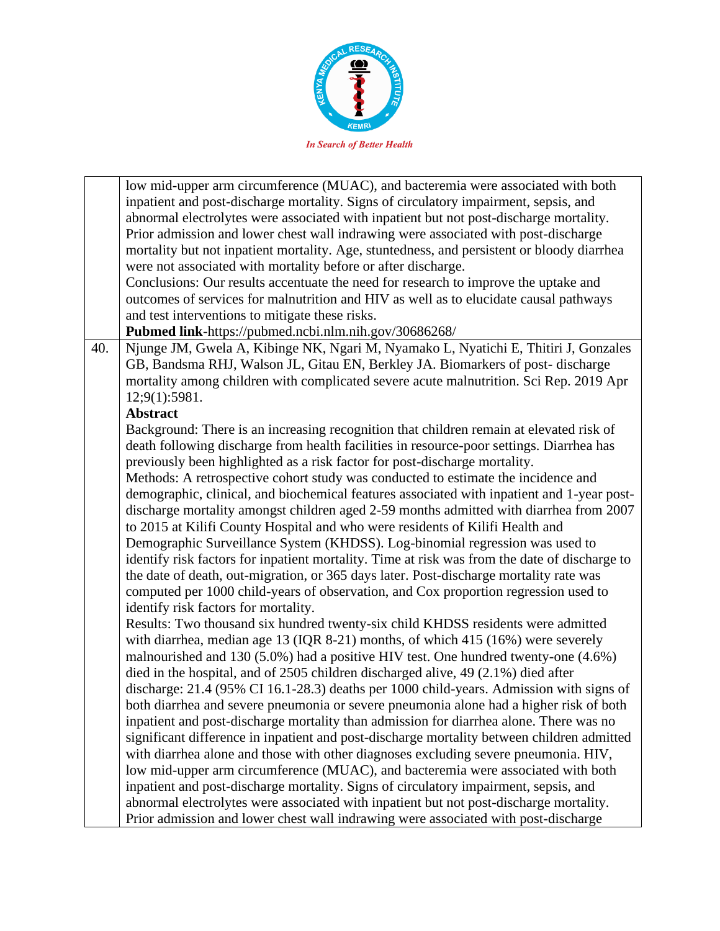

|     | low mid-upper arm circumference (MUAC), and bacteremia were associated with both              |
|-----|-----------------------------------------------------------------------------------------------|
|     | inpatient and post-discharge mortality. Signs of circulatory impairment, sepsis, and          |
|     | abnormal electrolytes were associated with inpatient but not post-discharge mortality.        |
|     | Prior admission and lower chest wall indrawing were associated with post-discharge            |
|     | mortality but not inpatient mortality. Age, stuntedness, and persistent or bloody diarrhea    |
|     | were not associated with mortality before or after discharge.                                 |
|     | Conclusions: Our results accentuate the need for research to improve the uptake and           |
|     | outcomes of services for malnutrition and HIV as well as to elucidate causal pathways         |
|     | and test interventions to mitigate these risks.                                               |
|     | Pubmed link-https://pubmed.ncbi.nlm.nih.gov/30686268/                                         |
| 40. | Njunge JM, Gwela A, Kibinge NK, Ngari M, Nyamako L, Nyatichi E, Thitiri J, Gonzales           |
|     | GB, Bandsma RHJ, Walson JL, Gitau EN, Berkley JA. Biomarkers of post-discharge                |
|     | mortality among children with complicated severe acute malnutrition. Sci Rep. 2019 Apr        |
|     | 12;9(1):5981.                                                                                 |
|     | <b>Abstract</b>                                                                               |
|     | Background: There is an increasing recognition that children remain at elevated risk of       |
|     | death following discharge from health facilities in resource-poor settings. Diarrhea has      |
|     | previously been highlighted as a risk factor for post-discharge mortality.                    |
|     | Methods: A retrospective cohort study was conducted to estimate the incidence and             |
|     | demographic, clinical, and biochemical features associated with inpatient and 1-year post-    |
|     | discharge mortality amongst children aged 2-59 months admitted with diarrhea from 2007        |
|     | to 2015 at Kilifi County Hospital and who were residents of Kilifi Health and                 |
|     | Demographic Surveillance System (KHDSS). Log-binomial regression was used to                  |
|     | identify risk factors for inpatient mortality. Time at risk was from the date of discharge to |
|     | the date of death, out-migration, or 365 days later. Post-discharge mortality rate was        |
|     | computed per 1000 child-years of observation, and Cox proportion regression used to           |
|     | identify risk factors for mortality.                                                          |
|     | Results: Two thousand six hundred twenty-six child KHDSS residents were admitted              |
|     | with diarrhea, median age 13 (IQR 8-21) months, of which 415 (16%) were severely              |
|     | malnourished and 130 (5.0%) had a positive HIV test. One hundred twenty-one (4.6%)            |
|     | died in the hospital, and of 2505 children discharged alive, 49 (2.1%) died after             |
|     | discharge: 21.4 (95% CI 16.1-28.3) deaths per 1000 child-years. Admission with signs of       |
|     | both diarrhea and severe pneumonia or severe pneumonia alone had a higher risk of both        |
|     | inpatient and post-discharge mortality than admission for diarrhea alone. There was no        |
|     | significant difference in inpatient and post-discharge mortality between children admitted    |
|     | with diarrhea alone and those with other diagnoses excluding severe pneumonia. HIV,           |
|     | low mid-upper arm circumference (MUAC), and bacteremia were associated with both              |
|     | inpatient and post-discharge mortality. Signs of circulatory impairment, sepsis, and          |
|     | abnormal electrolytes were associated with inpatient but not post-discharge mortality.        |
|     | Prior admission and lower chest wall indrawing were associated with post-discharge            |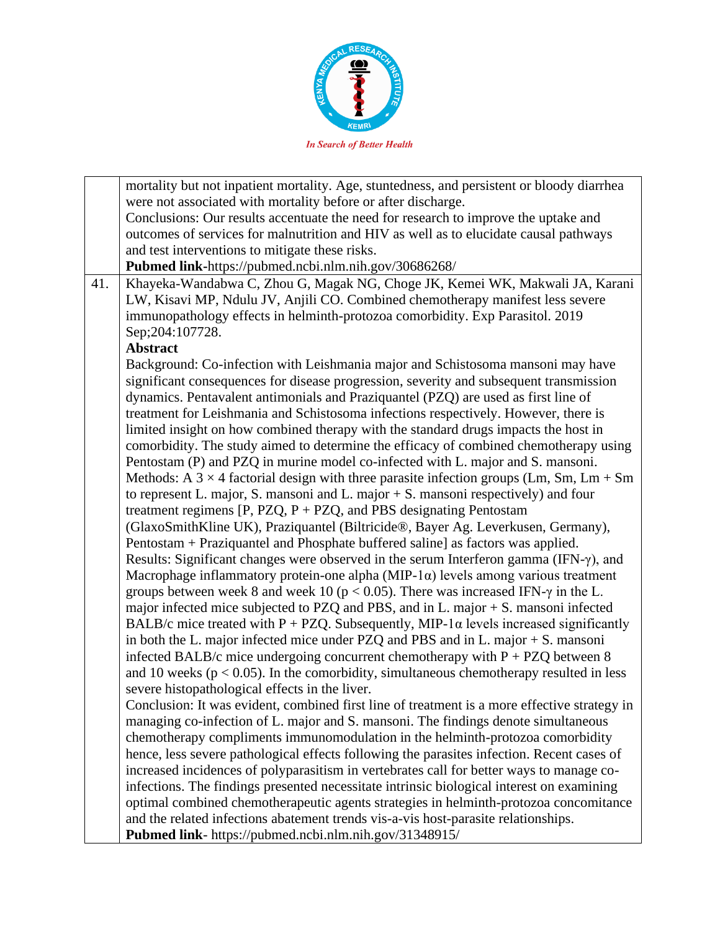

mortality but not inpatient mortality. Age, stuntedness, and persistent or bloody diarrhea were not associated with mortality before or after discharge. Conclusions: Our results accentuate the need for research to improve the uptake and outcomes of services for malnutrition and HIV as well as to elucidate causal pathways and test interventions to mitigate these risks. **Pubmed link-**https://pubmed.ncbi.nlm.nih.gov/30686268/ 41. Khayeka-Wandabwa C, Zhou G, Magak NG, Choge JK, Kemei WK, Makwali JA, Karani LW, Kisavi MP, Ndulu JV, Anjili CO. Combined chemotherapy manifest less severe immunopathology effects in helminth-protozoa comorbidity. Exp Parasitol. 2019 Sep;204:107728. **Abstract** Background: Co-infection with Leishmania major and Schistosoma mansoni may have significant consequences for disease progression, severity and subsequent transmission dynamics. Pentavalent antimonials and Praziquantel (PZQ) are used as first line of treatment for Leishmania and Schistosoma infections respectively. However, there is limited insight on how combined therapy with the standard drugs impacts the host in comorbidity. The study aimed to determine the efficacy of combined chemotherapy using Pentostam (P) and PZQ in murine model co-infected with L. major and S. mansoni. Methods: A  $3 \times 4$  factorial design with three parasite infection groups (Lm, Sm, Lm + Sm to represent L. major, S. mansoni and L. major + S. mansoni respectively) and four treatment regimens  $[P, PZQ, P + PZQ,$  and PBS designating Pentostam (GlaxoSmithKline UK), Praziquantel (Biltricide®, Bayer Ag. Leverkusen, Germany), Pentostam + Praziquantel and Phosphate buffered saline] as factors was applied. Results: Significant changes were observed in the serum Interferon gamma (IFN-γ), and Macrophage inflammatory protein-one alpha (MIP-1 $\alpha$ ) levels among various treatment groups between week 8 and week 10 ( $p < 0.05$ ). There was increased IFN- $\gamma$  in the L. major infected mice subjected to PZQ and PBS, and in L. major + S. mansoni infected BALB/c mice treated with P + PZQ. Subsequently, MIP-1 $\alpha$  levels increased significantly in both the L. major infected mice under PZQ and PBS and in L. major + S. mansoni infected BALB/c mice undergoing concurrent chemotherapy with  $P + PZQ$  between 8 and 10 weeks ( $p < 0.05$ ). In the comorbidity, simultaneous chemotherapy resulted in less severe histopathological effects in the liver. Conclusion: It was evident, combined first line of treatment is a more effective strategy in managing co-infection of L. major and S. mansoni. The findings denote simultaneous chemotherapy compliments immunomodulation in the helminth-protozoa comorbidity hence, less severe pathological effects following the parasites infection. Recent cases of increased incidences of polyparasitism in vertebrates call for better ways to manage coinfections. The findings presented necessitate intrinsic biological interest on examining optimal combined chemotherapeutic agents strategies in helminth-protozoa concomitance and the related infections abatement trends vis-a-vis host-parasite relationships. **Pubmed link**- https://pubmed.ncbi.nlm.nih.gov/31348915/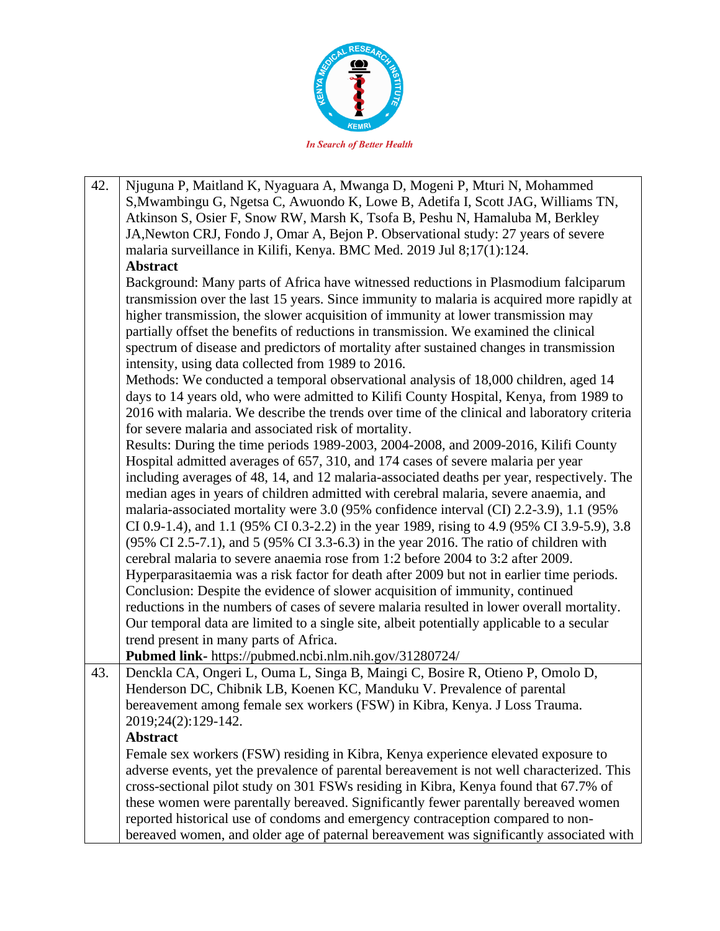

42. Njuguna P, Maitland K, Nyaguara A, Mwanga D, Mogeni P, Mturi N, Mohammed S,Mwambingu G, Ngetsa C, Awuondo K, Lowe B, Adetifa I, Scott JAG, Williams TN, Atkinson S, Osier F, Snow RW, Marsh K, Tsofa B, Peshu N, Hamaluba M, Berkley JA,Newton CRJ, Fondo J, Omar A, Bejon P. Observational study: 27 years of severe malaria surveillance in Kilifi, Kenya. BMC Med. 2019 Jul 8;17(1):124. **Abstract** Background: Many parts of Africa have witnessed reductions in Plasmodium falciparum transmission over the last 15 years. Since immunity to malaria is acquired more rapidly at higher transmission, the slower acquisition of immunity at lower transmission may partially offset the benefits of reductions in transmission. We examined the clinical spectrum of disease and predictors of mortality after sustained changes in transmission intensity, using data collected from 1989 to 2016. Methods: We conducted a temporal observational analysis of 18,000 children, aged 14 days to 14 years old, who were admitted to Kilifi County Hospital, Kenya, from 1989 to 2016 with malaria. We describe the trends over time of the clinical and laboratory criteria for severe malaria and associated risk of mortality. Results: During the time periods 1989-2003, 2004-2008, and 2009-2016, Kilifi County Hospital admitted averages of 657, 310, and 174 cases of severe malaria per year including averages of 48, 14, and 12 malaria-associated deaths per year, respectively. The median ages in years of children admitted with cerebral malaria, severe anaemia, and malaria-associated mortality were 3.0 (95% confidence interval (CI) 2.2-3.9), 1.1 (95% CI 0.9-1.4), and 1.1 (95% CI 0.3-2.2) in the year 1989, rising to 4.9 (95% CI 3.9-5.9), 3.8 (95% CI 2.5-7.1), and 5 (95% CI 3.3-6.3) in the year 2016. The ratio of children with cerebral malaria to severe anaemia rose from 1:2 before 2004 to 3:2 after 2009. Hyperparasitaemia was a risk factor for death after 2009 but not in earlier time periods. Conclusion: Despite the evidence of slower acquisition of immunity, continued reductions in the numbers of cases of severe malaria resulted in lower overall mortality. Our temporal data are limited to a single site, albeit potentially applicable to a secular trend present in many parts of Africa. **Pubmed link-** https://pubmed.ncbi.nlm.nih.gov/31280724/ 43. Denckla CA, Ongeri L, Ouma L, Singa B, Maingi C, Bosire R, Otieno P, Omolo D, Henderson DC, Chibnik LB, Koenen KC, Manduku V. Prevalence of parental bereavement among female sex workers (FSW) in Kibra, Kenya. J Loss Trauma. 2019;24(2):129-142. **Abstract** Female sex workers (FSW) residing in Kibra, Kenya experience elevated exposure to adverse events, yet the prevalence of parental bereavement is not well characterized. This cross-sectional pilot study on 301 FSWs residing in Kibra, Kenya found that 67.7% of these women were parentally bereaved. Significantly fewer parentally bereaved women reported historical use of condoms and emergency contraception compared to nonbereaved women, and older age of paternal bereavement was significantly associated with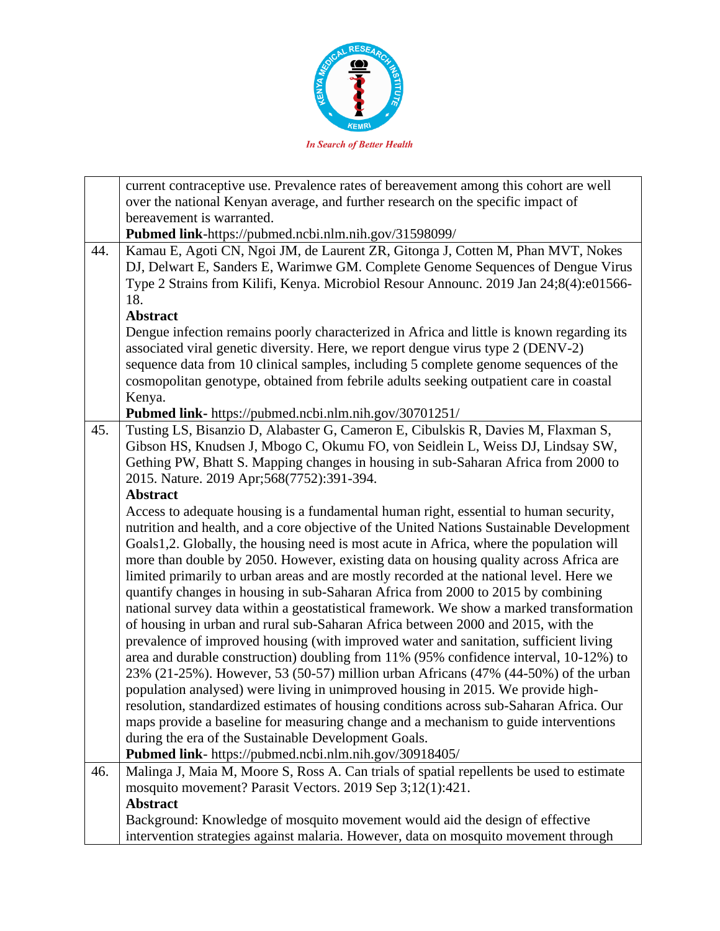

|     | current contraceptive use. Prevalence rates of bereavement among this cohort are well     |
|-----|-------------------------------------------------------------------------------------------|
|     | over the national Kenyan average, and further research on the specific impact of          |
|     | bereavement is warranted.                                                                 |
|     | Pubmed link-https://pubmed.ncbi.nlm.nih.gov/31598099/                                     |
| 44. | Kamau E, Agoti CN, Ngoi JM, de Laurent ZR, Gitonga J, Cotten M, Phan MVT, Nokes           |
|     | DJ, Delwart E, Sanders E, Warimwe GM. Complete Genome Sequences of Dengue Virus           |
|     | Type 2 Strains from Kilifi, Kenya. Microbiol Resour Announc. 2019 Jan 24;8(4):e01566-     |
|     | 18.                                                                                       |
|     | <b>Abstract</b>                                                                           |
|     | Dengue infection remains poorly characterized in Africa and little is known regarding its |
|     | associated viral genetic diversity. Here, we report dengue virus type 2 (DENV-2)          |
|     | sequence data from 10 clinical samples, including 5 complete genome sequences of the      |
|     | cosmopolitan genotype, obtained from febrile adults seeking outpatient care in coastal    |
|     | Kenya.                                                                                    |
|     | Pubmed link- https://pubmed.ncbi.nlm.nih.gov/30701251/                                    |
| 45. | Tusting LS, Bisanzio D, Alabaster G, Cameron E, Cibulskis R, Davies M, Flaxman S,         |
|     | Gibson HS, Knudsen J, Mbogo C, Okumu FO, von Seidlein L, Weiss DJ, Lindsay SW,            |
|     | Gething PW, Bhatt S. Mapping changes in housing in sub-Saharan Africa from 2000 to        |
|     | 2015. Nature. 2019 Apr;568(7752):391-394.                                                 |
|     | <b>Abstract</b>                                                                           |
|     | Access to adequate housing is a fundamental human right, essential to human security,     |
|     | nutrition and health, and a core objective of the United Nations Sustainable Development  |
|     | Goals1,2. Globally, the housing need is most acute in Africa, where the population will   |
|     | more than double by 2050. However, existing data on housing quality across Africa are     |
|     | limited primarily to urban areas and are mostly recorded at the national level. Here we   |
|     | quantify changes in housing in sub-Saharan Africa from 2000 to 2015 by combining          |
|     | national survey data within a geostatistical framework. We show a marked transformation   |
|     | of housing in urban and rural sub-Saharan Africa between 2000 and 2015, with the          |
|     | prevalence of improved housing (with improved water and sanitation, sufficient living     |
|     | area and durable construction) doubling from 11% (95% confidence interval, 10-12%) to     |
|     | 23% (21-25%). However, 53 (50-57) million urban Africans (47% (44-50%) of the urban       |
|     | population analysed) were living in unimproved housing in 2015. We provide high-          |
|     | resolution, standardized estimates of housing conditions across sub-Saharan Africa. Our   |
|     | maps provide a baseline for measuring change and a mechanism to guide interventions       |
|     | during the era of the Sustainable Development Goals.                                      |
|     | Pubmed link- https://pubmed.ncbi.nlm.nih.gov/30918405/                                    |
| 46. | Malinga J, Maia M, Moore S, Ross A. Can trials of spatial repellents be used to estimate  |
|     | mosquito movement? Parasit Vectors. 2019 Sep 3;12(1):421.                                 |
|     | <b>Abstract</b>                                                                           |
|     | Background: Knowledge of mosquito movement would aid the design of effective              |
|     | intervention strategies against malaria. However, data on mosquito movement through       |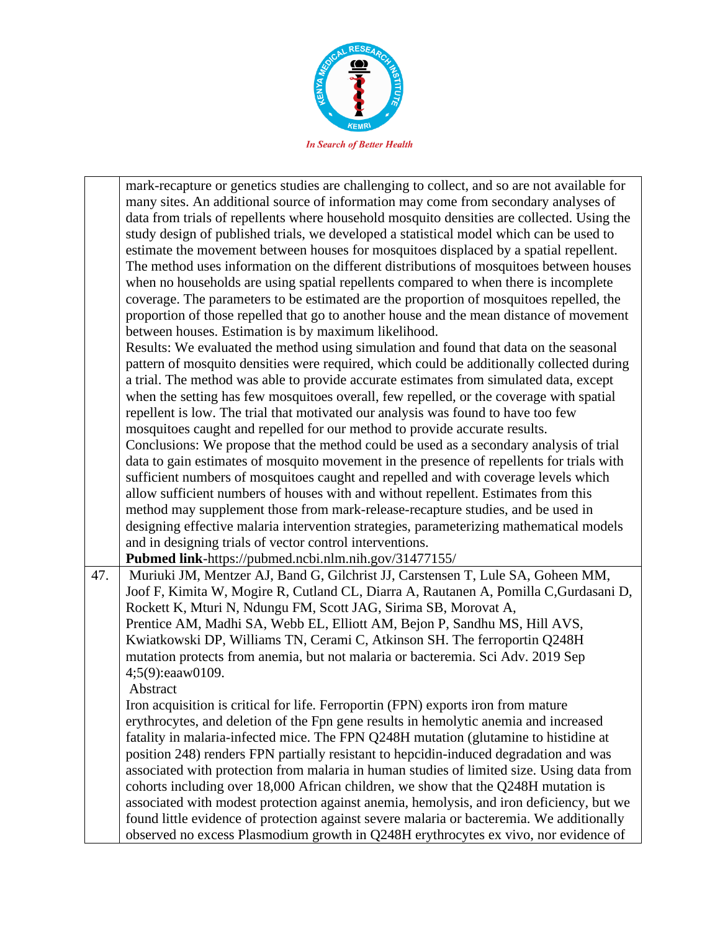

mark-recapture or genetics studies are challenging to collect, and so are not available for many sites. An additional source of information may come from secondary analyses of data from trials of repellents where household mosquito densities are collected. Using the study design of published trials, we developed a statistical model which can be used to estimate the movement between houses for mosquitoes displaced by a spatial repellent. The method uses information on the different distributions of mosquitoes between houses when no households are using spatial repellents compared to when there is incomplete coverage. The parameters to be estimated are the proportion of mosquitoes repelled, the proportion of those repelled that go to another house and the mean distance of movement between houses. Estimation is by maximum likelihood. Results: We evaluated the method using simulation and found that data on the seasonal pattern of mosquito densities were required, which could be additionally collected during a trial. The method was able to provide accurate estimates from simulated data, except when the setting has few mosquitoes overall, few repelled, or the coverage with spatial repellent is low. The trial that motivated our analysis was found to have too few mosquitoes caught and repelled for our method to provide accurate results. Conclusions: We propose that the method could be used as a secondary analysis of trial data to gain estimates of mosquito movement in the presence of repellents for trials with sufficient numbers of mosquitoes caught and repelled and with coverage levels which allow sufficient numbers of houses with and without repellent. Estimates from this method may supplement those from mark-release-recapture studies, and be used in designing effective malaria intervention strategies, parameterizing mathematical models and in designing trials of vector control interventions.

**Pubmed link**-https://pubmed.ncbi.nlm.nih.gov/31477155/

47. | Muriuki JM, Mentzer AJ, Band G, Gilchrist JJ, Carstensen T, Lule SA, Goheen MM, Joof F, Kimita W, Mogire R, Cutland CL, Diarra A, Rautanen A, Pomilla C,Gurdasani D, Rockett K, Mturi N, Ndungu FM, Scott JAG, Sirima SB, Morovat A, Prentice AM, Madhi SA, Webb EL, Elliott AM, Bejon P, Sandhu MS, Hill AVS, Kwiatkowski DP, Williams TN, Cerami C, Atkinson SH. The ferroportin Q248H mutation protects from anemia, but not malaria or bacteremia. Sci Adv. 2019 Sep 4;5(9):eaaw0109.

Abstract

Iron acquisition is critical for life. Ferroportin (FPN) exports iron from mature erythrocytes, and deletion of the Fpn gene results in hemolytic anemia and increased fatality in malaria-infected mice. The FPN Q248H mutation (glutamine to histidine at position 248) renders FPN partially resistant to hepcidin-induced degradation and was associated with protection from malaria in human studies of limited size. Using data from cohorts including over 18,000 African children, we show that the Q248H mutation is associated with modest protection against anemia, hemolysis, and iron deficiency, but we found little evidence of protection against severe malaria or bacteremia. We additionally observed no excess Plasmodium growth in Q248H erythrocytes ex vivo, nor evidence of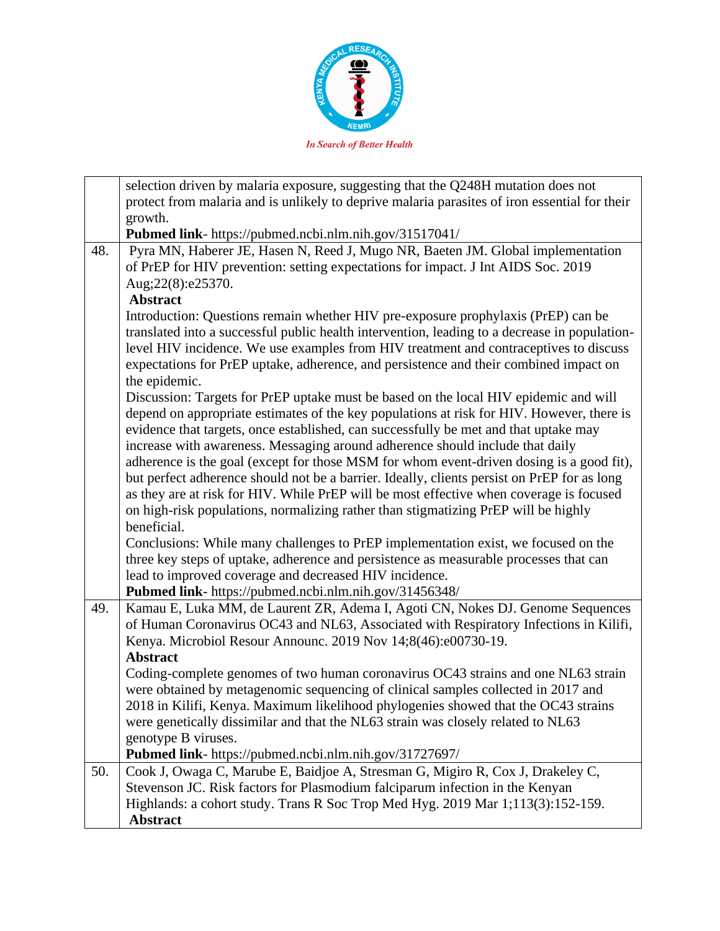

|     | selection driven by malaria exposure, suggesting that the Q248H mutation does not             |
|-----|-----------------------------------------------------------------------------------------------|
|     | protect from malaria and is unlikely to deprive malaria parasites of iron essential for their |
|     | growth.                                                                                       |
|     | Pubmed link- https://pubmed.ncbi.nlm.nih.gov/31517041/                                        |
| 48. | Pyra MN, Haberer JE, Hasen N, Reed J, Mugo NR, Baeten JM. Global implementation               |
|     |                                                                                               |
|     | of PrEP for HIV prevention: setting expectations for impact. J Int AIDS Soc. 2019             |
|     | Aug;22(8):e25370.                                                                             |
|     | <b>Abstract</b>                                                                               |
|     | Introduction: Questions remain whether HIV pre-exposure prophylaxis (PrEP) can be             |
|     | translated into a successful public health intervention, leading to a decrease in population- |
|     | level HIV incidence. We use examples from HIV treatment and contraceptives to discuss         |
|     | expectations for PrEP uptake, adherence, and persistence and their combined impact on         |
|     | the epidemic.                                                                                 |
|     | Discussion: Targets for PrEP uptake must be based on the local HIV epidemic and will          |
|     | depend on appropriate estimates of the key populations at risk for HIV. However, there is     |
|     | evidence that targets, once established, can successfully be met and that uptake may          |
|     | increase with awareness. Messaging around adherence should include that daily                 |
|     | adherence is the goal (except for those MSM for whom event-driven dosing is a good fit),      |
|     | but perfect adherence should not be a barrier. Ideally, clients persist on PrEP for as long   |
|     | as they are at risk for HIV. While PrEP will be most effective when coverage is focused       |
|     | on high-risk populations, normalizing rather than stigmatizing PrEP will be highly            |
|     | beneficial.                                                                                   |
|     | Conclusions: While many challenges to PrEP implementation exist, we focused on the            |
|     | three key steps of uptake, adherence and persistence as measurable processes that can         |
|     | lead to improved coverage and decreased HIV incidence.                                        |
|     | Pubmed link- https://pubmed.ncbi.nlm.nih.gov/31456348/                                        |
| 49. | Kamau E, Luka MM, de Laurent ZR, Adema I, Agoti CN, Nokes DJ. Genome Sequences                |
|     | of Human Coronavirus OC43 and NL63, Associated with Respiratory Infections in Kilifi,         |
|     | Kenya. Microbiol Resour Announc. 2019 Nov 14;8(46):e00730-19.                                 |
|     | <b>Abstract</b>                                                                               |
|     | Coding-complete genomes of two human coronavirus OC43 strains and one NL63 strain             |
|     | were obtained by metagenomic sequencing of clinical samples collected in 2017 and             |
|     | 2018 in Kilifi, Kenya. Maximum likelihood phylogenies showed that the OC43 strains            |
|     | were genetically dissimilar and that the NL63 strain was closely related to NL63              |
|     | genotype B viruses.                                                                           |
|     | Pubmed link- https://pubmed.ncbi.nlm.nih.gov/31727697/                                        |
| 50. | Cook J, Owaga C, Marube E, Baidjoe A, Stresman G, Migiro R, Cox J, Drakeley C,                |
|     | Stevenson JC. Risk factors for Plasmodium falciparum infection in the Kenyan                  |
|     | Highlands: a cohort study. Trans R Soc Trop Med Hyg. 2019 Mar 1;113(3):152-159.               |
|     | Abstract                                                                                      |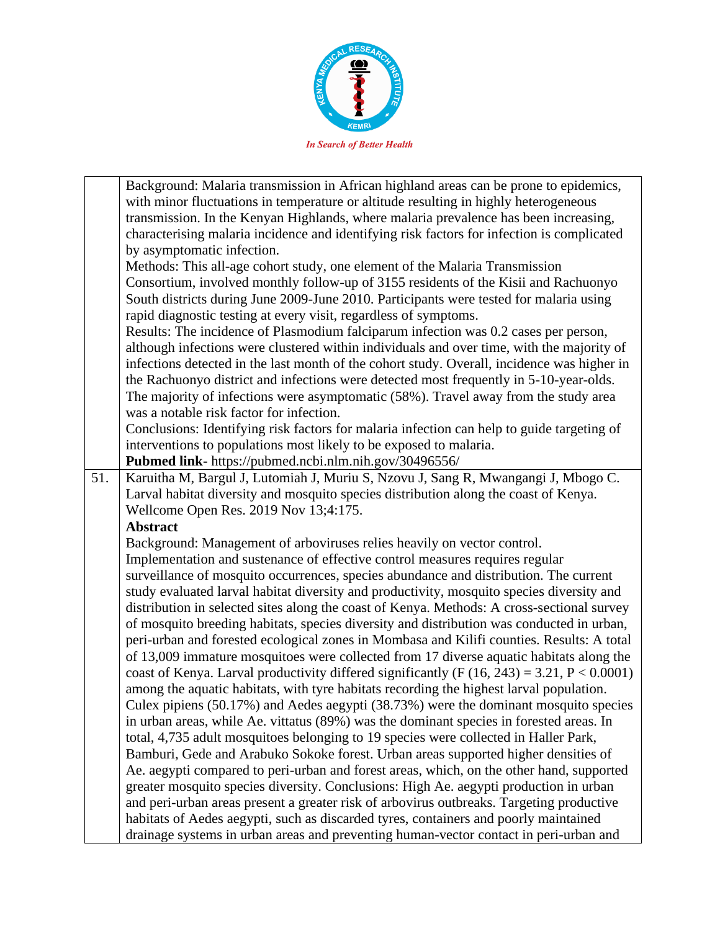

|     | Background: Malaria transmission in African highland areas can be prone to epidemics,<br>with minor fluctuations in temperature or altitude resulting in highly heterogeneous<br>transmission. In the Kenyan Highlands, where malaria prevalence has been increasing,<br>characterising malaria incidence and identifying risk factors for infection is complicated |
|-----|---------------------------------------------------------------------------------------------------------------------------------------------------------------------------------------------------------------------------------------------------------------------------------------------------------------------------------------------------------------------|
|     | by asymptomatic infection.                                                                                                                                                                                                                                                                                                                                          |
|     | Methods: This all-age cohort study, one element of the Malaria Transmission                                                                                                                                                                                                                                                                                         |
|     | Consortium, involved monthly follow-up of 3155 residents of the Kisii and Rachuonyo                                                                                                                                                                                                                                                                                 |
|     | South districts during June 2009-June 2010. Participants were tested for malaria using                                                                                                                                                                                                                                                                              |
|     | rapid diagnostic testing at every visit, regardless of symptoms.                                                                                                                                                                                                                                                                                                    |
|     | Results: The incidence of Plasmodium falciparum infection was 0.2 cases per person,                                                                                                                                                                                                                                                                                 |
|     | although infections were clustered within individuals and over time, with the majority of                                                                                                                                                                                                                                                                           |
|     | infections detected in the last month of the cohort study. Overall, incidence was higher in                                                                                                                                                                                                                                                                         |
|     | the Rachuonyo district and infections were detected most frequently in 5-10-year-olds.                                                                                                                                                                                                                                                                              |
|     | The majority of infections were asymptomatic (58%). Travel away from the study area<br>was a notable risk factor for infection.                                                                                                                                                                                                                                     |
|     | Conclusions: Identifying risk factors for malaria infection can help to guide targeting of                                                                                                                                                                                                                                                                          |
|     | interventions to populations most likely to be exposed to malaria.                                                                                                                                                                                                                                                                                                  |
|     | Pubmed link- https://pubmed.ncbi.nlm.nih.gov/30496556/                                                                                                                                                                                                                                                                                                              |
| 51. | Karuitha M, Bargul J, Lutomiah J, Muriu S, Nzovu J, Sang R, Mwangangi J, Mbogo C.                                                                                                                                                                                                                                                                                   |
|     | Larval habitat diversity and mosquito species distribution along the coast of Kenya.                                                                                                                                                                                                                                                                                |
|     | Wellcome Open Res. 2019 Nov 13;4:175.                                                                                                                                                                                                                                                                                                                               |
|     | <b>Abstract</b>                                                                                                                                                                                                                                                                                                                                                     |
|     | Background: Management of arboviruses relies heavily on vector control.                                                                                                                                                                                                                                                                                             |
|     | Implementation and sustenance of effective control measures requires regular                                                                                                                                                                                                                                                                                        |
|     | surveillance of mosquito occurrences, species abundance and distribution. The current                                                                                                                                                                                                                                                                               |
|     | study evaluated larval habitat diversity and productivity, mosquito species diversity and                                                                                                                                                                                                                                                                           |
|     | distribution in selected sites along the coast of Kenya. Methods: A cross-sectional survey                                                                                                                                                                                                                                                                          |
|     | of mosquito breeding habitats, species diversity and distribution was conducted in urban,                                                                                                                                                                                                                                                                           |
|     | peri-urban and forested ecological zones in Mombasa and Kilifi counties. Results: A total                                                                                                                                                                                                                                                                           |
|     | of 13,009 immature mosquitoes were collected from 17 diverse aquatic habitats along the                                                                                                                                                                                                                                                                             |
|     | coast of Kenya. Larval productivity differed significantly (F $(16, 243) = 3.21$ , P < 0.0001)                                                                                                                                                                                                                                                                      |
|     | among the aquatic habitats, with tyre habitats recording the highest larval population.                                                                                                                                                                                                                                                                             |
|     | Culex pipiens (50.17%) and Aedes aegypti (38.73%) were the dominant mosquito species                                                                                                                                                                                                                                                                                |
|     | in urban areas, while Ae. vittatus (89%) was the dominant species in forested areas. In                                                                                                                                                                                                                                                                             |
|     | total, 4,735 adult mosquitoes belonging to 19 species were collected in Haller Park,                                                                                                                                                                                                                                                                                |
|     | Bamburi, Gede and Arabuko Sokoke forest. Urban areas supported higher densities of<br>Ae. aegypti compared to peri-urban and forest areas, which, on the other hand, supported                                                                                                                                                                                      |
|     | greater mosquito species diversity. Conclusions: High Ae. aegypti production in urban                                                                                                                                                                                                                                                                               |
|     | and peri-urban areas present a greater risk of arbovirus outbreaks. Targeting productive                                                                                                                                                                                                                                                                            |
|     | habitats of Aedes aegypti, such as discarded tyres, containers and poorly maintained                                                                                                                                                                                                                                                                                |
|     | drainage systems in urban areas and preventing human-vector contact in peri-urban and                                                                                                                                                                                                                                                                               |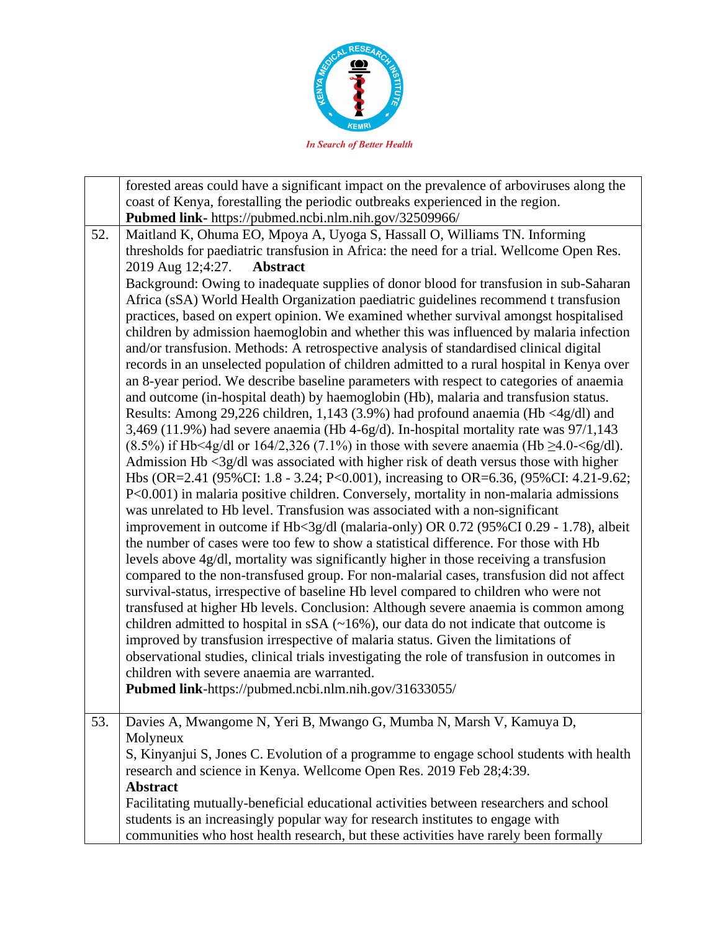

forested areas could have a significant impact on the prevalence of arboviruses along the coast of Kenya, forestalling the periodic outbreaks experienced in the region. **Pubmed link-** https://pubmed.ncbi.nlm.nih.gov/32509966/ 52. Maitland K, Ohuma EO, Mpoya A, Uyoga S, Hassall O, Williams TN. Informing thresholds for paediatric transfusion in Africa: the need for a trial. Wellcome Open Res. 2019 Aug 12;4:27. **Abstract** Background: Owing to inadequate supplies of donor blood for transfusion in sub-Saharan Africa (sSA) World Health Organization paediatric guidelines recommend t transfusion practices, based on expert opinion. We examined whether survival amongst hospitalised children by admission haemoglobin and whether this was influenced by malaria infection and/or transfusion. Methods: A retrospective analysis of standardised clinical digital records in an unselected population of children admitted to a rural hospital in Kenya over an 8-year period. We describe baseline parameters with respect to categories of anaemia and outcome (in-hospital death) by haemoglobin (Hb), malaria and transfusion status. Results: Among 29,226 children, 1,143 (3.9%) had profound anaemia (Hb <4g/dl) and 3,469 (11.9%) had severe anaemia (Hb 4-6g/d). In-hospital mortality rate was 97/1,143 (8.5%) if Hb<4g/dl or 164/2,326 (7.1%) in those with severe anaemia (Hb  $\geq$ 4.0- $\leq$ 6g/dl). Admission Hb <3g/dl was associated with higher risk of death versus those with higher Hbs (OR=2.41 (95%CI: 1.8 - 3.24; P<0.001), increasing to OR=6.36, (95%CI: 4.21-9.62; P<0.001) in malaria positive children. Conversely, mortality in non-malaria admissions was unrelated to Hb level. Transfusion was associated with a non-significant improvement in outcome if Hb<3g/dl (malaria-only) OR 0.72 (95%CI 0.29 - 1.78), albeit the number of cases were too few to show a statistical difference. For those with Hb levels above 4g/dl, mortality was significantly higher in those receiving a transfusion compared to the non-transfused group. For non-malarial cases, transfusion did not affect survival-status, irrespective of baseline Hb level compared to children who were not transfused at higher Hb levels. Conclusion: Although severe anaemia is common among children admitted to hospital in  $S A$  ( $\sim$ 16%), our data do not indicate that outcome is improved by transfusion irrespective of malaria status. Given the limitations of observational studies, clinical trials investigating the role of transfusion in outcomes in children with severe anaemia are warranted. **Pubmed link**-https://pubmed.ncbi.nlm.nih.gov/31633055/ 53. Davies A, Mwangome N, Yeri B, Mwango G, Mumba N, Marsh V, Kamuya D, Molyneux S, Kinyanjui S, Jones C. Evolution of a programme to engage school students with health research and science in Kenya. Wellcome Open Res. 2019 Feb 28;4:39. **Abstract** Facilitating mutually-beneficial educational activities between researchers and school students is an increasingly popular way for research institutes to engage with communities who host health research, but these activities have rarely been formally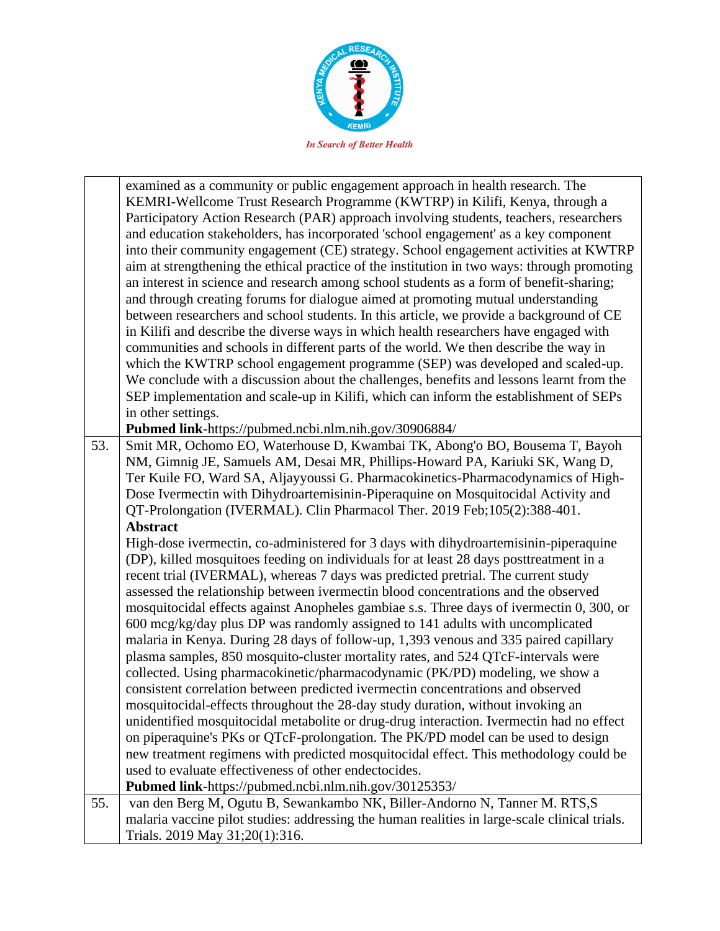

|     | examined as a community or public engagement approach in health research. The                 |
|-----|-----------------------------------------------------------------------------------------------|
|     | KEMRI-Wellcome Trust Research Programme (KWTRP) in Kilifi, Kenya, through a                   |
|     | Participatory Action Research (PAR) approach involving students, teachers, researchers        |
|     | and education stakeholders, has incorporated 'school engagement' as a key component           |
|     | into their community engagement (CE) strategy. School engagement activities at KWTRP          |
|     | aim at strengthening the ethical practice of the institution in two ways: through promoting   |
|     | an interest in science and research among school students as a form of benefit-sharing;       |
|     | and through creating forums for dialogue aimed at promoting mutual understanding              |
|     | between researchers and school students. In this article, we provide a background of CE       |
|     | in Kilifi and describe the diverse ways in which health researchers have engaged with         |
|     | communities and schools in different parts of the world. We then describe the way in          |
|     |                                                                                               |
|     | which the KWTRP school engagement programme (SEP) was developed and scaled-up.                |
|     | We conclude with a discussion about the challenges, benefits and lessons learnt from the      |
|     | SEP implementation and scale-up in Kilifi, which can inform the establishment of SEPs         |
|     | in other settings.                                                                            |
|     | Pubmed link-https://pubmed.ncbi.nlm.nih.gov/30906884/                                         |
| 53. | Smit MR, Ochomo EO, Waterhouse D, Kwambai TK, Abong'o BO, Bousema T, Bayoh                    |
|     | NM, Gimnig JE, Samuels AM, Desai MR, Phillips-Howard PA, Kariuki SK, Wang D,                  |
|     | Ter Kuile FO, Ward SA, Aljayyoussi G. Pharmacokinetics-Pharmacodynamics of High-              |
|     | Dose Ivermectin with Dihydroartemisinin-Piperaquine on Mosquitocidal Activity and             |
|     | QT-Prolongation (IVERMAL). Clin Pharmacol Ther. 2019 Feb;105(2):388-401.                      |
|     | <b>Abstract</b>                                                                               |
|     | High-dose ivermectin, co-administered for 3 days with dihydroartemisinin-piperaquine          |
|     | (DP), killed mosquitoes feeding on individuals for at least 28 days posttreatment in a        |
|     | recent trial (IVERMAL), whereas 7 days was predicted pretrial. The current study              |
|     | assessed the relationship between ivermectin blood concentrations and the observed            |
|     | mosquitocidal effects against Anopheles gambiae s.s. Three days of ivermectin 0, 300, or      |
|     | 600 mcg/kg/day plus DP was randomly assigned to 141 adults with uncomplicated                 |
|     | malaria in Kenya. During 28 days of follow-up, 1,393 venous and 335 paired capillary          |
|     | plasma samples, 850 mosquito-cluster mortality rates, and 524 QTcF-intervals were             |
|     | collected. Using pharmacokinetic/pharmacodynamic (PK/PD) modeling, we show a                  |
|     | consistent correlation between predicted ivermectin concentrations and observed               |
|     | mosquitocidal-effects throughout the 28-day study duration, without invoking an               |
|     | unidentified mosquitocidal metabolite or drug-drug interaction. Ivermectin had no effect      |
|     | on piperaquine's PKs or QTcF-prolongation. The PK/PD model can be used to design              |
|     | new treatment regimens with predicted mosquitocidal effect. This methodology could be         |
|     | used to evaluate effectiveness of other endectocides.                                         |
|     | Pubmed link-https://pubmed.ncbi.nlm.nih.gov/30125353/                                         |
| 55. | van den Berg M, Ogutu B, Sewankambo NK, Biller-Andorno N, Tanner M. RTS,S                     |
|     | malaria vaccine pilot studies: addressing the human realities in large-scale clinical trials. |
|     | Trials. 2019 May 31;20(1):316.                                                                |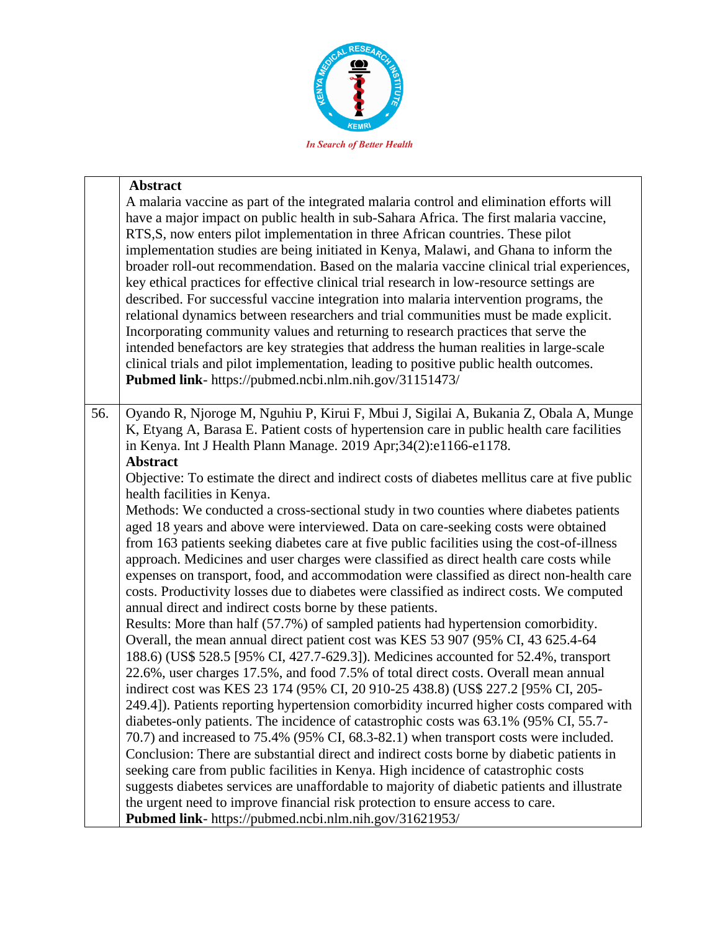

|     | <b>Abstract</b>                                                                                                                                                                                                                                                                                                                                                                                                                                                                                                                                                                                                                                                                                                                                                                                                                                                                                                                                                                                                                                                           |
|-----|---------------------------------------------------------------------------------------------------------------------------------------------------------------------------------------------------------------------------------------------------------------------------------------------------------------------------------------------------------------------------------------------------------------------------------------------------------------------------------------------------------------------------------------------------------------------------------------------------------------------------------------------------------------------------------------------------------------------------------------------------------------------------------------------------------------------------------------------------------------------------------------------------------------------------------------------------------------------------------------------------------------------------------------------------------------------------|
|     | A malaria vaccine as part of the integrated malaria control and elimination efforts will<br>have a major impact on public health in sub-Sahara Africa. The first malaria vaccine,<br>RTS, S, now enters pilot implementation in three African countries. These pilot<br>implementation studies are being initiated in Kenya, Malawi, and Ghana to inform the<br>broader roll-out recommendation. Based on the malaria vaccine clinical trial experiences,<br>key ethical practices for effective clinical trial research in low-resource settings are<br>described. For successful vaccine integration into malaria intervention programs, the<br>relational dynamics between researchers and trial communities must be made explicit.<br>Incorporating community values and returning to research practices that serve the<br>intended benefactors are key strategies that address the human realities in large-scale<br>clinical trials and pilot implementation, leading to positive public health outcomes.<br>Pubmed link- https://pubmed.ncbi.nlm.nih.gov/31151473/ |
| 56. | Oyando R, Njoroge M, Nguhiu P, Kirui F, Mbui J, Sigilai A, Bukania Z, Obala A, Munge                                                                                                                                                                                                                                                                                                                                                                                                                                                                                                                                                                                                                                                                                                                                                                                                                                                                                                                                                                                      |
|     | K, Etyang A, Barasa E. Patient costs of hypertension care in public health care facilities                                                                                                                                                                                                                                                                                                                                                                                                                                                                                                                                                                                                                                                                                                                                                                                                                                                                                                                                                                                |
|     | in Kenya. Int J Health Plann Manage. 2019 Apr;34(2):e1166-e1178.                                                                                                                                                                                                                                                                                                                                                                                                                                                                                                                                                                                                                                                                                                                                                                                                                                                                                                                                                                                                          |
|     | <b>Abstract</b>                                                                                                                                                                                                                                                                                                                                                                                                                                                                                                                                                                                                                                                                                                                                                                                                                                                                                                                                                                                                                                                           |
|     | Objective: To estimate the direct and indirect costs of diabetes mellitus care at five public<br>health facilities in Kenya.                                                                                                                                                                                                                                                                                                                                                                                                                                                                                                                                                                                                                                                                                                                                                                                                                                                                                                                                              |
|     | Methods: We conducted a cross-sectional study in two counties where diabetes patients                                                                                                                                                                                                                                                                                                                                                                                                                                                                                                                                                                                                                                                                                                                                                                                                                                                                                                                                                                                     |
|     | aged 18 years and above were interviewed. Data on care-seeking costs were obtained                                                                                                                                                                                                                                                                                                                                                                                                                                                                                                                                                                                                                                                                                                                                                                                                                                                                                                                                                                                        |
|     | from 163 patients seeking diabetes care at five public facilities using the cost-of-illness                                                                                                                                                                                                                                                                                                                                                                                                                                                                                                                                                                                                                                                                                                                                                                                                                                                                                                                                                                               |
|     | approach. Medicines and user charges were classified as direct health care costs while                                                                                                                                                                                                                                                                                                                                                                                                                                                                                                                                                                                                                                                                                                                                                                                                                                                                                                                                                                                    |
|     | expenses on transport, food, and accommodation were classified as direct non-health care                                                                                                                                                                                                                                                                                                                                                                                                                                                                                                                                                                                                                                                                                                                                                                                                                                                                                                                                                                                  |
|     | costs. Productivity losses due to diabetes were classified as indirect costs. We computed                                                                                                                                                                                                                                                                                                                                                                                                                                                                                                                                                                                                                                                                                                                                                                                                                                                                                                                                                                                 |
|     | annual direct and indirect costs borne by these patients.                                                                                                                                                                                                                                                                                                                                                                                                                                                                                                                                                                                                                                                                                                                                                                                                                                                                                                                                                                                                                 |
|     | Results: More than half (57.7%) of sampled patients had hypertension comorbidity.<br>Overall, the mean annual direct patient cost was KES 53 907 (95% CI, 43 625.4-64                                                                                                                                                                                                                                                                                                                                                                                                                                                                                                                                                                                                                                                                                                                                                                                                                                                                                                     |
|     | 188.6) (US\$ 528.5 [95% CI, 427.7-629.3]). Medicines accounted for 52.4%, transport                                                                                                                                                                                                                                                                                                                                                                                                                                                                                                                                                                                                                                                                                                                                                                                                                                                                                                                                                                                       |
|     | 22.6%, user charges 17.5%, and food 7.5% of total direct costs. Overall mean annual                                                                                                                                                                                                                                                                                                                                                                                                                                                                                                                                                                                                                                                                                                                                                                                                                                                                                                                                                                                       |
|     | indirect cost was KES 23 174 (95% CI, 20 910-25 438.8) (US\$ 227.2 [95% CI, 205-                                                                                                                                                                                                                                                                                                                                                                                                                                                                                                                                                                                                                                                                                                                                                                                                                                                                                                                                                                                          |
|     | 249.4]). Patients reporting hypertension comorbidity incurred higher costs compared with                                                                                                                                                                                                                                                                                                                                                                                                                                                                                                                                                                                                                                                                                                                                                                                                                                                                                                                                                                                  |
|     | diabetes-only patients. The incidence of catastrophic costs was 63.1% (95% CI, 55.7-                                                                                                                                                                                                                                                                                                                                                                                                                                                                                                                                                                                                                                                                                                                                                                                                                                                                                                                                                                                      |
|     | 70.7) and increased to 75.4% (95% CI, 68.3-82.1) when transport costs were included.                                                                                                                                                                                                                                                                                                                                                                                                                                                                                                                                                                                                                                                                                                                                                                                                                                                                                                                                                                                      |
|     | Conclusion: There are substantial direct and indirect costs borne by diabetic patients in                                                                                                                                                                                                                                                                                                                                                                                                                                                                                                                                                                                                                                                                                                                                                                                                                                                                                                                                                                                 |
|     | seeking care from public facilities in Kenya. High incidence of catastrophic costs                                                                                                                                                                                                                                                                                                                                                                                                                                                                                                                                                                                                                                                                                                                                                                                                                                                                                                                                                                                        |
|     | suggests diabetes services are unaffordable to majority of diabetic patients and illustrate                                                                                                                                                                                                                                                                                                                                                                                                                                                                                                                                                                                                                                                                                                                                                                                                                                                                                                                                                                               |
|     | the urgent need to improve financial risk protection to ensure access to care.<br>Pubmed link- https://pubmed.ncbi.nlm.nih.gov/31621953/                                                                                                                                                                                                                                                                                                                                                                                                                                                                                                                                                                                                                                                                                                                                                                                                                                                                                                                                  |
|     |                                                                                                                                                                                                                                                                                                                                                                                                                                                                                                                                                                                                                                                                                                                                                                                                                                                                                                                                                                                                                                                                           |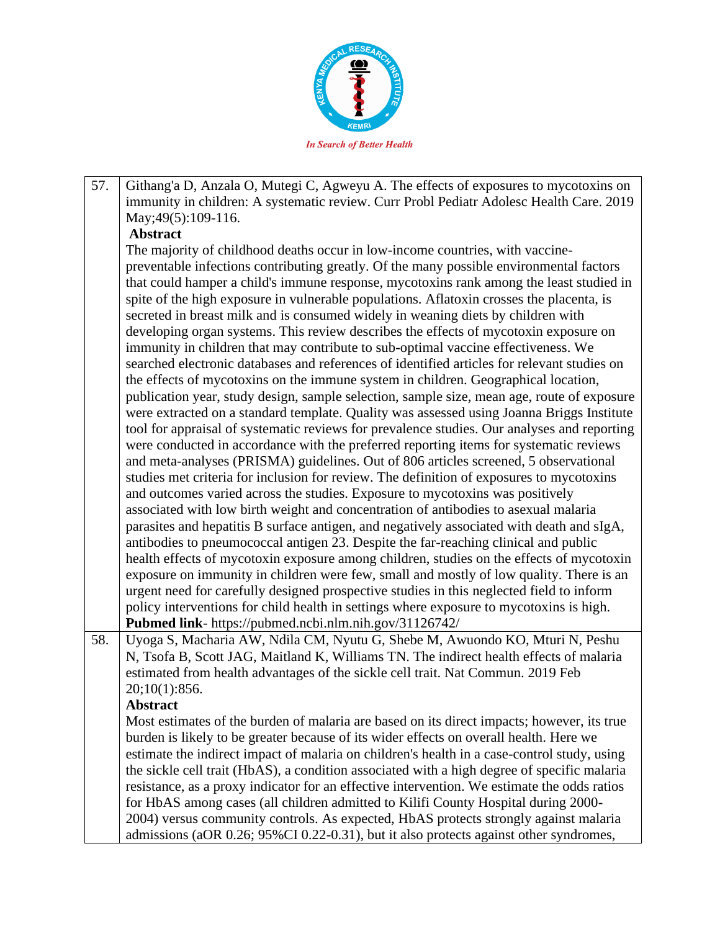

57. Githang'a D, Anzala O, Mutegi C, Agweyu A. The effects of exposures to mycotoxins on immunity in children: A systematic review. Curr Probl Pediatr Adolesc Health Care. 2019 May; 49(5): 109-116.

## **Abstract**

The majority of childhood deaths occur in low-income countries, with vaccinepreventable infections contributing greatly. Of the many possible environmental factors that could hamper a child's immune response, mycotoxins rank among the least studied in spite of the high exposure in vulnerable populations. Aflatoxin crosses the placenta, is secreted in breast milk and is consumed widely in weaning diets by children with developing organ systems. This review describes the effects of mycotoxin exposure on immunity in children that may contribute to sub-optimal vaccine effectiveness. We searched electronic databases and references of identified articles for relevant studies on the effects of mycotoxins on the immune system in children. Geographical location, publication year, study design, sample selection, sample size, mean age, route of exposure were extracted on a standard template. Quality was assessed using Joanna Briggs Institute tool for appraisal of systematic reviews for prevalence studies. Our analyses and reporting were conducted in accordance with the preferred reporting items for systematic reviews and meta-analyses (PRISMA) guidelines. Out of 806 articles screened, 5 observational studies met criteria for inclusion for review. The definition of exposures to mycotoxins and outcomes varied across the studies. Exposure to mycotoxins was positively associated with low birth weight and concentration of antibodies to asexual malaria parasites and hepatitis B surface antigen, and negatively associated with death and sIgA, antibodies to pneumococcal antigen 23. Despite the far-reaching clinical and public health effects of mycotoxin exposure among children, studies on the effects of mycotoxin exposure on immunity in children were few, small and mostly of low quality. There is an urgent need for carefully designed prospective studies in this neglected field to inform policy interventions for child health in settings where exposure to mycotoxins is high. **Pubmed link**- https://pubmed.ncbi.nlm.nih.gov/31126742/

58. Uyoga S, Macharia AW, Ndila CM, Nyutu G, Shebe M, Awuondo KO, Mturi N, Peshu N, Tsofa B, Scott JAG, Maitland K, Williams TN. The indirect health effects of malaria estimated from health advantages of the sickle cell trait. Nat Commun. 2019 Feb 20;10(1):856.

## **Abstract**

Most estimates of the burden of malaria are based on its direct impacts; however, its true burden is likely to be greater because of its wider effects on overall health. Here we estimate the indirect impact of malaria on children's health in a case-control study, using the sickle cell trait (HbAS), a condition associated with a high degree of specific malaria resistance, as a proxy indicator for an effective intervention. We estimate the odds ratios for HbAS among cases (all children admitted to Kilifi County Hospital during 2000- 2004) versus community controls. As expected, HbAS protects strongly against malaria admissions (aOR 0.26; 95%CI 0.22-0.31), but it also protects against other syndromes,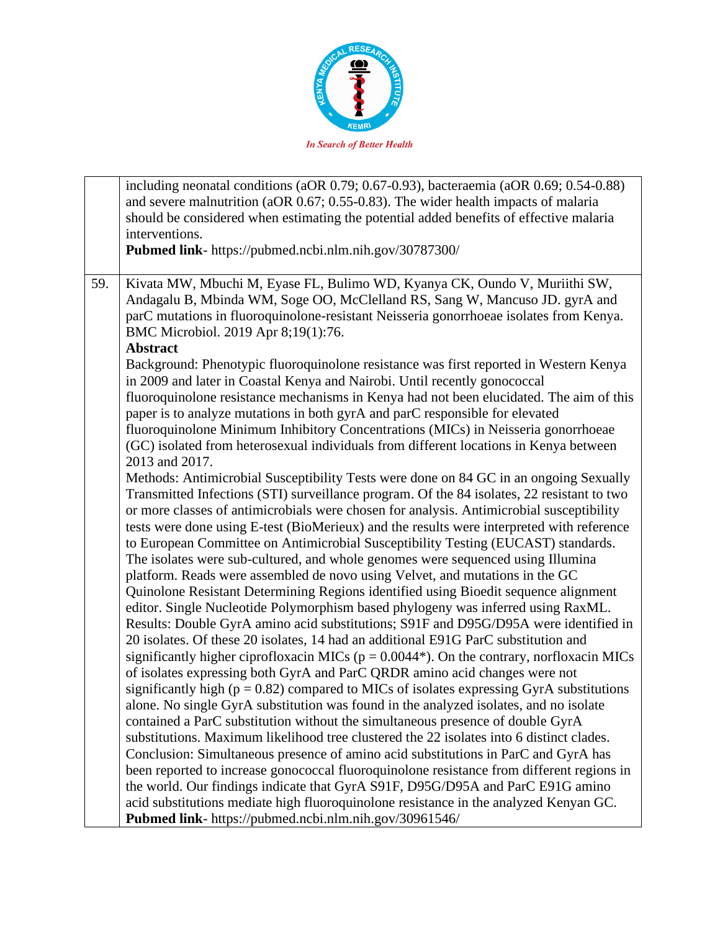

|     | including neonatal conditions (aOR 0.79; 0.67-0.93), bacteraemia (aOR 0.69; 0.54-0.88)<br>and severe malnutrition (aOR 0.67; 0.55-0.83). The wider health impacts of malaria<br>should be considered when estimating the potential added benefits of effective malaria<br>interventions.<br>Pubmed link- https://pubmed.ncbi.nlm.nih.gov/30787300/                                                                                                                                                                                                                                                                                                                                                                                                                                                                                                                                                                                                                                                                                                                                                                                                                                                                                                                                                                                                                                                                                                                                                                                                                                                                                                                                                                                                                                                                                  |
|-----|-------------------------------------------------------------------------------------------------------------------------------------------------------------------------------------------------------------------------------------------------------------------------------------------------------------------------------------------------------------------------------------------------------------------------------------------------------------------------------------------------------------------------------------------------------------------------------------------------------------------------------------------------------------------------------------------------------------------------------------------------------------------------------------------------------------------------------------------------------------------------------------------------------------------------------------------------------------------------------------------------------------------------------------------------------------------------------------------------------------------------------------------------------------------------------------------------------------------------------------------------------------------------------------------------------------------------------------------------------------------------------------------------------------------------------------------------------------------------------------------------------------------------------------------------------------------------------------------------------------------------------------------------------------------------------------------------------------------------------------------------------------------------------------------------------------------------------------|
| 59. | Kivata MW, Mbuchi M, Eyase FL, Bulimo WD, Kyanya CK, Oundo V, Muriithi SW,<br>Andagalu B, Mbinda WM, Soge OO, McClelland RS, Sang W, Mancuso JD. gyrA and<br>parC mutations in fluoroquinolone-resistant Neisseria gonorrhoeae isolates from Kenya.<br>BMC Microbiol. 2019 Apr 8;19(1):76.<br><b>Abstract</b>                                                                                                                                                                                                                                                                                                                                                                                                                                                                                                                                                                                                                                                                                                                                                                                                                                                                                                                                                                                                                                                                                                                                                                                                                                                                                                                                                                                                                                                                                                                       |
|     | Background: Phenotypic fluoroquinolone resistance was first reported in Western Kenya<br>in 2009 and later in Coastal Kenya and Nairobi. Until recently gonococcal<br>fluoroquinolone resistance mechanisms in Kenya had not been elucidated. The aim of this<br>paper is to analyze mutations in both gyrA and parC responsible for elevated<br>fluoroquinolone Minimum Inhibitory Concentrations (MICs) in Neisseria gonorrhoeae<br>(GC) isolated from heterosexual individuals from different locations in Kenya between<br>2013 and 2017.                                                                                                                                                                                                                                                                                                                                                                                                                                                                                                                                                                                                                                                                                                                                                                                                                                                                                                                                                                                                                                                                                                                                                                                                                                                                                       |
|     | Methods: Antimicrobial Susceptibility Tests were done on 84 GC in an ongoing Sexually<br>Transmitted Infections (STI) surveillance program. Of the 84 isolates, 22 resistant to two<br>or more classes of antimicrobials were chosen for analysis. Antimicrobial susceptibility<br>tests were done using E-test (BioMerieux) and the results were interpreted with reference<br>to European Committee on Antimicrobial Susceptibility Testing (EUCAST) standards.<br>The isolates were sub-cultured, and whole genomes were sequenced using Illumina<br>platform. Reads were assembled de novo using Velvet, and mutations in the GC<br>Quinolone Resistant Determining Regions identified using Bioedit sequence alignment<br>editor. Single Nucleotide Polymorphism based phylogeny was inferred using RaxML.<br>Results: Double GyrA amino acid substitutions; S91F and D95G/D95A were identified in<br>20 isolates. Of these 20 isolates, 14 had an additional E91G ParC substitution and<br>significantly higher ciprofloxacin MICs ( $p = 0.0044$ <sup>*</sup> ). On the contrary, norfloxacin MICs<br>of isolates expressing both GyrA and ParC QRDR amino acid changes were not<br>significantly high ( $p = 0.82$ ) compared to MICs of isolates expressing GyrA substitutions<br>alone. No single GyrA substitution was found in the analyzed isolates, and no isolate<br>contained a ParC substitution without the simultaneous presence of double GyrA<br>substitutions. Maximum likelihood tree clustered the 22 isolates into 6 distinct clades.<br>Conclusion: Simultaneous presence of amino acid substitutions in ParC and GyrA has<br>been reported to increase gonococcal fluoroquinolone resistance from different regions in<br>the world. Our findings indicate that GyrA S91F, D95G/D95A and ParC E91G amino |
|     | acid substitutions mediate high fluoroquinolone resistance in the analyzed Kenyan GC.<br>Pubmed link- https://pubmed.ncbi.nlm.nih.gov/30961546/                                                                                                                                                                                                                                                                                                                                                                                                                                                                                                                                                                                                                                                                                                                                                                                                                                                                                                                                                                                                                                                                                                                                                                                                                                                                                                                                                                                                                                                                                                                                                                                                                                                                                     |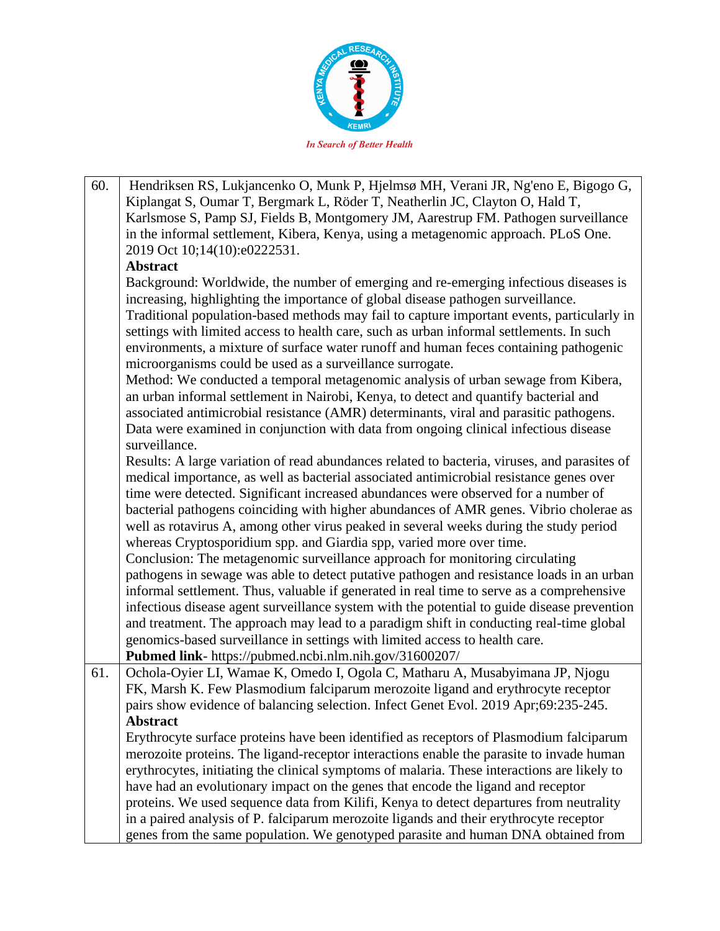

60. Hendriksen RS, Lukjancenko O, Munk P, Hjelmsø MH, Verani JR, Ng'eno E, Bigogo G, Kiplangat S, Oumar T, Bergmark L, Röder T, Neatherlin JC, Clayton O, Hald T, Karlsmose S, Pamp SJ, Fields B, Montgomery JM, Aarestrup FM. Pathogen surveillance in the informal settlement, Kibera, Kenya, using a metagenomic approach. PLoS One. 2019 Oct 10;14(10):e0222531. **Abstract** Background: Worldwide, the number of emerging and re-emerging infectious diseases is increasing, highlighting the importance of global disease pathogen surveillance. Traditional population-based methods may fail to capture important events, particularly in settings with limited access to health care, such as urban informal settlements. In such environments, a mixture of surface water runoff and human feces containing pathogenic microorganisms could be used as a surveillance surrogate. Method: We conducted a temporal metagenomic analysis of urban sewage from Kibera, an urban informal settlement in Nairobi, Kenya, to detect and quantify bacterial and associated antimicrobial resistance (AMR) determinants, viral and parasitic pathogens. Data were examined in conjunction with data from ongoing clinical infectious disease surveillance. Results: A large variation of read abundances related to bacteria, viruses, and parasites of medical importance, as well as bacterial associated antimicrobial resistance genes over time were detected. Significant increased abundances were observed for a number of bacterial pathogens coinciding with higher abundances of AMR genes. Vibrio cholerae as well as rotavirus A, among other virus peaked in several weeks during the study period whereas Cryptosporidium spp. and Giardia spp, varied more over time. Conclusion: The metagenomic surveillance approach for monitoring circulating pathogens in sewage was able to detect putative pathogen and resistance loads in an urban informal settlement. Thus, valuable if generated in real time to serve as a comprehensive infectious disease agent surveillance system with the potential to guide disease prevention and treatment. The approach may lead to a paradigm shift in conducting real-time global genomics-based surveillance in settings with limited access to health care. **Pubmed link**- https://pubmed.ncbi.nlm.nih.gov/31600207/ 61. Ochola-Oyier LI, Wamae K, Omedo I, Ogola C, Matharu A, Musabyimana JP, Njogu FK, Marsh K. Few Plasmodium falciparum merozoite ligand and erythrocyte receptor pairs show evidence of balancing selection. Infect Genet Evol. 2019 Apr;69:235-245. **Abstract** Erythrocyte surface proteins have been identified as receptors of Plasmodium falciparum merozoite proteins. The ligand-receptor interactions enable the parasite to invade human erythrocytes, initiating the clinical symptoms of malaria. These interactions are likely to have had an evolutionary impact on the genes that encode the ligand and receptor proteins. We used sequence data from Kilifi, Kenya to detect departures from neutrality in a paired analysis of P. falciparum merozoite ligands and their erythrocyte receptor genes from the same population. We genotyped parasite and human DNA obtained from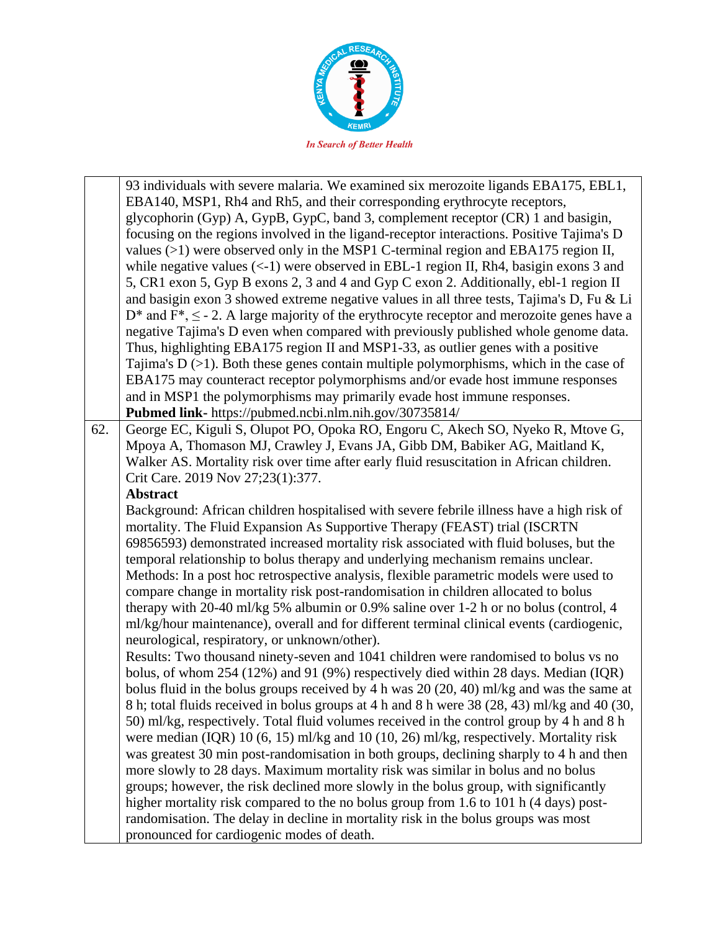

|     | 93 individuals with severe malaria. We examined six merozoite ligands EBA175, EBL1,                   |
|-----|-------------------------------------------------------------------------------------------------------|
|     | EBA140, MSP1, Rh4 and Rh5, and their corresponding erythrocyte receptors,                             |
|     | glycophorin (Gyp) A, GypB, GypC, band 3, complement receptor (CR) 1 and basigin,                      |
|     | focusing on the regions involved in the ligand-receptor interactions. Positive Tajima's D             |
|     | values $(>1)$ were observed only in the MSP1 C-terminal region and EBA175 region II,                  |
|     | while negative values $(<1)$ were observed in EBL-1 region II, Rh4, basigin exons 3 and               |
|     |                                                                                                       |
|     | 5, CR1 exon 5, Gyp B exons 2, 3 and 4 and Gyp C exon 2. Additionally, ebl-1 region II                 |
|     | and basigin exon 3 showed extreme negative values in all three tests, Tajima's D, Fu & Li             |
|     | $D^*$ and $F^*$ , $\leq$ - 2. A large majority of the erythrocyte receptor and merozoite genes have a |
|     | negative Tajima's D even when compared with previously published whole genome data.                   |
|     | Thus, highlighting EBA175 region II and MSP1-33, as outlier genes with a positive                     |
|     | Tajima's $D$ ( $>1$ ). Both these genes contain multiple polymorphisms, which in the case of          |
|     | EBA175 may counteract receptor polymorphisms and/or evade host immune responses                       |
|     | and in MSP1 the polymorphisms may primarily evade host immune responses.                              |
|     | Pubmed link- https://pubmed.ncbi.nlm.nih.gov/30735814/                                                |
| 62. | George EC, Kiguli S, Olupot PO, Opoka RO, Engoru C, Akech SO, Nyeko R, Mtove G,                       |
|     | Mpoya A, Thomason MJ, Crawley J, Evans JA, Gibb DM, Babiker AG, Maitland K,                           |
|     | Walker AS. Mortality risk over time after early fluid resuscitation in African children.              |
|     | Crit Care. 2019 Nov 27;23(1):377.                                                                     |
|     | <b>Abstract</b>                                                                                       |
|     | Background: African children hospitalised with severe febrile illness have a high risk of             |
|     | mortality. The Fluid Expansion As Supportive Therapy (FEAST) trial (ISCRTN                            |
|     | 69856593) demonstrated increased mortality risk associated with fluid boluses, but the                |
|     | temporal relationship to bolus therapy and underlying mechanism remains unclear.                      |
|     | Methods: In a post hoc retrospective analysis, flexible parametric models were used to                |
|     | compare change in mortality risk post-randomisation in children allocated to bolus                    |
|     | therapy with 20-40 ml/kg 5% albumin or 0.9% saline over 1-2 h or no bolus (control, 4                 |
|     | ml/kg/hour maintenance), overall and for different terminal clinical events (cardiogenic,             |
|     | neurological, respiratory, or unknown/other).                                                         |
|     | Results: Two thousand ninety-seven and 1041 children were randomised to bolus vs no                   |
|     | bolus, of whom 254 (12%) and 91 (9%) respectively died within 28 days. Median (IQR)                   |
|     | bolus fluid in the bolus groups received by 4 h was $20(20, 40)$ ml/kg and was the same at            |
|     | 8 h; total fluids received in bolus groups at 4 h and 8 h were 38 (28, 43) ml/kg and 40 (30,          |
|     | 50) ml/kg, respectively. Total fluid volumes received in the control group by 4 h and 8 h             |
|     | were median (IQR) $10(6, 15)$ ml/kg and $10(10, 26)$ ml/kg, respectively. Mortality risk              |
|     | was greatest 30 min post-randomisation in both groups, declining sharply to 4 h and then              |
|     | more slowly to 28 days. Maximum mortality risk was similar in bolus and no bolus                      |
|     | groups; however, the risk declined more slowly in the bolus group, with significantly                 |
|     | higher mortality risk compared to the no bolus group from 1.6 to 101 h (4 days) post-                 |
|     | randomisation. The delay in decline in mortality risk in the bolus groups was most                    |
|     | pronounced for cardiogenic modes of death.                                                            |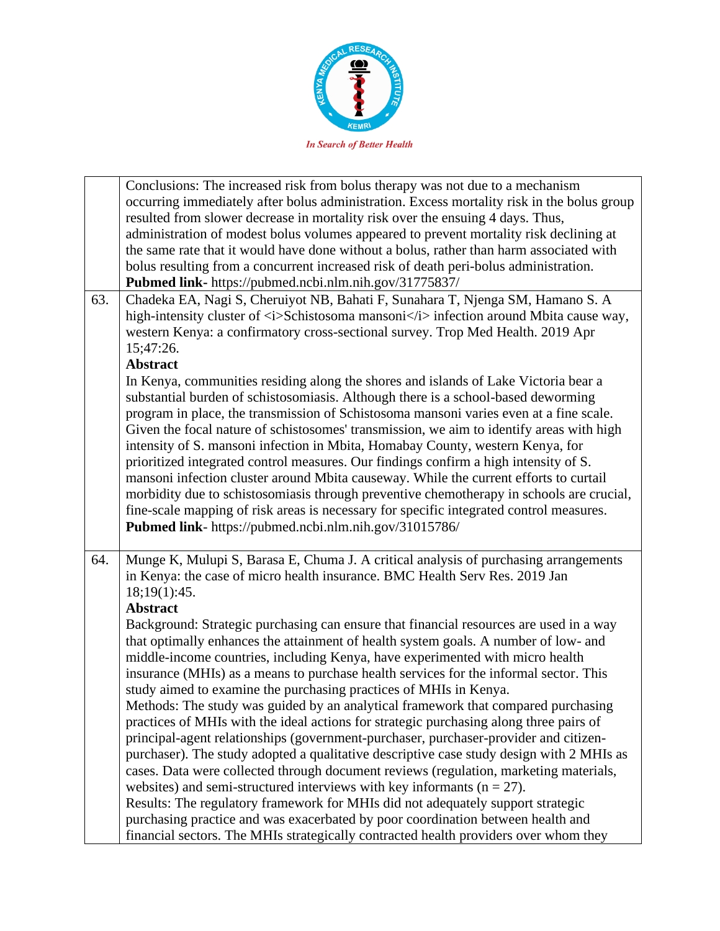

|     | Conclusions: The increased risk from bolus therapy was not due to a mechanism                                                                                           |
|-----|-------------------------------------------------------------------------------------------------------------------------------------------------------------------------|
|     | occurring immediately after bolus administration. Excess mortality risk in the bolus group                                                                              |
|     | resulted from slower decrease in mortality risk over the ensuing 4 days. Thus,                                                                                          |
|     | administration of modest bolus volumes appeared to prevent mortality risk declining at                                                                                  |
|     | the same rate that it would have done without a bolus, rather than harm associated with                                                                                 |
|     | bolus resulting from a concurrent increased risk of death peri-bolus administration.                                                                                    |
|     | Pubmed link- https://pubmed.ncbi.nlm.nih.gov/31775837/                                                                                                                  |
| 63. | Chadeka EA, Nagi S, Cheruiyot NB, Bahati F, Sunahara T, Njenga SM, Hamano S. A                                                                                          |
|     | high-intensity cluster of <i>Schistosoma mansoni</i> infection around Mbita cause way,                                                                                  |
|     | western Kenya: a confirmatory cross-sectional survey. Trop Med Health. 2019 Apr                                                                                         |
|     | 15;47:26.                                                                                                                                                               |
|     | <b>Abstract</b>                                                                                                                                                         |
|     | In Kenya, communities residing along the shores and islands of Lake Victoria bear a                                                                                     |
|     | substantial burden of schistosomiasis. Although there is a school-based deworming                                                                                       |
|     | program in place, the transmission of Schistosoma mansoni varies even at a fine scale.                                                                                  |
|     | Given the focal nature of schistosomes' transmission, we aim to identify areas with high                                                                                |
|     | intensity of S. mansoni infection in Mbita, Homabay County, western Kenya, for                                                                                          |
|     | prioritized integrated control measures. Our findings confirm a high intensity of S.                                                                                    |
|     |                                                                                                                                                                         |
|     | mansoni infection cluster around Mbita causeway. While the current efforts to curtail                                                                                   |
|     | morbidity due to schistosomiasis through preventive chemotherapy in schools are crucial,                                                                                |
|     | fine-scale mapping of risk areas is necessary for specific integrated control measures.                                                                                 |
|     | Pubmed link- https://pubmed.ncbi.nlm.nih.gov/31015786/                                                                                                                  |
| 64. | Munge K, Mulupi S, Barasa E, Chuma J. A critical analysis of purchasing arrangements                                                                                    |
|     | in Kenya: the case of micro health insurance. BMC Health Serv Res. 2019 Jan                                                                                             |
|     | 18;19(1):45.                                                                                                                                                            |
|     | <b>Abstract</b>                                                                                                                                                         |
|     | Background: Strategic purchasing can ensure that financial resources are used in a way                                                                                  |
|     | that optimally enhances the attainment of health system goals. A number of low- and                                                                                     |
|     | middle-income countries, including Kenya, have experimented with micro health                                                                                           |
|     | insurance (MHIs) as a means to purchase health services for the informal sector. This                                                                                   |
|     | study aimed to examine the purchasing practices of MHIs in Kenya.                                                                                                       |
|     | Methods: The study was guided by an analytical framework that compared purchasing                                                                                       |
|     | practices of MHIs with the ideal actions for strategic purchasing along three pairs of                                                                                  |
|     | principal-agent relationships (government-purchaser, purchaser-provider and citizen-                                                                                    |
|     | purchaser). The study adopted a qualitative descriptive case study design with 2 MHIs as                                                                                |
|     | cases. Data were collected through document reviews (regulation, marketing materials,                                                                                   |
|     |                                                                                                                                                                         |
|     | websites) and semi-structured interviews with key informants ( $n = 27$ ).                                                                                              |
|     | Results: The regulatory framework for MHIs did not adequately support strategic                                                                                         |
|     |                                                                                                                                                                         |
|     | purchasing practice and was exacerbated by poor coordination between health and<br>financial sectors. The MHIs strategically contracted health providers over whom they |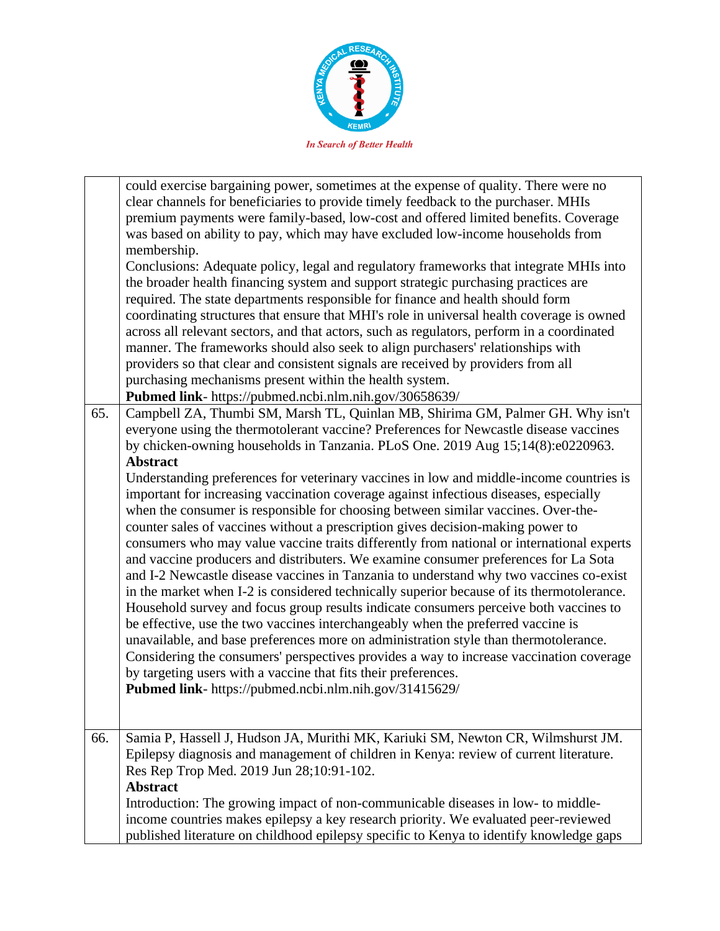

| 65. | could exercise bargaining power, sometimes at the expense of quality. There were no<br>clear channels for beneficiaries to provide timely feedback to the purchaser. MHIs<br>premium payments were family-based, low-cost and offered limited benefits. Coverage<br>was based on ability to pay, which may have excluded low-income households from<br>membership.<br>Conclusions: Adequate policy, legal and regulatory frameworks that integrate MHIs into<br>the broader health financing system and support strategic purchasing practices are<br>required. The state departments responsible for finance and health should form<br>coordinating structures that ensure that MHI's role in universal health coverage is owned<br>across all relevant sectors, and that actors, such as regulators, perform in a coordinated<br>manner. The frameworks should also seek to align purchasers' relationships with<br>providers so that clear and consistent signals are received by providers from all<br>purchasing mechanisms present within the health system.<br>Pubmed link- https://pubmed.ncbi.nlm.nih.gov/30658639/<br>Campbell ZA, Thumbi SM, Marsh TL, Quinlan MB, Shirima GM, Palmer GH. Why isn't<br>everyone using the thermotolerant vaccine? Preferences for Newcastle disease vaccines<br>by chicken-owning households in Tanzania. PLoS One. 2019 Aug 15;14(8):e0220963.<br><b>Abstract</b><br>Understanding preferences for veterinary vaccines in low and middle-income countries is<br>important for increasing vaccination coverage against infectious diseases, especially<br>when the consumer is responsible for choosing between similar vaccines. Over-the-<br>counter sales of vaccines without a prescription gives decision-making power to<br>consumers who may value vaccine traits differently from national or international experts<br>and vaccine producers and distributers. We examine consumer preferences for La Sota<br>and I-2 Newcastle disease vaccines in Tanzania to understand why two vaccines co-exist<br>in the market when I-2 is considered technically superior because of its thermotolerance.<br>Household survey and focus group results indicate consumers perceive both vaccines to<br>be effective, use the two vaccines interchangeably when the preferred vaccine is<br>unavailable, and base preferences more on administration style than thermotolerance.<br>Considering the consumers' perspectives provides a way to increase vaccination coverage<br>by targeting users with a vaccine that fits their preferences.<br>Pubmed link- https://pubmed.ncbi.nlm.nih.gov/31415629/ |
|-----|--------------------------------------------------------------------------------------------------------------------------------------------------------------------------------------------------------------------------------------------------------------------------------------------------------------------------------------------------------------------------------------------------------------------------------------------------------------------------------------------------------------------------------------------------------------------------------------------------------------------------------------------------------------------------------------------------------------------------------------------------------------------------------------------------------------------------------------------------------------------------------------------------------------------------------------------------------------------------------------------------------------------------------------------------------------------------------------------------------------------------------------------------------------------------------------------------------------------------------------------------------------------------------------------------------------------------------------------------------------------------------------------------------------------------------------------------------------------------------------------------------------------------------------------------------------------------------------------------------------------------------------------------------------------------------------------------------------------------------------------------------------------------------------------------------------------------------------------------------------------------------------------------------------------------------------------------------------------------------------------------------------------------------------------------------------------------------------------------------------------------------------------------------------------------------------------------------------------------------------------------------------------------------------------------------------------------------------------------------------------------------------------------------------------------------------------------------------------------------------------------------------------------------------------------------------------------------------------------------------------------------------------------|
|     |                                                                                                                                                                                                                                                                                                                                                                                                                                                                                                                                                                                                                                                                                                                                                                                                                                                                                                                                                                                                                                                                                                                                                                                                                                                                                                                                                                                                                                                                                                                                                                                                                                                                                                                                                                                                                                                                                                                                                                                                                                                                                                                                                                                                                                                                                                                                                                                                                                                                                                                                                                                                                                                  |
| 66. | Samia P, Hassell J, Hudson JA, Murithi MK, Kariuki SM, Newton CR, Wilmshurst JM.<br>Epilepsy diagnosis and management of children in Kenya: review of current literature.<br>Res Rep Trop Med. 2019 Jun 28;10:91-102.<br><b>Abstract</b><br>Introduction: The growing impact of non-communicable diseases in low- to middle-<br>income countries makes epilepsy a key research priority. We evaluated peer-reviewed                                                                                                                                                                                                                                                                                                                                                                                                                                                                                                                                                                                                                                                                                                                                                                                                                                                                                                                                                                                                                                                                                                                                                                                                                                                                                                                                                                                                                                                                                                                                                                                                                                                                                                                                                                                                                                                                                                                                                                                                                                                                                                                                                                                                                              |
|     | published literature on childhood epilepsy specific to Kenya to identify knowledge gaps                                                                                                                                                                                                                                                                                                                                                                                                                                                                                                                                                                                                                                                                                                                                                                                                                                                                                                                                                                                                                                                                                                                                                                                                                                                                                                                                                                                                                                                                                                                                                                                                                                                                                                                                                                                                                                                                                                                                                                                                                                                                                                                                                                                                                                                                                                                                                                                                                                                                                                                                                          |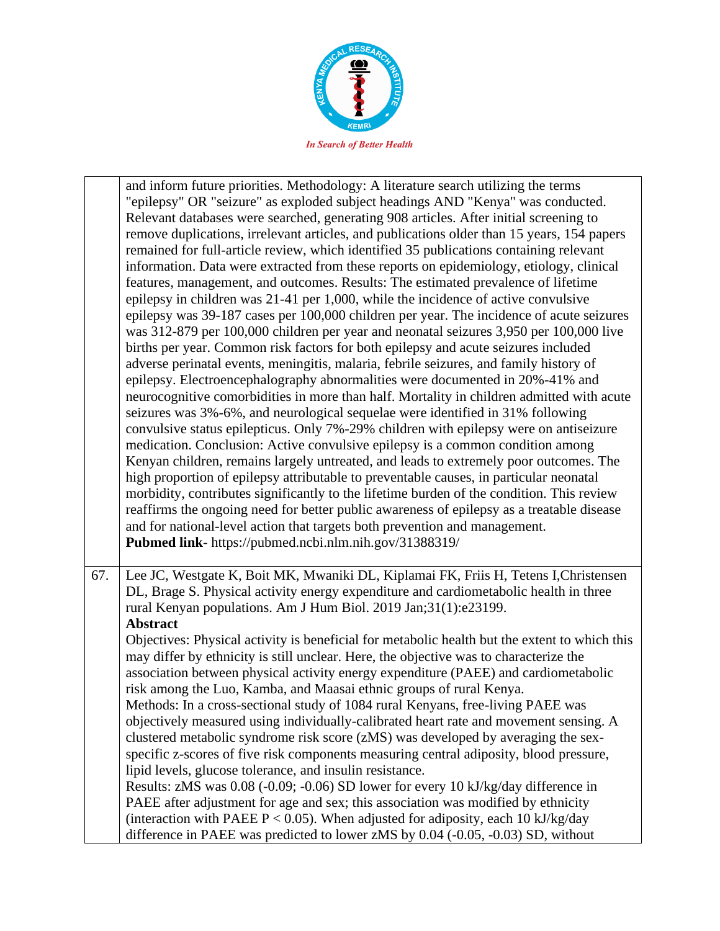

and inform future priorities. Methodology: A literature search utilizing the terms "epilepsy" OR "seizure" as exploded subject headings AND "Kenya" was conducted. Relevant databases were searched, generating 908 articles. After initial screening to remove duplications, irrelevant articles, and publications older than 15 years, 154 papers remained for full-article review, which identified 35 publications containing relevant information. Data were extracted from these reports on epidemiology, etiology, clinical features, management, and outcomes. Results: The estimated prevalence of lifetime epilepsy in children was 21-41 per 1,000, while the incidence of active convulsive epilepsy was 39-187 cases per 100,000 children per year. The incidence of acute seizures was 312-879 per 100,000 children per year and neonatal seizures 3,950 per 100,000 live births per year. Common risk factors for both epilepsy and acute seizures included adverse perinatal events, meningitis, malaria, febrile seizures, and family history of epilepsy. Electroencephalography abnormalities were documented in 20%-41% and neurocognitive comorbidities in more than half. Mortality in children admitted with acute seizures was 3%-6%, and neurological sequelae were identified in 31% following convulsive status epilepticus. Only 7%-29% children with epilepsy were on antiseizure medication. Conclusion: Active convulsive epilepsy is a common condition among Kenyan children, remains largely untreated, and leads to extremely poor outcomes. The high proportion of epilepsy attributable to preventable causes, in particular neonatal morbidity, contributes significantly to the lifetime burden of the condition. This review reaffirms the ongoing need for better public awareness of epilepsy as a treatable disease and for national-level action that targets both prevention and management. **Pubmed link**- https://pubmed.ncbi.nlm.nih.gov/31388319/ 67. Lee JC, Westgate K, Boit MK, Mwaniki DL, Kiplamai FK, Friis H, Tetens I,Christensen DL, Brage S. Physical activity energy expenditure and cardiometabolic health in three rural Kenyan populations. Am J Hum Biol. 2019 Jan;31(1):e23199. **Abstract** Objectives: Physical activity is beneficial for metabolic health but the extent to which this may differ by ethnicity is still unclear. Here, the objective was to characterize the association between physical activity energy expenditure (PAEE) and cardiometabolic risk among the Luo, Kamba, and Maasai ethnic groups of rural Kenya. Methods: In a cross-sectional study of 1084 rural Kenyans, free-living PAEE was objectively measured using individually-calibrated heart rate and movement sensing. A clustered metabolic syndrome risk score (zMS) was developed by averaging the sexspecific z-scores of five risk components measuring central adiposity, blood pressure, lipid levels, glucose tolerance, and insulin resistance. Results: zMS was 0.08 (-0.09; -0.06) SD lower for every 10 kJ/kg/day difference in

PAEE after adjustment for age and sex; this association was modified by ethnicity (interaction with PAEE  $P < 0.05$ ). When adjusted for adiposity, each 10 kJ/kg/day difference in PAEE was predicted to lower zMS by 0.04 (-0.05, -0.03) SD, without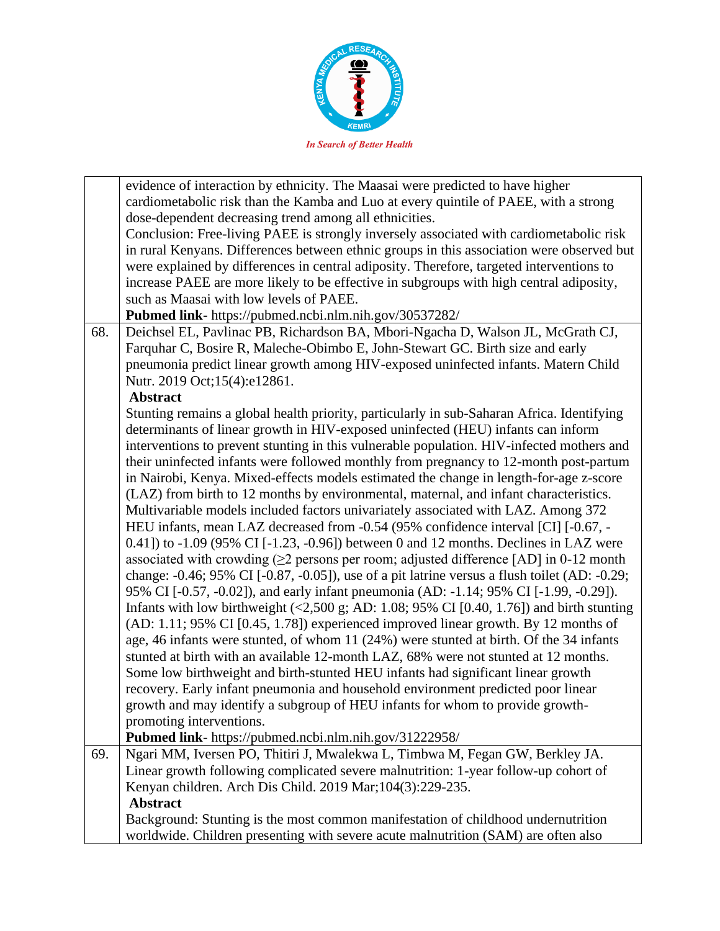

|     | evidence of interaction by ethnicity. The Maasai were predicted to have higher                                          |
|-----|-------------------------------------------------------------------------------------------------------------------------|
|     | cardiometabolic risk than the Kamba and Luo at every quintile of PAEE, with a strong                                    |
|     | dose-dependent decreasing trend among all ethnicities.                                                                  |
|     | Conclusion: Free-living PAEE is strongly inversely associated with cardiometabolic risk                                 |
|     | in rural Kenyans. Differences between ethnic groups in this association were observed but                               |
|     | were explained by differences in central adiposity. Therefore, targeted interventions to                                |
|     | increase PAEE are more likely to be effective in subgroups with high central adiposity,                                 |
|     | such as Maasai with low levels of PAEE.                                                                                 |
|     | Pubmed link- https://pubmed.ncbi.nlm.nih.gov/30537282/                                                                  |
| 68. | Deichsel EL, Pavlinac PB, Richardson BA, Mbori-Ngacha D, Walson JL, McGrath CJ,                                         |
|     | Farquhar C, Bosire R, Maleche-Obimbo E, John-Stewart GC. Birth size and early                                           |
|     | pneumonia predict linear growth among HIV-exposed uninfected infants. Matern Child                                      |
|     | Nutr. 2019 Oct;15(4):e12861.                                                                                            |
|     | <b>Abstract</b>                                                                                                         |
|     | Stunting remains a global health priority, particularly in sub-Saharan Africa. Identifying                              |
|     | determinants of linear growth in HIV-exposed uninfected (HEU) infants can inform                                        |
|     | interventions to prevent stunting in this vulnerable population. HIV-infected mothers and                               |
|     | their uninfected infants were followed monthly from pregnancy to 12-month post-partum                                   |
|     | in Nairobi, Kenya. Mixed-effects models estimated the change in length-for-age z-score                                  |
|     | (LAZ) from birth to 12 months by environmental, maternal, and infant characteristics.                                   |
|     | Multivariable models included factors univariately associated with LAZ. Among 372                                       |
|     | HEU infants, mean LAZ decreased from -0.54 (95% confidence interval [CI] [-0.67, -                                      |
|     | 0.41]) to $-1.09$ (95% CI [ $-1.23$ , $-0.96$ ]) between 0 and 12 months. Declines in LAZ were                          |
|     | associated with crowding $(≥2$ persons per room; adjusted difference [AD] in 0-12 month                                 |
|     |                                                                                                                         |
|     | change: $-0.46$ ; 95% CI $[-0.87, -0.05]$ , use of a pit latrine versus a flush toilet (AD: $-0.29$ ;                   |
|     | 95% CI [-0.57, -0.02]), and early infant pneumonia (AD: -1.14; 95% CI [-1.99, -0.29]).                                  |
|     | Infants with low birthweight $(\leq 2,500 \text{ g}; \text{AD}: 1.08; 95\% \text{ CI} [0.40, 1.76])$ and birth stunting |
|     | (AD: 1.11; 95% CI [0.45, 1.78]) experienced improved linear growth. By 12 months of                                     |
|     | age, 46 infants were stunted, of whom 11 (24%) were stunted at birth. Of the 34 infants                                 |
|     | stunted at birth with an available 12-month LAZ, 68% were not stunted at 12 months.                                     |
|     | Some low birthweight and birth-stunted HEU infants had significant linear growth                                        |
|     | recovery. Early infant pneumonia and household environment predicted poor linear                                        |
|     | growth and may identify a subgroup of HEU infants for whom to provide growth-                                           |
|     | promoting interventions.                                                                                                |
|     | Pubmed link- https://pubmed.ncbi.nlm.nih.gov/31222958/                                                                  |
| 69. | Ngari MM, Iversen PO, Thitiri J, Mwalekwa L, Timbwa M, Fegan GW, Berkley JA.                                            |
|     | Linear growth following complicated severe malnutrition: 1-year follow-up cohort of                                     |
|     | Kenyan children. Arch Dis Child. 2019 Mar; 104(3):229-235.                                                              |
|     | <b>Abstract</b>                                                                                                         |
|     | Background: Stunting is the most common manifestation of childhood undernutrition                                       |
|     | worldwide. Children presenting with severe acute malnutrition (SAM) are often also                                      |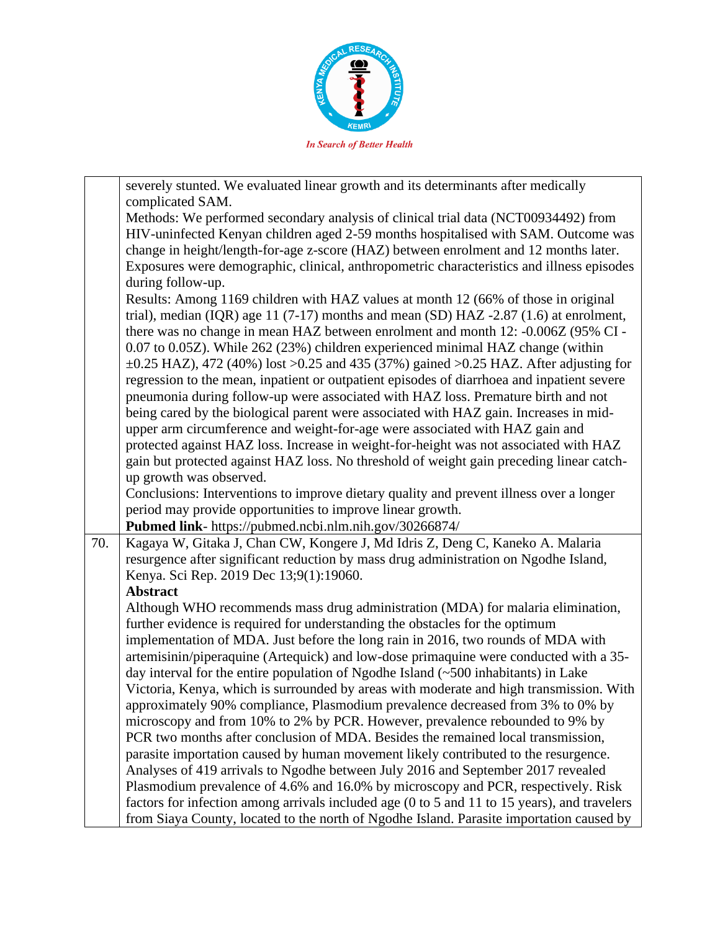

|     | severely stunted. We evaluated linear growth and its determinants after medically            |
|-----|----------------------------------------------------------------------------------------------|
|     | complicated SAM.                                                                             |
|     | Methods: We performed secondary analysis of clinical trial data (NCT00934492) from           |
|     | HIV-uninfected Kenyan children aged 2-59 months hospitalised with SAM. Outcome was           |
|     | change in height/length-for-age z-score (HAZ) between enrolment and 12 months later.         |
|     | Exposures were demographic, clinical, anthropometric characteristics and illness episodes    |
|     | during follow-up.                                                                            |
|     | Results: Among 1169 children with HAZ values at month 12 (66% of those in original           |
|     | trial), median (IQR) age 11 (7-17) months and mean (SD) HAZ -2.87 (1.6) at enrolment,        |
|     | there was no change in mean HAZ between enrolment and month 12: -0.006Z (95% CI -            |
|     | 0.07 to 0.05Z). While 262 (23%) children experienced minimal HAZ change (within              |
|     | $\pm 0.25$ HAZ), 472 (40%) lost >0.25 and 435 (37%) gained >0.25 HAZ. After adjusting for    |
|     | regression to the mean, inpatient or outpatient episodes of diarrhoea and inpatient severe   |
|     | pneumonia during follow-up were associated with HAZ loss. Premature birth and not            |
|     | being cared by the biological parent were associated with HAZ gain. Increases in mid-        |
|     | upper arm circumference and weight-for-age were associated with HAZ gain and                 |
|     | protected against HAZ loss. Increase in weight-for-height was not associated with HAZ        |
|     | gain but protected against HAZ loss. No threshold of weight gain preceding linear catch-     |
|     | up growth was observed.                                                                      |
|     | Conclusions: Interventions to improve dietary quality and prevent illness over a longer      |
|     | period may provide opportunities to improve linear growth.                                   |
|     | Pubmed link- https://pubmed.ncbi.nlm.nih.gov/30266874/                                       |
| 70. | Kagaya W, Gitaka J, Chan CW, Kongere J, Md Idris Z, Deng C, Kaneko A. Malaria                |
|     | resurgence after significant reduction by mass drug administration on Ngodhe Island,         |
|     | Kenya. Sci Rep. 2019 Dec 13;9(1):19060.                                                      |
|     | <b>Abstract</b>                                                                              |
|     | Although WHO recommends mass drug administration (MDA) for malaria elimination,              |
|     | further evidence is required for understanding the obstacles for the optimum                 |
|     | implementation of MDA. Just before the long rain in 2016, two rounds of MDA with             |
|     | artemisinin/piperaquine (Artequick) and low-dose primaquine were conducted with a 35-        |
|     | day interval for the entire population of Ngodhe Island $(\sim 500$ inhabitants) in Lake     |
|     | Victoria, Kenya, which is surrounded by areas with moderate and high transmission. With      |
|     | approximately 90% compliance, Plasmodium prevalence decreased from 3% to 0% by               |
|     | microscopy and from 10% to 2% by PCR. However, prevalence rebounded to 9% by                 |
|     | PCR two months after conclusion of MDA. Besides the remained local transmission,             |
|     | parasite importation caused by human movement likely contributed to the resurgence.          |
|     | Analyses of 419 arrivals to Ngodhe between July 2016 and September 2017 revealed             |
|     | Plasmodium prevalence of 4.6% and 16.0% by microscopy and PCR, respectively. Risk            |
|     | factors for infection among arrivals included age (0 to 5 and 11 to 15 years), and travelers |
|     |                                                                                              |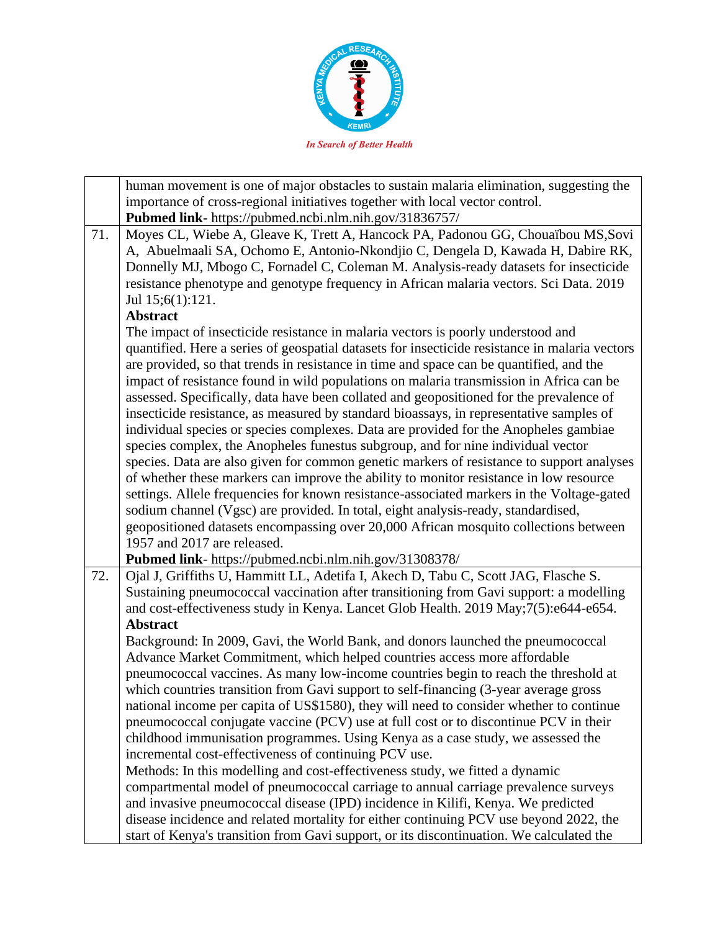

|     | human movement is one of major obstacles to sustain malaria elimination, suggesting the                                                                                                                                                                                                                                                                                                                                                                                                                                                                                                                                                                                                                                                                                                                                                                                                                                                                                                                                                                                                                                                                                                                                                                                                              |
|-----|------------------------------------------------------------------------------------------------------------------------------------------------------------------------------------------------------------------------------------------------------------------------------------------------------------------------------------------------------------------------------------------------------------------------------------------------------------------------------------------------------------------------------------------------------------------------------------------------------------------------------------------------------------------------------------------------------------------------------------------------------------------------------------------------------------------------------------------------------------------------------------------------------------------------------------------------------------------------------------------------------------------------------------------------------------------------------------------------------------------------------------------------------------------------------------------------------------------------------------------------------------------------------------------------------|
|     | importance of cross-regional initiatives together with local vector control.                                                                                                                                                                                                                                                                                                                                                                                                                                                                                                                                                                                                                                                                                                                                                                                                                                                                                                                                                                                                                                                                                                                                                                                                                         |
|     | Pubmed link- https://pubmed.ncbi.nlm.nih.gov/31836757/                                                                                                                                                                                                                                                                                                                                                                                                                                                                                                                                                                                                                                                                                                                                                                                                                                                                                                                                                                                                                                                                                                                                                                                                                                               |
| 71. | Moyes CL, Wiebe A, Gleave K, Trett A, Hancock PA, Padonou GG, Chouaïbou MS, Sovi<br>A, Abuelmaali SA, Ochomo E, Antonio-Nkondjio C, Dengela D, Kawada H, Dabire RK,<br>Donnelly MJ, Mbogo C, Fornadel C, Coleman M. Analysis-ready datasets for insecticide<br>resistance phenotype and genotype frequency in African malaria vectors. Sci Data. 2019<br>Jul 15;6(1):121.                                                                                                                                                                                                                                                                                                                                                                                                                                                                                                                                                                                                                                                                                                                                                                                                                                                                                                                            |
|     | <b>Abstract</b>                                                                                                                                                                                                                                                                                                                                                                                                                                                                                                                                                                                                                                                                                                                                                                                                                                                                                                                                                                                                                                                                                                                                                                                                                                                                                      |
|     | The impact of insecticide resistance in malaria vectors is poorly understood and<br>quantified. Here a series of geospatial datasets for insecticide resistance in malaria vectors<br>are provided, so that trends in resistance in time and space can be quantified, and the<br>impact of resistance found in wild populations on malaria transmission in Africa can be<br>assessed. Specifically, data have been collated and geopositioned for the prevalence of<br>insecticide resistance, as measured by standard bioassays, in representative samples of<br>individual species or species complexes. Data are provided for the Anopheles gambiae<br>species complex, the Anopheles funestus subgroup, and for nine individual vector<br>species. Data are also given for common genetic markers of resistance to support analyses<br>of whether these markers can improve the ability to monitor resistance in low resource<br>settings. Allele frequencies for known resistance-associated markers in the Voltage-gated<br>sodium channel (Vgsc) are provided. In total, eight analysis-ready, standardised,<br>geopositioned datasets encompassing over 20,000 African mosquito collections between<br>1957 and 2017 are released.<br>Pubmed link- https://pubmed.ncbi.nlm.nih.gov/31308378/ |
| 72. | Ojal J, Griffiths U, Hammitt LL, Adetifa I, Akech D, Tabu C, Scott JAG, Flasche S.                                                                                                                                                                                                                                                                                                                                                                                                                                                                                                                                                                                                                                                                                                                                                                                                                                                                                                                                                                                                                                                                                                                                                                                                                   |
|     | Sustaining pneumococcal vaccination after transitioning from Gavi support: a modelling<br>and cost-effectiveness study in Kenya. Lancet Glob Health. 2019 May;7(5):e644-e654.<br><b>Abstract</b>                                                                                                                                                                                                                                                                                                                                                                                                                                                                                                                                                                                                                                                                                                                                                                                                                                                                                                                                                                                                                                                                                                     |
|     | Background: In 2009, Gavi, the World Bank, and donors launched the pneumococcal                                                                                                                                                                                                                                                                                                                                                                                                                                                                                                                                                                                                                                                                                                                                                                                                                                                                                                                                                                                                                                                                                                                                                                                                                      |
|     | Advance Market Commitment, which helped countries access more affordable                                                                                                                                                                                                                                                                                                                                                                                                                                                                                                                                                                                                                                                                                                                                                                                                                                                                                                                                                                                                                                                                                                                                                                                                                             |
|     | pneumococcal vaccines. As many low-income countries begin to reach the threshold at                                                                                                                                                                                                                                                                                                                                                                                                                                                                                                                                                                                                                                                                                                                                                                                                                                                                                                                                                                                                                                                                                                                                                                                                                  |
|     | which countries transition from Gavi support to self-financing (3-year average gross                                                                                                                                                                                                                                                                                                                                                                                                                                                                                                                                                                                                                                                                                                                                                                                                                                                                                                                                                                                                                                                                                                                                                                                                                 |
|     | national income per capita of US\$1580), they will need to consider whether to continue                                                                                                                                                                                                                                                                                                                                                                                                                                                                                                                                                                                                                                                                                                                                                                                                                                                                                                                                                                                                                                                                                                                                                                                                              |
|     | pneumococcal conjugate vaccine (PCV) use at full cost or to discontinue PCV in their<br>childhood immunisation programmes. Using Kenya as a case study, we assessed the                                                                                                                                                                                                                                                                                                                                                                                                                                                                                                                                                                                                                                                                                                                                                                                                                                                                                                                                                                                                                                                                                                                              |
|     | incremental cost-effectiveness of continuing PCV use.                                                                                                                                                                                                                                                                                                                                                                                                                                                                                                                                                                                                                                                                                                                                                                                                                                                                                                                                                                                                                                                                                                                                                                                                                                                |
|     | Methods: In this modelling and cost-effectiveness study, we fitted a dynamic                                                                                                                                                                                                                                                                                                                                                                                                                                                                                                                                                                                                                                                                                                                                                                                                                                                                                                                                                                                                                                                                                                                                                                                                                         |
|     | compartmental model of pneumococcal carriage to annual carriage prevalence surveys                                                                                                                                                                                                                                                                                                                                                                                                                                                                                                                                                                                                                                                                                                                                                                                                                                                                                                                                                                                                                                                                                                                                                                                                                   |
|     | and invasive pneumococcal disease (IPD) incidence in Kilifi, Kenya. We predicted                                                                                                                                                                                                                                                                                                                                                                                                                                                                                                                                                                                                                                                                                                                                                                                                                                                                                                                                                                                                                                                                                                                                                                                                                     |
|     | disease incidence and related mortality for either continuing PCV use beyond 2022, the                                                                                                                                                                                                                                                                                                                                                                                                                                                                                                                                                                                                                                                                                                                                                                                                                                                                                                                                                                                                                                                                                                                                                                                                               |
|     | start of Kenya's transition from Gavi support, or its discontinuation. We calculated the                                                                                                                                                                                                                                                                                                                                                                                                                                                                                                                                                                                                                                                                                                                                                                                                                                                                                                                                                                                                                                                                                                                                                                                                             |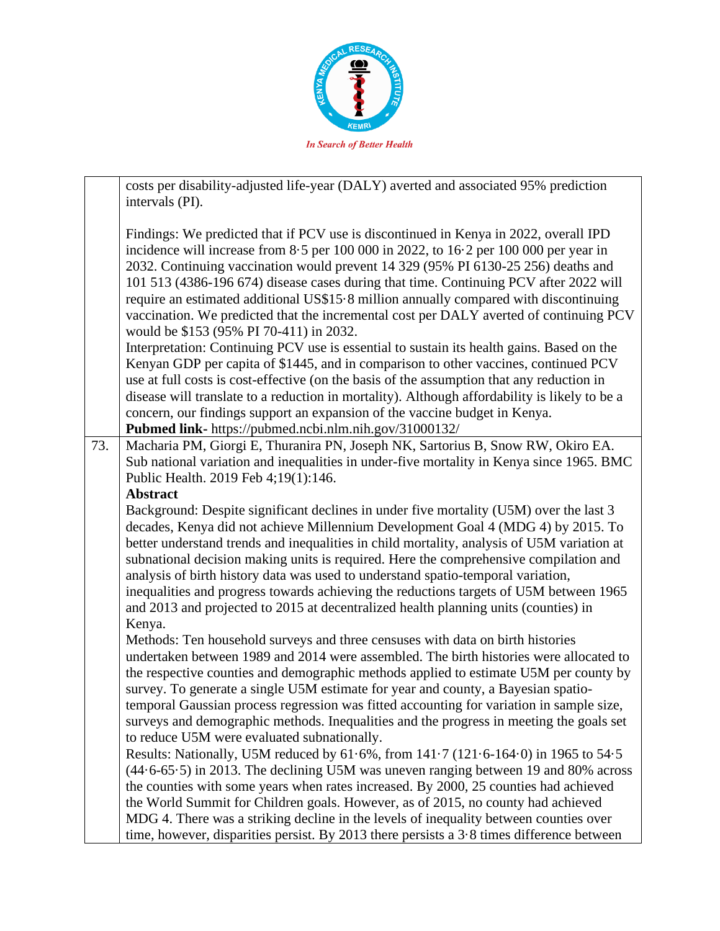

|     | costs per disability-adjusted life-year (DALY) averted and associated 95% prediction                                                                                                                                                                                                                                                                                                                                                                                                                                                                                                                                                                                                   |
|-----|----------------------------------------------------------------------------------------------------------------------------------------------------------------------------------------------------------------------------------------------------------------------------------------------------------------------------------------------------------------------------------------------------------------------------------------------------------------------------------------------------------------------------------------------------------------------------------------------------------------------------------------------------------------------------------------|
|     | intervals (PI).                                                                                                                                                                                                                                                                                                                                                                                                                                                                                                                                                                                                                                                                        |
|     | Findings: We predicted that if PCV use is discontinued in Kenya in 2022, overall IPD<br>incidence will increase from 8.5 per 100 000 in 2022, to 16.2 per 100 000 per year in<br>2032. Continuing vaccination would prevent 14 329 (95% PI 6130-25 256) deaths and<br>101 513 (4386-196 674) disease cases during that time. Continuing PCV after 2022 will<br>require an estimated additional US\$15.8 million annually compared with discontinuing<br>vaccination. We predicted that the incremental cost per DALY averted of continuing PCV<br>would be \$153 (95% PI 70-411) in 2032.<br>Interpretation: Continuing PCV use is essential to sustain its health gains. Based on the |
|     | Kenyan GDP per capita of \$1445, and in comparison to other vaccines, continued PCV                                                                                                                                                                                                                                                                                                                                                                                                                                                                                                                                                                                                    |
|     | use at full costs is cost-effective (on the basis of the assumption that any reduction in                                                                                                                                                                                                                                                                                                                                                                                                                                                                                                                                                                                              |
|     | disease will translate to a reduction in mortality). Although affordability is likely to be a<br>concern, our findings support an expansion of the vaccine budget in Kenya.                                                                                                                                                                                                                                                                                                                                                                                                                                                                                                            |
|     | Pubmed link- https://pubmed.ncbi.nlm.nih.gov/31000132/                                                                                                                                                                                                                                                                                                                                                                                                                                                                                                                                                                                                                                 |
| 73. | Macharia PM, Giorgi E, Thuranira PN, Joseph NK, Sartorius B, Snow RW, Okiro EA.                                                                                                                                                                                                                                                                                                                                                                                                                                                                                                                                                                                                        |
|     | Sub national variation and inequalities in under-five mortality in Kenya since 1965. BMC                                                                                                                                                                                                                                                                                                                                                                                                                                                                                                                                                                                               |
|     | Public Health. 2019 Feb 4;19(1):146.                                                                                                                                                                                                                                                                                                                                                                                                                                                                                                                                                                                                                                                   |
|     | <b>Abstract</b>                                                                                                                                                                                                                                                                                                                                                                                                                                                                                                                                                                                                                                                                        |
|     | Background: Despite significant declines in under five mortality (U5M) over the last 3<br>decades, Kenya did not achieve Millennium Development Goal 4 (MDG 4) by 2015. To<br>better understand trends and inequalities in child mortality, analysis of U5M variation at<br>subnational decision making units is required. Here the comprehensive compilation and<br>analysis of birth history data was used to understand spatio-temporal variation,<br>inequalities and progress towards achieving the reductions targets of U5M between 1965<br>and 2013 and projected to 2015 at decentralized health planning units (counties) in<br>Kenya.                                       |
|     | Methods: Ten household surveys and three censuses with data on birth histories                                                                                                                                                                                                                                                                                                                                                                                                                                                                                                                                                                                                         |
|     | undertaken between 1989 and 2014 were assembled. The birth histories were allocated to<br>the respective counties and demographic methods applied to estimate U5M per county by                                                                                                                                                                                                                                                                                                                                                                                                                                                                                                        |
|     | survey. To generate a single U5M estimate for year and county, a Bayesian spatio-                                                                                                                                                                                                                                                                                                                                                                                                                                                                                                                                                                                                      |
|     | temporal Gaussian process regression was fitted accounting for variation in sample size,<br>surveys and demographic methods. Inequalities and the progress in meeting the goals set                                                                                                                                                                                                                                                                                                                                                                                                                                                                                                    |
|     | to reduce U5M were evaluated subnationally.                                                                                                                                                                                                                                                                                                                                                                                                                                                                                                                                                                                                                                            |
|     | Results: Nationally, U5M reduced by 61.6%, from 141.7 (121.6-164.0) in 1965 to 54.5                                                                                                                                                                                                                                                                                                                                                                                                                                                                                                                                                                                                    |
|     | (44.6-65.5) in 2013. The declining U5M was uneven ranging between 19 and 80% across                                                                                                                                                                                                                                                                                                                                                                                                                                                                                                                                                                                                    |
|     | the counties with some years when rates increased. By 2000, 25 counties had achieved                                                                                                                                                                                                                                                                                                                                                                                                                                                                                                                                                                                                   |
|     | the World Summit for Children goals. However, as of 2015, no county had achieved                                                                                                                                                                                                                                                                                                                                                                                                                                                                                                                                                                                                       |
|     | MDG 4. There was a striking decline in the levels of inequality between counties over                                                                                                                                                                                                                                                                                                                                                                                                                                                                                                                                                                                                  |
|     | time, however, disparities persist. By 2013 there persists a $3.8$ times difference between                                                                                                                                                                                                                                                                                                                                                                                                                                                                                                                                                                                            |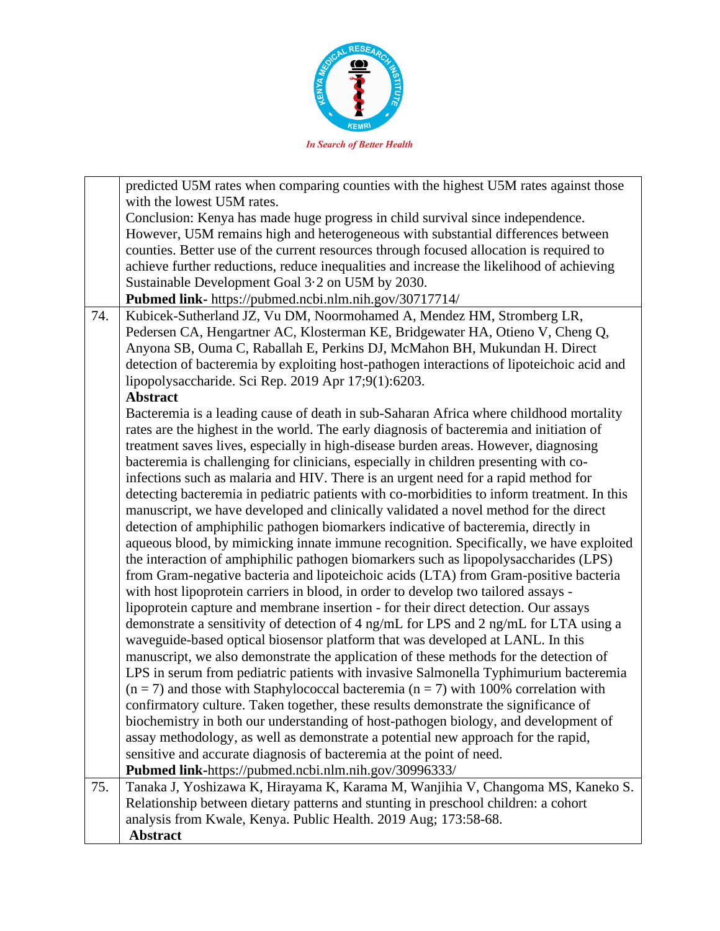

|     | predicted U5M rates when comparing counties with the highest U5M rates against those        |
|-----|---------------------------------------------------------------------------------------------|
|     | with the lowest U5M rates.                                                                  |
|     | Conclusion: Kenya has made huge progress in child survival since independence.              |
|     | However, U5M remains high and heterogeneous with substantial differences between            |
|     | counties. Better use of the current resources through focused allocation is required to     |
|     | achieve further reductions, reduce inequalities and increase the likelihood of achieving    |
|     | Sustainable Development Goal 3.2 on U5M by 2030.                                            |
|     | Pubmed link- https://pubmed.ncbi.nlm.nih.gov/30717714/                                      |
| 74. | Kubicek-Sutherland JZ, Vu DM, Noormohamed A, Mendez HM, Stromberg LR,                       |
|     | Pedersen CA, Hengartner AC, Klosterman KE, Bridgewater HA, Otieno V, Cheng Q,               |
|     | Anyona SB, Ouma C, Raballah E, Perkins DJ, McMahon BH, Mukundan H. Direct                   |
|     | detection of bacteremia by exploiting host-pathogen interactions of lipoteichoic acid and   |
|     | lipopolysaccharide. Sci Rep. 2019 Apr 17;9(1):6203.                                         |
|     | <b>Abstract</b>                                                                             |
|     | Bacteremia is a leading cause of death in sub-Saharan Africa where childhood mortality      |
|     | rates are the highest in the world. The early diagnosis of bacteremia and initiation of     |
|     | treatment saves lives, especially in high-disease burden areas. However, diagnosing         |
|     | bacteremia is challenging for clinicians, especially in children presenting with co-        |
|     | infections such as malaria and HIV. There is an urgent need for a rapid method for          |
|     | detecting bacteremia in pediatric patients with co-morbidities to inform treatment. In this |
|     | manuscript, we have developed and clinically validated a novel method for the direct        |
|     | detection of amphiphilic pathogen biomarkers indicative of bacteremia, directly in          |
|     | aqueous blood, by mimicking innate immune recognition. Specifically, we have exploited      |
|     | the interaction of amphiphilic pathogen biomarkers such as lipopolysaccharides (LPS)        |
|     | from Gram-negative bacteria and lipoteichoic acids (LTA) from Gram-positive bacteria        |
|     | with host lipoprotein carriers in blood, in order to develop two tailored assays -          |
|     | lipoprotein capture and membrane insertion - for their direct detection. Our assays         |
|     | demonstrate a sensitivity of detection of 4 ng/mL for LPS and 2 ng/mL for LTA using a       |
|     | waveguide-based optical biosensor platform that was developed at LANL. In this              |
|     | manuscript, we also demonstrate the application of these methods for the detection of       |
|     | LPS in serum from pediatric patients with invasive Salmonella Typhimurium bacteremia        |
|     | $(n = 7)$ and those with Staphylococcal bacteremia $(n = 7)$ with 100% correlation with     |
|     | confirmatory culture. Taken together, these results demonstrate the significance of         |
|     | biochemistry in both our understanding of host-pathogen biology, and development of         |
|     | assay methodology, as well as demonstrate a potential new approach for the rapid,           |
|     | sensitive and accurate diagnosis of bacteremia at the point of need.                        |
|     | Pubmed link-https://pubmed.ncbi.nlm.nih.gov/30996333/                                       |
| 75. | Tanaka J, Yoshizawa K, Hirayama K, Karama M, Wanjihia V, Changoma MS, Kaneko S.             |
|     | Relationship between dietary patterns and stunting in preschool children: a cohort          |
|     | analysis from Kwale, Kenya. Public Health. 2019 Aug; 173:58-68.                             |
|     | <b>Abstract</b>                                                                             |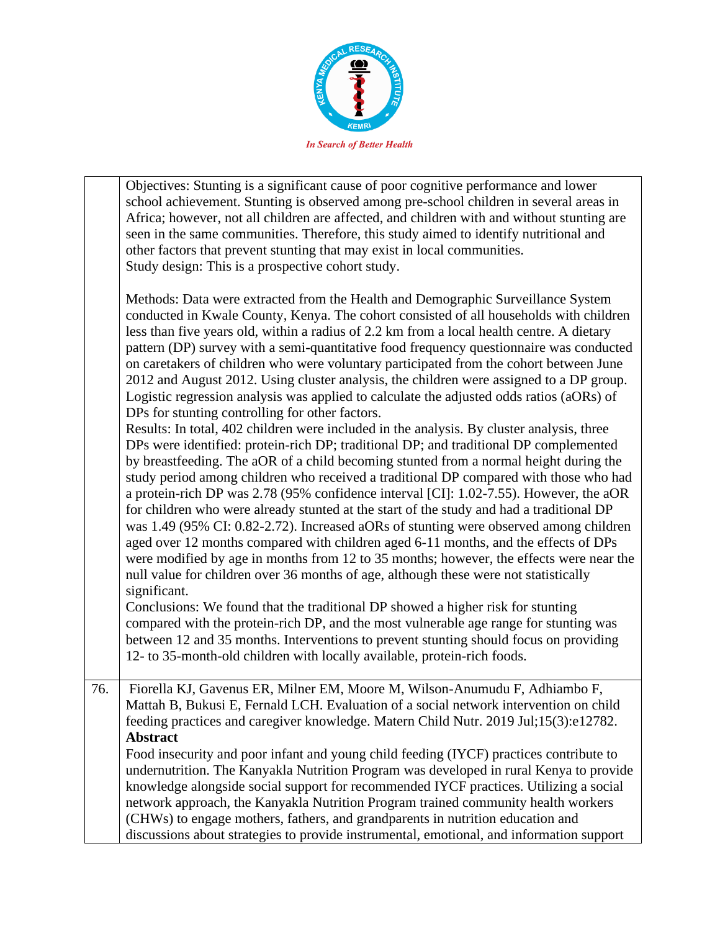

Objectives: Stunting is a significant cause of poor cognitive performance and lower school achievement. Stunting is observed among pre-school children in several areas in Africa; however, not all children are affected, and children with and without stunting are seen in the same communities. Therefore, this study aimed to identify nutritional and other factors that prevent stunting that may exist in local communities. Study design: This is a prospective cohort study.

Methods: Data were extracted from the Health and Demographic Surveillance System conducted in Kwale County, Kenya. The cohort consisted of all households with children less than five years old, within a radius of 2.2 km from a local health centre. A dietary pattern (DP) survey with a semi-quantitative food frequency questionnaire was conducted on caretakers of children who were voluntary participated from the cohort between June 2012 and August 2012. Using cluster analysis, the children were assigned to a DP group. Logistic regression analysis was applied to calculate the adjusted odds ratios (aORs) of DPs for stunting controlling for other factors.

Results: In total, 402 children were included in the analysis. By cluster analysis, three DPs were identified: protein-rich DP; traditional DP; and traditional DP complemented by breastfeeding. The aOR of a child becoming stunted from a normal height during the study period among children who received a traditional DP compared with those who had a protein-rich DP was 2.78 (95% confidence interval [CI]: 1.02-7.55). However, the aOR for children who were already stunted at the start of the study and had a traditional DP was 1.49 (95% CI: 0.82-2.72). Increased aORs of stunting were observed among children aged over 12 months compared with children aged 6-11 months, and the effects of DPs were modified by age in months from 12 to 35 months; however, the effects were near the null value for children over 36 months of age, although these were not statistically significant.

Conclusions: We found that the traditional DP showed a higher risk for stunting compared with the protein-rich DP, and the most vulnerable age range for stunting was between 12 and 35 months. Interventions to prevent stunting should focus on providing 12- to 35-month-old children with locally available, protein-rich foods.

76. Fiorella KJ, Gavenus ER, Milner EM, Moore M, Wilson-Anumudu F, Adhiambo F, Mattah B, Bukusi E, Fernald LCH. Evaluation of a social network intervention on child feeding practices and caregiver knowledge. Matern Child Nutr. 2019 Jul;15(3):e12782. **Abstract**

Food insecurity and poor infant and young child feeding (IYCF) practices contribute to undernutrition. The Kanyakla Nutrition Program was developed in rural Kenya to provide knowledge alongside social support for recommended IYCF practices. Utilizing a social network approach, the Kanyakla Nutrition Program trained community health workers (CHWs) to engage mothers, fathers, and grandparents in nutrition education and discussions about strategies to provide instrumental, emotional, and information support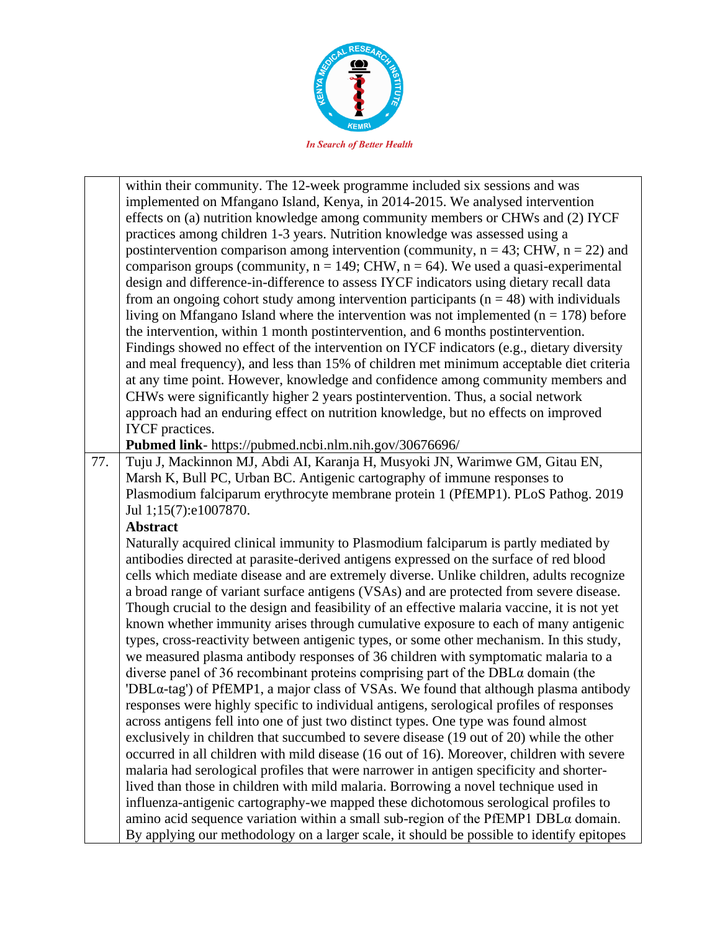

within their community. The 12-week programme included six sessions and was implemented on Mfangano Island, Kenya, in 2014-2015. We analysed intervention effects on (a) nutrition knowledge among community members or CHWs and (2) IYCF practices among children 1-3 years. Nutrition knowledge was assessed using a postintervention comparison among intervention (community,  $n = 43$ ; CHW,  $n = 22$ ) and comparison groups (community,  $n = 149$ ; CHW,  $n = 64$ ). We used a quasi-experimental design and difference-in-difference to assess IYCF indicators using dietary recall data from an ongoing cohort study among intervention participants ( $n = 48$ ) with individuals living on Mfangano Island where the intervention was not implemented ( $n = 178$ ) before the intervention, within 1 month postintervention, and 6 months postintervention. Findings showed no effect of the intervention on IYCF indicators (e.g., dietary diversity and meal frequency), and less than 15% of children met minimum acceptable diet criteria at any time point. However, knowledge and confidence among community members and CHWs were significantly higher 2 years postintervention. Thus, a social network approach had an enduring effect on nutrition knowledge, but no effects on improved IYCF practices.

**Pubmed link**- https://pubmed.ncbi.nlm.nih.gov/30676696/

77. Tuju J, Mackinnon MJ, Abdi AI, Karanja H, Musyoki JN, Warimwe GM, Gitau EN, Marsh K, Bull PC, Urban BC. Antigenic cartography of immune responses to Plasmodium falciparum erythrocyte membrane protein 1 (PfEMP1). PLoS Pathog. 2019 Jul 1;15(7):e1007870.

#### **Abstract**

Naturally acquired clinical immunity to Plasmodium falciparum is partly mediated by antibodies directed at parasite-derived antigens expressed on the surface of red blood cells which mediate disease and are extremely diverse. Unlike children, adults recognize a broad range of variant surface antigens (VSAs) and are protected from severe disease. Though crucial to the design and feasibility of an effective malaria vaccine, it is not yet known whether immunity arises through cumulative exposure to each of many antigenic types, cross-reactivity between antigenic types, or some other mechanism. In this study, we measured plasma antibody responses of 36 children with symptomatic malaria to a diverse panel of 36 recombinant proteins comprising part of the DBLα domain (the 'DBLα-tag') of PfEMP1, a major class of VSAs. We found that although plasma antibody responses were highly specific to individual antigens, serological profiles of responses across antigens fell into one of just two distinct types. One type was found almost exclusively in children that succumbed to severe disease (19 out of 20) while the other occurred in all children with mild disease (16 out of 16). Moreover, children with severe malaria had serological profiles that were narrower in antigen specificity and shorterlived than those in children with mild malaria. Borrowing a novel technique used in influenza-antigenic cartography-we mapped these dichotomous serological profiles to amino acid sequence variation within a small sub-region of the PfEMP1 DBLα domain. By applying our methodology on a larger scale, it should be possible to identify epitopes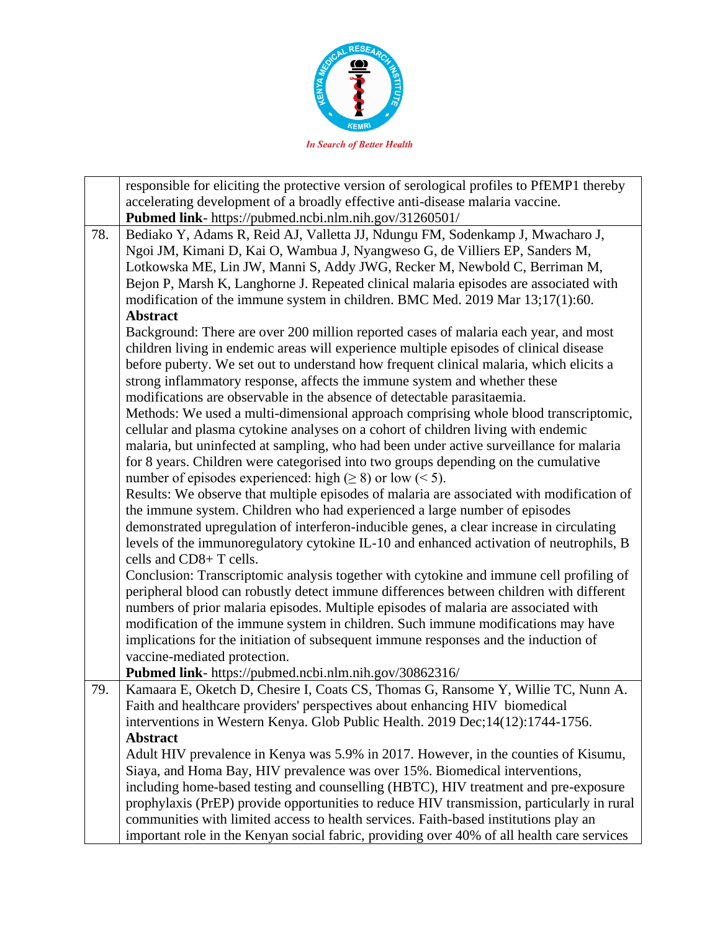

|     | responsible for eliciting the protective version of serological profiles to PfEMP1 thereby |
|-----|--------------------------------------------------------------------------------------------|
|     | accelerating development of a broadly effective anti-disease malaria vaccine.              |
|     | Pubmed link- https://pubmed.ncbi.nlm.nih.gov/31260501/                                     |
| 78. | Bediako Y, Adams R, Reid AJ, Valletta JJ, Ndungu FM, Sodenkamp J, Mwacharo J,              |
|     | Ngoi JM, Kimani D, Kai O, Wambua J, Nyangweso G, de Villiers EP, Sanders M,                |
|     | Lotkowska ME, Lin JW, Manni S, Addy JWG, Recker M, Newbold C, Berriman M,                  |
|     | Bejon P, Marsh K, Langhorne J. Repeated clinical malaria episodes are associated with      |
|     | modification of the immune system in children. BMC Med. 2019 Mar 13;17(1):60.              |
|     | <b>Abstract</b>                                                                            |
|     | Background: There are over 200 million reported cases of malaria each year, and most       |
|     | children living in endemic areas will experience multiple episodes of clinical disease     |
|     | before puberty. We set out to understand how frequent clinical malaria, which elicits a    |
|     | strong inflammatory response, affects the immune system and whether these                  |
|     |                                                                                            |
|     | modifications are observable in the absence of detectable parasitaemia.                    |
|     | Methods: We used a multi-dimensional approach comprising whole blood transcriptomic,       |
|     | cellular and plasma cytokine analyses on a cohort of children living with endemic          |
|     | malaria, but uninfected at sampling, who had been under active surveillance for malaria    |
|     | for 8 years. Children were categorised into two groups depending on the cumulative         |
|     | number of episodes experienced: high $(\geq 8)$ or low (< 5).                              |
|     | Results: We observe that multiple episodes of malaria are associated with modification of  |
|     | the immune system. Children who had experienced a large number of episodes                 |
|     | demonstrated upregulation of interferon-inducible genes, a clear increase in circulating   |
|     | levels of the immunoregulatory cytokine IL-10 and enhanced activation of neutrophils, B    |
|     | cells and CD8+ T cells.                                                                    |
|     | Conclusion: Transcriptomic analysis together with cytokine and immune cell profiling of    |
|     | peripheral blood can robustly detect immune differences between children with different    |
|     | numbers of prior malaria episodes. Multiple episodes of malaria are associated with        |
|     | modification of the immune system in children. Such immune modifications may have          |
|     | implications for the initiation of subsequent immune responses and the induction of        |
|     | vaccine-mediated protection.                                                               |
|     | Pubmed link- https://pubmed.ncbi.nlm.nih.gov/30862316/                                     |
| 79. | Kamaara E, Oketch D, Chesire I, Coats CS, Thomas G, Ransome Y, Willie TC, Nunn A.          |
|     | Faith and healthcare providers' perspectives about enhancing HIV biomedical                |
|     | interventions in Western Kenya. Glob Public Health. 2019 Dec;14(12):1744-1756.             |
|     | <b>Abstract</b>                                                                            |
|     | Adult HIV prevalence in Kenya was 5.9% in 2017. However, in the counties of Kisumu,        |
|     | Siaya, and Homa Bay, HIV prevalence was over 15%. Biomedical interventions,                |
|     | including home-based testing and counselling (HBTC), HIV treatment and pre-exposure        |
|     | prophylaxis (PrEP) provide opportunities to reduce HIV transmission, particularly in rural |
|     | communities with limited access to health services. Faith-based institutions play an       |
|     | important role in the Kenyan social fabric, providing over 40% of all health care services |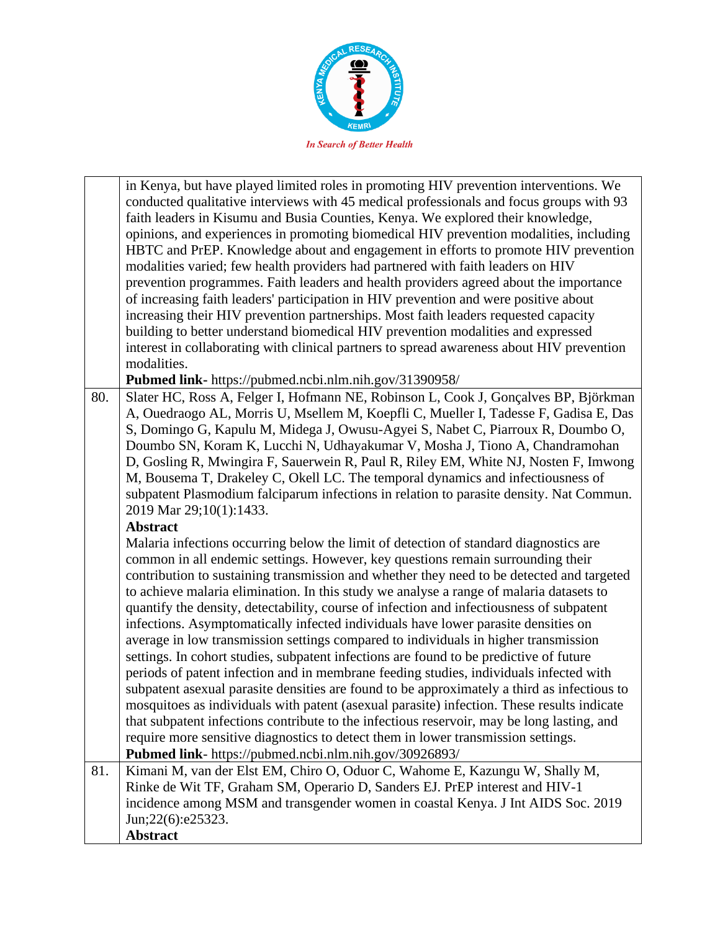

in Kenya, but have played limited roles in promoting HIV prevention interventions. We conducted qualitative interviews with 45 medical professionals and focus groups with 93 faith leaders in Kisumu and Busia Counties, Kenya. We explored their knowledge, opinions, and experiences in promoting biomedical HIV prevention modalities, including HBTC and PrEP. Knowledge about and engagement in efforts to promote HIV prevention modalities varied; few health providers had partnered with faith leaders on HIV prevention programmes. Faith leaders and health providers agreed about the importance of increasing faith leaders' participation in HIV prevention and were positive about increasing their HIV prevention partnerships. Most faith leaders requested capacity building to better understand biomedical HIV prevention modalities and expressed interest in collaborating with clinical partners to spread awareness about HIV prevention modalities.

**Pubmed link-** https://pubmed.ncbi.nlm.nih.gov/31390958/

80. Slater HC, Ross A, Felger I, Hofmann NE, Robinson L, Cook J, Gonçalves BP, Björkman A, Ouedraogo AL, Morris U, Msellem M, Koepfli C, Mueller I, Tadesse F, Gadisa E, Das S, Domingo G, Kapulu M, Midega J, Owusu-Agyei S, Nabet C, Piarroux R, Doumbo O, Doumbo SN, Koram K, Lucchi N, Udhayakumar V, Mosha J, Tiono A, Chandramohan D, Gosling R, Mwingira F, Sauerwein R, Paul R, Riley EM, White NJ, Nosten F, Imwong M, Bousema T, Drakeley C, Okell LC. The temporal dynamics and infectiousness of subpatent Plasmodium falciparum infections in relation to parasite density. Nat Commun. 2019 Mar 29;10(1):1433.

#### **Abstract**

Malaria infections occurring below the limit of detection of standard diagnostics are common in all endemic settings. However, key questions remain surrounding their contribution to sustaining transmission and whether they need to be detected and targeted to achieve malaria elimination. In this study we analyse a range of malaria datasets to quantify the density, detectability, course of infection and infectiousness of subpatent infections. Asymptomatically infected individuals have lower parasite densities on average in low transmission settings compared to individuals in higher transmission settings. In cohort studies, subpatent infections are found to be predictive of future periods of patent infection and in membrane feeding studies, individuals infected with subpatent asexual parasite densities are found to be approximately a third as infectious to mosquitoes as individuals with patent (asexual parasite) infection. These results indicate that subpatent infections contribute to the infectious reservoir, may be long lasting, and require more sensitive diagnostics to detect them in lower transmission settings. **Pubmed link**- https://pubmed.ncbi.nlm.nih.gov/30926893/

81. Kimani M, van der Elst EM, Chiro O, Oduor C, Wahome E, Kazungu W, Shally M, Rinke de Wit TF, Graham SM, Operario D, Sanders EJ. PrEP interest and HIV-1 incidence among MSM and transgender women in coastal Kenya. J Int AIDS Soc. 2019 Jun;22(6):e25323. **Abstract**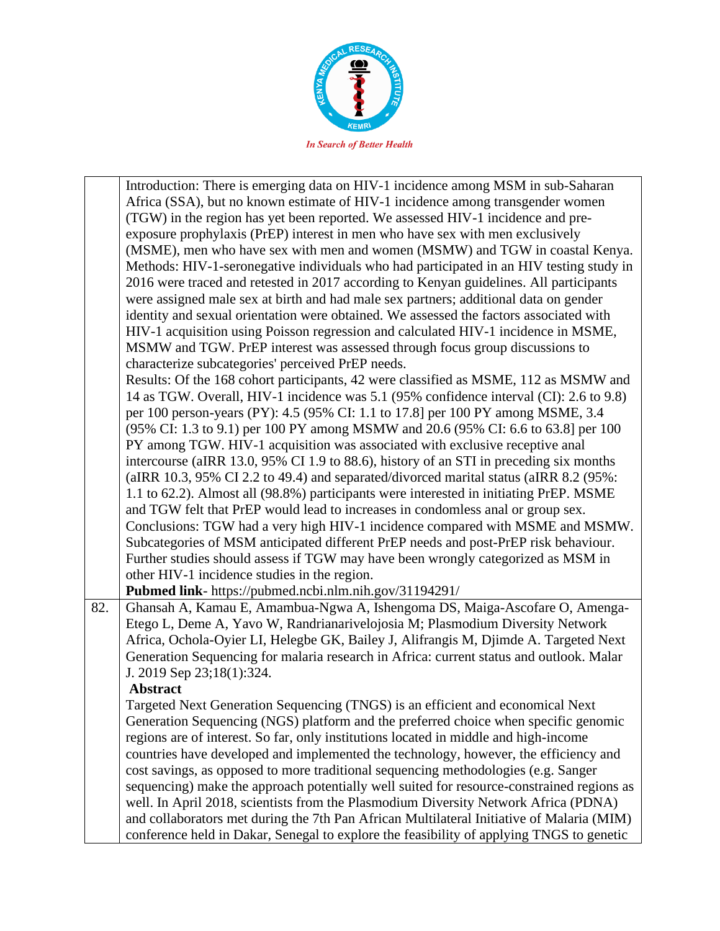

|     | Introduction: There is emerging data on HIV-1 incidence among MSM in sub-Saharan<br>Africa (SSA), but no known estimate of HIV-1 incidence among transgender women<br>(TGW) in the region has yet been reported. We assessed HIV-1 incidence and pre-<br>exposure prophylaxis (PrEP) interest in men who have sex with men exclusively<br>(MSME), men who have sex with men and women (MSMW) and TGW in coastal Kenya.<br>Methods: HIV-1-seronegative individuals who had participated in an HIV testing study in<br>2016 were traced and retested in 2017 according to Kenyan guidelines. All participants<br>were assigned male sex at birth and had male sex partners; additional data on gender<br>identity and sexual orientation were obtained. We assessed the factors associated with<br>HIV-1 acquisition using Poisson regression and calculated HIV-1 incidence in MSME,<br>MSMW and TGW. PrEP interest was assessed through focus group discussions to<br>characterize subcategories' perceived PrEP needs.<br>Results: Of the 168 cohort participants, 42 were classified as MSME, 112 as MSMW and<br>14 as TGW. Overall, HIV-1 incidence was 5.1 (95% confidence interval (CI): 2.6 to 9.8)<br>per 100 person-years (PY): 4.5 (95% CI: 1.1 to 17.8] per 100 PY among MSME, 3.4<br>(95% CI: 1.3 to 9.1) per 100 PY among MSMW and 20.6 (95% CI: 6.6 to 63.8] per 100 |
|-----|-----------------------------------------------------------------------------------------------------------------------------------------------------------------------------------------------------------------------------------------------------------------------------------------------------------------------------------------------------------------------------------------------------------------------------------------------------------------------------------------------------------------------------------------------------------------------------------------------------------------------------------------------------------------------------------------------------------------------------------------------------------------------------------------------------------------------------------------------------------------------------------------------------------------------------------------------------------------------------------------------------------------------------------------------------------------------------------------------------------------------------------------------------------------------------------------------------------------------------------------------------------------------------------------------------------------------------------------------------------------------------------|
|     | PY among TGW. HIV-1 acquisition was associated with exclusive receptive anal                                                                                                                                                                                                                                                                                                                                                                                                                                                                                                                                                                                                                                                                                                                                                                                                                                                                                                                                                                                                                                                                                                                                                                                                                                                                                                      |
|     | intercourse (aIRR 13.0, 95% CI 1.9 to 88.6), history of an STI in preceding six months<br>(aIRR 10.3, 95% CI 2.2 to 49.4) and separated/divorced marital status (aIRR 8.2 (95%:                                                                                                                                                                                                                                                                                                                                                                                                                                                                                                                                                                                                                                                                                                                                                                                                                                                                                                                                                                                                                                                                                                                                                                                                   |
|     | 1.1 to 62.2). Almost all (98.8%) participants were interested in initiating PrEP. MSME                                                                                                                                                                                                                                                                                                                                                                                                                                                                                                                                                                                                                                                                                                                                                                                                                                                                                                                                                                                                                                                                                                                                                                                                                                                                                            |
|     | and TGW felt that PrEP would lead to increases in condomless anal or group sex.                                                                                                                                                                                                                                                                                                                                                                                                                                                                                                                                                                                                                                                                                                                                                                                                                                                                                                                                                                                                                                                                                                                                                                                                                                                                                                   |
|     | Conclusions: TGW had a very high HIV-1 incidence compared with MSME and MSMW.<br>Subcategories of MSM anticipated different PrEP needs and post-PrEP risk behaviour.                                                                                                                                                                                                                                                                                                                                                                                                                                                                                                                                                                                                                                                                                                                                                                                                                                                                                                                                                                                                                                                                                                                                                                                                              |
|     | Further studies should assess if TGW may have been wrongly categorized as MSM in                                                                                                                                                                                                                                                                                                                                                                                                                                                                                                                                                                                                                                                                                                                                                                                                                                                                                                                                                                                                                                                                                                                                                                                                                                                                                                  |
|     | other HIV-1 incidence studies in the region.                                                                                                                                                                                                                                                                                                                                                                                                                                                                                                                                                                                                                                                                                                                                                                                                                                                                                                                                                                                                                                                                                                                                                                                                                                                                                                                                      |
|     | Pubmed link- https://pubmed.ncbi.nlm.nih.gov/31194291/                                                                                                                                                                                                                                                                                                                                                                                                                                                                                                                                                                                                                                                                                                                                                                                                                                                                                                                                                                                                                                                                                                                                                                                                                                                                                                                            |
| 82. | Ghansah A, Kamau E, Amambua-Ngwa A, Ishengoma DS, Maiga-Ascofare O, Amenga-<br>Etego L, Deme A, Yavo W, Randrianarivelojosia M; Plasmodium Diversity Network<br>Africa, Ochola-Oyier LI, Helegbe GK, Bailey J, Alifrangis M, Djimde A. Targeted Next<br>Generation Sequencing for malaria research in Africa: current status and outlook. Malar<br>J. 2019 Sep 23;18(1):324.<br><b>Abstract</b>                                                                                                                                                                                                                                                                                                                                                                                                                                                                                                                                                                                                                                                                                                                                                                                                                                                                                                                                                                                   |
|     | Targeted Next Generation Sequencing (TNGS) is an efficient and economical Next                                                                                                                                                                                                                                                                                                                                                                                                                                                                                                                                                                                                                                                                                                                                                                                                                                                                                                                                                                                                                                                                                                                                                                                                                                                                                                    |
|     | Generation Sequencing (NGS) platform and the preferred choice when specific genomic                                                                                                                                                                                                                                                                                                                                                                                                                                                                                                                                                                                                                                                                                                                                                                                                                                                                                                                                                                                                                                                                                                                                                                                                                                                                                               |
|     | regions are of interest. So far, only institutions located in middle and high-income                                                                                                                                                                                                                                                                                                                                                                                                                                                                                                                                                                                                                                                                                                                                                                                                                                                                                                                                                                                                                                                                                                                                                                                                                                                                                              |
|     | countries have developed and implemented the technology, however, the efficiency and                                                                                                                                                                                                                                                                                                                                                                                                                                                                                                                                                                                                                                                                                                                                                                                                                                                                                                                                                                                                                                                                                                                                                                                                                                                                                              |
|     | cost savings, as opposed to more traditional sequencing methodologies (e.g. Sanger<br>sequencing) make the approach potentially well suited for resource-constrained regions as                                                                                                                                                                                                                                                                                                                                                                                                                                                                                                                                                                                                                                                                                                                                                                                                                                                                                                                                                                                                                                                                                                                                                                                                   |
|     | well. In April 2018, scientists from the Plasmodium Diversity Network Africa (PDNA)                                                                                                                                                                                                                                                                                                                                                                                                                                                                                                                                                                                                                                                                                                                                                                                                                                                                                                                                                                                                                                                                                                                                                                                                                                                                                               |
|     | and collaborators met during the 7th Pan African Multilateral Initiative of Malaria (MIM)                                                                                                                                                                                                                                                                                                                                                                                                                                                                                                                                                                                                                                                                                                                                                                                                                                                                                                                                                                                                                                                                                                                                                                                                                                                                                         |
|     | conference held in Dakar, Senegal to explore the feasibility of applying TNGS to genetic                                                                                                                                                                                                                                                                                                                                                                                                                                                                                                                                                                                                                                                                                                                                                                                                                                                                                                                                                                                                                                                                                                                                                                                                                                                                                          |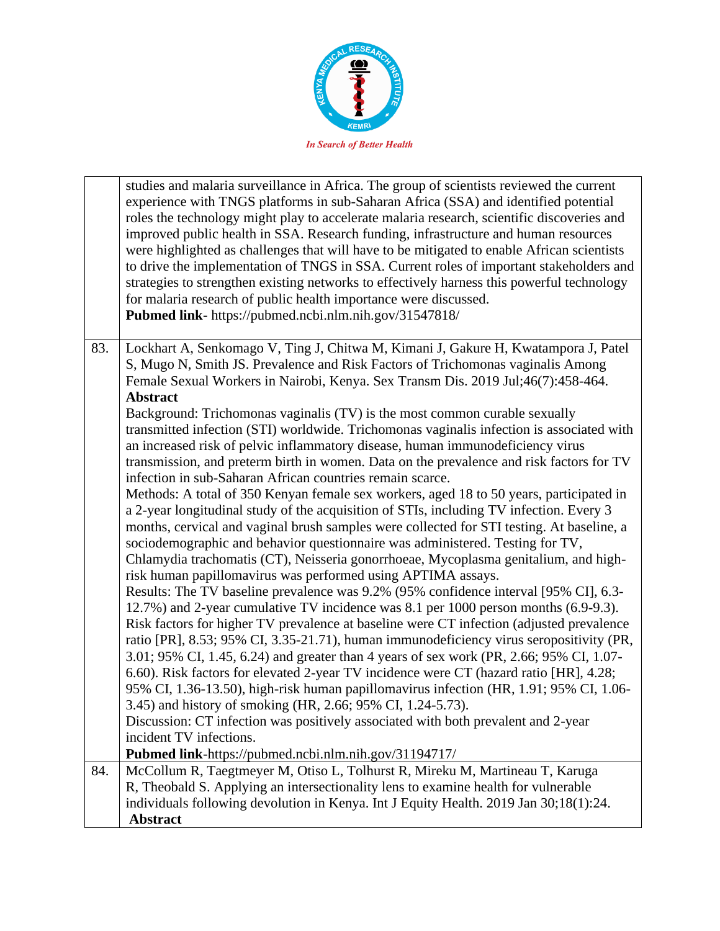

|     | studies and malaria surveillance in Africa. The group of scientists reviewed the current<br>experience with TNGS platforms in sub-Saharan Africa (SSA) and identified potential<br>roles the technology might play to accelerate malaria research, scientific discoveries and<br>improved public health in SSA. Research funding, infrastructure and human resources<br>were highlighted as challenges that will have to be mitigated to enable African scientists<br>to drive the implementation of TNGS in SSA. Current roles of important stakeholders and<br>strategies to strengthen existing networks to effectively harness this powerful technology<br>for malaria research of public health importance were discussed.<br>Pubmed link- https://pubmed.ncbi.nlm.nih.gov/31547818/ |
|-----|-------------------------------------------------------------------------------------------------------------------------------------------------------------------------------------------------------------------------------------------------------------------------------------------------------------------------------------------------------------------------------------------------------------------------------------------------------------------------------------------------------------------------------------------------------------------------------------------------------------------------------------------------------------------------------------------------------------------------------------------------------------------------------------------|
| 83. | Lockhart A, Senkomago V, Ting J, Chitwa M, Kimani J, Gakure H, Kwatampora J, Patel<br>S, Mugo N, Smith JS. Prevalence and Risk Factors of Trichomonas vaginalis Among<br>Female Sexual Workers in Nairobi, Kenya. Sex Transm Dis. 2019 Jul;46(7):458-464.                                                                                                                                                                                                                                                                                                                                                                                                                                                                                                                                 |
|     | <b>Abstract</b>                                                                                                                                                                                                                                                                                                                                                                                                                                                                                                                                                                                                                                                                                                                                                                           |
|     | Background: Trichomonas vaginalis (TV) is the most common curable sexually<br>transmitted infection (STI) worldwide. Trichomonas vaginalis infection is associated with                                                                                                                                                                                                                                                                                                                                                                                                                                                                                                                                                                                                                   |
|     | an increased risk of pelvic inflammatory disease, human immunodeficiency virus                                                                                                                                                                                                                                                                                                                                                                                                                                                                                                                                                                                                                                                                                                            |
|     | transmission, and preterm birth in women. Data on the prevalence and risk factors for TV                                                                                                                                                                                                                                                                                                                                                                                                                                                                                                                                                                                                                                                                                                  |
|     | infection in sub-Saharan African countries remain scarce.                                                                                                                                                                                                                                                                                                                                                                                                                                                                                                                                                                                                                                                                                                                                 |
|     | Methods: A total of 350 Kenyan female sex workers, aged 18 to 50 years, participated in                                                                                                                                                                                                                                                                                                                                                                                                                                                                                                                                                                                                                                                                                                   |
|     | a 2-year longitudinal study of the acquisition of STIs, including TV infection. Every 3                                                                                                                                                                                                                                                                                                                                                                                                                                                                                                                                                                                                                                                                                                   |
|     | months, cervical and vaginal brush samples were collected for STI testing. At baseline, a<br>sociodemographic and behavior questionnaire was administered. Testing for TV,                                                                                                                                                                                                                                                                                                                                                                                                                                                                                                                                                                                                                |
|     | Chlamydia trachomatis (CT), Neisseria gonorrhoeae, Mycoplasma genitalium, and high-                                                                                                                                                                                                                                                                                                                                                                                                                                                                                                                                                                                                                                                                                                       |
|     | risk human papillomavirus was performed using APTIMA assays.                                                                                                                                                                                                                                                                                                                                                                                                                                                                                                                                                                                                                                                                                                                              |
|     | Results: The TV baseline prevalence was 9.2% (95% confidence interval [95% CI], 6.3-                                                                                                                                                                                                                                                                                                                                                                                                                                                                                                                                                                                                                                                                                                      |
|     | 12.7%) and 2-year cumulative TV incidence was 8.1 per 1000 person months (6.9-9.3).                                                                                                                                                                                                                                                                                                                                                                                                                                                                                                                                                                                                                                                                                                       |
|     | Risk factors for higher TV prevalence at baseline were CT infection (adjusted prevalence                                                                                                                                                                                                                                                                                                                                                                                                                                                                                                                                                                                                                                                                                                  |
|     | ratio [PR], 8.53; 95% CI, 3.35-21.71), human immunodeficiency virus seropositivity (PR,                                                                                                                                                                                                                                                                                                                                                                                                                                                                                                                                                                                                                                                                                                   |
|     | 3.01; 95% CI, 1.45, 6.24) and greater than 4 years of sex work (PR, 2.66; 95% CI, 1.07-                                                                                                                                                                                                                                                                                                                                                                                                                                                                                                                                                                                                                                                                                                   |
|     | 6.60). Risk factors for elevated 2-year TV incidence were CT (hazard ratio [HR], 4.28;<br>95% CI, 1.36-13.50), high-risk human papillomavirus infection (HR, 1.91; 95% CI, 1.06-                                                                                                                                                                                                                                                                                                                                                                                                                                                                                                                                                                                                          |
|     | 3.45) and history of smoking (HR, 2.66; 95% CI, 1.24-5.73).                                                                                                                                                                                                                                                                                                                                                                                                                                                                                                                                                                                                                                                                                                                               |
|     | Discussion: CT infection was positively associated with both prevalent and 2-year                                                                                                                                                                                                                                                                                                                                                                                                                                                                                                                                                                                                                                                                                                         |
|     | incident TV infections.                                                                                                                                                                                                                                                                                                                                                                                                                                                                                                                                                                                                                                                                                                                                                                   |
|     | Pubmed link-https://pubmed.ncbi.nlm.nih.gov/31194717/                                                                                                                                                                                                                                                                                                                                                                                                                                                                                                                                                                                                                                                                                                                                     |
| 84. | McCollum R, Taegtmeyer M, Otiso L, Tolhurst R, Mireku M, Martineau T, Karuga                                                                                                                                                                                                                                                                                                                                                                                                                                                                                                                                                                                                                                                                                                              |
|     | R, Theobald S. Applying an intersectionality lens to examine health for vulnerable                                                                                                                                                                                                                                                                                                                                                                                                                                                                                                                                                                                                                                                                                                        |
|     | individuals following devolution in Kenya. Int J Equity Health. 2019 Jan 30;18(1):24.                                                                                                                                                                                                                                                                                                                                                                                                                                                                                                                                                                                                                                                                                                     |
|     | <b>Abstract</b>                                                                                                                                                                                                                                                                                                                                                                                                                                                                                                                                                                                                                                                                                                                                                                           |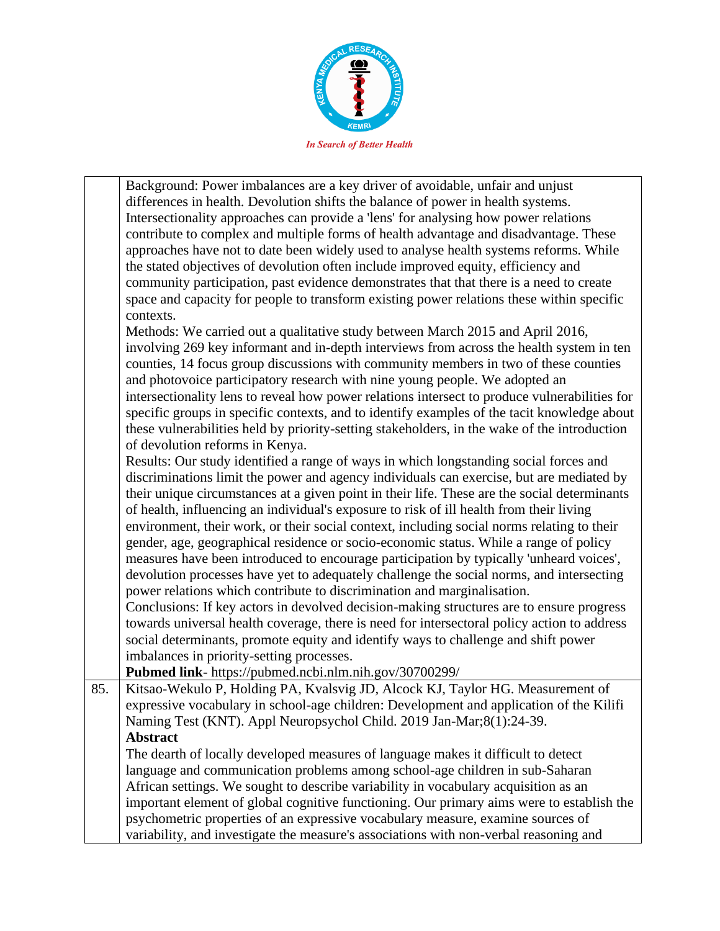

Background: Power imbalances are a key driver of avoidable, unfair and unjust differences in health. Devolution shifts the balance of power in health systems. Intersectionality approaches can provide a 'lens' for analysing how power relations contribute to complex and multiple forms of health advantage and disadvantage. These approaches have not to date been widely used to analyse health systems reforms. While the stated objectives of devolution often include improved equity, efficiency and community participation, past evidence demonstrates that that there is a need to create space and capacity for people to transform existing power relations these within specific contexts. Methods: We carried out a qualitative study between March 2015 and April 2016, involving 269 key informant and in-depth interviews from across the health system in ten counties, 14 focus group discussions with community members in two of these counties and photovoice participatory research with nine young people. We adopted an intersectionality lens to reveal how power relations intersect to produce vulnerabilities for specific groups in specific contexts, and to identify examples of the tacit knowledge about these vulnerabilities held by priority-setting stakeholders, in the wake of the introduction of devolution reforms in Kenya. Results: Our study identified a range of ways in which longstanding social forces and discriminations limit the power and agency individuals can exercise, but are mediated by their unique circumstances at a given point in their life. These are the social determinants of health, influencing an individual's exposure to risk of ill health from their living environment, their work, or their social context, including social norms relating to their gender, age, geographical residence or socio-economic status. While a range of policy measures have been introduced to encourage participation by typically 'unheard voices', devolution processes have yet to adequately challenge the social norms, and intersecting power relations which contribute to discrimination and marginalisation.

Conclusions: If key actors in devolved decision-making structures are to ensure progress towards universal health coverage, there is need for intersectoral policy action to address social determinants, promote equity and identify ways to challenge and shift power imbalances in priority-setting processes.

**Pubmed link**- https://pubmed.ncbi.nlm.nih.gov/30700299/

85. Kitsao-Wekulo P, Holding PA, Kvalsvig JD, Alcock KJ, Taylor HG. Measurement of expressive vocabulary in school-age children: Development and application of the Kilifi Naming Test (KNT). Appl Neuropsychol Child. 2019 Jan-Mar;8(1):24-39. **Abstract**

The dearth of locally developed measures of language makes it difficult to detect language and communication problems among school-age children in sub-Saharan African settings. We sought to describe variability in vocabulary acquisition as an important element of global cognitive functioning. Our primary aims were to establish the psychometric properties of an expressive vocabulary measure, examine sources of variability, and investigate the measure's associations with non-verbal reasoning and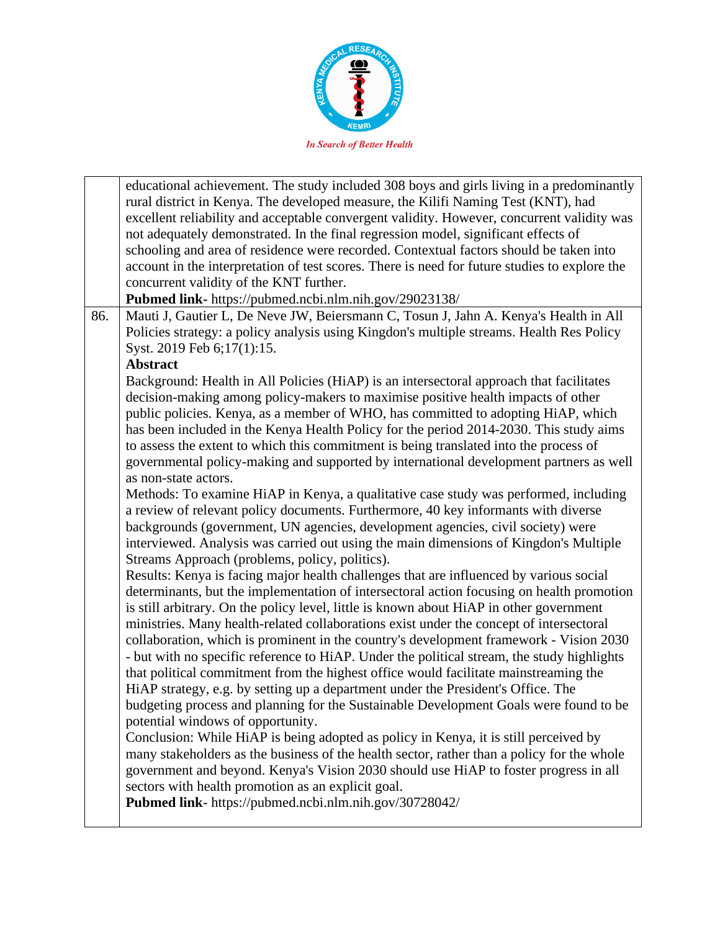

educational achievement. The study included 308 boys and girls living in a predominantly rural district in Kenya. The developed measure, the Kilifi Naming Test (KNT), had excellent reliability and acceptable convergent validity. However, concurrent validity was not adequately demonstrated. In the final regression model, significant effects of schooling and area of residence were recorded. Contextual factors should be taken into account in the interpretation of test scores. There is need for future studies to explore the concurrent validity of the KNT further. **Pubmed link-** https://pubmed.ncbi.nlm.nih.gov/29023138/ 86. | Mauti J, Gautier L, De Neve JW, Beiersmann C, Tosun J, Jahn A. Kenya's Health in All Policies strategy: a policy analysis using Kingdon's multiple streams. Health Res Policy Syst. 2019 Feb 6;17(1):15. **Abstract** Background: Health in All Policies (HiAP) is an intersectoral approach that facilitates decision-making among policy-makers to maximise positive health impacts of other public policies. Kenya, as a member of WHO, has committed to adopting HiAP, which has been included in the Kenya Health Policy for the period 2014-2030. This study aims to assess the extent to which this commitment is being translated into the process of governmental policy-making and supported by international development partners as well as non-state actors. Methods: To examine HiAP in Kenya, a qualitative case study was performed, including a review of relevant policy documents. Furthermore, 40 key informants with diverse backgrounds (government, UN agencies, development agencies, civil society) were interviewed. Analysis was carried out using the main dimensions of Kingdon's Multiple Streams Approach (problems, policy, politics). Results: Kenya is facing major health challenges that are influenced by various social determinants, but the implementation of intersectoral action focusing on health promotion is still arbitrary. On the policy level, little is known about HiAP in other government ministries. Many health-related collaborations exist under the concept of intersectoral collaboration, which is prominent in the country's development framework - Vision 2030 - but with no specific reference to HiAP. Under the political stream, the study highlights that political commitment from the highest office would facilitate mainstreaming the HiAP strategy, e.g. by setting up a department under the President's Office. The budgeting process and planning for the Sustainable Development Goals were found to be potential windows of opportunity. Conclusion: While HiAP is being adopted as policy in Kenya, it is still perceived by many stakeholders as the business of the health sector, rather than a policy for the whole government and beyond. Kenya's Vision 2030 should use HiAP to foster progress in all sectors with health promotion as an explicit goal. **Pubmed link**- https://pubmed.ncbi.nlm.nih.gov/30728042/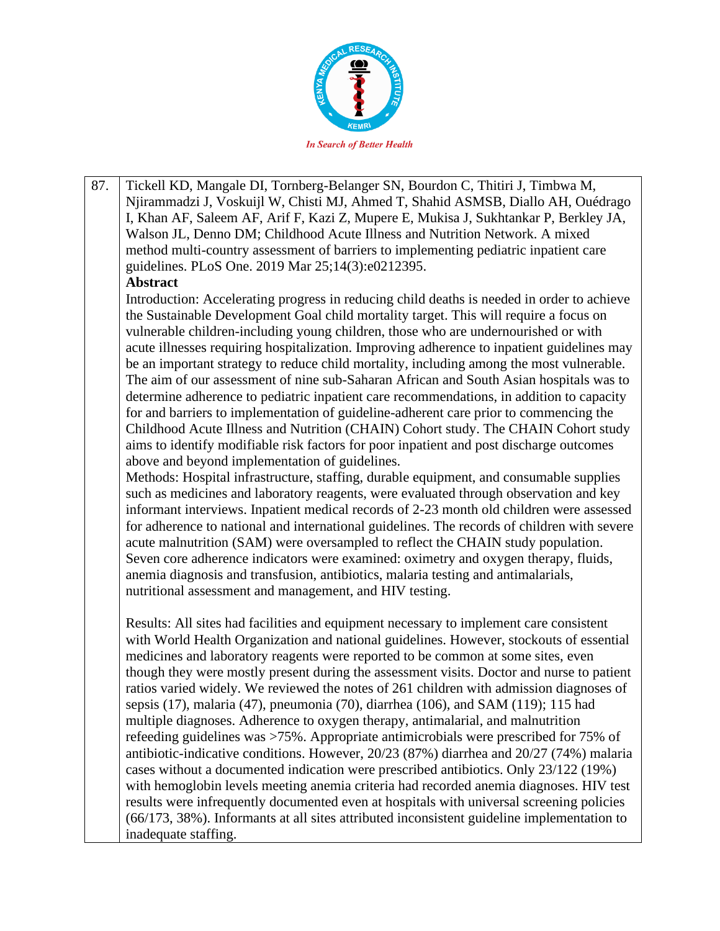

87. Tickell KD, Mangale DI, Tornberg-Belanger SN, Bourdon C, Thitiri J, Timbwa M, Njirammadzi J, Voskuijl W, Chisti MJ, Ahmed T, Shahid ASMSB, Diallo AH, Ouédrago I, Khan AF, Saleem AF, Arif F, Kazi Z, Mupere E, Mukisa J, Sukhtankar P, Berkley JA, Walson JL, Denno DM; Childhood Acute Illness and Nutrition Network. A mixed method multi-country assessment of barriers to implementing pediatric inpatient care guidelines. PLoS One. 2019 Mar 25;14(3):e0212395. **Abstract** Introduction: Accelerating progress in reducing child deaths is needed in order to achieve the Sustainable Development Goal child mortality target. This will require a focus on vulnerable children-including young children, those who are undernourished or with acute illnesses requiring hospitalization. Improving adherence to inpatient guidelines may be an important strategy to reduce child mortality, including among the most vulnerable. The aim of our assessment of nine sub-Saharan African and South Asian hospitals was to determine adherence to pediatric inpatient care recommendations, in addition to capacity for and barriers to implementation of guideline-adherent care prior to commencing the Childhood Acute Illness and Nutrition (CHAIN) Cohort study. The CHAIN Cohort study aims to identify modifiable risk factors for poor inpatient and post discharge outcomes above and beyond implementation of guidelines. Methods: Hospital infrastructure, staffing, durable equipment, and consumable supplies such as medicines and laboratory reagents, were evaluated through observation and key informant interviews. Inpatient medical records of 2-23 month old children were assessed for adherence to national and international guidelines. The records of children with severe acute malnutrition (SAM) were oversampled to reflect the CHAIN study population. Seven core adherence indicators were examined: oximetry and oxygen therapy, fluids, anemia diagnosis and transfusion, antibiotics, malaria testing and antimalarials, nutritional assessment and management, and HIV testing. Results: All sites had facilities and equipment necessary to implement care consistent with World Health Organization and national guidelines. However, stockouts of essential medicines and laboratory reagents were reported to be common at some sites, even though they were mostly present during the assessment visits. Doctor and nurse to patient ratios varied widely. We reviewed the notes of 261 children with admission diagnoses of sepsis (17), malaria (47), pneumonia (70), diarrhea (106), and SAM (119); 115 had

multiple diagnoses. Adherence to oxygen therapy, antimalarial, and malnutrition refeeding guidelines was >75%. Appropriate antimicrobials were prescribed for 75% of antibiotic-indicative conditions. However, 20/23 (87%) diarrhea and 20/27 (74%) malaria cases without a documented indication were prescribed antibiotics. Only 23/122 (19%) with hemoglobin levels meeting anemia criteria had recorded anemia diagnoses. HIV test results were infrequently documented even at hospitals with universal screening policies (66/173, 38%). Informants at all sites attributed inconsistent guideline implementation to inadequate staffing.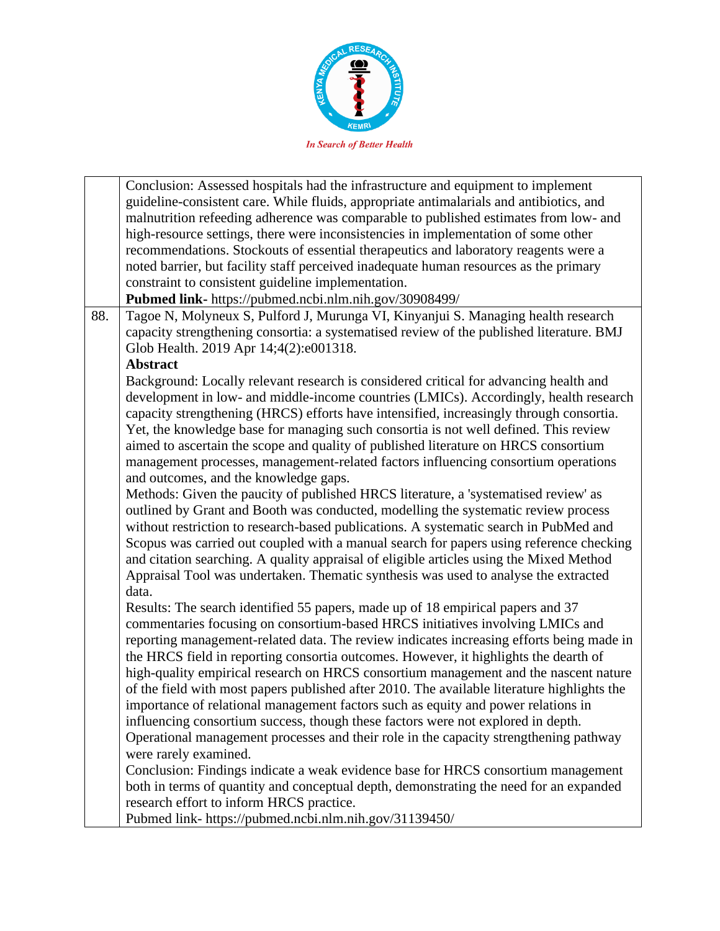

Conclusion: Assessed hospitals had the infrastructure and equipment to implement guideline-consistent care. While fluids, appropriate antimalarials and antibiotics, and malnutrition refeeding adherence was comparable to published estimates from low- and high-resource settings, there were inconsistencies in implementation of some other recommendations. Stockouts of essential therapeutics and laboratory reagents were a noted barrier, but facility staff perceived inadequate human resources as the primary constraint to consistent guideline implementation. **Pubmed link-** https://pubmed.ncbi.nlm.nih.gov/30908499/ 88. Tagoe N, Molyneux S, Pulford J, Murunga VI, Kinyanjui S. Managing health research capacity strengthening consortia: a systematised review of the published literature. BMJ Glob Health. 2019 Apr 14;4(2):e001318. **Abstract** Background: Locally relevant research is considered critical for advancing health and development in low- and middle-income countries (LMICs). Accordingly, health research capacity strengthening (HRCS) efforts have intensified, increasingly through consortia. Yet, the knowledge base for managing such consortia is not well defined. This review aimed to ascertain the scope and quality of published literature on HRCS consortium management processes, management-related factors influencing consortium operations and outcomes, and the knowledge gaps. Methods: Given the paucity of published HRCS literature, a 'systematised review' as outlined by Grant and Booth was conducted, modelling the systematic review process without restriction to research-based publications. A systematic search in PubMed and Scopus was carried out coupled with a manual search for papers using reference checking and citation searching. A quality appraisal of eligible articles using the Mixed Method Appraisal Tool was undertaken. Thematic synthesis was used to analyse the extracted data. Results: The search identified 55 papers, made up of 18 empirical papers and 37 commentaries focusing on consortium-based HRCS initiatives involving LMICs and reporting management-related data. The review indicates increasing efforts being made in the HRCS field in reporting consortia outcomes. However, it highlights the dearth of high-quality empirical research on HRCS consortium management and the nascent nature of the field with most papers published after 2010. The available literature highlights the importance of relational management factors such as equity and power relations in influencing consortium success, though these factors were not explored in depth. Operational management processes and their role in the capacity strengthening pathway were rarely examined. Conclusion: Findings indicate a weak evidence base for HRCS consortium management both in terms of quantity and conceptual depth, demonstrating the need for an expanded research effort to inform HRCS practice. Pubmed link- https://pubmed.ncbi.nlm.nih.gov/31139450/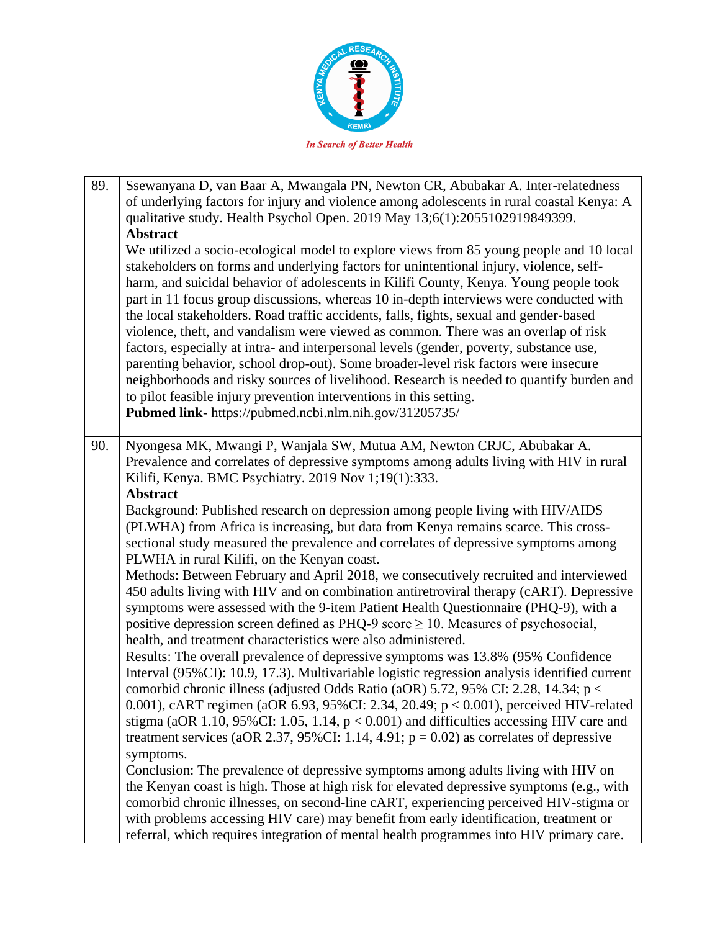

| 89. | Ssewanyana D, van Baar A, Mwangala PN, Newton CR, Abubakar A. Inter-relatedness<br>of underlying factors for injury and violence among adolescents in rural coastal Kenya: A<br>qualitative study. Health Psychol Open. 2019 May 13;6(1):2055102919849399.<br><b>Abstract</b><br>We utilized a socio-ecological model to explore views from 85 young people and 10 local<br>stakeholders on forms and underlying factors for unintentional injury, violence, self-<br>harm, and suicidal behavior of adolescents in Kilifi County, Kenya. Young people took<br>part in 11 focus group discussions, whereas 10 in-depth interviews were conducted with<br>the local stakeholders. Road traffic accidents, falls, fights, sexual and gender-based<br>violence, theft, and vandalism were viewed as common. There was an overlap of risk<br>factors, especially at intra- and interpersonal levels (gender, poverty, substance use,<br>parenting behavior, school drop-out). Some broader-level risk factors were insecure<br>neighborhoods and risky sources of livelihood. Research is needed to quantify burden and<br>to pilot feasible injury prevention interventions in this setting.<br>Pubmed link- https://pubmed.ncbi.nlm.nih.gov/31205735/                                                                                                                                                                                                                                                                                                                                                                                                                                                                                                                                                                                                                                                                                          |
|-----|----------------------------------------------------------------------------------------------------------------------------------------------------------------------------------------------------------------------------------------------------------------------------------------------------------------------------------------------------------------------------------------------------------------------------------------------------------------------------------------------------------------------------------------------------------------------------------------------------------------------------------------------------------------------------------------------------------------------------------------------------------------------------------------------------------------------------------------------------------------------------------------------------------------------------------------------------------------------------------------------------------------------------------------------------------------------------------------------------------------------------------------------------------------------------------------------------------------------------------------------------------------------------------------------------------------------------------------------------------------------------------------------------------------------------------------------------------------------------------------------------------------------------------------------------------------------------------------------------------------------------------------------------------------------------------------------------------------------------------------------------------------------------------------------------------------------------------------------------------------------------------------------------------------------------------------------|
| 90. | Nyongesa MK, Mwangi P, Wanjala SW, Mutua AM, Newton CRJC, Abubakar A.<br>Prevalence and correlates of depressive symptoms among adults living with HIV in rural<br>Kilifi, Kenya. BMC Psychiatry. 2019 Nov 1;19(1):333.<br><b>Abstract</b><br>Background: Published research on depression among people living with HIV/AIDS<br>(PLWHA) from Africa is increasing, but data from Kenya remains scarce. This cross-<br>sectional study measured the prevalence and correlates of depressive symptoms among<br>PLWHA in rural Kilifi, on the Kenyan coast.<br>Methods: Between February and April 2018, we consecutively recruited and interviewed<br>450 adults living with HIV and on combination antiretroviral therapy (cART). Depressive<br>symptoms were assessed with the 9-item Patient Health Questionnaire (PHQ-9), with a<br>positive depression screen defined as PHQ-9 score $\geq$ 10. Measures of psychosocial,<br>health, and treatment characteristics were also administered.<br>Results: The overall prevalence of depressive symptoms was 13.8% (95% Confidence<br>Interval (95%CI): 10.9, 17.3). Multivariable logistic regression analysis identified current<br>comorbid chronic illness (adjusted Odds Ratio (aOR) 5.72, 95% CI: 2.28, 14.34; p <<br>0.001), cART regimen (aOR 6.93, 95%CI: 2.34, 20.49; p < 0.001), perceived HIV-related<br>stigma (aOR 1.10, 95%CI: 1.05, 1.14, $p < 0.001$ ) and difficulties accessing HIV care and<br>treatment services (aOR 2.37, 95%CI: 1.14, 4.91; $p = 0.02$ ) as correlates of depressive<br>symptoms.<br>Conclusion: The prevalence of depressive symptoms among adults living with HIV on<br>the Kenyan coast is high. Those at high risk for elevated depressive symptoms (e.g., with<br>comorbid chronic illnesses, on second-line cART, experiencing perceived HIV-stigma or<br>with problems accessing HIV care) may benefit from early identification, treatment or |
|     | referral, which requires integration of mental health programmes into HIV primary care.                                                                                                                                                                                                                                                                                                                                                                                                                                                                                                                                                                                                                                                                                                                                                                                                                                                                                                                                                                                                                                                                                                                                                                                                                                                                                                                                                                                                                                                                                                                                                                                                                                                                                                                                                                                                                                                      |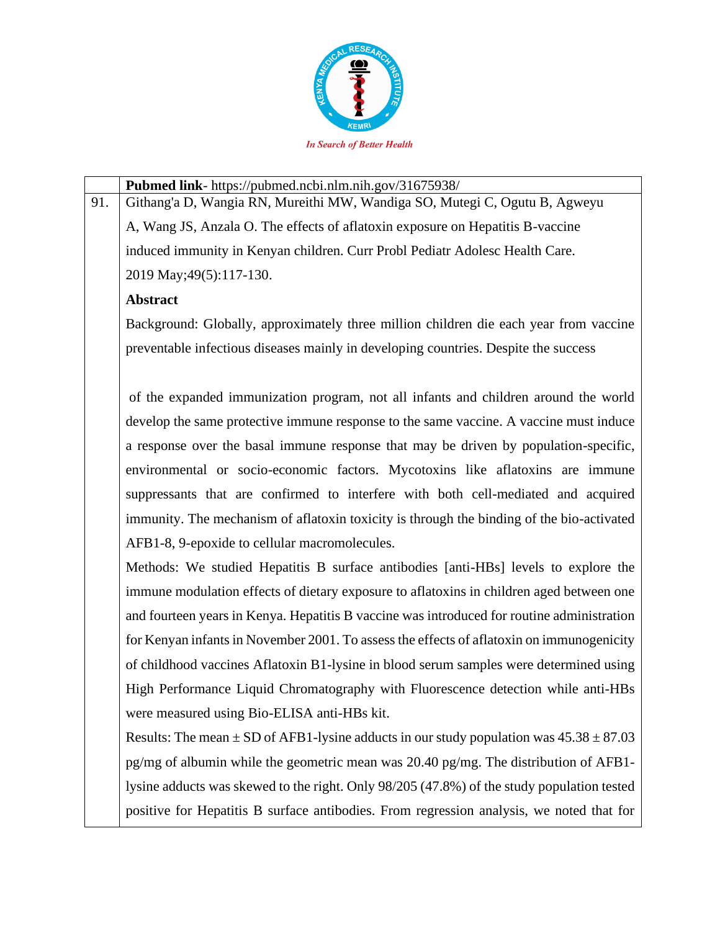

**Pubmed link**- https://pubmed.ncbi.nlm.nih.gov/31675938/ 91. Githang'a D, Wangia RN, Mureithi MW, Wandiga SO, Mutegi C, Ogutu B, Agweyu A, Wang JS, Anzala O. The effects of aflatoxin exposure on Hepatitis B-vaccine induced immunity in Kenyan children. Curr Probl Pediatr Adolesc Health Care. 2019 May;49(5):117-130. **Abstract** Background: Globally, approximately three million children die each year from vaccine

preventable infectious diseases mainly in developing countries. Despite the success

of the expanded immunization program, not all infants and children around the world develop the same protective immune response to the same vaccine. A vaccine must induce a response over the basal immune response that may be driven by population-specific, environmental or socio-economic factors. Mycotoxins like aflatoxins are immune suppressants that are confirmed to interfere with both cell-mediated and acquired immunity. The mechanism of aflatoxin toxicity is through the binding of the bio-activated AFB1-8, 9-epoxide to cellular macromolecules.

Methods: We studied Hepatitis B surface antibodies [anti-HBs] levels to explore the immune modulation effects of dietary exposure to aflatoxins in children aged between one and fourteen years in Kenya. Hepatitis B vaccine was introduced for routine administration for Kenyan infants in November 2001. To assess the effects of aflatoxin on immunogenicity of childhood vaccines Aflatoxin B1-lysine in blood serum samples were determined using High Performance Liquid Chromatography with Fluorescence detection while anti-HBs were measured using Bio-ELISA anti-HBs kit.

Results: The mean  $\pm$  SD of AFB1-lysine adducts in our study population was  $45.38 \pm 87.03$ pg/mg of albumin while the geometric mean was 20.40 pg/mg. The distribution of AFB1 lysine adducts was skewed to the right. Only 98/205 (47.8%) of the study population tested positive for Hepatitis B surface antibodies. From regression analysis, we noted that for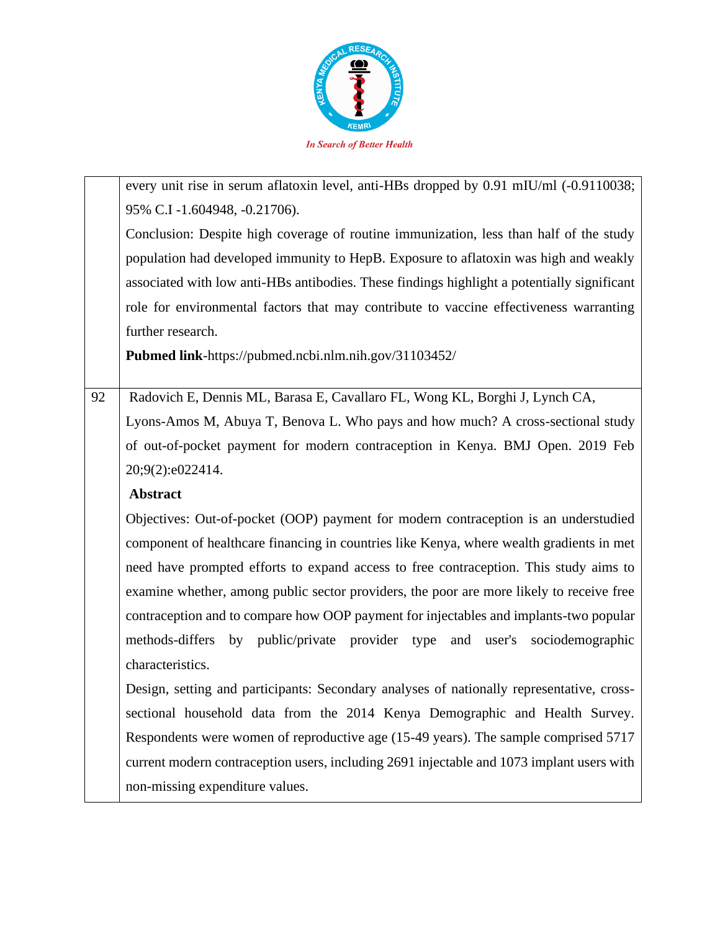

|    | every unit rise in serum aflatoxin level, anti-HBs dropped by 0.91 mIU/ml (-0.9110038;      |
|----|---------------------------------------------------------------------------------------------|
|    | 95% C.I -1.604948, -0.21706).                                                               |
|    | Conclusion: Despite high coverage of routine immunization, less than half of the study      |
|    | population had developed immunity to HepB. Exposure to aflatoxin was high and weakly        |
|    | associated with low anti-HBs antibodies. These findings highlight a potentially significant |
|    | role for environmental factors that may contribute to vaccine effectiveness warranting      |
|    | further research.                                                                           |
|    | Pubmed link-https://pubmed.ncbi.nlm.nih.gov/31103452/                                       |
|    |                                                                                             |
| 92 | Radovich E, Dennis ML, Barasa E, Cavallaro FL, Wong KL, Borghi J, Lynch CA,                 |
|    | Lyons-Amos M, Abuya T, Benova L. Who pays and how much? A cross-sectional study             |
|    | of out-of-pocket payment for modern contraception in Kenya. BMJ Open. 2019 Feb              |
|    | 20;9(2):e022414.                                                                            |
|    | <b>Abstract</b>                                                                             |
|    | Objectives: Out-of-pocket (OOP) payment for modern contraception is an understudied         |
|    | component of healthcare financing in countries like Kenya, where wealth gradients in met    |
|    | need have prompted efforts to expand access to free contraception. This study aims to       |
|    | examine whether, among public sector providers, the poor are more likely to receive free    |
|    | contraception and to compare how OOP payment for injectables and implants-two popular       |
|    | by public/private provider type and user's sociodemographic<br>methods-differs              |
|    | characteristics.                                                                            |
|    | Design, setting and participants: Secondary analyses of nationally representative, cross-   |
|    | sectional household data from the 2014 Kenya Demographic and Health Survey.                 |
|    | Respondents were women of reproductive age (15-49 years). The sample comprised 5717         |
|    | current modern contraception users, including 2691 injectable and 1073 implant users with   |
|    | non-missing expenditure values.                                                             |
|    |                                                                                             |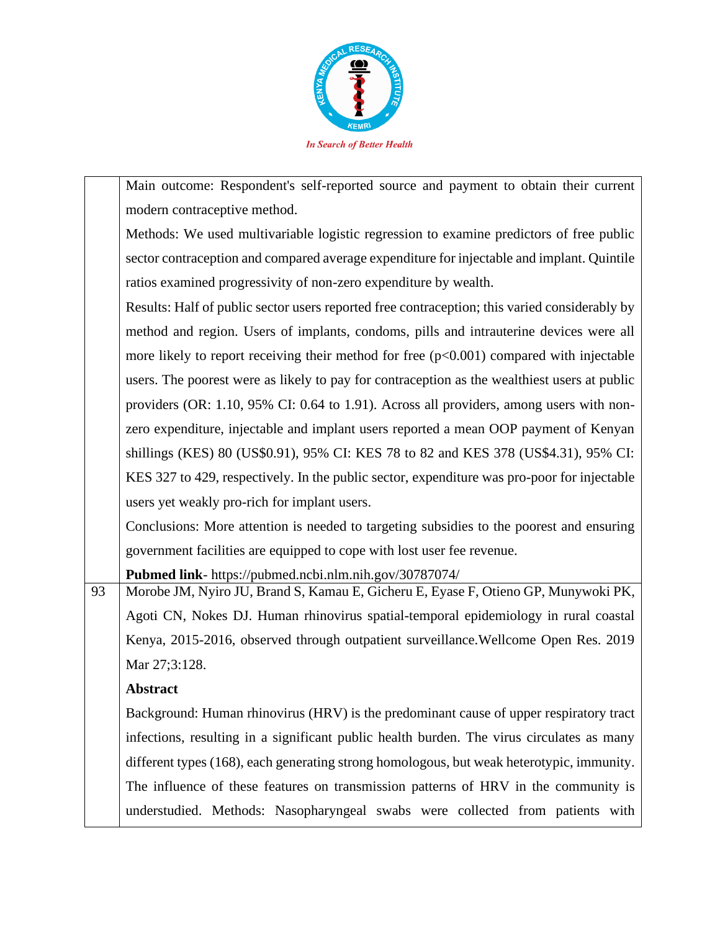

Main outcome: Respondent's self-reported source and payment to obtain their current modern contraceptive method.

Methods: We used multivariable logistic regression to examine predictors of free public sector contraception and compared average expenditure for injectable and implant. Quintile ratios examined progressivity of non-zero expenditure by wealth.

Results: Half of public sector users reported free contraception; this varied considerably by method and region. Users of implants, condoms, pills and intrauterine devices were all more likely to report receiving their method for free  $(p<0.001)$  compared with injectable users. The poorest were as likely to pay for contraception as the wealthiest users at public providers (OR: 1.10, 95% CI: 0.64 to 1.91). Across all providers, among users with nonzero expenditure, injectable and implant users reported a mean OOP payment of Kenyan shillings (KES) 80 (US\$0.91), 95% CI: KES 78 to 82 and KES 378 (US\$4.31), 95% CI: KES 327 to 429, respectively. In the public sector, expenditure was pro-poor for injectable users yet weakly pro-rich for implant users.

Conclusions: More attention is needed to targeting subsidies to the poorest and ensuring government facilities are equipped to cope with lost user fee revenue.

**Pubmed link**- https://pubmed.ncbi.nlm.nih.gov/30787074/

93 | Morobe JM, Nyiro JU, Brand S, Kamau E, Gicheru E, Eyase F, Otieno GP, Munywoki PK, Agoti CN, Nokes DJ. Human rhinovirus spatial-temporal epidemiology in rural coastal Kenya, 2015-2016, observed through outpatient surveillance.Wellcome Open Res. 2019 Mar 27:3:128.

## **Abstract**

Background: Human rhinovirus (HRV) is the predominant cause of upper respiratory tract infections, resulting in a significant public health burden. The virus circulates as many different types (168), each generating strong homologous, but weak heterotypic, immunity. The influence of these features on transmission patterns of HRV in the community is understudied. Methods: Nasopharyngeal swabs were collected from patients with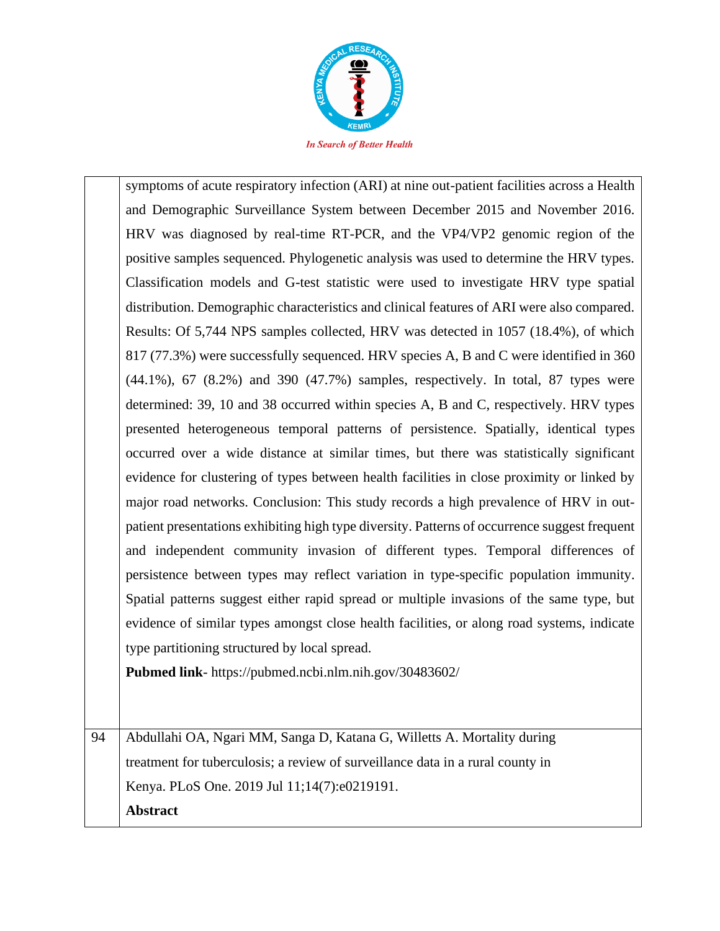

symptoms of acute respiratory infection (ARI) at nine out-patient facilities across a Health and Demographic Surveillance System between December 2015 and November 2016. HRV was diagnosed by real-time RT-PCR, and the VP4/VP2 genomic region of the positive samples sequenced. Phylogenetic analysis was used to determine the HRV types. Classification models and G-test statistic were used to investigate HRV type spatial distribution. Demographic characteristics and clinical features of ARI were also compared. Results: Of 5,744 NPS samples collected, HRV was detected in 1057 (18.4%), of which 817 (77.3%) were successfully sequenced. HRV species A, B and C were identified in 360 (44.1%), 67 (8.2%) and 390 (47.7%) samples, respectively. In total, 87 types were determined: 39, 10 and 38 occurred within species A, B and C, respectively. HRV types presented heterogeneous temporal patterns of persistence. Spatially, identical types occurred over a wide distance at similar times, but there was statistically significant evidence for clustering of types between health facilities in close proximity or linked by major road networks. Conclusion: This study records a high prevalence of HRV in outpatient presentations exhibiting high type diversity. Patterns of occurrence suggest frequent and independent community invasion of different types. Temporal differences of persistence between types may reflect variation in type-specific population immunity. Spatial patterns suggest either rapid spread or multiple invasions of the same type, but evidence of similar types amongst close health facilities, or along road systems, indicate type partitioning structured by local spread.

**Pubmed link**- https://pubmed.ncbi.nlm.nih.gov/30483602/

94 Abdullahi OA, Ngari MM, Sanga D, Katana G, Willetts A. Mortality during treatment for tuberculosis; a review of surveillance data in a rural county in Kenya. PLoS One. 2019 Jul 11;14(7):e0219191. **Abstract**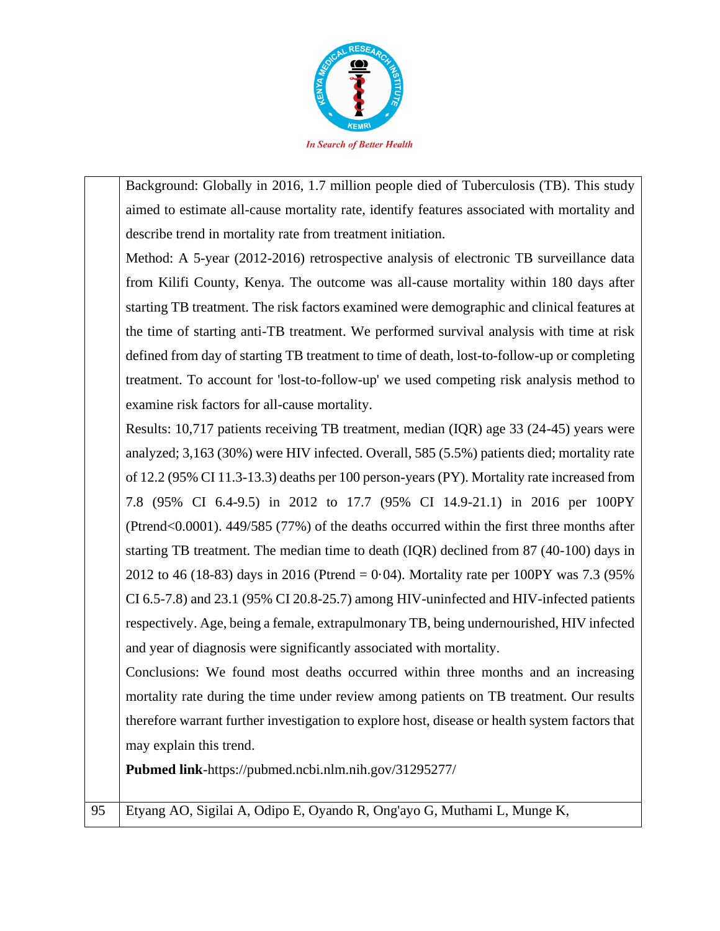

Background: Globally in 2016, 1.7 million people died of Tuberculosis (TB). This study aimed to estimate all-cause mortality rate, identify features associated with mortality and describe trend in mortality rate from treatment initiation.

Method: A 5-year (2012-2016) retrospective analysis of electronic TB surveillance data from Kilifi County, Kenya. The outcome was all-cause mortality within 180 days after starting TB treatment. The risk factors examined were demographic and clinical features at the time of starting anti-TB treatment. We performed survival analysis with time at risk defined from day of starting TB treatment to time of death, lost-to-follow-up or completing treatment. To account for 'lost-to-follow-up' we used competing risk analysis method to examine risk factors for all-cause mortality.

Results: 10,717 patients receiving TB treatment, median (IQR) age 33 (24-45) years were analyzed; 3,163 (30%) were HIV infected. Overall, 585 (5.5%) patients died; mortality rate of 12.2 (95% CI 11.3-13.3) deaths per 100 person-years (PY). Mortality rate increased from 7.8 (95% CI 6.4-9.5) in 2012 to 17.7 (95% CI 14.9-21.1) in 2016 per 100PY (Ptrend<0.0001). 449/585 (77%) of the deaths occurred within the first three months after starting TB treatment. The median time to death (IQR) declined from 87 (40-100) days in 2012 to 46 (18-83) days in 2016 (Ptrend = 0·04). Mortality rate per 100PY was 7.3 (95% CI 6.5-7.8) and 23.1 (95% CI 20.8-25.7) among HIV-uninfected and HIV-infected patients respectively. Age, being a female, extrapulmonary TB, being undernourished, HIV infected and year of diagnosis were significantly associated with mortality.

Conclusions: We found most deaths occurred within three months and an increasing mortality rate during the time under review among patients on TB treatment. Our results therefore warrant further investigation to explore host, disease or health system factors that may explain this trend.

**Pubmed link**-https://pubmed.ncbi.nlm.nih.gov/31295277/

95 Etyang AO, Sigilai A, Odipo E, Oyando R, Ong'ayo G, Muthami L, Munge K,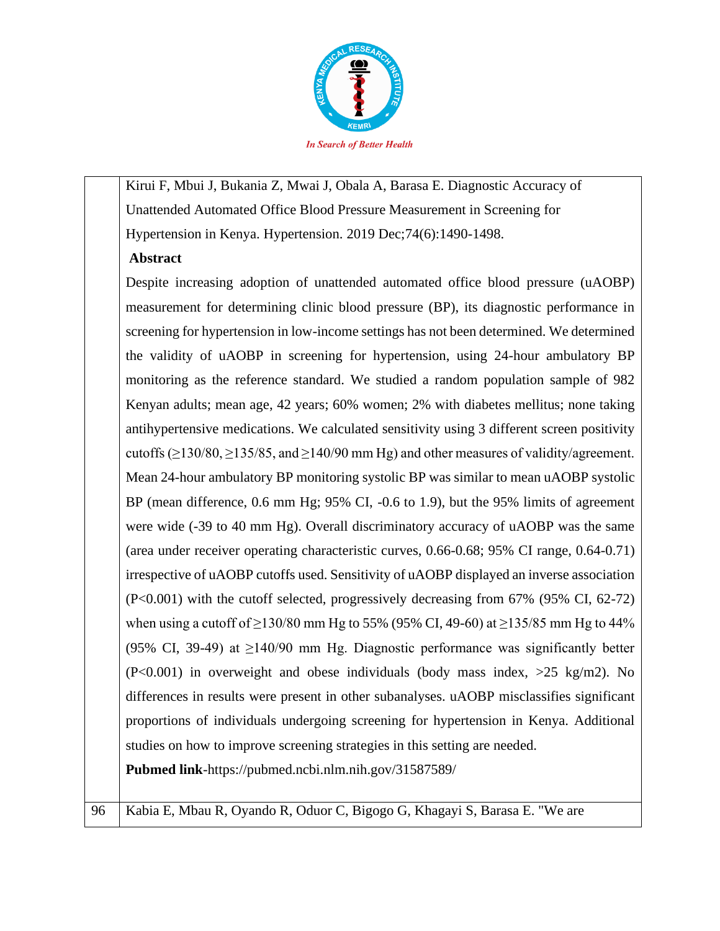

Kirui F, Mbui J, Bukania Z, Mwai J, Obala A, Barasa E. Diagnostic Accuracy of Unattended Automated Office Blood Pressure Measurement in Screening for Hypertension in Kenya. Hypertension. 2019 Dec;74(6):1490-1498.

# **Abstract**

Despite increasing adoption of unattended automated office blood pressure (uAOBP) measurement for determining clinic blood pressure (BP), its diagnostic performance in screening for hypertension in low-income settings has not been determined. We determined the validity of uAOBP in screening for hypertension, using 24-hour ambulatory BP monitoring as the reference standard. We studied a random population sample of 982 Kenyan adults; mean age, 42 years; 60% women; 2% with diabetes mellitus; none taking antihypertensive medications. We calculated sensitivity using 3 different screen positivity cutoffs ( $\geq$ 130/80,  $\geq$ 135/85, and  $\geq$ 140/90 mm Hg) and other measures of validity/agreement. Mean 24-hour ambulatory BP monitoring systolic BP was similar to mean uAOBP systolic BP (mean difference, 0.6 mm Hg; 95% CI, -0.6 to 1.9), but the 95% limits of agreement were wide (-39 to 40 mm Hg). Overall discriminatory accuracy of uAOBP was the same (area under receiver operating characteristic curves, 0.66-0.68; 95% CI range, 0.64-0.71) irrespective of uAOBP cutoffs used. Sensitivity of uAOBP displayed an inverse association (P<0.001) with the cutoff selected, progressively decreasing from 67% (95% CI, 62-72) when using a cutoff of  $\geq$ 130/80 mm Hg to 55% (95% CI, 49-60) at  $\geq$ 135/85 mm Hg to 44% (95% CI, 39-49) at  $\geq$ 140/90 mm Hg. Diagnostic performance was significantly better (P<0.001) in overweight and obese individuals (body mass index, >25 kg/m2). No differences in results were present in other subanalyses. uAOBP misclassifies significant proportions of individuals undergoing screening for hypertension in Kenya. Additional studies on how to improve screening strategies in this setting are needed.

**Pubmed link**-https://pubmed.ncbi.nlm.nih.gov/31587589/

96 | Kabia E, Mbau R, Oyando R, Oduor C, Bigogo G, Khagayi S, Barasa E. "We are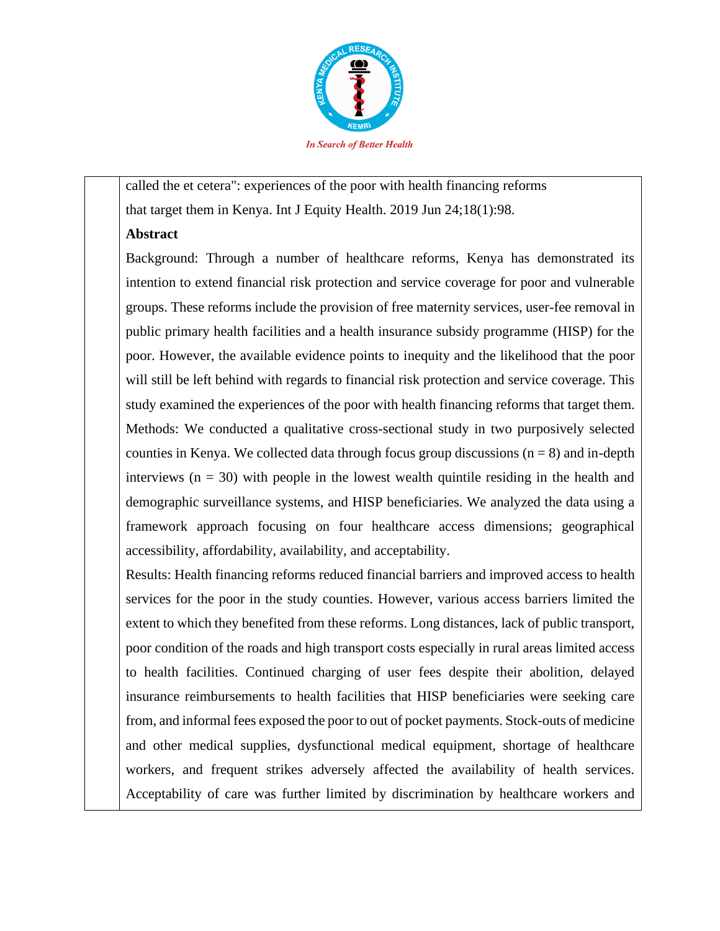

called the et cetera": experiences of the poor with health financing reforms that target them in Kenya. Int J Equity Health. 2019 Jun 24;18(1):98.

## **Abstract**

Background: Through a number of healthcare reforms, Kenya has demonstrated its intention to extend financial risk protection and service coverage for poor and vulnerable groups. These reforms include the provision of free maternity services, user-fee removal in public primary health facilities and a health insurance subsidy programme (HISP) for the poor. However, the available evidence points to inequity and the likelihood that the poor will still be left behind with regards to financial risk protection and service coverage. This study examined the experiences of the poor with health financing reforms that target them. Methods: We conducted a qualitative cross-sectional study in two purposively selected counties in Kenya. We collected data through focus group discussions  $(n = 8)$  and in-depth interviews  $(n = 30)$  with people in the lowest wealth quintile residing in the health and demographic surveillance systems, and HISP beneficiaries. We analyzed the data using a framework approach focusing on four healthcare access dimensions; geographical accessibility, affordability, availability, and acceptability.

Results: Health financing reforms reduced financial barriers and improved access to health services for the poor in the study counties. However, various access barriers limited the extent to which they benefited from these reforms. Long distances, lack of public transport, poor condition of the roads and high transport costs especially in rural areas limited access to health facilities. Continued charging of user fees despite their abolition, delayed insurance reimbursements to health facilities that HISP beneficiaries were seeking care from, and informal fees exposed the poor to out of pocket payments. Stock-outs of medicine and other medical supplies, dysfunctional medical equipment, shortage of healthcare workers, and frequent strikes adversely affected the availability of health services. Acceptability of care was further limited by discrimination by healthcare workers and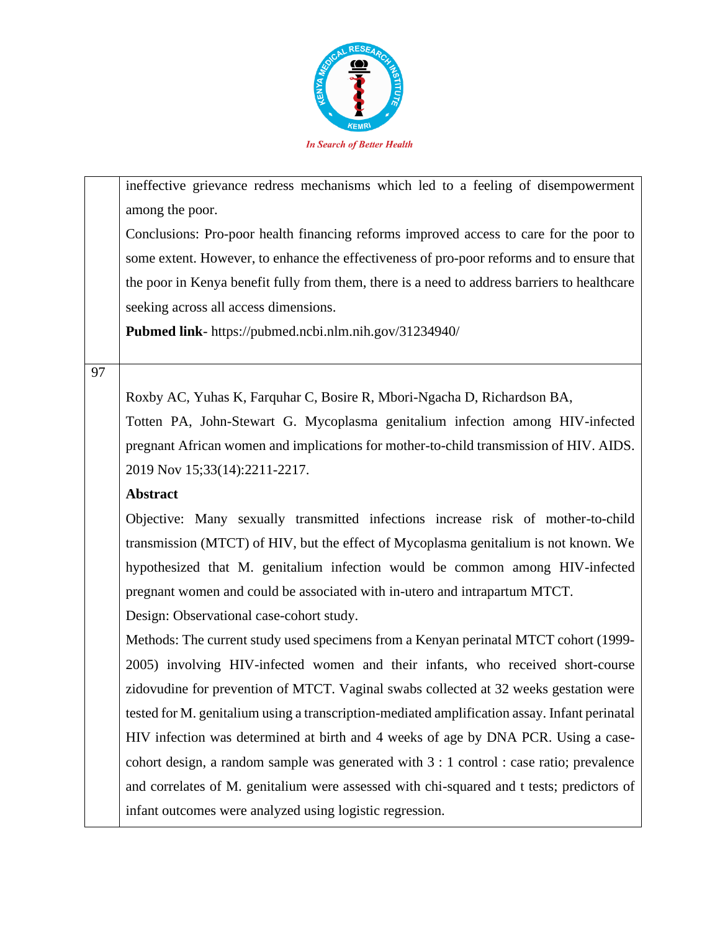

ineffective grievance redress mechanisms which led to a feeling of disempowerment among the poor.

Conclusions: Pro-poor health financing reforms improved access to care for the poor to some extent. However, to enhance the effectiveness of pro-poor reforms and to ensure that the poor in Kenya benefit fully from them, there is a need to address barriers to healthcare seeking across all access dimensions.

**Pubmed link**- https://pubmed.ncbi.nlm.nih.gov/31234940/

## 97

Roxby AC, Yuhas K, Farquhar C, Bosire R, Mbori-Ngacha D, Richardson BA,

Totten PA, John-Stewart G. Mycoplasma genitalium infection among HIV-infected pregnant African women and implications for mother-to-child transmission of HIV. AIDS. 2019 Nov 15;33(14):2211-2217.

## **Abstract**

Objective: Many sexually transmitted infections increase risk of mother-to-child transmission (MTCT) of HIV, but the effect of Mycoplasma genitalium is not known. We hypothesized that M. genitalium infection would be common among HIV-infected pregnant women and could be associated with in-utero and intrapartum MTCT.

Design: Observational case-cohort study.

Methods: The current study used specimens from a Kenyan perinatal MTCT cohort (1999- 2005) involving HIV-infected women and their infants, who received short-course zidovudine for prevention of MTCT. Vaginal swabs collected at 32 weeks gestation were tested for M. genitalium using a transcription-mediated amplification assay. Infant perinatal HIV infection was determined at birth and 4 weeks of age by DNA PCR. Using a casecohort design, a random sample was generated with 3 : 1 control : case ratio; prevalence and correlates of M. genitalium were assessed with chi-squared and t tests; predictors of infant outcomes were analyzed using logistic regression.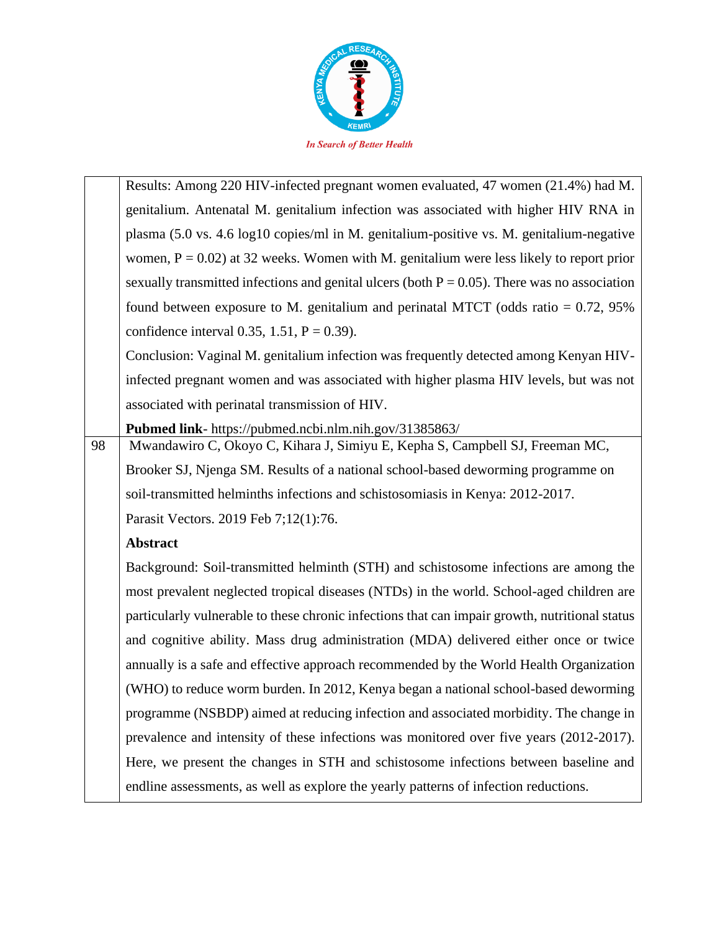

|    | Results: Among 220 HIV-infected pregnant women evaluated, 47 women (21.4%) had M.               |
|----|-------------------------------------------------------------------------------------------------|
|    | genitalium. Antenatal M. genitalium infection was associated with higher HIV RNA in             |
|    | plasma (5.0 vs. 4.6 log10 copies/ml in M. genitalium-positive vs. M. genitalium-negative        |
|    | women, $P = 0.02$ ) at 32 weeks. Women with M. genitalium were less likely to report prior      |
|    | sexually transmitted infections and genital ulcers (both $P = 0.05$ ). There was no association |
|    | found between exposure to M. genitalium and perinatal MTCT (odds ratio $= 0.72$ , 95%           |
|    | confidence interval 0.35, 1.51, $P = 0.39$ .                                                    |
|    | Conclusion: Vaginal M. genitalium infection was frequently detected among Kenyan HIV-           |
|    | infected pregnant women and was associated with higher plasma HIV levels, but was not           |
|    | associated with perinatal transmission of HIV.                                                  |
|    | Pubmed link- https://pubmed.ncbi.nlm.nih.gov/31385863/                                          |
| 98 | Mwandawiro C, Okoyo C, Kihara J, Simiyu E, Kepha S, Campbell SJ, Freeman MC,                    |
|    | Brooker SJ, Njenga SM. Results of a national school-based deworming programme on                |
|    | soil-transmitted helminths infections and schistosomiasis in Kenya: 2012-2017.                  |
|    | Parasit Vectors. 2019 Feb 7;12(1):76.                                                           |
|    | Abstract                                                                                        |
|    | Background: Soil-transmitted helminth (STH) and schistosome infections are among the            |
|    | most prevalent neglected tropical diseases (NTDs) in the world. School-aged children are        |
|    | particularly vulnerable to these chronic infections that can impair growth, nutritional status  |
|    | and cognitive ability. Mass drug administration (MDA) delivered either once or twice            |
|    | annually is a safe and effective approach recommended by the World Health Organization          |
|    | (WHO) to reduce worm burden. In 2012, Kenya began a national school-based deworming             |
|    | programme (NSBDP) aimed at reducing infection and associated morbidity. The change in           |
|    | prevalence and intensity of these infections was monitored over five years (2012-2017).         |
|    | Here, we present the changes in STH and schistosome infections between baseline and             |
|    | endline assessments, as well as explore the yearly patterns of infection reductions.            |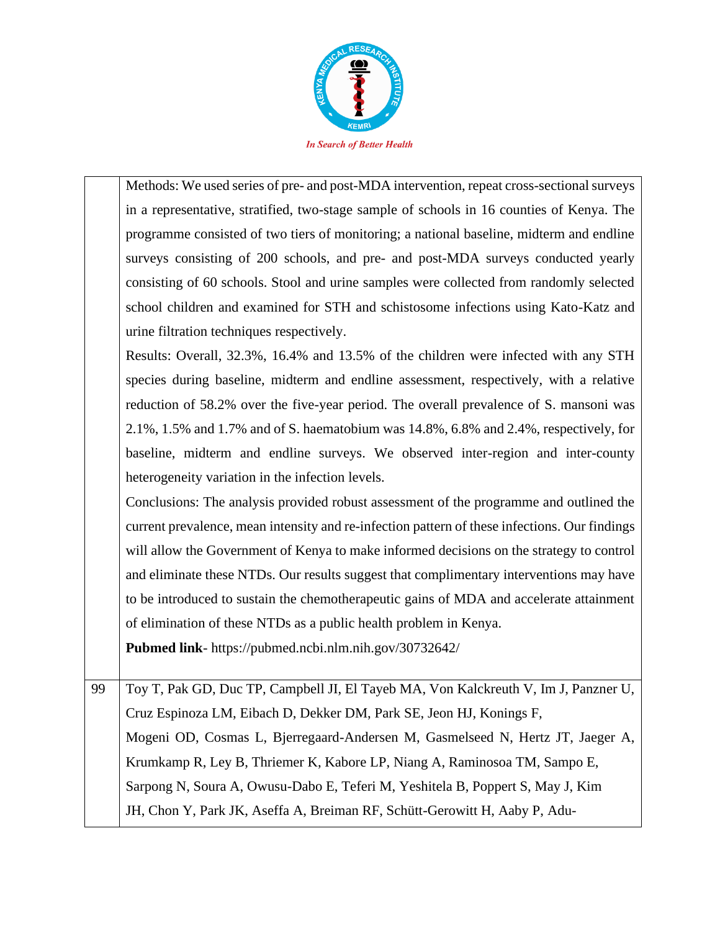

Methods: We used series of pre- and post-MDA intervention, repeat cross-sectional surveys in a representative, stratified, two-stage sample of schools in 16 counties of Kenya. The programme consisted of two tiers of monitoring; a national baseline, midterm and endline surveys consisting of 200 schools, and pre- and post-MDA surveys conducted yearly consisting of 60 schools. Stool and urine samples were collected from randomly selected school children and examined for STH and schistosome infections using Kato-Katz and urine filtration techniques respectively.

Results: Overall, 32.3%, 16.4% and 13.5% of the children were infected with any STH species during baseline, midterm and endline assessment, respectively, with a relative reduction of 58.2% over the five-year period. The overall prevalence of S. mansoni was 2.1%, 1.5% and 1.7% and of S. haematobium was 14.8%, 6.8% and 2.4%, respectively, for baseline, midterm and endline surveys. We observed inter-region and inter-county heterogeneity variation in the infection levels.

Conclusions: The analysis provided robust assessment of the programme and outlined the current prevalence, mean intensity and re-infection pattern of these infections. Our findings will allow the Government of Kenya to make informed decisions on the strategy to control and eliminate these NTDs. Our results suggest that complimentary interventions may have to be introduced to sustain the chemotherapeutic gains of MDA and accelerate attainment of elimination of these NTDs as a public health problem in Kenya.

**Pubmed link**- https://pubmed.ncbi.nlm.nih.gov/30732642/

99 Toy T, Pak GD, Duc TP, Campbell JI, El Tayeb MA, Von Kalckreuth V, Im J, Panzner U, Cruz Espinoza LM, Eibach D, Dekker DM, Park SE, Jeon HJ, Konings F, Mogeni OD, Cosmas L, Bjerregaard-Andersen M, Gasmelseed N, Hertz JT, Jaeger A, Krumkamp R, Ley B, Thriemer K, Kabore LP, Niang A, Raminosoa TM, Sampo E, Sarpong N, Soura A, Owusu-Dabo E, Teferi M, Yeshitela B, Poppert S, May J, Kim JH, Chon Y, Park JK, Aseffa A, Breiman RF, Schütt-Gerowitt H, Aaby P, Adu-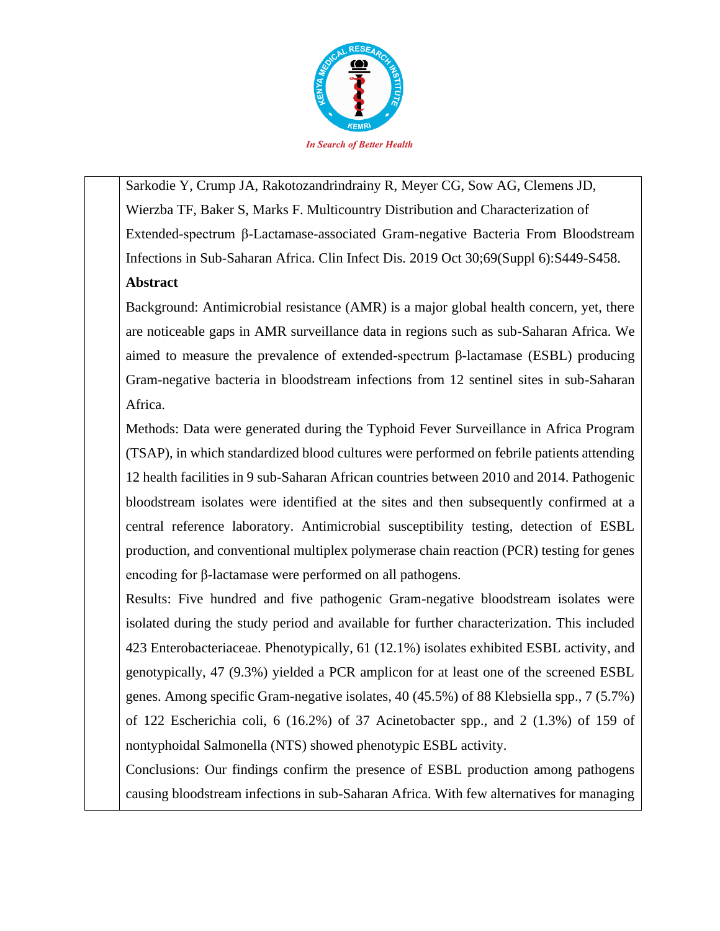

Sarkodie Y, Crump JA, Rakotozandrindrainy R, Meyer CG, Sow AG, Clemens JD, Wierzba TF, Baker S, Marks F. Multicountry Distribution and Characterization of Extended-spectrum β-Lactamase-associated Gram-negative Bacteria From Bloodstream Infections in Sub-Saharan Africa. Clin Infect Dis. 2019 Oct 30;69(Suppl 6):S449-S458.

# **Abstract**

Background: Antimicrobial resistance (AMR) is a major global health concern, yet, there are noticeable gaps in AMR surveillance data in regions such as sub-Saharan Africa. We aimed to measure the prevalence of extended-spectrum β-lactamase (ESBL) producing Gram-negative bacteria in bloodstream infections from 12 sentinel sites in sub-Saharan Africa.

Methods: Data were generated during the Typhoid Fever Surveillance in Africa Program (TSAP), in which standardized blood cultures were performed on febrile patients attending 12 health facilities in 9 sub-Saharan African countries between 2010 and 2014. Pathogenic bloodstream isolates were identified at the sites and then subsequently confirmed at a central reference laboratory. Antimicrobial susceptibility testing, detection of ESBL production, and conventional multiplex polymerase chain reaction (PCR) testing for genes encoding for β-lactamase were performed on all pathogens.

Results: Five hundred and five pathogenic Gram-negative bloodstream isolates were isolated during the study period and available for further characterization. This included 423 Enterobacteriaceae. Phenotypically, 61 (12.1%) isolates exhibited ESBL activity, and genotypically, 47 (9.3%) yielded a PCR amplicon for at least one of the screened ESBL genes. Among specific Gram-negative isolates, 40 (45.5%) of 88 Klebsiella spp., 7 (5.7%) of 122 Escherichia coli, 6 (16.2%) of 37 Acinetobacter spp., and 2 (1.3%) of 159 of nontyphoidal Salmonella (NTS) showed phenotypic ESBL activity.

Conclusions: Our findings confirm the presence of ESBL production among pathogens causing bloodstream infections in sub-Saharan Africa. With few alternatives for managing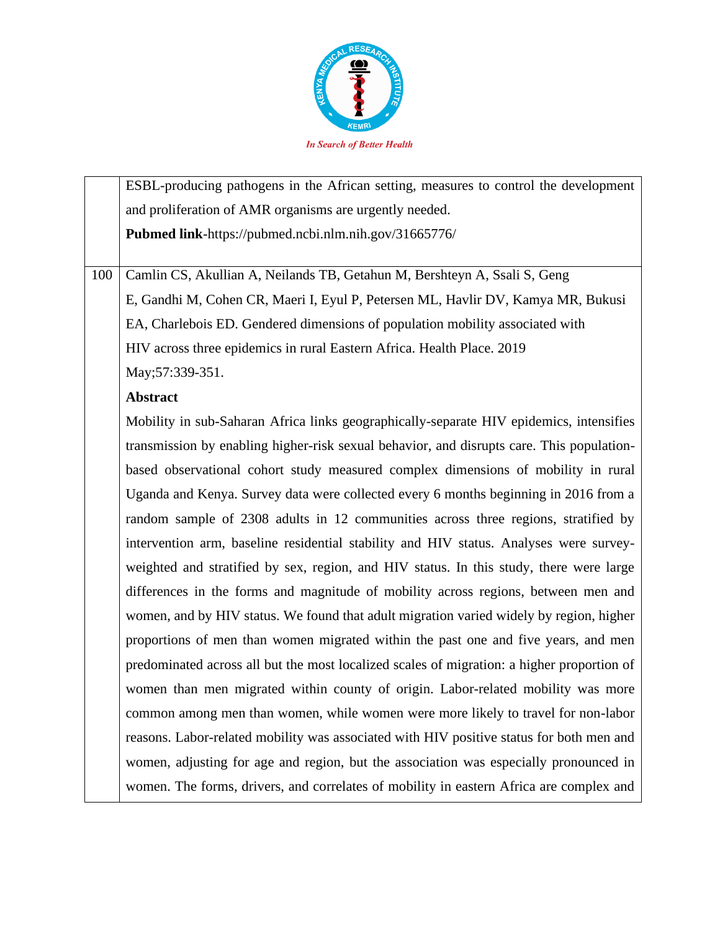

ESBL-producing pathogens in the African setting, measures to control the development and proliferation of AMR organisms are urgently needed. **Pubmed link**-https://pubmed.ncbi.nlm.nih.gov/31665776/

100 Camlin CS, Akullian A, Neilands TB, Getahun M, Bershteyn A, Ssali S, Geng E, Gandhi M, Cohen CR, Maeri I, Eyul P, Petersen ML, Havlir DV, Kamya MR, Bukusi EA, Charlebois ED. Gendered dimensions of population mobility associated with HIV across three epidemics in rural Eastern Africa. Health Place. 2019 May;57:339-351.

## **Abstract**

Mobility in sub-Saharan Africa links geographically-separate HIV epidemics, intensifies transmission by enabling higher-risk sexual behavior, and disrupts care. This populationbased observational cohort study measured complex dimensions of mobility in rural Uganda and Kenya. Survey data were collected every 6 months beginning in 2016 from a random sample of 2308 adults in 12 communities across three regions, stratified by intervention arm, baseline residential stability and HIV status. Analyses were surveyweighted and stratified by sex, region, and HIV status. In this study, there were large differences in the forms and magnitude of mobility across regions, between men and women, and by HIV status. We found that adult migration varied widely by region, higher proportions of men than women migrated within the past one and five years, and men predominated across all but the most localized scales of migration: a higher proportion of women than men migrated within county of origin. Labor-related mobility was more common among men than women, while women were more likely to travel for non-labor reasons. Labor-related mobility was associated with HIV positive status for both men and women, adjusting for age and region, but the association was especially pronounced in women. The forms, drivers, and correlates of mobility in eastern Africa are complex and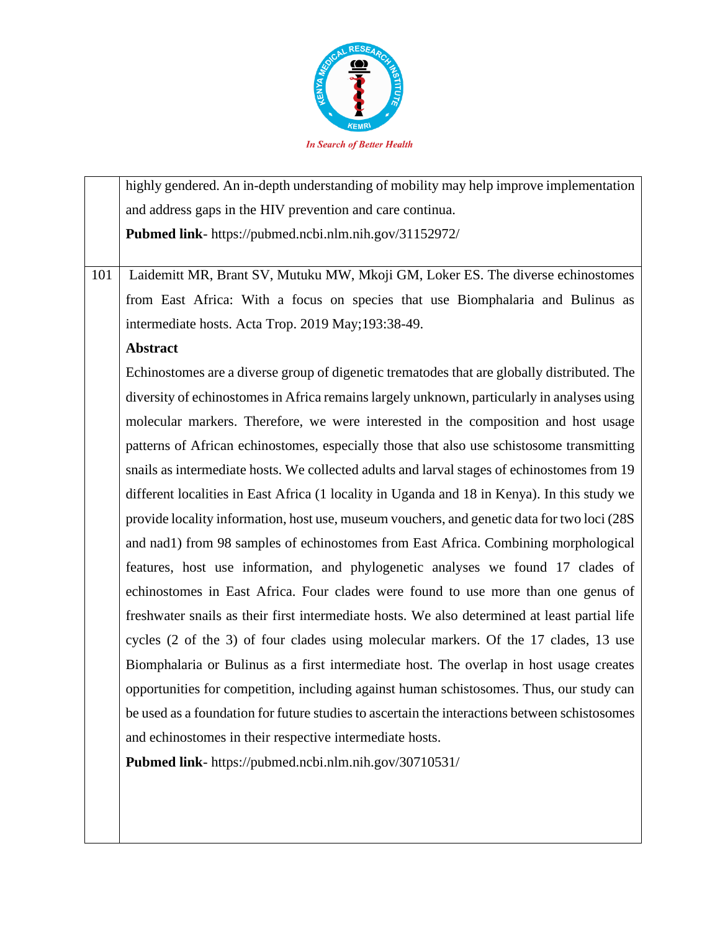

highly gendered. An in-depth understanding of mobility may help improve implementation and address gaps in the HIV prevention and care continua. **Pubmed link**- https://pubmed.ncbi.nlm.nih.gov/31152972/

101 Laidemitt MR, Brant SV, Mutuku MW, Mkoji GM, Loker ES. The diverse echinostomes from East Africa: With a focus on species that use Biomphalaria and Bulinus as intermediate hosts. Acta Trop. 2019 May;193:38-49.

### **Abstract**

Echinostomes are a diverse group of digenetic trematodes that are globally distributed. The diversity of echinostomes in Africa remains largely unknown, particularly in analyses using molecular markers. Therefore, we were interested in the composition and host usage patterns of African echinostomes, especially those that also use schistosome transmitting snails as intermediate hosts. We collected adults and larval stages of echinostomes from 19 different localities in East Africa (1 locality in Uganda and 18 in Kenya). In this study we provide locality information, host use, museum vouchers, and genetic data for two loci (28S and nad1) from 98 samples of echinostomes from East Africa. Combining morphological features, host use information, and phylogenetic analyses we found 17 clades of echinostomes in East Africa. Four clades were found to use more than one genus of freshwater snails as their first intermediate hosts. We also determined at least partial life cycles (2 of the 3) of four clades using molecular markers. Of the 17 clades, 13 use Biomphalaria or Bulinus as a first intermediate host. The overlap in host usage creates opportunities for competition, including against human schistosomes. Thus, our study can be used as a foundation for future studies to ascertain the interactions between schistosomes and echinostomes in their respective intermediate hosts.

**Pubmed link**- https://pubmed.ncbi.nlm.nih.gov/30710531/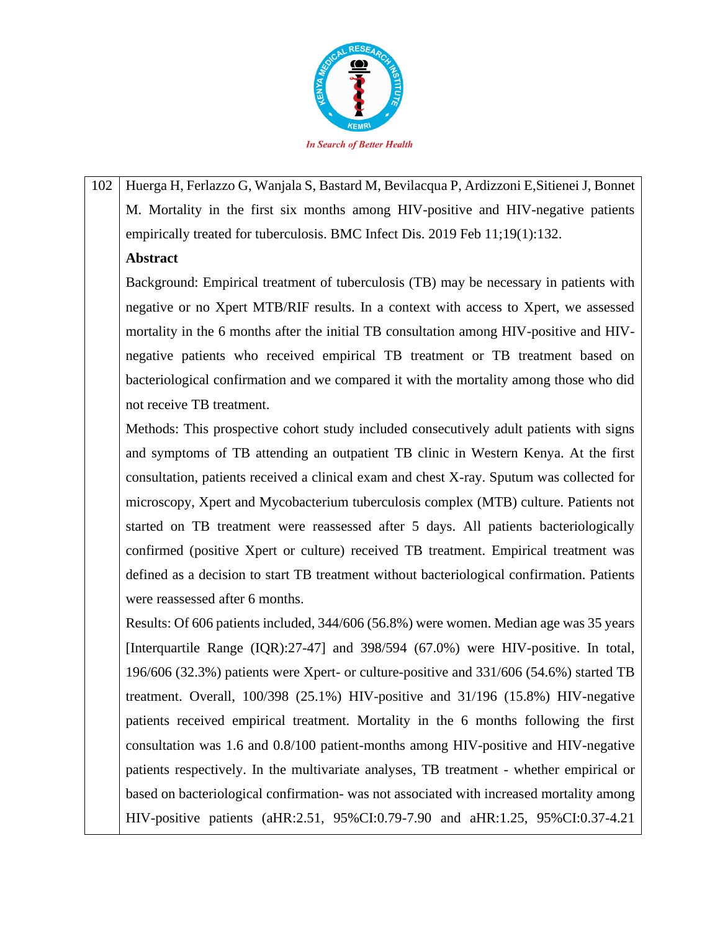

102 Huerga H, Ferlazzo G, Wanjala S, Bastard M, Bevilacqua P, Ardizzoni E,Sitienei J, Bonnet M. Mortality in the first six months among HIV-positive and HIV-negative patients empirically treated for tuberculosis. BMC Infect Dis. 2019 Feb 11;19(1):132.

## **Abstract**

Background: Empirical treatment of tuberculosis (TB) may be necessary in patients with negative or no Xpert MTB/RIF results. In a context with access to Xpert, we assessed mortality in the 6 months after the initial TB consultation among HIV-positive and HIVnegative patients who received empirical TB treatment or TB treatment based on bacteriological confirmation and we compared it with the mortality among those who did not receive TB treatment.

Methods: This prospective cohort study included consecutively adult patients with signs and symptoms of TB attending an outpatient TB clinic in Western Kenya. At the first consultation, patients received a clinical exam and chest X-ray. Sputum was collected for microscopy, Xpert and Mycobacterium tuberculosis complex (MTB) culture. Patients not started on TB treatment were reassessed after 5 days. All patients bacteriologically confirmed (positive Xpert or culture) received TB treatment. Empirical treatment was defined as a decision to start TB treatment without bacteriological confirmation. Patients were reassessed after 6 months.

Results: Of 606 patients included, 344/606 (56.8%) were women. Median age was 35 years [Interquartile Range (IQR):27-47] and 398/594 (67.0%) were HIV-positive. In total, 196/606 (32.3%) patients were Xpert- or culture-positive and 331/606 (54.6%) started TB treatment. Overall, 100/398 (25.1%) HIV-positive and 31/196 (15.8%) HIV-negative patients received empirical treatment. Mortality in the 6 months following the first consultation was 1.6 and 0.8/100 patient-months among HIV-positive and HIV-negative patients respectively. In the multivariate analyses, TB treatment - whether empirical or based on bacteriological confirmation- was not associated with increased mortality among HIV-positive patients (aHR:2.51, 95%CI:0.79-7.90 and aHR:1.25, 95%CI:0.37-4.21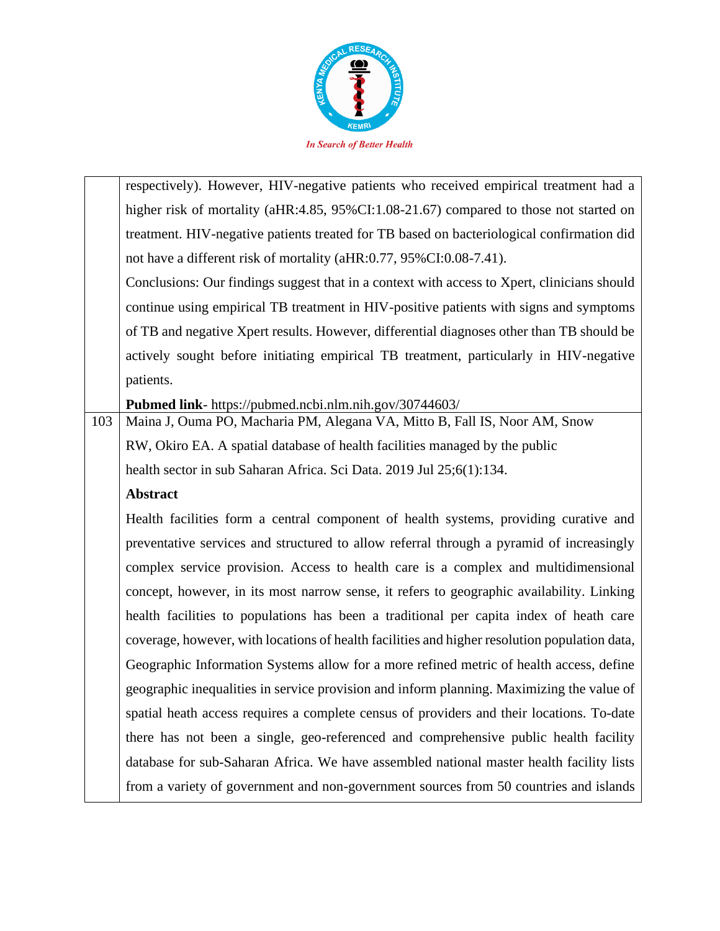

|     | respectively). However, HIV-negative patients who received empirical treatment had a          |
|-----|-----------------------------------------------------------------------------------------------|
|     | higher risk of mortality (aHR:4.85, 95%CI:1.08-21.67) compared to those not started on        |
|     | treatment. HIV-negative patients treated for TB based on bacteriological confirmation did     |
|     | not have a different risk of mortality (aHR:0.77, 95%CI:0.08-7.41).                           |
|     | Conclusions: Our findings suggest that in a context with access to Xpert, clinicians should   |
|     | continue using empirical TB treatment in HIV-positive patients with signs and symptoms        |
|     | of TB and negative Xpert results. However, differential diagnoses other than TB should be     |
|     | actively sought before initiating empirical TB treatment, particularly in HIV-negative        |
|     | patients.                                                                                     |
|     | Pubmed link- https://pubmed.ncbi.nlm.nih.gov/30744603/                                        |
| 103 | Maina J, Ouma PO, Macharia PM, Alegana VA, Mitto B, Fall IS, Noor AM, Snow                    |
|     | RW, Okiro EA. A spatial database of health facilities managed by the public                   |
|     | health sector in sub Saharan Africa. Sci Data. 2019 Jul 25;6(1):134.                          |
|     |                                                                                               |
|     | <b>Abstract</b>                                                                               |
|     | Health facilities form a central component of health systems, providing curative and          |
|     | preventative services and structured to allow referral through a pyramid of increasingly      |
|     | complex service provision. Access to health care is a complex and multidimensional            |
|     | concept, however, in its most narrow sense, it refers to geographic availability. Linking     |
|     | health facilities to populations has been a traditional per capita index of heath care        |
|     | coverage, however, with locations of health facilities and higher resolution population data, |
|     | Geographic Information Systems allow for a more refined metric of health access, define       |
|     | geographic inequalities in service provision and inform planning. Maximizing the value of     |
|     | spatial heath access requires a complete census of providers and their locations. To-date     |
|     | there has not been a single, geo-referenced and comprehensive public health facility          |
|     | database for sub-Saharan Africa. We have assembled national master health facility lists      |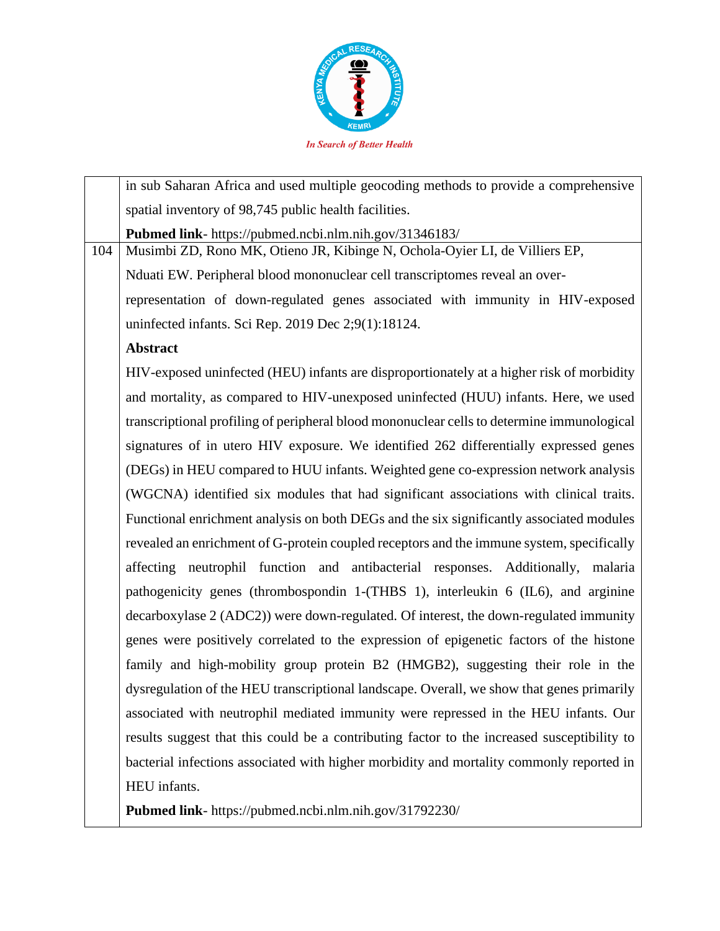

|     | in sub Saharan Africa and used multiple geocoding methods to provide a comprehensive        |
|-----|---------------------------------------------------------------------------------------------|
|     | spatial inventory of 98,745 public health facilities.                                       |
|     | Pubmed link- https://pubmed.ncbi.nlm.nih.gov/31346183/                                      |
| 104 | Musimbi ZD, Rono MK, Otieno JR, Kibinge N, Ochola-Oyier LI, de Villiers EP,                 |
|     | Nduati EW. Peripheral blood mononuclear cell transcriptomes reveal an over-                 |
|     | representation of down-regulated genes associated with immunity in HIV-exposed              |
|     | uninfected infants. Sci Rep. 2019 Dec 2;9(1):18124.                                         |
|     | <b>Abstract</b>                                                                             |
|     | HIV-exposed uninfected (HEU) infants are disproportionately at a higher risk of morbidity   |
|     | and mortality, as compared to HIV-unexposed uninfected (HUU) infants. Here, we used         |
|     | transcriptional profiling of peripheral blood mononuclear cells to determine immunological  |
|     | signatures of in utero HIV exposure. We identified 262 differentially expressed genes       |
|     | (DEGs) in HEU compared to HUU infants. Weighted gene co-expression network analysis         |
|     | (WGCNA) identified six modules that had significant associations with clinical traits.      |
|     | Functional enrichment analysis on both DEGs and the six significantly associated modules    |
|     | revealed an enrichment of G-protein coupled receptors and the immune system, specifically   |
|     | affecting neutrophil function and antibacterial responses. Additionally, malaria            |
|     | pathogenicity genes (thrombospondin 1-(THBS 1), interleukin 6 (IL6), and arginine           |
|     | decarboxylase 2 (ADC2)) were down-regulated. Of interest, the down-regulated immunity       |
|     | genes were positively correlated to the expression of epigenetic factors of the histone     |
|     | family and high-mobility group protein B2 (HMGB2), suggesting their role in the             |
|     | dysregulation of the HEU transcriptional landscape. Overall, we show that genes primarily   |
|     | associated with neutrophil mediated immunity were repressed in the HEU infants. Our         |
|     | results suggest that this could be a contributing factor to the increased susceptibility to |
|     | bacterial infections associated with higher morbidity and mortality commonly reported in    |
|     | HEU infants.                                                                                |
|     |                                                                                             |

**Pubmed link**- https://pubmed.ncbi.nlm.nih.gov/31792230/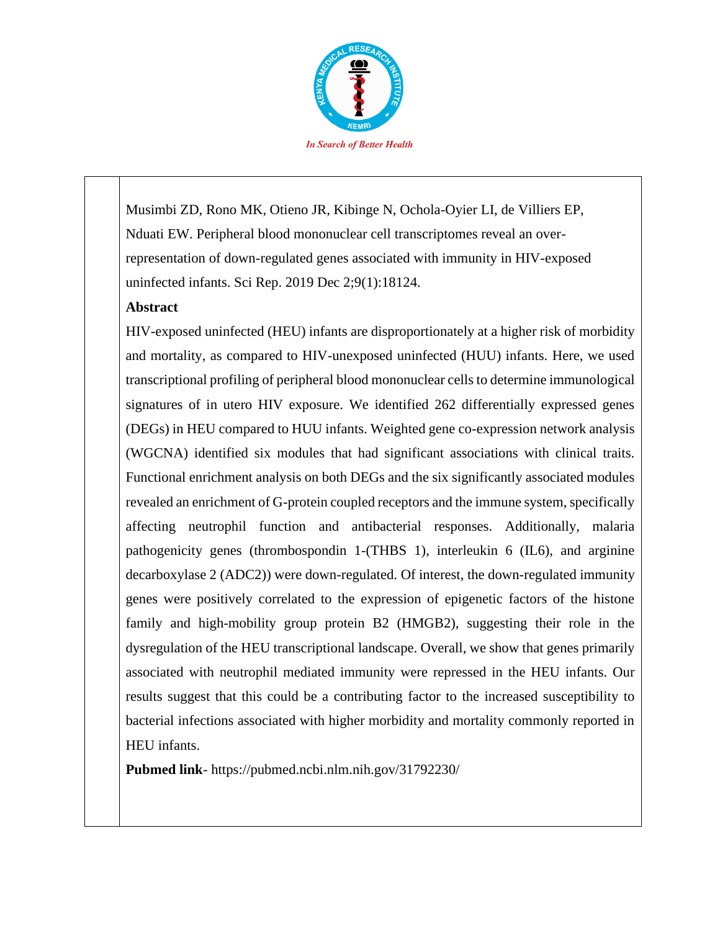

Musimbi ZD, Rono MK, Otieno JR, Kibinge N, Ochola-Oyier LI, de Villiers EP, Nduati EW. Peripheral blood mononuclear cell transcriptomes reveal an overrepresentation of down-regulated genes associated with immunity in HIV-exposed uninfected infants. Sci Rep. 2019 Dec 2;9(1):18124.

### **Abstract**

HIV-exposed uninfected (HEU) infants are disproportionately at a higher risk of morbidity and mortality, as compared to HIV-unexposed uninfected (HUU) infants. Here, we used transcriptional profiling of peripheral blood mononuclear cells to determine immunological signatures of in utero HIV exposure. We identified 262 differentially expressed genes (DEGs) in HEU compared to HUU infants. Weighted gene co-expression network analysis (WGCNA) identified six modules that had significant associations with clinical traits. Functional enrichment analysis on both DEGs and the six significantly associated modules revealed an enrichment of G-protein coupled receptors and the immune system, specifically affecting neutrophil function and antibacterial responses. Additionally, malaria pathogenicity genes (thrombospondin 1-(THBS 1), interleukin 6 (IL6), and arginine decarboxylase 2 (ADC2)) were down-regulated. Of interest, the down-regulated immunity genes were positively correlated to the expression of epigenetic factors of the histone family and high-mobility group protein B2 (HMGB2), suggesting their role in the dysregulation of the HEU transcriptional landscape. Overall, we show that genes primarily associated with neutrophil mediated immunity were repressed in the HEU infants. Our results suggest that this could be a contributing factor to the increased susceptibility to bacterial infections associated with higher morbidity and mortality commonly reported in HEU infants.

**Pubmed link**- https://pubmed.ncbi.nlm.nih.gov/31792230/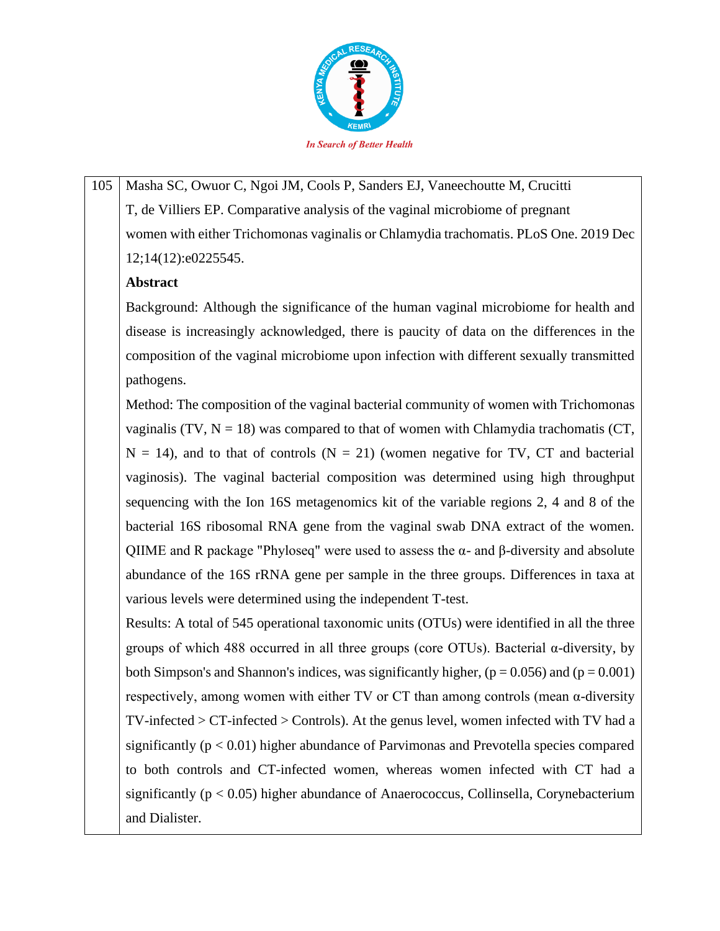

105 | Masha SC, Owuor C, Ngoi JM, Cools P, Sanders EJ, Vaneechoutte M, Crucitti T, de Villiers EP. Comparative analysis of the vaginal microbiome of pregnant women with either Trichomonas vaginalis or Chlamydia trachomatis. PLoS One. 2019 Dec 12;14(12):e0225545.

## **Abstract**

Background: Although the significance of the human vaginal microbiome for health and disease is increasingly acknowledged, there is paucity of data on the differences in the composition of the vaginal microbiome upon infection with different sexually transmitted pathogens.

Method: The composition of the vaginal bacterial community of women with Trichomonas vaginalis (TV,  $N = 18$ ) was compared to that of women with Chlamydia trachomatis (CT,  $N = 14$ ), and to that of controls ( $N = 21$ ) (women negative for TV, CT and bacterial vaginosis). The vaginal bacterial composition was determined using high throughput sequencing with the Ion 16S metagenomics kit of the variable regions 2, 4 and 8 of the bacterial 16S ribosomal RNA gene from the vaginal swab DNA extract of the women. QIIME and R package "Phyloseq" were used to assess the α- and β-diversity and absolute abundance of the 16S rRNA gene per sample in the three groups. Differences in taxa at various levels were determined using the independent T-test.

Results: A total of 545 operational taxonomic units (OTUs) were identified in all the three groups of which 488 occurred in all three groups (core OTUs). Bacterial α-diversity, by both Simpson's and Shannon's indices, was significantly higher,  $(p = 0.056)$  and  $(p = 0.001)$ respectively, among women with either TV or CT than among controls (mean α-diversity TV-infected > CT-infected > Controls). At the genus level, women infected with TV had a significantly  $(p < 0.01)$  higher abundance of Parvimonas and Prevotella species compared to both controls and CT-infected women, whereas women infected with CT had a significantly ( $p < 0.05$ ) higher abundance of Anaerococcus, Collinsella, Corynebacterium and Dialister.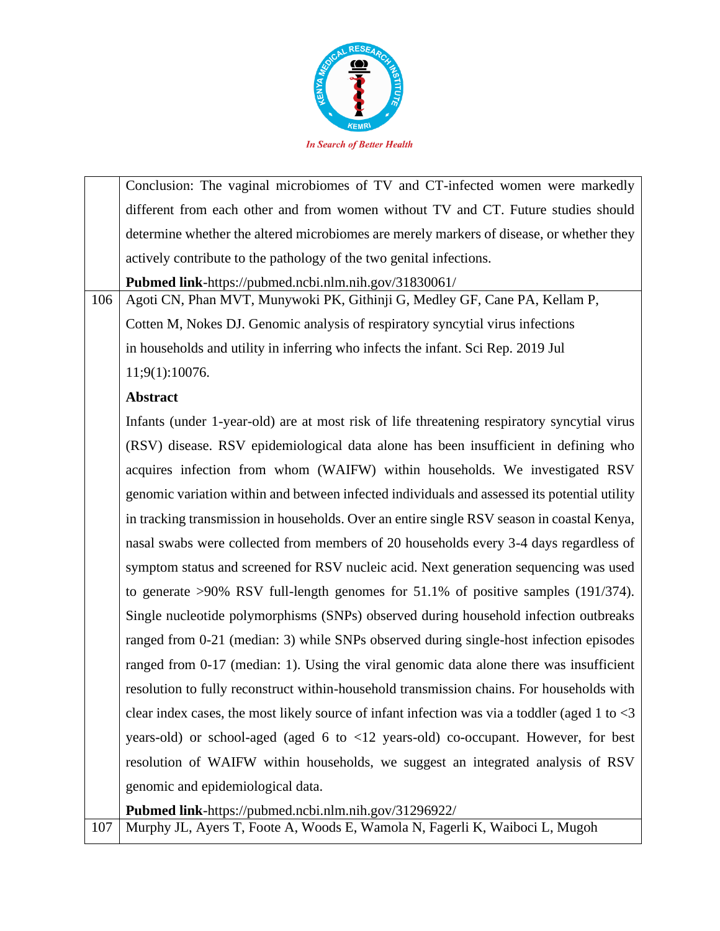

|     | Conclusion: The vaginal microbiomes of TV and CT-infected women were markedly                       |
|-----|-----------------------------------------------------------------------------------------------------|
|     | different from each other and from women without TV and CT. Future studies should                   |
|     | determine whether the altered microbiomes are merely markers of disease, or whether they            |
|     | actively contribute to the pathology of the two genital infections.                                 |
|     | Pubmed link-https://pubmed.ncbi.nlm.nih.gov/31830061/                                               |
| 106 | Agoti CN, Phan MVT, Munywoki PK, Githinji G, Medley GF, Cane PA, Kellam P,                          |
|     | Cotten M, Nokes DJ. Genomic analysis of respiratory syncytial virus infections                      |
|     | in households and utility in inferring who infects the infant. Sci Rep. 2019 Jul                    |
|     | 11;9(1):10076.                                                                                      |
|     | <b>Abstract</b>                                                                                     |
|     | Infants (under 1-year-old) are at most risk of life threatening respiratory syncytial virus         |
|     | (RSV) disease. RSV epidemiological data alone has been insufficient in defining who                 |
|     | acquires infection from whom (WAIFW) within households. We investigated RSV                         |
|     | genomic variation within and between infected individuals and assessed its potential utility        |
|     | in tracking transmission in households. Over an entire single RSV season in coastal Kenya,          |
|     | nasal swabs were collected from members of 20 households every 3-4 days regardless of               |
|     | symptom status and screened for RSV nucleic acid. Next generation sequencing was used               |
|     | to generate >90% RSV full-length genomes for 51.1% of positive samples (191/374).                   |
|     | Single nucleotide polymorphisms (SNPs) observed during household infection outbreaks                |
|     | ranged from 0-21 (median: 3) while SNPs observed during single-host infection episodes              |
|     | ranged from 0-17 (median: 1). Using the viral genomic data alone there was insufficient             |
|     | resolution to fully reconstruct within-household transmission chains. For households with           |
|     | clear index cases, the most likely source of infant infection was via a toddler (aged 1 to $\leq$ 3 |
|     | years-old) or school-aged (aged 6 to <12 years-old) co-occupant. However, for best                  |
|     | resolution of WAIFW within households, we suggest an integrated analysis of RSV                     |
|     | genomic and epidemiological data.                                                                   |
|     | Pubmed link-https://pubmed.ncbi.nlm.nih.gov/31296922/                                               |

107 Murphy JL, Ayers T, Foote A, Woods E, Wamola N, Fagerli K, Waiboci L, Mugoh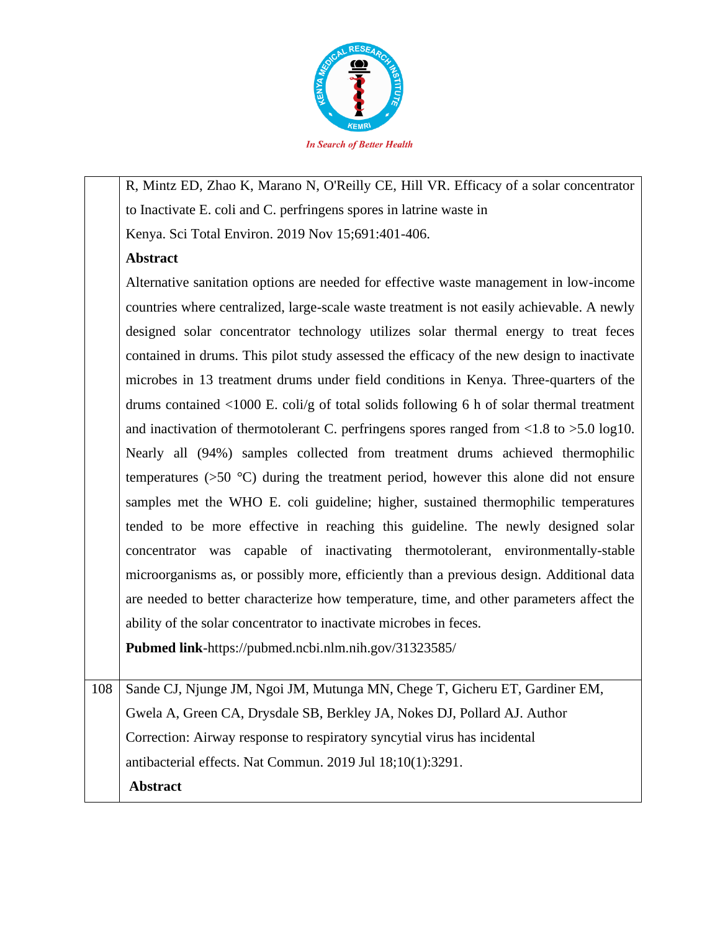

R, Mintz ED, Zhao K, Marano N, O'Reilly CE, Hill VR. Efficacy of a solar concentrator to Inactivate E. coli and C. perfringens spores in latrine waste in

Kenya. Sci Total Environ. 2019 Nov 15;691:401-406.

# **Abstract**

Alternative sanitation options are needed for effective waste management in low-income countries where centralized, large-scale waste treatment is not easily achievable. A newly designed solar concentrator technology utilizes solar thermal energy to treat feces contained in drums. This pilot study assessed the efficacy of the new design to inactivate microbes in 13 treatment drums under field conditions in Kenya. Three-quarters of the drums contained <1000 E. coli/g of total solids following 6 h of solar thermal treatment and inactivation of thermotolerant C. perfringens spores ranged from  $\langle 1.8 \text{ to } \rangle 5.0 \text{ log}10$ . Nearly all (94%) samples collected from treatment drums achieved thermophilic temperatures (>50 °C) during the treatment period, however this alone did not ensure samples met the WHO E. coli guideline; higher, sustained thermophilic temperatures tended to be more effective in reaching this guideline. The newly designed solar concentrator was capable of inactivating thermotolerant, environmentally-stable microorganisms as, or possibly more, efficiently than a previous design. Additional data are needed to better characterize how temperature, time, and other parameters affect the ability of the solar concentrator to inactivate microbes in feces.

**Pubmed link**-https://pubmed.ncbi.nlm.nih.gov/31323585/

108 Sande CJ, Njunge JM, Ngoi JM, Mutunga MN, Chege T, Gicheru ET, Gardiner EM, Gwela A, Green CA, Drysdale SB, Berkley JA, Nokes DJ, Pollard AJ. Author Correction: Airway response to respiratory syncytial virus has incidental antibacterial effects. Nat Commun. 2019 Jul 18;10(1):3291. **Abstract**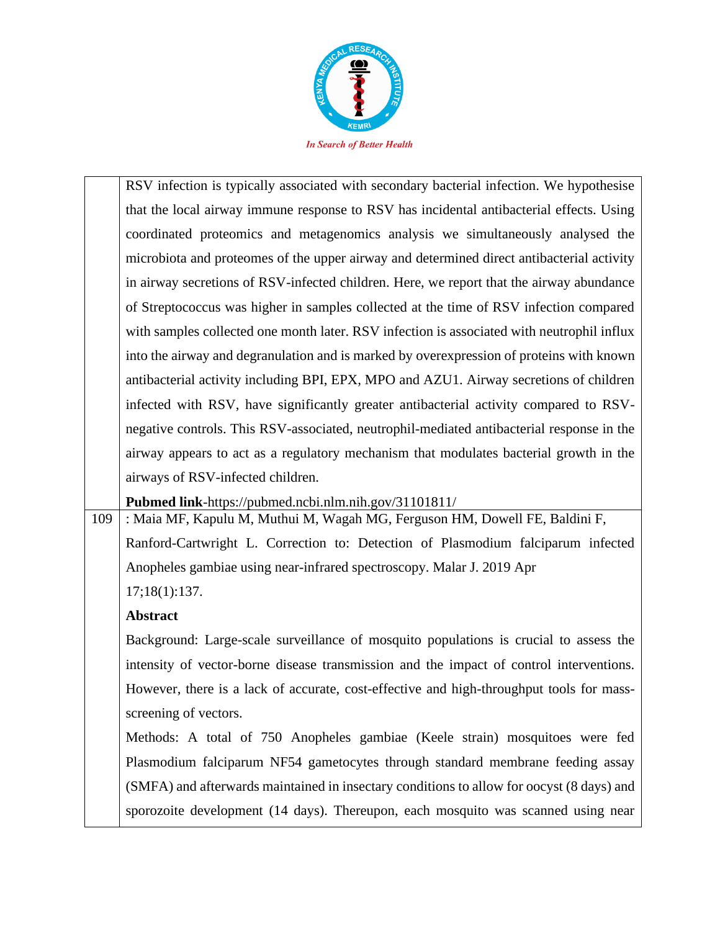

RSV infection is typically associated with secondary bacterial infection. We hypothesise that the local airway immune response to RSV has incidental antibacterial effects. Using coordinated proteomics and metagenomics analysis we simultaneously analysed the microbiota and proteomes of the upper airway and determined direct antibacterial activity in airway secretions of RSV-infected children. Here, we report that the airway abundance of Streptococcus was higher in samples collected at the time of RSV infection compared with samples collected one month later. RSV infection is associated with neutrophil influx into the airway and degranulation and is marked by overexpression of proteins with known antibacterial activity including BPI, EPX, MPO and AZU1. Airway secretions of children infected with RSV, have significantly greater antibacterial activity compared to RSVnegative controls. This RSV-associated, neutrophil-mediated antibacterial response in the airway appears to act as a regulatory mechanism that modulates bacterial growth in the airways of RSV-infected children.

**Pubmed link**-https://pubmed.ncbi.nlm.nih.gov/31101811/

109 : Maia MF, Kapulu M, Muthui M, Wagah MG, Ferguson HM, Dowell FE, Baldini F, Ranford-Cartwright L. Correction to: Detection of Plasmodium falciparum infected Anopheles gambiae using near-infrared spectroscopy. Malar J. 2019 Apr 17;18(1):137.

# **Abstract**

Background: Large-scale surveillance of mosquito populations is crucial to assess the intensity of vector-borne disease transmission and the impact of control interventions. However, there is a lack of accurate, cost-effective and high-throughput tools for massscreening of vectors.

Methods: A total of 750 Anopheles gambiae (Keele strain) mosquitoes were fed Plasmodium falciparum NF54 gametocytes through standard membrane feeding assay (SMFA) and afterwards maintained in insectary conditions to allow for oocyst (8 days) and sporozoite development (14 days). Thereupon, each mosquito was scanned using near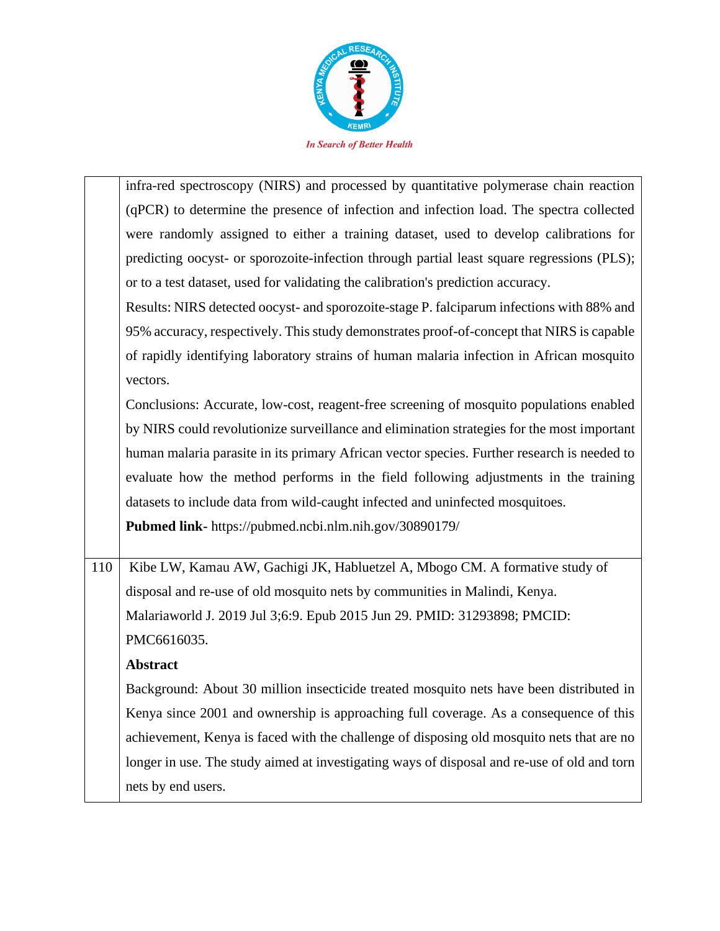

|     | infra-red spectroscopy (NIRS) and processed by quantitative polymerase chain reaction       |
|-----|---------------------------------------------------------------------------------------------|
|     | (qPCR) to determine the presence of infection and infection load. The spectra collected     |
|     | were randomly assigned to either a training dataset, used to develop calibrations for       |
|     | predicting oocyst- or sporozoite-infection through partial least square regressions (PLS);  |
|     | or to a test dataset, used for validating the calibration's prediction accuracy.            |
|     | Results: NIRS detected oocyst- and sporozoite-stage P. falciparum infections with 88% and   |
|     | 95% accuracy, respectively. This study demonstrates proof-of-concept that NIRS is capable   |
|     | of rapidly identifying laboratory strains of human malaria infection in African mosquito    |
|     | vectors.                                                                                    |
|     | Conclusions: Accurate, low-cost, reagent-free screening of mosquito populations enabled     |
|     | by NIRS could revolutionize surveillance and elimination strategies for the most important  |
|     | human malaria parasite in its primary African vector species. Further research is needed to |
|     | evaluate how the method performs in the field following adjustments in the training         |
|     | datasets to include data from wild-caught infected and uninfected mosquitoes.               |
|     | Pubmed link- https://pubmed.ncbi.nlm.nih.gov/30890179/                                      |
|     |                                                                                             |
| 110 | Kibe LW, Kamau AW, Gachigi JK, Habluetzel A, Mbogo CM. A formative study of                 |
|     | disposal and re-use of old mosquito nets by communities in Malindi, Kenya.                  |
|     | Malariaworld J. 2019 Jul 3;6:9. Epub 2015 Jun 29. PMID: 31293898; PMCID:                    |
|     | PMC6616035.                                                                                 |
|     | <b>Abstract</b>                                                                             |
|     | Background: About 30 million insecticide treated mosquito nets have been distributed in     |
|     | Kenya since 2001 and ownership is approaching full coverage. As a consequence of this       |
|     | achievement, Kenya is faced with the challenge of disposing old mosquito nets that are no   |
|     | longer in use. The study aimed at investigating ways of disposal and re-use of old and torn |
|     | nets by end users.                                                                          |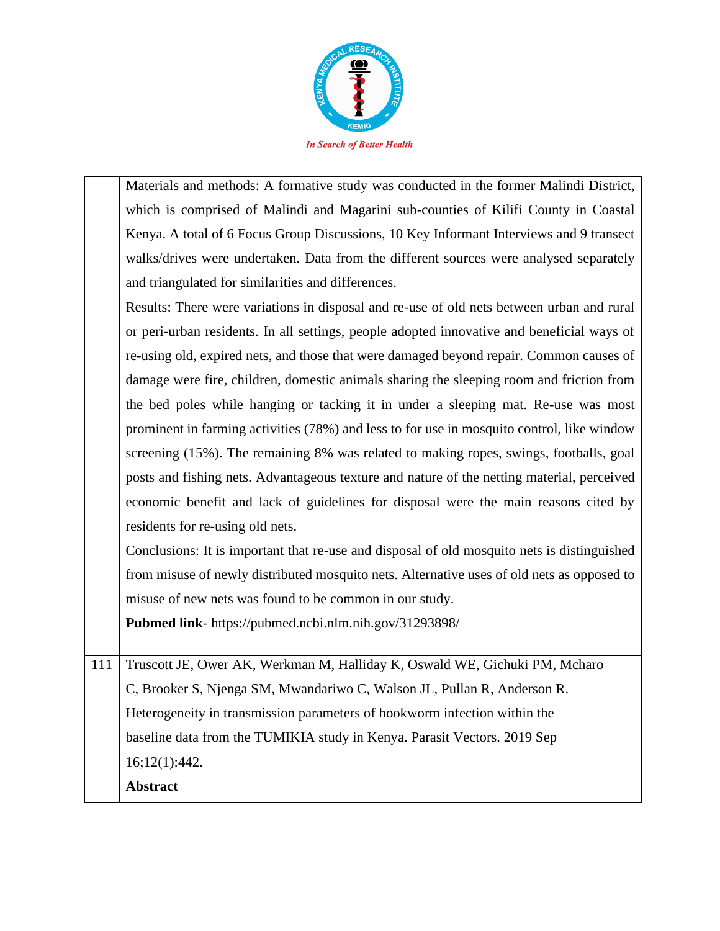

Materials and methods: A formative study was conducted in the former Malindi District, which is comprised of Malindi and Magarini sub-counties of Kilifi County in Coastal Kenya. A total of 6 Focus Group Discussions, 10 Key Informant Interviews and 9 transect walks/drives were undertaken. Data from the different sources were analysed separately and triangulated for similarities and differences.

Results: There were variations in disposal and re-use of old nets between urban and rural or peri-urban residents. In all settings, people adopted innovative and beneficial ways of re-using old, expired nets, and those that were damaged beyond repair. Common causes of damage were fire, children, domestic animals sharing the sleeping room and friction from the bed poles while hanging or tacking it in under a sleeping mat. Re-use was most prominent in farming activities (78%) and less to for use in mosquito control, like window screening (15%). The remaining 8% was related to making ropes, swings, footballs, goal posts and fishing nets. Advantageous texture and nature of the netting material, perceived economic benefit and lack of guidelines for disposal were the main reasons cited by residents for re-using old nets.

Conclusions: It is important that re-use and disposal of old mosquito nets is distinguished from misuse of newly distributed mosquito nets. Alternative uses of old nets as opposed to misuse of new nets was found to be common in our study.

**Pubmed link**- https://pubmed.ncbi.nlm.nih.gov/31293898/

111 Truscott JE, Ower AK, Werkman M, Halliday K, Oswald WE, Gichuki PM, Mcharo C, Brooker S, Njenga SM, Mwandariwo C, Walson JL, Pullan R, Anderson R. Heterogeneity in transmission parameters of hookworm infection within the baseline data from the TUMIKIA study in Kenya. Parasit Vectors. 2019 Sep 16;12(1):442. **Abstract**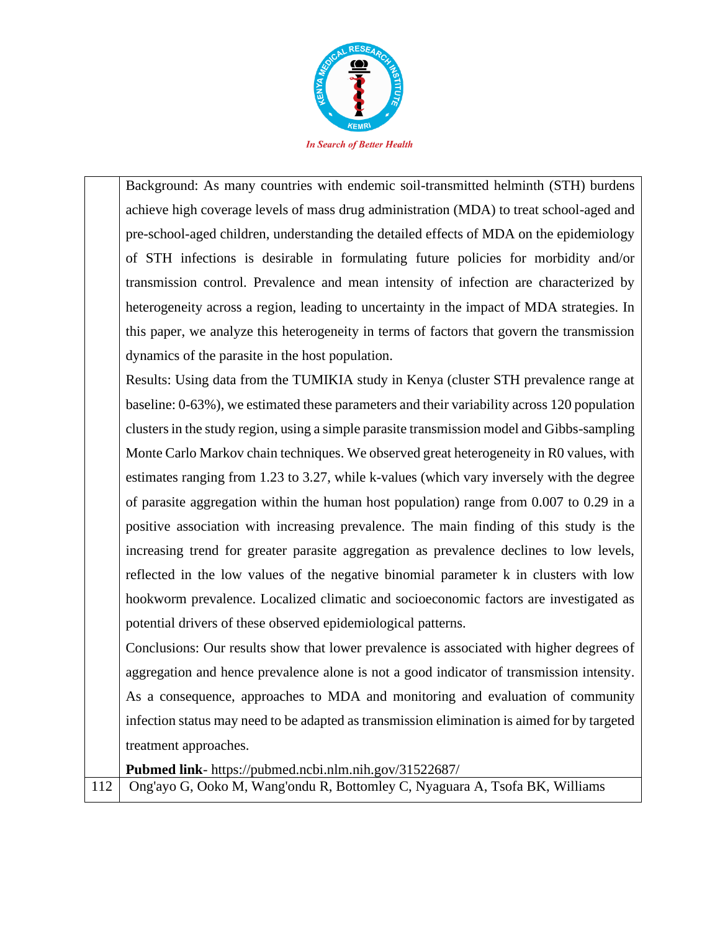

Background: As many countries with endemic soil-transmitted helminth (STH) burdens achieve high coverage levels of mass drug administration (MDA) to treat school-aged and pre-school-aged children, understanding the detailed effects of MDA on the epidemiology of STH infections is desirable in formulating future policies for morbidity and/or transmission control. Prevalence and mean intensity of infection are characterized by heterogeneity across a region, leading to uncertainty in the impact of MDA strategies. In this paper, we analyze this heterogeneity in terms of factors that govern the transmission dynamics of the parasite in the host population.

Results: Using data from the TUMIKIA study in Kenya (cluster STH prevalence range at baseline: 0-63%), we estimated these parameters and their variability across 120 population clusters in the study region, using a simple parasite transmission model and Gibbs-sampling Monte Carlo Markov chain techniques. We observed great heterogeneity in R0 values, with estimates ranging from 1.23 to 3.27, while k-values (which vary inversely with the degree of parasite aggregation within the human host population) range from 0.007 to 0.29 in a positive association with increasing prevalence. The main finding of this study is the increasing trend for greater parasite aggregation as prevalence declines to low levels, reflected in the low values of the negative binomial parameter k in clusters with low hookworm prevalence. Localized climatic and socioeconomic factors are investigated as potential drivers of these observed epidemiological patterns.

Conclusions: Our results show that lower prevalence is associated with higher degrees of aggregation and hence prevalence alone is not a good indicator of transmission intensity. As a consequence, approaches to MDA and monitoring and evaluation of community infection status may need to be adapted as transmission elimination is aimed for by targeted treatment approaches.

**Pubmed link**- https://pubmed.ncbi.nlm.nih.gov/31522687/

112 Ong'ayo G, Ooko M, Wang'ondu R, Bottomley C, Nyaguara A, Tsofa BK, Williams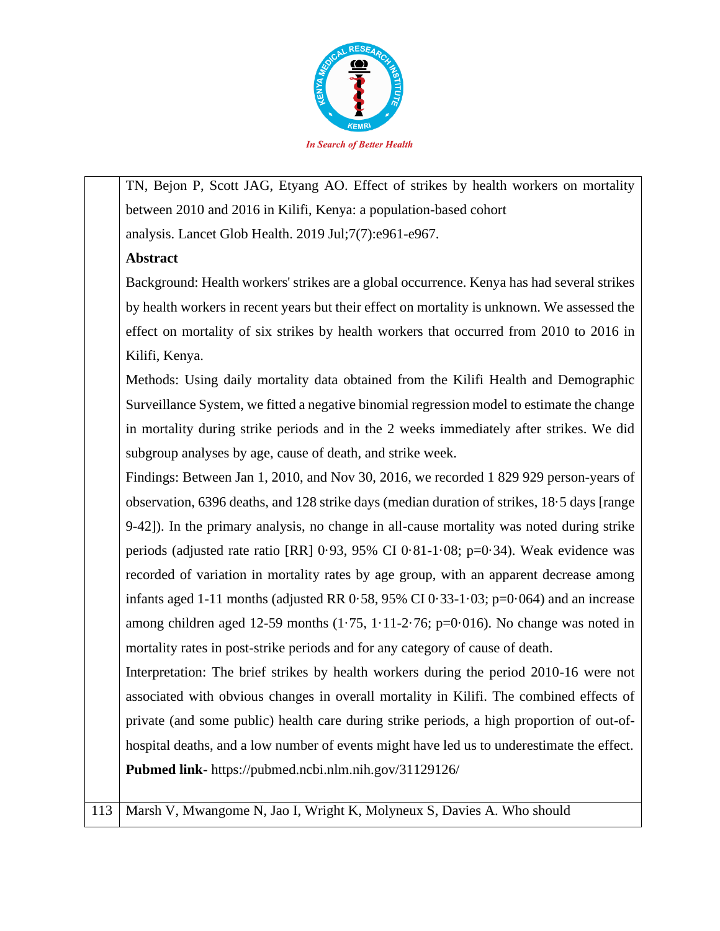

TN, Bejon P, Scott JAG, Etyang AO. Effect of strikes by health workers on mortality between 2010 and 2016 in Kilifi, Kenya: a population-based cohort analysis. Lancet Glob Health. 2019 Jul;7(7):e961-e967.

## **Abstract**

Background: Health workers' strikes are a global occurrence. Kenya has had several strikes by health workers in recent years but their effect on mortality is unknown. We assessed the effect on mortality of six strikes by health workers that occurred from 2010 to 2016 in Kilifi, Kenya.

Methods: Using daily mortality data obtained from the Kilifi Health and Demographic Surveillance System, we fitted a negative binomial regression model to estimate the change in mortality during strike periods and in the 2 weeks immediately after strikes. We did subgroup analyses by age, cause of death, and strike week.

Findings: Between Jan 1, 2010, and Nov 30, 2016, we recorded 1 829 929 person-years of observation, 6396 deaths, and 128 strike days (median duration of strikes, 18·5 days [range 9-42]). In the primary analysis, no change in all-cause mortality was noted during strike periods (adjusted rate ratio [RR] 0·93, 95% CI 0·81-1·08; p=0·34). Weak evidence was recorded of variation in mortality rates by age group, with an apparent decrease among infants aged 1-11 months (adjusted RR  $0.58$ , 95% CI  $0.33$ -1 $0.03$ ; p=0 $0.064$ ) and an increase among children aged 12-59 months  $(1.75, 1.11-2.76; p=0.016)$ . No change was noted in mortality rates in post-strike periods and for any category of cause of death.

Interpretation: The brief strikes by health workers during the period 2010-16 were not associated with obvious changes in overall mortality in Kilifi. The combined effects of private (and some public) health care during strike periods, a high proportion of out-ofhospital deaths, and a low number of events might have led us to underestimate the effect. **Pubmed link**- https://pubmed.ncbi.nlm.nih.gov/31129126/

113 Marsh V, Mwangome N, Jao I, Wright K, Molyneux S, Davies A. Who should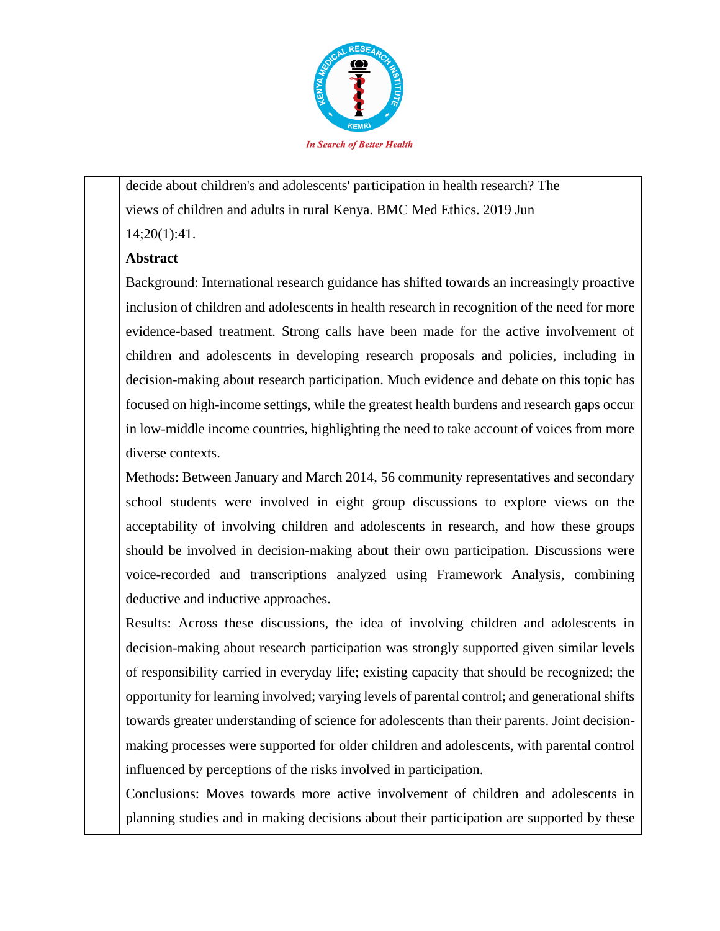

decide about children's and adolescents' participation in health research? The views of children and adults in rural Kenya. BMC Med Ethics. 2019 Jun 14;20(1):41.

### **Abstract**

Background: International research guidance has shifted towards an increasingly proactive inclusion of children and adolescents in health research in recognition of the need for more evidence-based treatment. Strong calls have been made for the active involvement of children and adolescents in developing research proposals and policies, including in decision-making about research participation. Much evidence and debate on this topic has focused on high-income settings, while the greatest health burdens and research gaps occur in low-middle income countries, highlighting the need to take account of voices from more diverse contexts.

Methods: Between January and March 2014, 56 community representatives and secondary school students were involved in eight group discussions to explore views on the acceptability of involving children and adolescents in research, and how these groups should be involved in decision-making about their own participation. Discussions were voice-recorded and transcriptions analyzed using Framework Analysis, combining deductive and inductive approaches.

Results: Across these discussions, the idea of involving children and adolescents in decision-making about research participation was strongly supported given similar levels of responsibility carried in everyday life; existing capacity that should be recognized; the opportunity for learning involved; varying levels of parental control; and generational shifts towards greater understanding of science for adolescents than their parents. Joint decisionmaking processes were supported for older children and adolescents, with parental control influenced by perceptions of the risks involved in participation.

Conclusions: Moves towards more active involvement of children and adolescents in planning studies and in making decisions about their participation are supported by these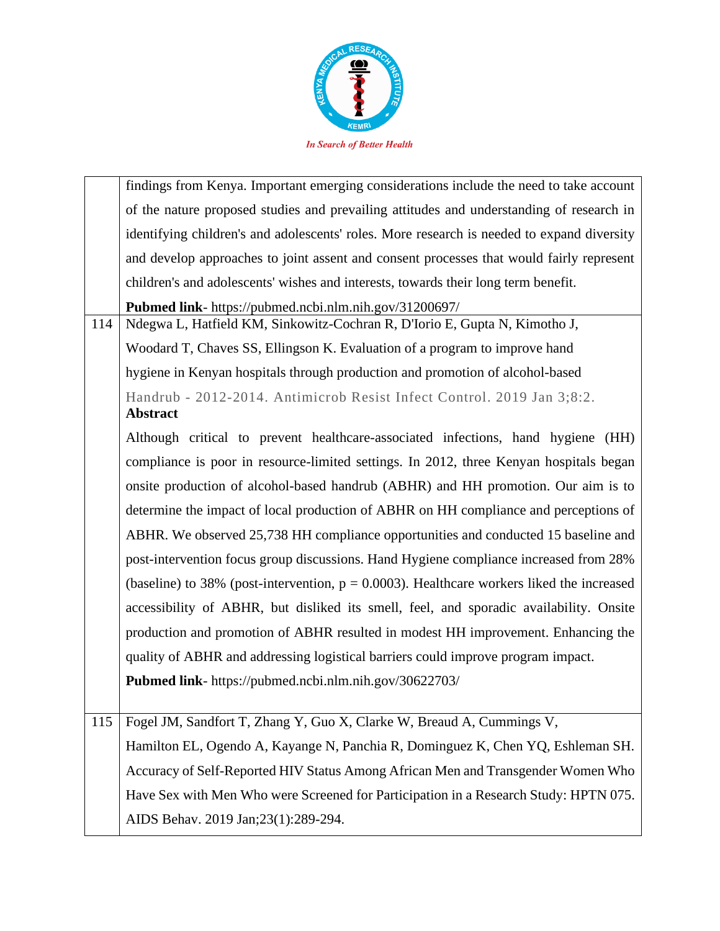

|     | findings from Kenya. Important emerging considerations include the need to take account      |
|-----|----------------------------------------------------------------------------------------------|
|     | of the nature proposed studies and prevailing attitudes and understanding of research in     |
|     | identifying children's and adolescents' roles. More research is needed to expand diversity   |
|     | and develop approaches to joint assent and consent processes that would fairly represent     |
|     | children's and adolescents' wishes and interests, towards their long term benefit.           |
|     | Pubmed link- https://pubmed.ncbi.nlm.nih.gov/31200697/                                       |
| 114 | Ndegwa L, Hatfield KM, Sinkowitz-Cochran R, D'Iorio E, Gupta N, Kimotho J,                   |
|     | Woodard T, Chaves SS, Ellingson K. Evaluation of a program to improve hand                   |
|     | hygiene in Kenyan hospitals through production and promotion of alcohol-based                |
|     | Handrub - 2012-2014. Antimicrob Resist Infect Control. 2019 Jan 3;8:2.<br>Abstract           |
|     | Although critical to prevent healthcare-associated infections, hand hygiene (HH)             |
|     | compliance is poor in resource-limited settings. In 2012, three Kenyan hospitals began       |
|     | onsite production of alcohol-based handrub (ABHR) and HH promotion. Our aim is to            |
|     | determine the impact of local production of ABHR on HH compliance and perceptions of         |
|     | ABHR. We observed 25,738 HH compliance opportunities and conducted 15 baseline and           |
|     | post-intervention focus group discussions. Hand Hygiene compliance increased from 28%        |
|     | (baseline) to 38% (post-intervention, $p = 0.0003$ ). Healthcare workers liked the increased |
|     | accessibility of ABHR, but disliked its smell, feel, and sporadic availability. Onsite       |
|     | production and promotion of ABHR resulted in modest HH improvement. Enhancing the            |
|     | quality of ABHR and addressing logistical barriers could improve program impact.             |
|     | Pubmed link- https://pubmed.ncbi.nlm.nih.gov/30622703/                                       |
|     |                                                                                              |
| 115 | Fogel JM, Sandfort T, Zhang Y, Guo X, Clarke W, Breaud A, Cummings V,                        |
|     | Hamilton EL, Ogendo A, Kayange N, Panchia R, Dominguez K, Chen YQ, Eshleman SH.              |
|     | Accuracy of Self-Reported HIV Status Among African Men and Transgender Women Who             |
|     | Have Sex with Men Who were Screened for Participation in a Research Study: HPTN 075.         |
|     | AIDS Behav. 2019 Jan;23(1):289-294.                                                          |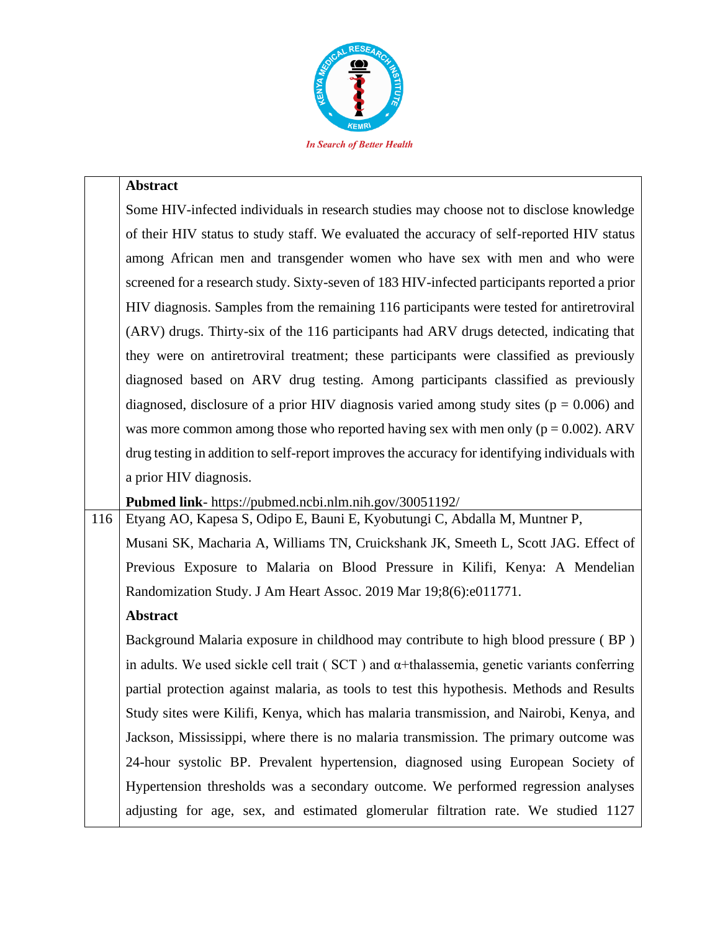

#### **Abstract**

| Some HIV-infected individuals in research studies may choose not to disclose knowledge         |
|------------------------------------------------------------------------------------------------|
| of their HIV status to study staff. We evaluated the accuracy of self-reported HIV status      |
| among African men and transgender women who have sex with men and who were                     |
| screened for a research study. Sixty-seven of 183 HIV-infected participants reported a prior   |
| HIV diagnosis. Samples from the remaining 116 participants were tested for antiretroviral      |
| (ARV) drugs. Thirty-six of the 116 participants had ARV drugs detected, indicating that        |
| they were on antiretroviral treatment; these participants were classified as previously        |
| diagnosed based on ARV drug testing. Among participants classified as previously               |
| diagnosed, disclosure of a prior HIV diagnosis varied among study sites ( $p = 0.006$ ) and    |
| was more common among those who reported having sex with men only ( $p = 0.002$ ). ARV         |
| drug testing in addition to self-report improves the accuracy for identifying individuals with |
| a prior HIV diagnosis.                                                                         |
|                                                                                                |

**Pubmed link**- https://pubmed.ncbi.nlm.nih.gov/30051192/

116 Etyang AO, Kapesa S, Odipo E, Bauni E, Kyobutungi C, Abdalla M, Muntner P, Musani SK, Macharia A, Williams TN, Cruickshank JK, Smeeth L, Scott JAG. Effect of Previous Exposure to Malaria on Blood Pressure in Kilifi, Kenya: A Mendelian Randomization Study. J Am Heart Assoc. 2019 Mar 19;8(6):e011771.

## **Abstract**

Background Malaria exposure in childhood may contribute to high blood pressure ( BP ) in adults. We used sickle cell trait (  $SCT$  ) and  $\alpha$ +thalassemia, genetic variants conferring partial protection against malaria, as tools to test this hypothesis. Methods and Results Study sites were Kilifi, Kenya, which has malaria transmission, and Nairobi, Kenya, and Jackson, Mississippi, where there is no malaria transmission. The primary outcome was 24-hour systolic BP. Prevalent hypertension, diagnosed using European Society of Hypertension thresholds was a secondary outcome. We performed regression analyses adjusting for age, sex, and estimated glomerular filtration rate. We studied 1127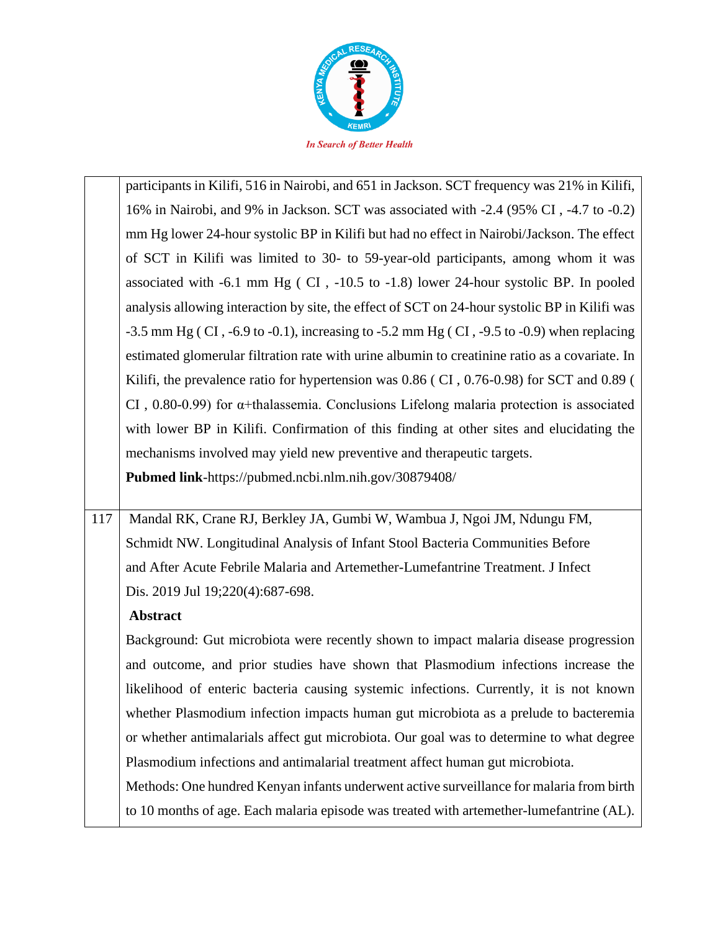

participants in Kilifi, 516 in Nairobi, and 651 in Jackson. SCT frequency was 21% in Kilifi, 16% in Nairobi, and 9% in Jackson. SCT was associated with -2.4 (95% CI , -4.7 to -0.2) mm Hg lower 24-hour systolic BP in Kilifi but had no effect in Nairobi/Jackson. The effect of SCT in Kilifi was limited to 30- to 59-year-old participants, among whom it was associated with -6.1 mm Hg ( CI , -10.5 to -1.8) lower 24-hour systolic BP. In pooled analysis allowing interaction by site, the effect of SCT on 24-hour systolic BP in Kilifi was  $-3.5$  mm Hg (CI,  $-6.9$  to  $-0.1$ ), increasing to  $-5.2$  mm Hg (CI,  $-9.5$  to  $-0.9$ ) when replacing estimated glomerular filtration rate with urine albumin to creatinine ratio as a covariate. In Kilifi, the prevalence ratio for hypertension was 0.86 ( CI , 0.76-0.98) for SCT and 0.89 ( CI , 0.80-0.99) for α+thalassemia. Conclusions Lifelong malaria protection is associated with lower BP in Kilifi. Confirmation of this finding at other sites and elucidating the mechanisms involved may yield new preventive and therapeutic targets. **Pubmed link**-https://pubmed.ncbi.nlm.nih.gov/30879408/

117 | Mandal RK, Crane RJ, Berkley JA, Gumbi W, Wambua J, Ngoi JM, Ndungu FM, Schmidt NW. Longitudinal Analysis of Infant Stool Bacteria Communities Before and After Acute Febrile Malaria and Artemether-Lumefantrine Treatment. J Infect Dis. 2019 Jul 19;220(4):687-698.

## **Abstract**

Background: Gut microbiota were recently shown to impact malaria disease progression and outcome, and prior studies have shown that Plasmodium infections increase the likelihood of enteric bacteria causing systemic infections. Currently, it is not known whether Plasmodium infection impacts human gut microbiota as a prelude to bacteremia or whether antimalarials affect gut microbiota. Our goal was to determine to what degree Plasmodium infections and antimalarial treatment affect human gut microbiota.

Methods: One hundred Kenyan infants underwent active surveillance for malaria from birth to 10 months of age. Each malaria episode was treated with artemether-lumefantrine (AL).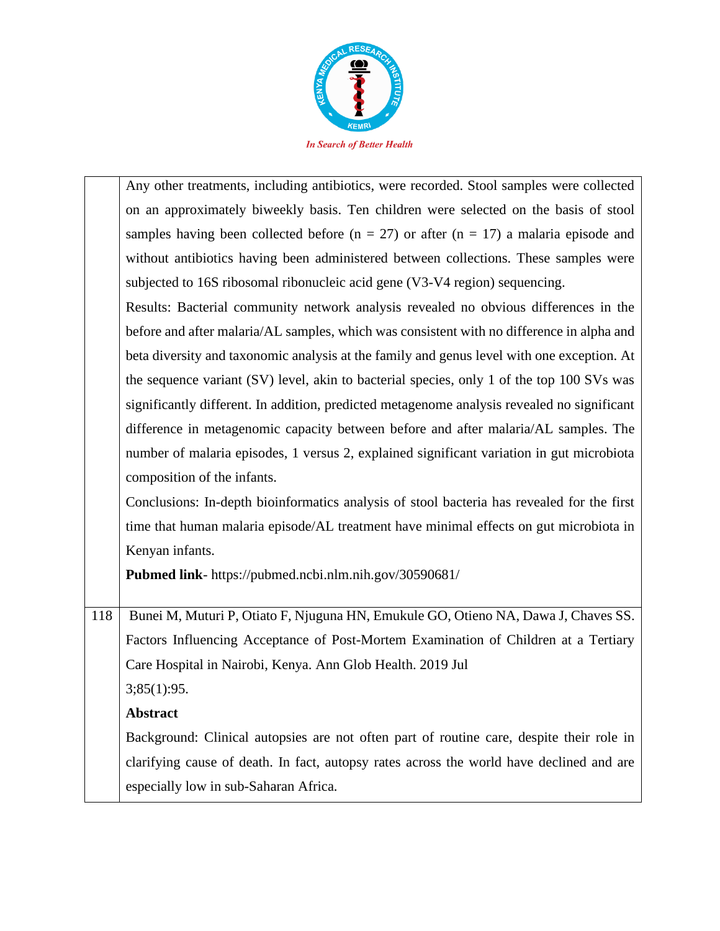

Any other treatments, including antibiotics, were recorded. Stool samples were collected on an approximately biweekly basis. Ten children were selected on the basis of stool samples having been collected before ( $n = 27$ ) or after ( $n = 17$ ) a malaria episode and without antibiotics having been administered between collections. These samples were subjected to 16S ribosomal ribonucleic acid gene (V3-V4 region) sequencing.

Results: Bacterial community network analysis revealed no obvious differences in the before and after malaria/AL samples, which was consistent with no difference in alpha and beta diversity and taxonomic analysis at the family and genus level with one exception. At the sequence variant (SV) level, akin to bacterial species, only 1 of the top 100 SVs was significantly different. In addition, predicted metagenome analysis revealed no significant difference in metagenomic capacity between before and after malaria/AL samples. The number of malaria episodes, 1 versus 2, explained significant variation in gut microbiota composition of the infants.

Conclusions: In-depth bioinformatics analysis of stool bacteria has revealed for the first time that human malaria episode/AL treatment have minimal effects on gut microbiota in Kenyan infants.

**Pubmed link**- https://pubmed.ncbi.nlm.nih.gov/30590681/

118 | Bunei M, Muturi P, Otiato F, Njuguna HN, Emukule GO, Otieno NA, Dawa J, Chaves SS. Factors Influencing Acceptance of Post-Mortem Examination of Children at a Tertiary Care Hospital in Nairobi, Kenya. Ann Glob Health. 2019 Jul

 $3;85(1):95.$ 

# **Abstract**

Background: Clinical autopsies are not often part of routine care, despite their role in clarifying cause of death. In fact, autopsy rates across the world have declined and are especially low in sub-Saharan Africa.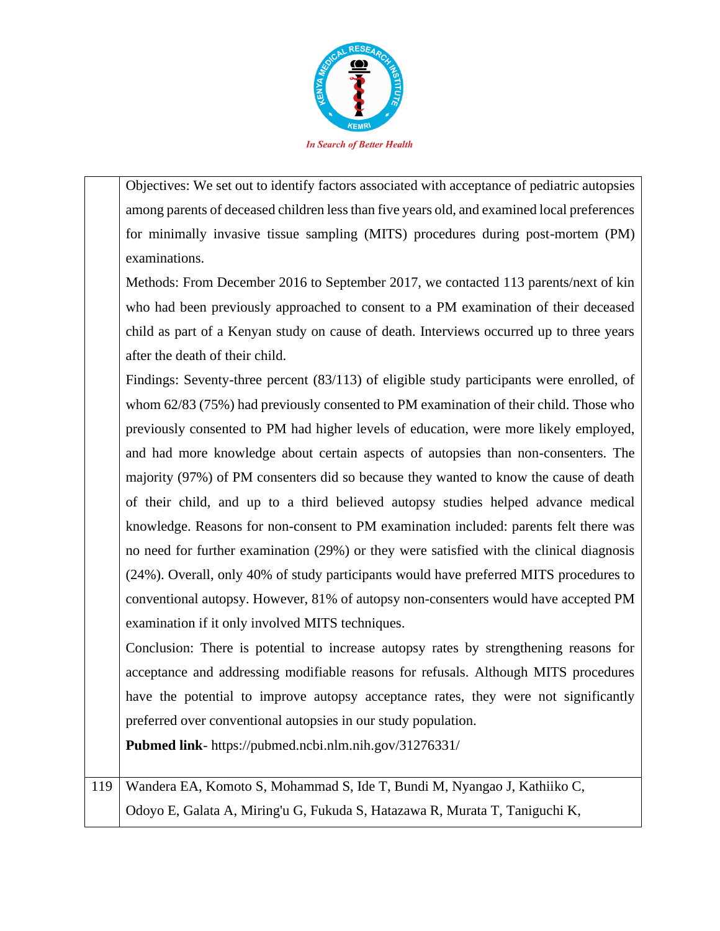

Objectives: We set out to identify factors associated with acceptance of pediatric autopsies among parents of deceased children less than five years old, and examined local preferences for minimally invasive tissue sampling (MITS) procedures during post-mortem (PM) examinations.

Methods: From December 2016 to September 2017, we contacted 113 parents/next of kin who had been previously approached to consent to a PM examination of their deceased child as part of a Kenyan study on cause of death. Interviews occurred up to three years after the death of their child.

Findings: Seventy-three percent (83/113) of eligible study participants were enrolled, of whom 62/83 (75%) had previously consented to PM examination of their child. Those who previously consented to PM had higher levels of education, were more likely employed, and had more knowledge about certain aspects of autopsies than non-consenters. The majority (97%) of PM consenters did so because they wanted to know the cause of death of their child, and up to a third believed autopsy studies helped advance medical knowledge. Reasons for non-consent to PM examination included: parents felt there was no need for further examination (29%) or they were satisfied with the clinical diagnosis (24%). Overall, only 40% of study participants would have preferred MITS procedures to conventional autopsy. However, 81% of autopsy non-consenters would have accepted PM examination if it only involved MITS techniques.

Conclusion: There is potential to increase autopsy rates by strengthening reasons for acceptance and addressing modifiable reasons for refusals. Although MITS procedures have the potential to improve autopsy acceptance rates, they were not significantly preferred over conventional autopsies in our study population.

**Pubmed link**- https://pubmed.ncbi.nlm.nih.gov/31276331/

119 Wandera EA, Komoto S, Mohammad S, Ide T, Bundi M, Nyangao J, Kathiiko C, Odoyo E, Galata A, Miring'u G, Fukuda S, Hatazawa R, Murata T, Taniguchi K,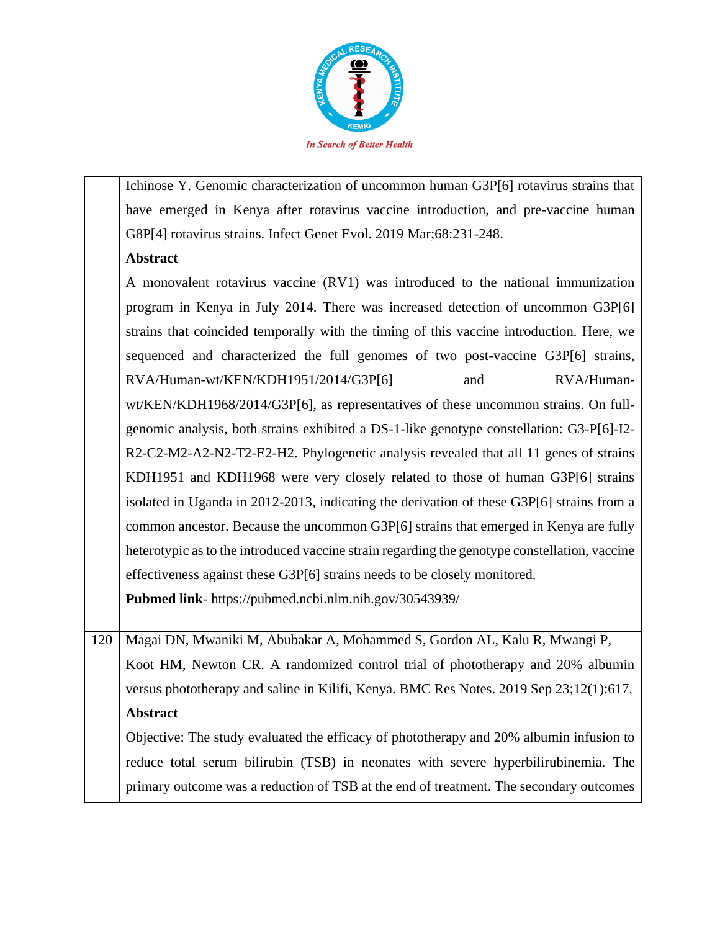

Ichinose Y. Genomic characterization of uncommon human G3P[6] rotavirus strains that have emerged in Kenya after rotavirus vaccine introduction, and pre-vaccine human G8P[4] rotavirus strains. Infect Genet Evol. 2019 Mar;68:231-248.

## **Abstract**

A monovalent rotavirus vaccine (RV1) was introduced to the national immunization program in Kenya in July 2014. There was increased detection of uncommon G3P[6] strains that coincided temporally with the timing of this vaccine introduction. Here, we sequenced and characterized the full genomes of two post-vaccine G3P[6] strains, RVA/Human-wt/KEN/KDH1951/2014/G3P[6] and RVA/Humanwt/KEN/KDH1968/2014/G3P[6], as representatives of these uncommon strains. On fullgenomic analysis, both strains exhibited a DS-1-like genotype constellation: G3-P[6]-I2- R2-C2-M2-A2-N2-T2-E2-H2. Phylogenetic analysis revealed that all 11 genes of strains KDH1951 and KDH1968 were very closely related to those of human G3P[6] strains isolated in Uganda in 2012-2013, indicating the derivation of these G3P[6] strains from a common ancestor. Because the uncommon G3P[6] strains that emerged in Kenya are fully heterotypic as to the introduced vaccine strain regarding the genotype constellation, vaccine effectiveness against these G3P[6] strains needs to be closely monitored.

**Pubmed link**- https://pubmed.ncbi.nlm.nih.gov/30543939/

120 Magai DN, Mwaniki M, Abubakar A, Mohammed S, Gordon AL, Kalu R, Mwangi P, Koot HM, Newton CR. A randomized control trial of phototherapy and 20% albumin versus phototherapy and saline in Kilifi, Kenya. BMC Res Notes. 2019 Sep 23;12(1):617. **Abstract**

Objective: The study evaluated the efficacy of phototherapy and 20% albumin infusion to reduce total serum bilirubin (TSB) in neonates with severe hyperbilirubinemia. The primary outcome was a reduction of TSB at the end of treatment. The secondary outcomes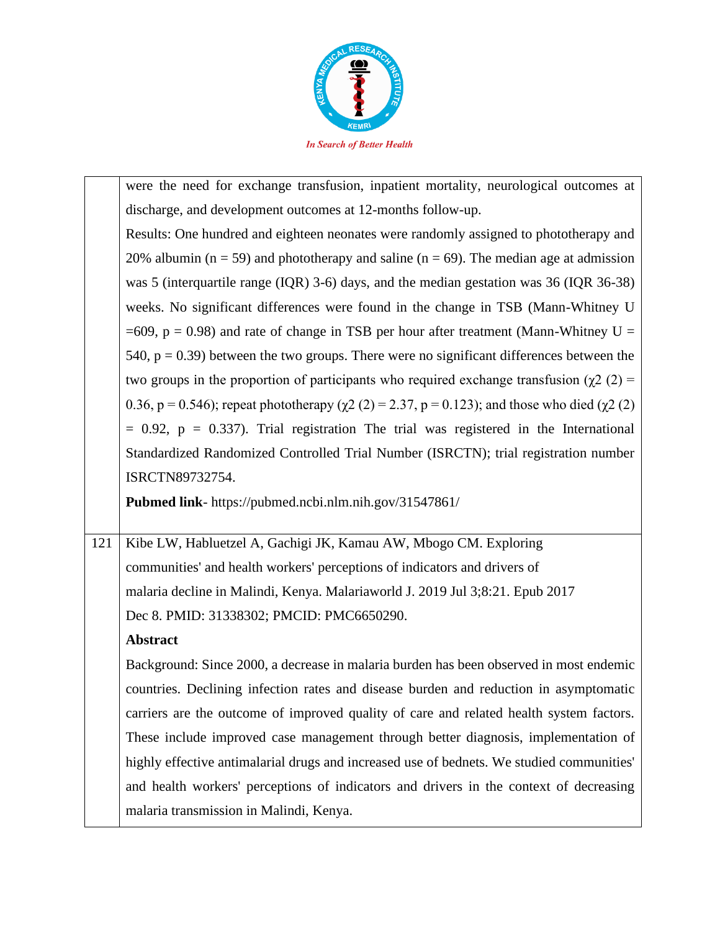

were the need for exchange transfusion, inpatient mortality, neurological outcomes at discharge, and development outcomes at 12-months follow-up. Results: One hundred and eighteen neonates were randomly assigned to phototherapy and 20% albumin ( $n = 59$ ) and phototherapy and saline ( $n = 69$ ). The median age at admission was 5 (interquartile range (IQR) 3-6) days, and the median gestation was 36 (IQR 36-38) weeks. No significant differences were found in the change in TSB (Mann-Whitney U  $=609$ ,  $p = 0.98$ ) and rate of change in TSB per hour after treatment (Mann-Whitney U = 540,  $p = 0.39$ ) between the two groups. There were no significant differences between the two groups in the proportion of participants who required exchange transfusion ( $\chi$ 2 (2) = 0.36, p = 0.546); repeat phototherapy ( $\chi$ 2 (2) = 2.37, p = 0.123); and those who died ( $\chi$ 2 (2)  $= 0.92$ ,  $p = 0.337$ ). Trial registration The trial was registered in the International Standardized Randomized Controlled Trial Number (ISRCTN); trial registration number ISRCTN89732754.

**Pubmed link**- https://pubmed.ncbi.nlm.nih.gov/31547861/

121 Kibe LW, Habluetzel A, Gachigi JK, Kamau AW, Mbogo CM. Exploring communities' and health workers' perceptions of indicators and drivers of malaria decline in Malindi, Kenya. Malariaworld J. 2019 Jul 3;8:21. Epub 2017 Dec 8. PMID: 31338302; PMCID: PMC6650290.

## **Abstract**

Background: Since 2000, a decrease in malaria burden has been observed in most endemic countries. Declining infection rates and disease burden and reduction in asymptomatic carriers are the outcome of improved quality of care and related health system factors. These include improved case management through better diagnosis, implementation of highly effective antimalarial drugs and increased use of bednets. We studied communities' and health workers' perceptions of indicators and drivers in the context of decreasing malaria transmission in Malindi, Kenya.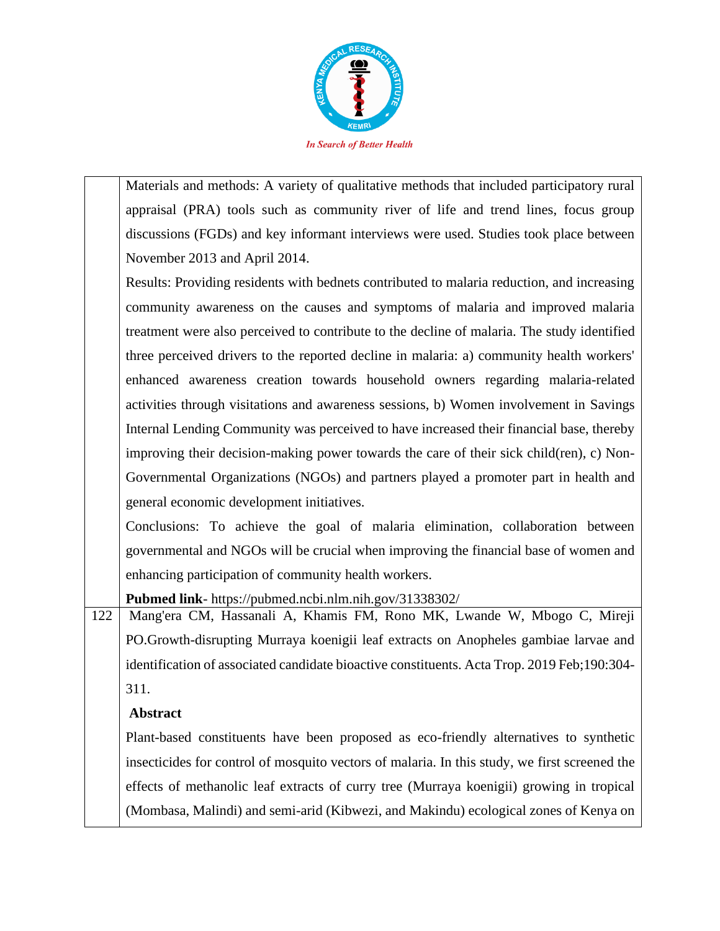

Materials and methods: A variety of qualitative methods that included participatory rural appraisal (PRA) tools such as community river of life and trend lines, focus group discussions (FGDs) and key informant interviews were used. Studies took place between November 2013 and April 2014.

Results: Providing residents with bednets contributed to malaria reduction, and increasing community awareness on the causes and symptoms of malaria and improved malaria treatment were also perceived to contribute to the decline of malaria. The study identified three perceived drivers to the reported decline in malaria: a) community health workers' enhanced awareness creation towards household owners regarding malaria-related activities through visitations and awareness sessions, b) Women involvement in Savings Internal Lending Community was perceived to have increased their financial base, thereby improving their decision-making power towards the care of their sick child(ren), c) Non-Governmental Organizations (NGOs) and partners played a promoter part in health and general economic development initiatives.

Conclusions: To achieve the goal of malaria elimination, collaboration between governmental and NGOs will be crucial when improving the financial base of women and enhancing participation of community health workers.

**Pubmed link**- https://pubmed.ncbi.nlm.nih.gov/31338302/

122 Mang'era CM, Hassanali A, Khamis FM, Rono MK, Lwande W, Mbogo C, Mireji PO.Growth-disrupting Murraya koenigii leaf extracts on Anopheles gambiae larvae and identification of associated candidate bioactive constituents. Acta Trop. 2019 Feb;190:304- 311.

# **Abstract**

Plant-based constituents have been proposed as eco-friendly alternatives to synthetic insecticides for control of mosquito vectors of malaria. In this study, we first screened the effects of methanolic leaf extracts of curry tree (Murraya koenigii) growing in tropical (Mombasa, Malindi) and semi-arid (Kibwezi, and Makindu) ecological zones of Kenya on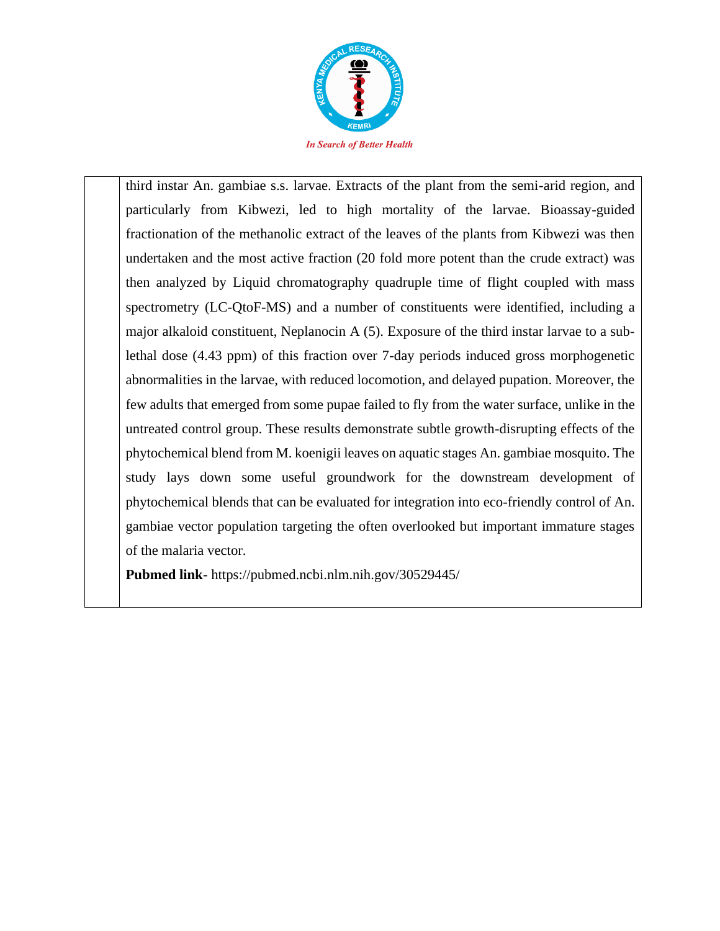

third instar An. gambiae s.s. larvae. Extracts of the plant from the semi-arid region, and particularly from Kibwezi, led to high mortality of the larvae. Bioassay-guided fractionation of the methanolic extract of the leaves of the plants from Kibwezi was then undertaken and the most active fraction (20 fold more potent than the crude extract) was then analyzed by Liquid chromatography quadruple time of flight coupled with mass spectrometry (LC-QtoF-MS) and a number of constituents were identified, including a major alkaloid constituent, Neplanocin A (5). Exposure of the third instar larvae to a sublethal dose (4.43 ppm) of this fraction over 7-day periods induced gross morphogenetic abnormalities in the larvae, with reduced locomotion, and delayed pupation. Moreover, the few adults that emerged from some pupae failed to fly from the water surface, unlike in the untreated control group. These results demonstrate subtle growth-disrupting effects of the phytochemical blend from M. koenigii leaves on aquatic stages An. gambiae mosquito. The study lays down some useful groundwork for the downstream development of phytochemical blends that can be evaluated for integration into eco-friendly control of An. gambiae vector population targeting the often overlooked but important immature stages of the malaria vector.

**Pubmed link**- https://pubmed.ncbi.nlm.nih.gov/30529445/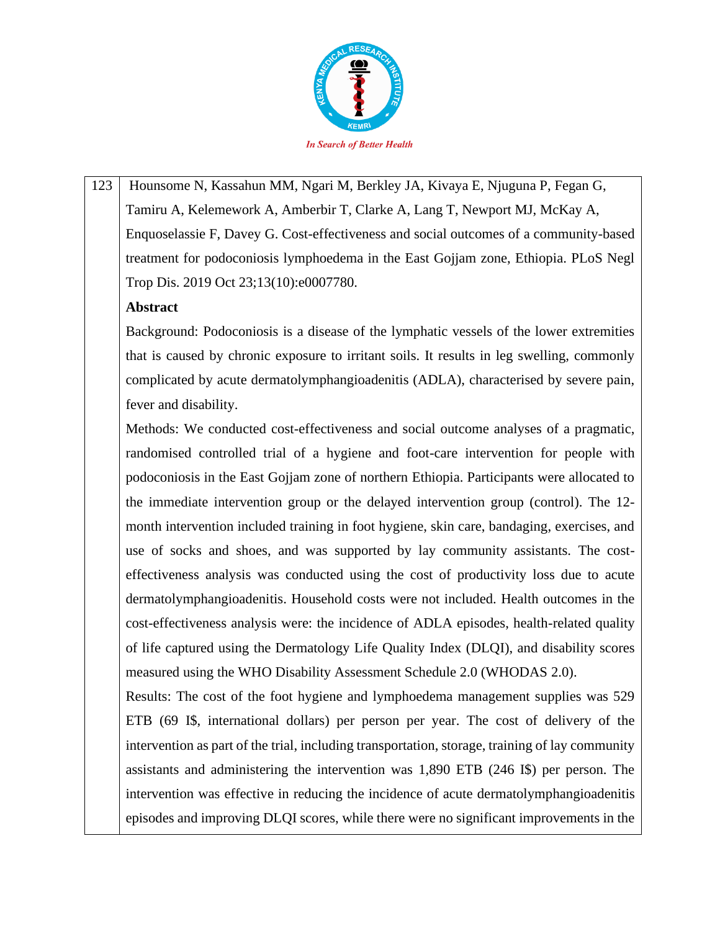

123 Hounsome N, Kassahun MM, Ngari M, Berkley JA, Kivaya E, Njuguna P, Fegan G, Tamiru A, Kelemework A, Amberbir T, Clarke A, Lang T, Newport MJ, McKay A, Enquoselassie F, Davey G. Cost-effectiveness and social outcomes of a community-based treatment for podoconiosis lymphoedema in the East Gojjam zone, Ethiopia. PLoS Negl Trop Dis. 2019 Oct 23;13(10):e0007780.

### **Abstract**

Background: Podoconiosis is a disease of the lymphatic vessels of the lower extremities that is caused by chronic exposure to irritant soils. It results in leg swelling, commonly complicated by acute dermatolymphangioadenitis (ADLA), characterised by severe pain, fever and disability.

Methods: We conducted cost-effectiveness and social outcome analyses of a pragmatic, randomised controlled trial of a hygiene and foot-care intervention for people with podoconiosis in the East Gojjam zone of northern Ethiopia. Participants were allocated to the immediate intervention group or the delayed intervention group (control). The 12 month intervention included training in foot hygiene, skin care, bandaging, exercises, and use of socks and shoes, and was supported by lay community assistants. The costeffectiveness analysis was conducted using the cost of productivity loss due to acute dermatolymphangioadenitis. Household costs were not included. Health outcomes in the cost-effectiveness analysis were: the incidence of ADLA episodes, health-related quality of life captured using the Dermatology Life Quality Index (DLQI), and disability scores measured using the WHO Disability Assessment Schedule 2.0 (WHODAS 2.0).

Results: The cost of the foot hygiene and lymphoedema management supplies was 529 ETB (69 I\$, international dollars) per person per year. The cost of delivery of the intervention as part of the trial, including transportation, storage, training of lay community assistants and administering the intervention was 1,890 ETB (246 I\$) per person. The intervention was effective in reducing the incidence of acute dermatolymphangioadenitis episodes and improving DLQI scores, while there were no significant improvements in the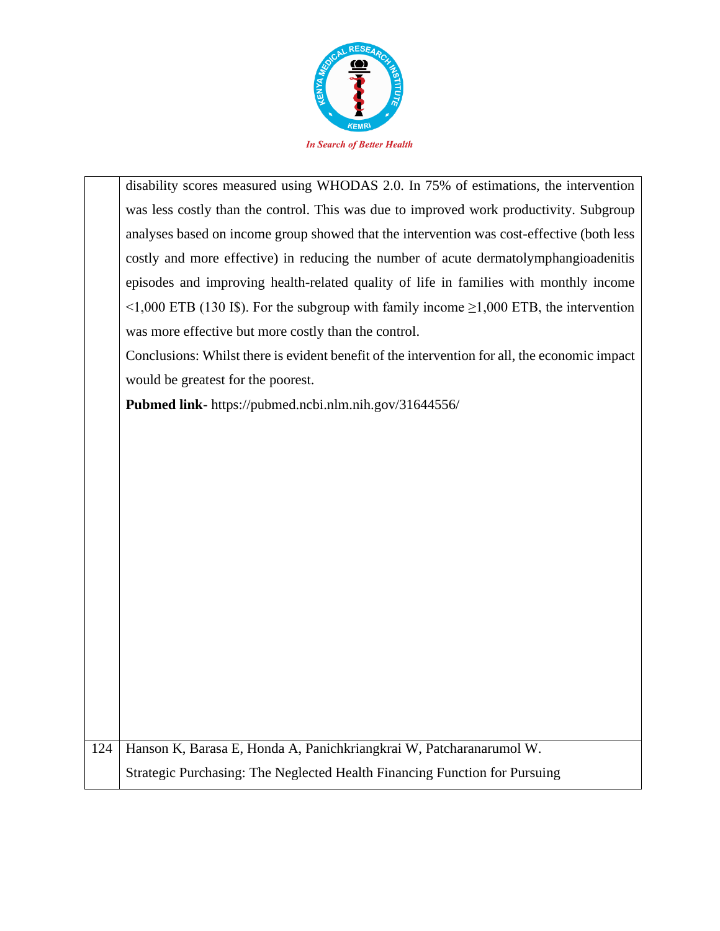

| disability scores measured using WHODAS 2.0. In 75% of estimations, the intervention               |
|----------------------------------------------------------------------------------------------------|
| was less costly than the control. This was due to improved work productivity. Subgroup             |
| analyses based on income group showed that the intervention was cost-effective (both less          |
| costly and more effective) in reducing the number of acute dermatolymphangioadenitis               |
| episodes and improving health-related quality of life in families with monthly income              |
| $\leq$ 1,000 ETB (130 I\$). For the subgroup with family income $\geq$ 1,000 ETB, the intervention |
| was more effective but more costly than the control.                                               |

Conclusions: Whilst there is evident benefit of the intervention for all, the economic impact would be greatest for the poorest.

**Pubmed link**- https://pubmed.ncbi.nlm.nih.gov/31644556/

124 Hanson K, Barasa E, Honda A, Panichkriangkrai W, Patcharanarumol W. Strategic Purchasing: The Neglected Health Financing Function for Pursuing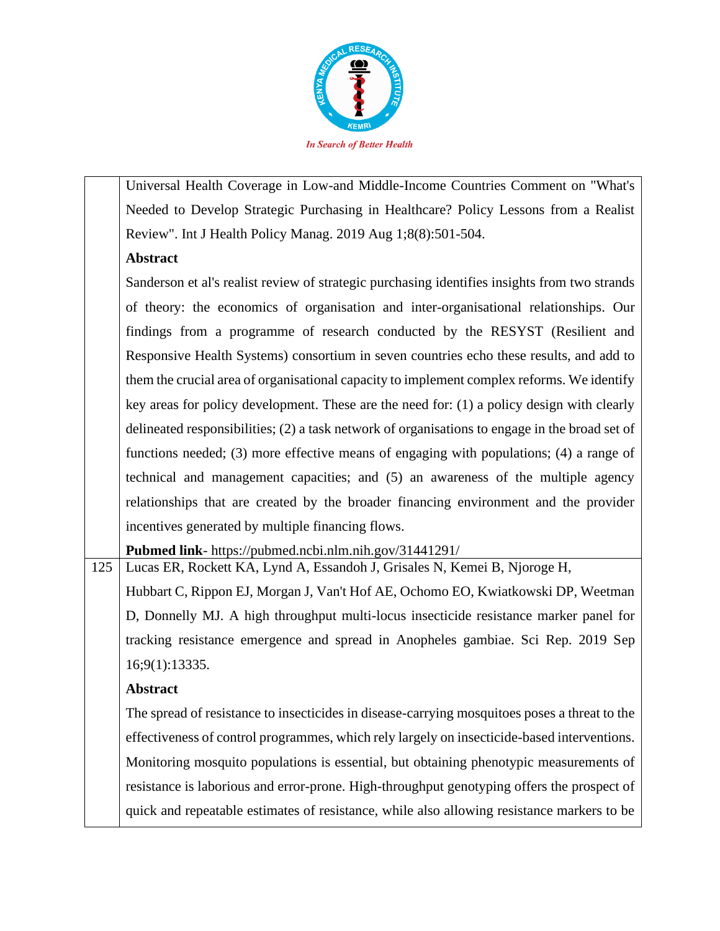

Universal Health Coverage in Low-and Middle-Income Countries Comment on "What's Needed to Develop Strategic Purchasing in Healthcare? Policy Lessons from a Realist Review". Int J Health Policy Manag. 2019 Aug 1;8(8):501-504.

### **Abstract**

Sanderson et al's realist review of strategic purchasing identifies insights from two strands of theory: the economics of organisation and inter-organisational relationships. Our findings from a programme of research conducted by the RESYST (Resilient and Responsive Health Systems) consortium in seven countries echo these results, and add to them the crucial area of organisational capacity to implement complex reforms. We identify key areas for policy development. These are the need for: (1) a policy design with clearly delineated responsibilities; (2) a task network of organisations to engage in the broad set of functions needed; (3) more effective means of engaging with populations; (4) a range of technical and management capacities; and (5) an awareness of the multiple agency relationships that are created by the broader financing environment and the provider incentives generated by multiple financing flows.

**Pubmed link**- https://pubmed.ncbi.nlm.nih.gov/31441291/

125 Lucas ER, Rockett KA, Lynd A, Essandoh J, Grisales N, Kemei B, Njoroge H, Hubbart C, Rippon EJ, Morgan J, Van't Hof AE, Ochomo EO, Kwiatkowski DP, Weetman D, Donnelly MJ. A high throughput multi-locus insecticide resistance marker panel for tracking resistance emergence and spread in Anopheles gambiae. Sci Rep. 2019 Sep 16;9(1):13335.

## **Abstract**

The spread of resistance to insecticides in disease-carrying mosquitoes poses a threat to the effectiveness of control programmes, which rely largely on insecticide-based interventions. Monitoring mosquito populations is essential, but obtaining phenotypic measurements of resistance is laborious and error-prone. High-throughput genotyping offers the prospect of quick and repeatable estimates of resistance, while also allowing resistance markers to be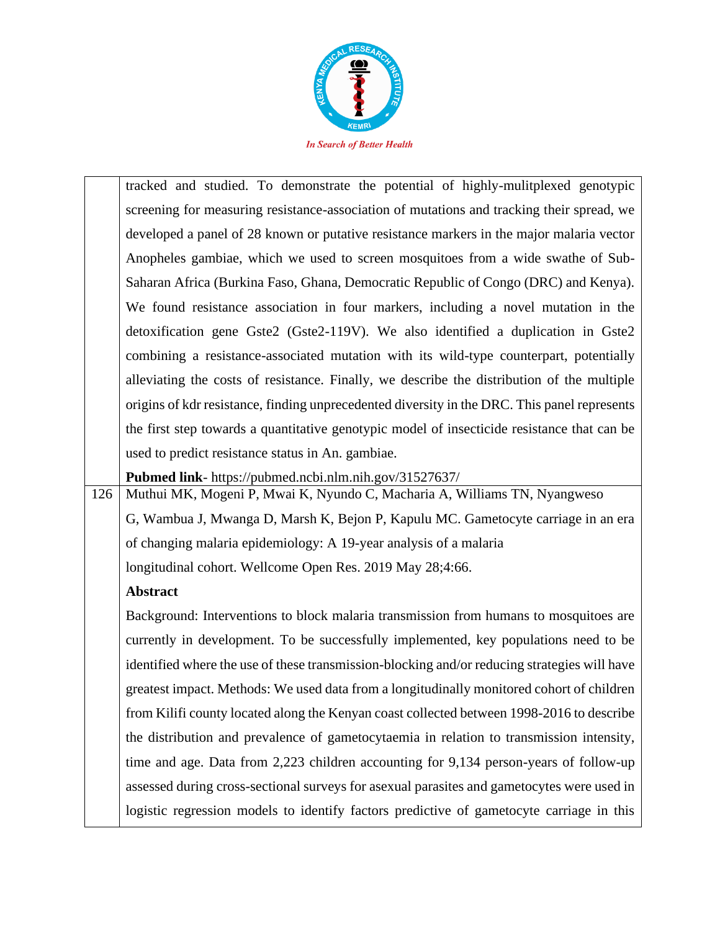

|     | tracked and studied. To demonstrate the potential of highly-mulitplexed genotypic            |
|-----|----------------------------------------------------------------------------------------------|
|     | screening for measuring resistance-association of mutations and tracking their spread, we    |
|     | developed a panel of 28 known or putative resistance markers in the major malaria vector     |
|     | Anopheles gambiae, which we used to screen mosquitoes from a wide swathe of Sub-             |
|     | Saharan Africa (Burkina Faso, Ghana, Democratic Republic of Congo (DRC) and Kenya).          |
|     | We found resistance association in four markers, including a novel mutation in the           |
|     | detoxification gene Gste2 (Gste2-119V). We also identified a duplication in Gste2            |
|     | combining a resistance-associated mutation with its wild-type counterpart, potentially       |
|     | alleviating the costs of resistance. Finally, we describe the distribution of the multiple   |
|     | origins of kdr resistance, finding unprecedented diversity in the DRC. This panel represents |
|     | the first step towards a quantitative genotypic model of insecticide resistance that can be  |
|     | used to predict resistance status in An. gambiae.                                            |
|     | Pubmed link- https://pubmed.ncbi.nlm.nih.gov/31527637/                                       |
| 126 | Muthui MK, Mogeni P, Mwai K, Nyundo C, Macharia A, Williams TN, Nyangweso                    |
|     | G, Wambua J, Mwanga D, Marsh K, Bejon P, Kapulu MC. Gametocyte carriage in an era            |
|     | of changing malaria epidemiology: A 19-year analysis of a malaria                            |
|     | longitudinal cohort. Wellcome Open Res. 2019 May 28;4:66.                                    |
|     | Abstract                                                                                     |
|     | Background: Interventions to block malaria transmission from humans to mosquitoes are        |
|     | currently in development. To be successfully implemented, key populations need to be         |
|     | identified where the use of these transmission-blocking and/or reducing strategies will have |
|     | greatest impact. Methods: We used data from a longitudinally monitored cohort of children    |
|     | from Kilifi county located along the Kenyan coast collected between 1998-2016 to describe    |
|     | the distribution and prevalence of gametocytaemia in relation to transmission intensity,     |
|     | time and age. Data from 2,223 children accounting for 9,134 person-years of follow-up        |
|     | assessed during cross-sectional surveys for asexual parasites and gametocytes were used in   |
|     | logistic regression models to identify factors predictive of gametocyte carriage in this     |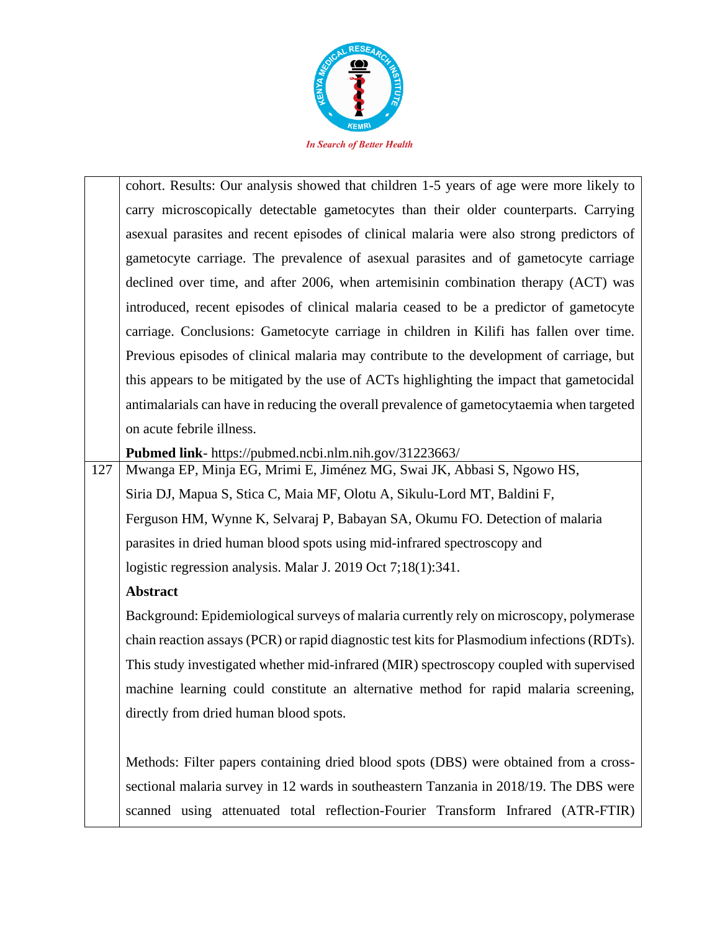

|     | cohort. Results: Our analysis showed that children 1-5 years of age were more likely to   |
|-----|-------------------------------------------------------------------------------------------|
|     | carry microscopically detectable gametocytes than their older counterparts. Carrying      |
|     | asexual parasites and recent episodes of clinical malaria were also strong predictors of  |
|     | gametocyte carriage. The prevalence of asexual parasites and of gametocyte carriage       |
|     | declined over time, and after 2006, when artemisinin combination therapy (ACT) was        |
|     | introduced, recent episodes of clinical malaria ceased to be a predictor of gametocyte    |
|     | carriage. Conclusions: Gametocyte carriage in children in Kilifi has fallen over time.    |
|     | Previous episodes of clinical malaria may contribute to the development of carriage, but  |
|     | this appears to be mitigated by the use of ACTs highlighting the impact that gametocidal  |
|     | antimalarials can have in reducing the overall prevalence of gametocytaemia when targeted |
|     | on acute febrile illness.                                                                 |
|     | Pubmed link- https://pubmed.ncbi.nlm.nih.gov/31223663/                                    |
| 127 | Mwanga EP, Minja EG, Mrimi E, Jiménez MG, Swai JK, Abbasi S, Ngowo HS,                    |
|     | Siria DJ, Mapua S, Stica C, Maia MF, Olotu A, Sikulu-Lord MT, Baldini F,                  |
|     | Ferguson HM, Wynne K, Selvaraj P, Babayan SA, Okumu FO. Detection of malaria              |
|     | parasites in dried human blood spots using mid-infrared spectroscopy and                  |
|     | logistic regression analysis. Malar J. 2019 Oct 7;18(1):341.                              |
|     | <b>Abstract</b>                                                                           |
|     | Background: Epidemiological surveys of malaria currently rely on microscopy, polymerase   |

chain reaction assays (PCR) or rapid diagnostic test kits for Plasmodium infections (RDTs). This study investigated whether mid-infrared (MIR) spectroscopy coupled with supervised machine learning could constitute an alternative method for rapid malaria screening, directly from dried human blood spots.

Methods: Filter papers containing dried blood spots (DBS) were obtained from a crosssectional malaria survey in 12 wards in southeastern Tanzania in 2018/19. The DBS were scanned using attenuated total reflection-Fourier Transform Infrared (ATR-FTIR)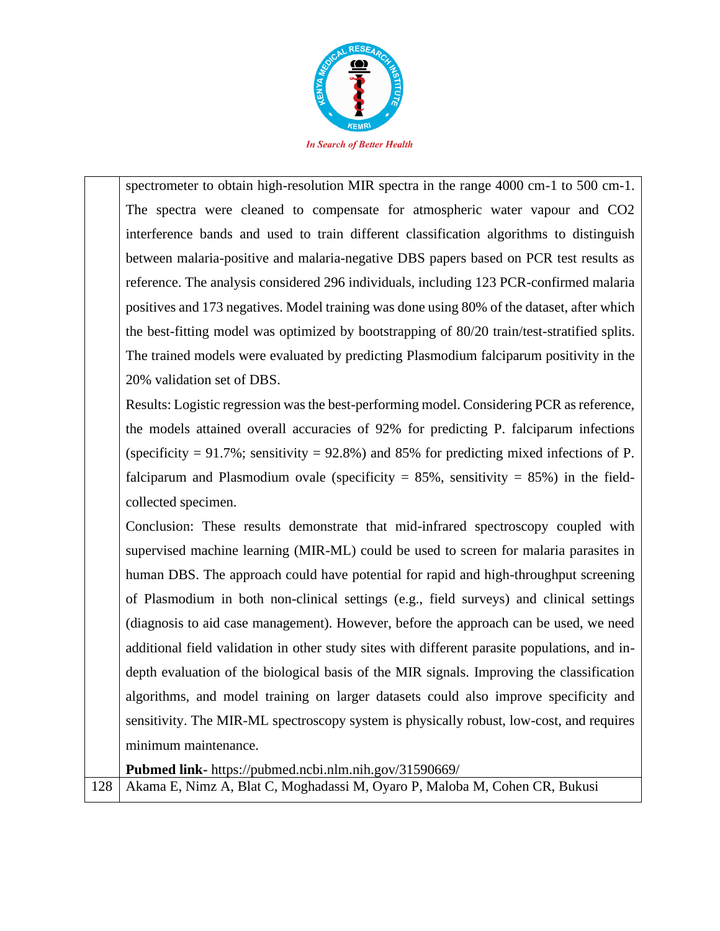

spectrometer to obtain high-resolution MIR spectra in the range 4000 cm-1 to 500 cm-1. The spectra were cleaned to compensate for atmospheric water vapour and CO2 interference bands and used to train different classification algorithms to distinguish between malaria-positive and malaria-negative DBS papers based on PCR test results as reference. The analysis considered 296 individuals, including 123 PCR-confirmed malaria positives and 173 negatives. Model training was done using 80% of the dataset, after which the best-fitting model was optimized by bootstrapping of 80/20 train/test-stratified splits. The trained models were evaluated by predicting Plasmodium falciparum positivity in the 20% validation set of DBS.

Results: Logistic regression was the best-performing model. Considering PCR as reference, the models attained overall accuracies of 92% for predicting P. falciparum infections (specificity  $= 91.7\%$ ; sensitivity  $= 92.8\%$ ) and 85% for predicting mixed infections of P. falciparum and Plasmodium ovale (specificity  $= 85\%$ , sensitivity  $= 85\%$ ) in the fieldcollected specimen.

Conclusion: These results demonstrate that mid-infrared spectroscopy coupled with supervised machine learning (MIR-ML) could be used to screen for malaria parasites in human DBS. The approach could have potential for rapid and high-throughput screening of Plasmodium in both non-clinical settings (e.g., field surveys) and clinical settings (diagnosis to aid case management). However, before the approach can be used, we need additional field validation in other study sites with different parasite populations, and indepth evaluation of the biological basis of the MIR signals. Improving the classification algorithms, and model training on larger datasets could also improve specificity and sensitivity. The MIR-ML spectroscopy system is physically robust, low-cost, and requires minimum maintenance.

**Pubmed link-** https://pubmed.ncbi.nlm.nih.gov/31590669/

128 | Akama E, Nimz A, Blat C, Moghadassi M, Oyaro P, Maloba M, Cohen CR, Bukusi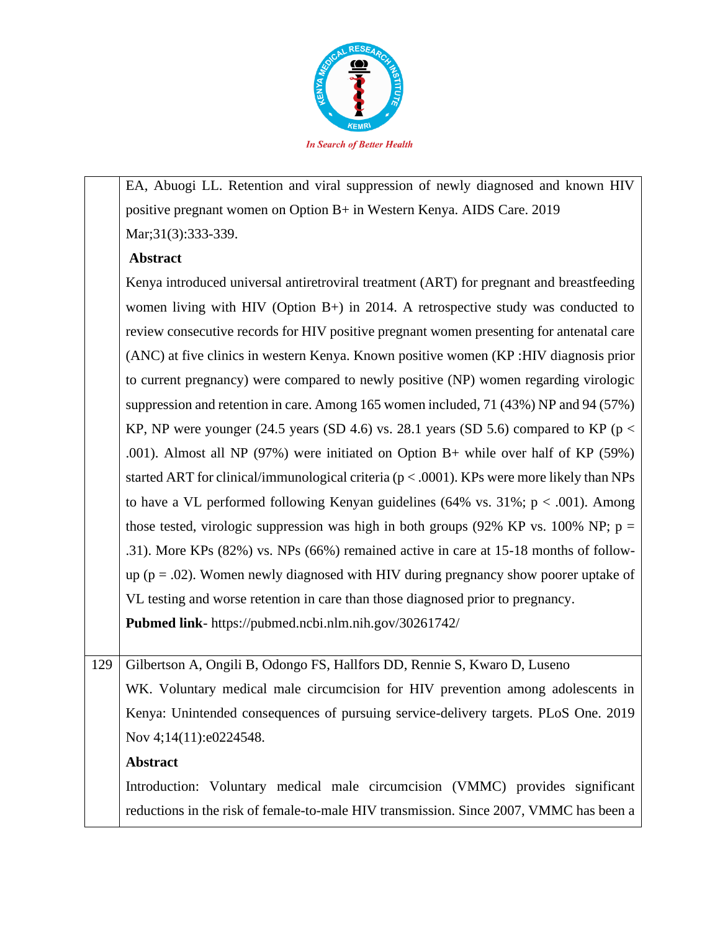

EA, Abuogi LL. Retention and viral suppression of newly diagnosed and known HIV positive pregnant women on Option B+ in Western Kenya. AIDS Care. 2019 Mar; 31(3): 333-339.

### **Abstract**

Kenya introduced universal antiretroviral treatment (ART) for pregnant and breastfeeding women living with HIV (Option B+) in 2014. A retrospective study was conducted to review consecutive records for HIV positive pregnant women presenting for antenatal care (ANC) at five clinics in western Kenya. Known positive women (KP :HIV diagnosis prior to current pregnancy) were compared to newly positive (NP) women regarding virologic suppression and retention in care. Among 165 women included, 71 (43%) NP and 94 (57%) KP, NP were younger (24.5 years (SD 4.6) vs. 28.1 years (SD 5.6) compared to KP ( $p <$ .001). Almost all NP (97%) were initiated on Option B+ while over half of KP (59%) started ART for clinical/immunological criteria (p < .0001). KPs were more likely than NPs to have a VL performed following Kenyan guidelines  $(64\% \text{ vs. } 31\%; \text{ p} < .001)$ . Among those tested, virologic suppression was high in both groups (92% KP vs. 100% NP;  $p =$ .31). More KPs (82%) vs. NPs (66%) remained active in care at 15-18 months of followup ( $p = .02$ ). Women newly diagnosed with HIV during pregnancy show poorer uptake of VL testing and worse retention in care than those diagnosed prior to pregnancy.

**Pubmed link**- https://pubmed.ncbi.nlm.nih.gov/30261742/

129 Gilbertson A, Ongili B, Odongo FS, Hallfors DD, Rennie S, Kwaro D, Luseno WK. Voluntary medical male circumcision for HIV prevention among adolescents in Kenya: Unintended consequences of pursuing service-delivery targets. PLoS One. 2019 Nov 4;14(11):e0224548.

## **Abstract**

Introduction: Voluntary medical male circumcision (VMMC) provides significant reductions in the risk of female-to-male HIV transmission. Since 2007, VMMC has been a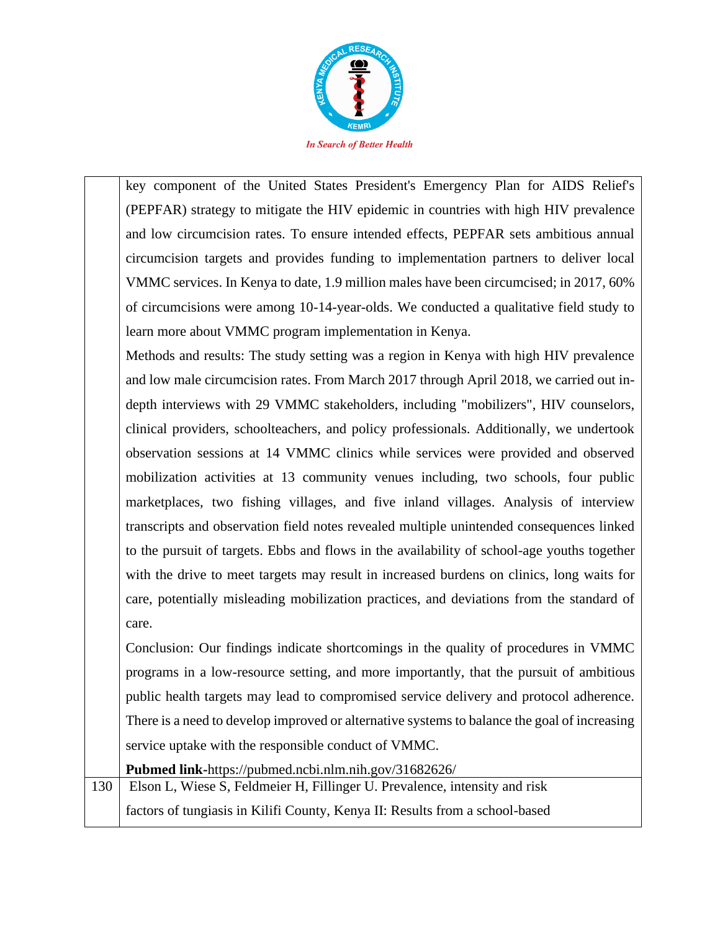

key component of the United States President's Emergency Plan for AIDS Relief's (PEPFAR) strategy to mitigate the HIV epidemic in countries with high HIV prevalence and low circumcision rates. To ensure intended effects, PEPFAR sets ambitious annual circumcision targets and provides funding to implementation partners to deliver local VMMC services. In Kenya to date, 1.9 million males have been circumcised; in 2017, 60% of circumcisions were among 10-14-year-olds. We conducted a qualitative field study to learn more about VMMC program implementation in Kenya.

Methods and results: The study setting was a region in Kenya with high HIV prevalence and low male circumcision rates. From March 2017 through April 2018, we carried out indepth interviews with 29 VMMC stakeholders, including "mobilizers", HIV counselors, clinical providers, schoolteachers, and policy professionals. Additionally, we undertook observation sessions at 14 VMMC clinics while services were provided and observed mobilization activities at 13 community venues including, two schools, four public marketplaces, two fishing villages, and five inland villages. Analysis of interview transcripts and observation field notes revealed multiple unintended consequences linked to the pursuit of targets. Ebbs and flows in the availability of school-age youths together with the drive to meet targets may result in increased burdens on clinics, long waits for care, potentially misleading mobilization practices, and deviations from the standard of care.

Conclusion: Our findings indicate shortcomings in the quality of procedures in VMMC programs in a low-resource setting, and more importantly, that the pursuit of ambitious public health targets may lead to compromised service delivery and protocol adherence. There is a need to develop improved or alternative systems to balance the goal of increasing service uptake with the responsible conduct of VMMC.

**Pubmed link-**https://pubmed.ncbi.nlm.nih.gov/31682626/ 130 Elson L, Wiese S, Feldmeier H, Fillinger U. Prevalence, intensity and risk factors of tungiasis in Kilifi County, Kenya II: Results from a school-based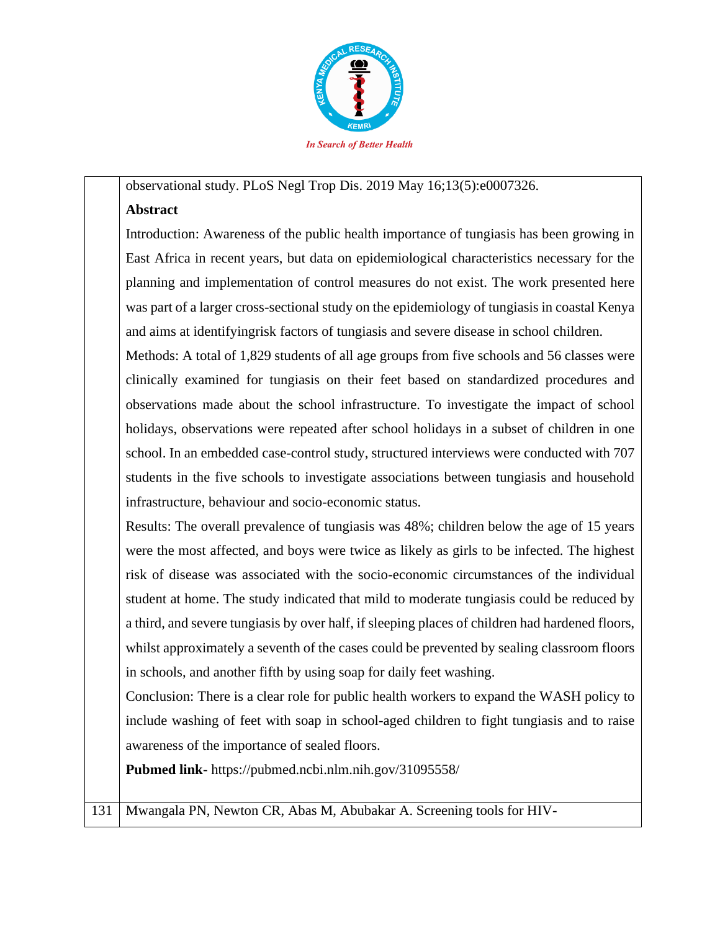

### observational study. PLoS Negl Trop Dis. 2019 May 16;13(5):e0007326.

### **Abstract**

Introduction: Awareness of the public health importance of tungiasis has been growing in East Africa in recent years, but data on epidemiological characteristics necessary for the planning and implementation of control measures do not exist. The work presented here was part of a larger cross-sectional study on the epidemiology of tungiasis in coastal Kenya and aims at identifyingrisk factors of tungiasis and severe disease in school children.

Methods: A total of 1,829 students of all age groups from five schools and 56 classes were clinically examined for tungiasis on their feet based on standardized procedures and observations made about the school infrastructure. To investigate the impact of school holidays, observations were repeated after school holidays in a subset of children in one school. In an embedded case-control study, structured interviews were conducted with 707 students in the five schools to investigate associations between tungiasis and household infrastructure, behaviour and socio-economic status.

Results: The overall prevalence of tungiasis was 48%; children below the age of 15 years were the most affected, and boys were twice as likely as girls to be infected. The highest risk of disease was associated with the socio-economic circumstances of the individual student at home. The study indicated that mild to moderate tungiasis could be reduced by a third, and severe tungiasis by over half, if sleeping places of children had hardened floors, whilst approximately a seventh of the cases could be prevented by sealing classroom floors in schools, and another fifth by using soap for daily feet washing.

Conclusion: There is a clear role for public health workers to expand the WASH policy to include washing of feet with soap in school-aged children to fight tungiasis and to raise awareness of the importance of sealed floors.

**Pubmed link**- https://pubmed.ncbi.nlm.nih.gov/31095558/

131 Mwangala PN, Newton CR, Abas M, Abubakar A. Screening tools for HIV-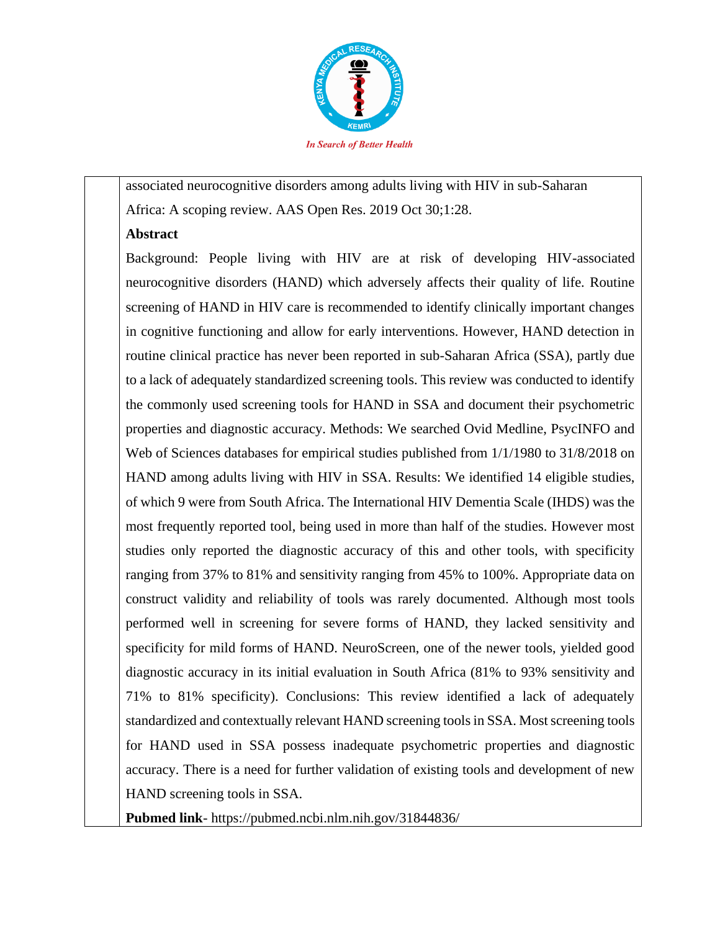

associated neurocognitive disorders among adults living with HIV in sub-Saharan Africa: A scoping review. AAS Open Res. 2019 Oct 30;1:28.

#### **Abstract**

Background: People living with HIV are at risk of developing HIV-associated neurocognitive disorders (HAND) which adversely affects their quality of life. Routine screening of HAND in HIV care is recommended to identify clinically important changes in cognitive functioning and allow for early interventions. However, HAND detection in routine clinical practice has never been reported in sub-Saharan Africa (SSA), partly due to a lack of adequately standardized screening tools. This review was conducted to identify the commonly used screening tools for HAND in SSA and document their psychometric properties and diagnostic accuracy. Methods: We searched Ovid Medline, PsycINFO and Web of Sciences databases for empirical studies published from 1/1/1980 to 31/8/2018 on HAND among adults living with HIV in SSA. Results: We identified 14 eligible studies, of which 9 were from South Africa. The International HIV Dementia Scale (IHDS) was the most frequently reported tool, being used in more than half of the studies. However most studies only reported the diagnostic accuracy of this and other tools, with specificity ranging from 37% to 81% and sensitivity ranging from 45% to 100%. Appropriate data on construct validity and reliability of tools was rarely documented. Although most tools performed well in screening for severe forms of HAND, they lacked sensitivity and specificity for mild forms of HAND. NeuroScreen, one of the newer tools, yielded good diagnostic accuracy in its initial evaluation in South Africa (81% to 93% sensitivity and 71% to 81% specificity). Conclusions: This review identified a lack of adequately standardized and contextually relevant HAND screening tools in SSA. Most screening tools for HAND used in SSA possess inadequate psychometric properties and diagnostic accuracy. There is a need for further validation of existing tools and development of new HAND screening tools in SSA.

**Pubmed link**- https://pubmed.ncbi.nlm.nih.gov/31844836/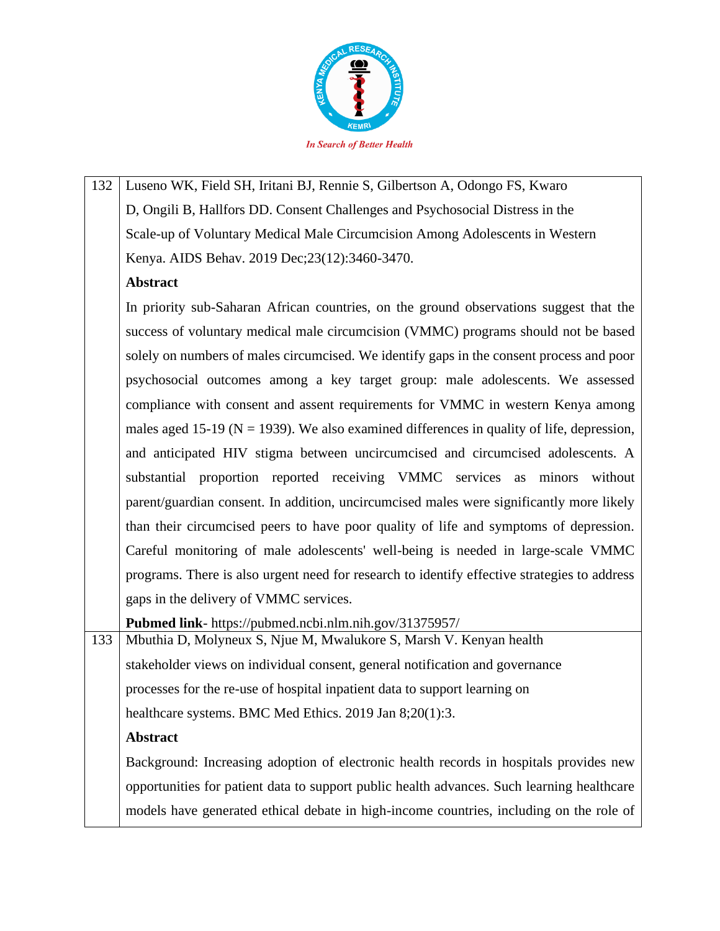

132 Luseno WK, Field SH, Iritani BJ, Rennie S, Gilbertson A, Odongo FS, Kwaro D, Ongili B, Hallfors DD. Consent Challenges and Psychosocial Distress in the Scale-up of Voluntary Medical Male Circumcision Among Adolescents in Western Kenya. AIDS Behav. 2019 Dec;23(12):3460-3470.

## **Abstract**

In priority sub-Saharan African countries, on the ground observations suggest that the success of voluntary medical male circumcision (VMMC) programs should not be based solely on numbers of males circumcised. We identify gaps in the consent process and poor psychosocial outcomes among a key target group: male adolescents. We assessed compliance with consent and assent requirements for VMMC in western Kenya among males aged 15-19 ( $N = 1939$ ). We also examined differences in quality of life, depression, and anticipated HIV stigma between uncircumcised and circumcised adolescents. A substantial proportion reported receiving VMMC services as minors without parent/guardian consent. In addition, uncircumcised males were significantly more likely than their circumcised peers to have poor quality of life and symptoms of depression. Careful monitoring of male adolescents' well-being is needed in large-scale VMMC programs. There is also urgent need for research to identify effective strategies to address gaps in the delivery of VMMC services.

**Pubmed link**- https://pubmed.ncbi.nlm.nih.gov/31375957/

133 Mbuthia D, Molyneux S, Njue M, Mwalukore S, Marsh V. Kenyan health stakeholder views on individual consent, general notification and governance processes for the re-use of hospital inpatient data to support learning on healthcare systems. BMC Med Ethics. 2019 Jan 8;20(1):3.

## **Abstract**

Background: Increasing adoption of electronic health records in hospitals provides new opportunities for patient data to support public health advances. Such learning healthcare models have generated ethical debate in high-income countries, including on the role of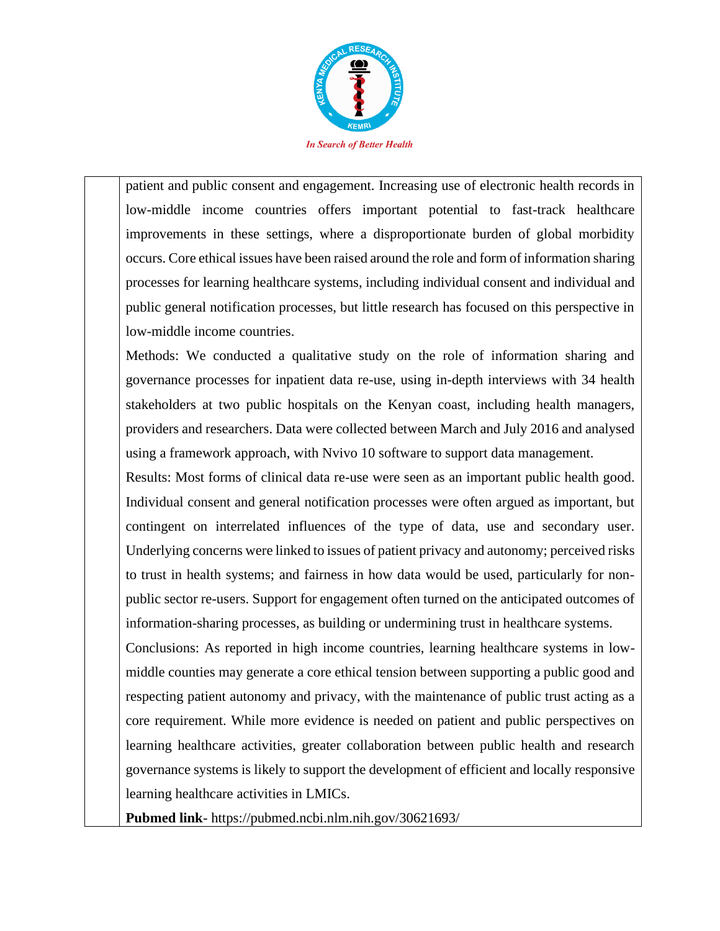

patient and public consent and engagement. Increasing use of electronic health records in low-middle income countries offers important potential to fast-track healthcare improvements in these settings, where a disproportionate burden of global morbidity occurs. Core ethical issues have been raised around the role and form of information sharing processes for learning healthcare systems, including individual consent and individual and public general notification processes, but little research has focused on this perspective in low-middle income countries.

Methods: We conducted a qualitative study on the role of information sharing and governance processes for inpatient data re-use, using in-depth interviews with 34 health stakeholders at two public hospitals on the Kenyan coast, including health managers, providers and researchers. Data were collected between March and July 2016 and analysed using a framework approach, with Nvivo 10 software to support data management.

Results: Most forms of clinical data re-use were seen as an important public health good. Individual consent and general notification processes were often argued as important, but contingent on interrelated influences of the type of data, use and secondary user. Underlying concerns were linked to issues of patient privacy and autonomy; perceived risks to trust in health systems; and fairness in how data would be used, particularly for nonpublic sector re-users. Support for engagement often turned on the anticipated outcomes of information-sharing processes, as building or undermining trust in healthcare systems.

Conclusions: As reported in high income countries, learning healthcare systems in lowmiddle counties may generate a core ethical tension between supporting a public good and respecting patient autonomy and privacy, with the maintenance of public trust acting as a core requirement. While more evidence is needed on patient and public perspectives on learning healthcare activities, greater collaboration between public health and research governance systems is likely to support the development of efficient and locally responsive learning healthcare activities in LMICs.

**Pubmed link**- https://pubmed.ncbi.nlm.nih.gov/30621693/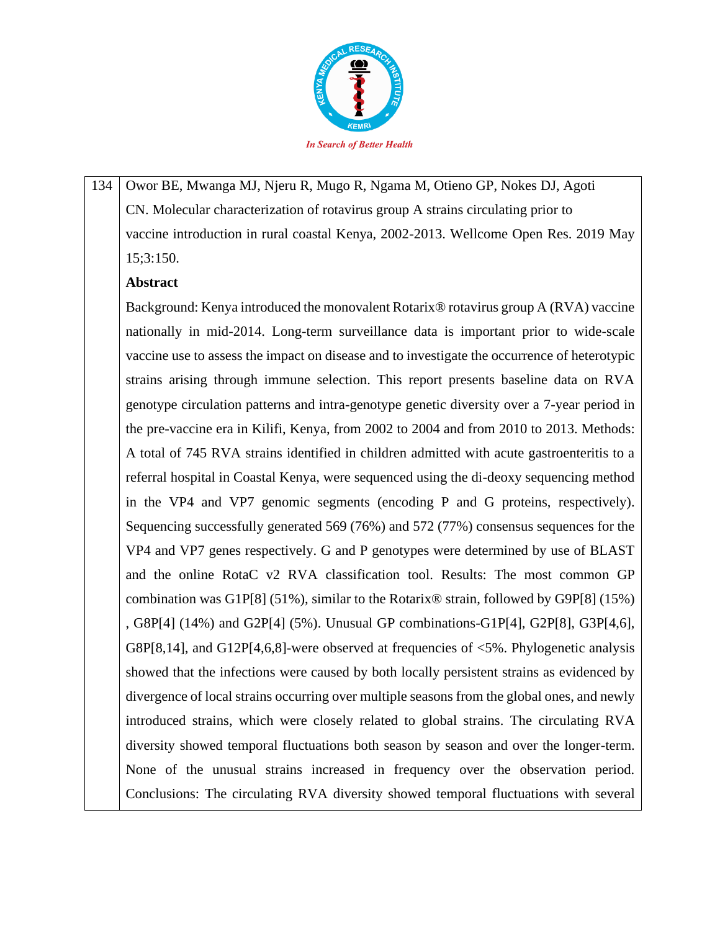

134 Owor BE, Mwanga MJ, Njeru R, Mugo R, Ngama M, Otieno GP, Nokes DJ, Agoti CN. Molecular characterization of rotavirus group A strains circulating prior to vaccine introduction in rural coastal Kenya, 2002-2013. Wellcome Open Res. 2019 May 15;3:150.

## **Abstract**

Background: Kenya introduced the monovalent Rotarix® rotavirus group A (RVA) vaccine nationally in mid-2014. Long-term surveillance data is important prior to wide-scale vaccine use to assess the impact on disease and to investigate the occurrence of heterotypic strains arising through immune selection. This report presents baseline data on RVA genotype circulation patterns and intra-genotype genetic diversity over a 7-year period in the pre-vaccine era in Kilifi, Kenya, from 2002 to 2004 and from 2010 to 2013. Methods: A total of 745 RVA strains identified in children admitted with acute gastroenteritis to a referral hospital in Coastal Kenya, were sequenced using the di-deoxy sequencing method in the VP4 and VP7 genomic segments (encoding P and G proteins, respectively). Sequencing successfully generated 569 (76%) and 572 (77%) consensus sequences for the VP4 and VP7 genes respectively. G and P genotypes were determined by use of BLAST and the online RotaC v2 RVA classification tool. Results: The most common GP combination was G1P[8] (51%), similar to the Rotarix® strain, followed by G9P[8] (15%) , G8P[4] (14%) and G2P[4] (5%). Unusual GP combinations-G1P[4], G2P[8], G3P[4,6], G8P[8,14], and G12P[4,6,8]-were observed at frequencies of  $\leq$ 5%. Phylogenetic analysis showed that the infections were caused by both locally persistent strains as evidenced by divergence of local strains occurring over multiple seasons from the global ones, and newly introduced strains, which were closely related to global strains. The circulating RVA diversity showed temporal fluctuations both season by season and over the longer-term. None of the unusual strains increased in frequency over the observation period. Conclusions: The circulating RVA diversity showed temporal fluctuations with several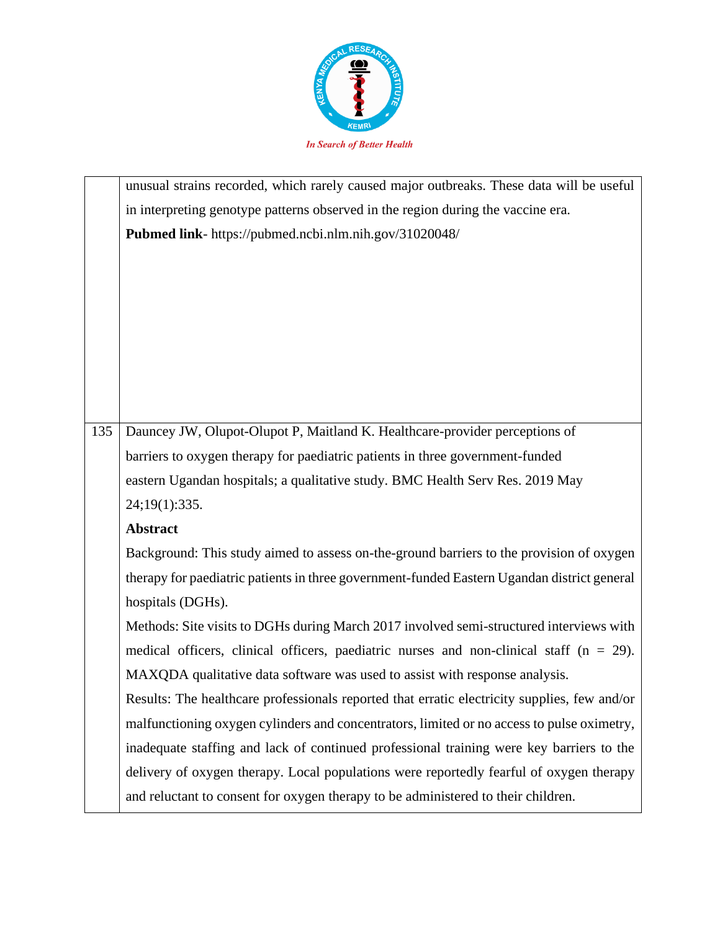

|     | unusual strains recorded, which rarely caused major outbreaks. These data will be useful     |
|-----|----------------------------------------------------------------------------------------------|
|     | in interpreting genotype patterns observed in the region during the vaccine era.             |
|     | Pubmed link- https://pubmed.ncbi.nlm.nih.gov/31020048/                                       |
|     |                                                                                              |
|     |                                                                                              |
|     |                                                                                              |
|     |                                                                                              |
|     |                                                                                              |
|     |                                                                                              |
|     |                                                                                              |
| 135 | Dauncey JW, Olupot-Olupot P, Maitland K. Healthcare-provider perceptions of                  |
|     | barriers to oxygen therapy for paediatric patients in three government-funded                |
|     | eastern Ugandan hospitals; a qualitative study. BMC Health Serv Res. 2019 May                |
|     | 24;19(1):335.                                                                                |
|     | <b>Abstract</b>                                                                              |
|     | Background: This study aimed to assess on-the-ground barriers to the provision of oxygen     |
|     | therapy for paediatric patients in three government-funded Eastern Ugandan district general  |
|     | hospitals (DGHs).                                                                            |
|     | Methods: Site visits to DGHs during March 2017 involved semi-structured interviews with      |
|     | medical officers, clinical officers, paediatric nurses and non-clinical staff ( $n = 29$ ).  |
|     | MAXQDA qualitative data software was used to assist with response analysis.                  |
|     | Results: The healthcare professionals reported that erratic electricity supplies, few and/or |
|     | malfunctioning oxygen cylinders and concentrators, limited or no access to pulse oximetry,   |
|     | inadequate staffing and lack of continued professional training were key barriers to the     |
|     | delivery of oxygen therapy. Local populations were reportedly fearful of oxygen therapy      |
|     | and reluctant to consent for oxygen therapy to be administered to their children.            |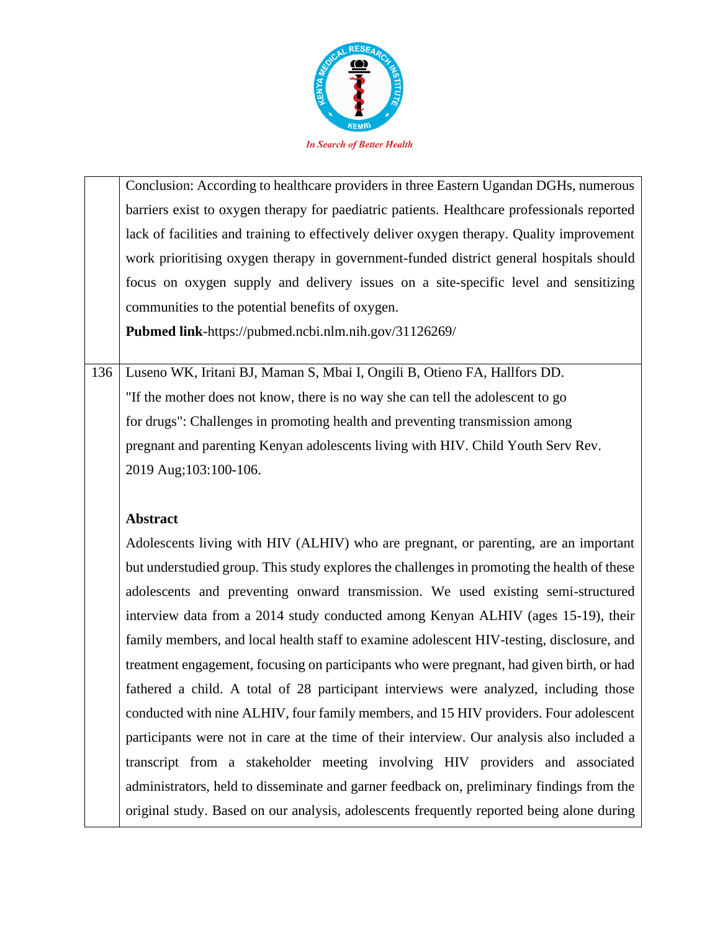

Conclusion: According to healthcare providers in three Eastern Ugandan DGHs, numerous barriers exist to oxygen therapy for paediatric patients. Healthcare professionals reported lack of facilities and training to effectively deliver oxygen therapy. Quality improvement work prioritising oxygen therapy in government-funded district general hospitals should focus on oxygen supply and delivery issues on a site-specific level and sensitizing communities to the potential benefits of oxygen.

**Pubmed link**-https://pubmed.ncbi.nlm.nih.gov/31126269/

136 Luseno WK, Iritani BJ, Maman S, Mbai I, Ongili B, Otieno FA, Hallfors DD. "If the mother does not know, there is no way she can tell the adolescent to go for drugs": Challenges in promoting health and preventing transmission among pregnant and parenting Kenyan adolescents living with HIV. Child Youth Serv Rev. 2019 Aug;103:100-106.

# **Abstract**

Adolescents living with HIV (ALHIV) who are pregnant, or parenting, are an important but understudied group. This study explores the challenges in promoting the health of these adolescents and preventing onward transmission. We used existing semi-structured interview data from a 2014 study conducted among Kenyan ALHIV (ages 15-19), their family members, and local health staff to examine adolescent HIV-testing, disclosure, and treatment engagement, focusing on participants who were pregnant, had given birth, or had fathered a child. A total of 28 participant interviews were analyzed, including those conducted with nine ALHIV, four family members, and 15 HIV providers. Four adolescent participants were not in care at the time of their interview. Our analysis also included a transcript from a stakeholder meeting involving HIV providers and associated administrators, held to disseminate and garner feedback on, preliminary findings from the original study. Based on our analysis, adolescents frequently reported being alone during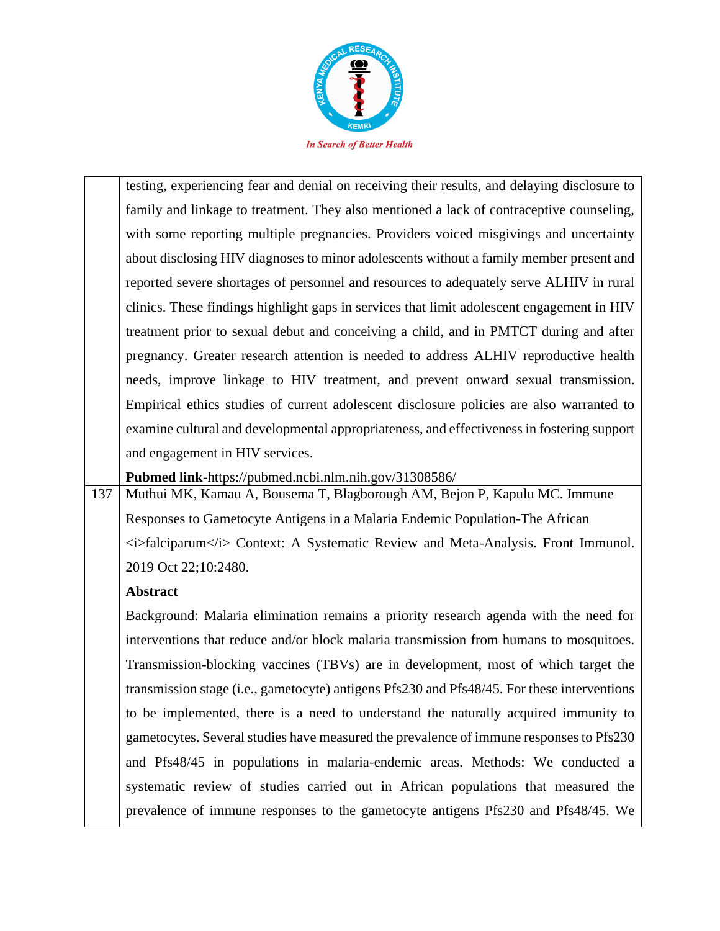

testing, experiencing fear and denial on receiving their results, and delaying disclosure to family and linkage to treatment. They also mentioned a lack of contraceptive counseling, with some reporting multiple pregnancies. Providers voiced misgivings and uncertainty about disclosing HIV diagnoses to minor adolescents without a family member present and reported severe shortages of personnel and resources to adequately serve ALHIV in rural clinics. These findings highlight gaps in services that limit adolescent engagement in HIV treatment prior to sexual debut and conceiving a child, and in PMTCT during and after pregnancy. Greater research attention is needed to address ALHIV reproductive health needs, improve linkage to HIV treatment, and prevent onward sexual transmission. Empirical ethics studies of current adolescent disclosure policies are also warranted to examine cultural and developmental appropriateness, and effectiveness in fostering support and engagement in HIV services.

**Pubmed link-**https://pubmed.ncbi.nlm.nih.gov/31308586/

137 Muthui MK, Kamau A, Bousema T, Blagborough AM, Bejon P, Kapulu MC. Immune Responses to Gametocyte Antigens in a Malaria Endemic Population-The African  $\langle i \rangle$ falciparum $\langle i \rangle$  Context: A Systematic Review and Meta-Analysis. Front Immunol. 2019 Oct 22;10:2480.

### **Abstract**

Background: Malaria elimination remains a priority research agenda with the need for interventions that reduce and/or block malaria transmission from humans to mosquitoes. Transmission-blocking vaccines (TBVs) are in development, most of which target the transmission stage (i.e., gametocyte) antigens Pfs230 and Pfs48/45. For these interventions to be implemented, there is a need to understand the naturally acquired immunity to gametocytes. Several studies have measured the prevalence of immune responses to Pfs230 and Pfs48/45 in populations in malaria-endemic areas. Methods: We conducted a systematic review of studies carried out in African populations that measured the prevalence of immune responses to the gametocyte antigens Pfs230 and Pfs48/45. We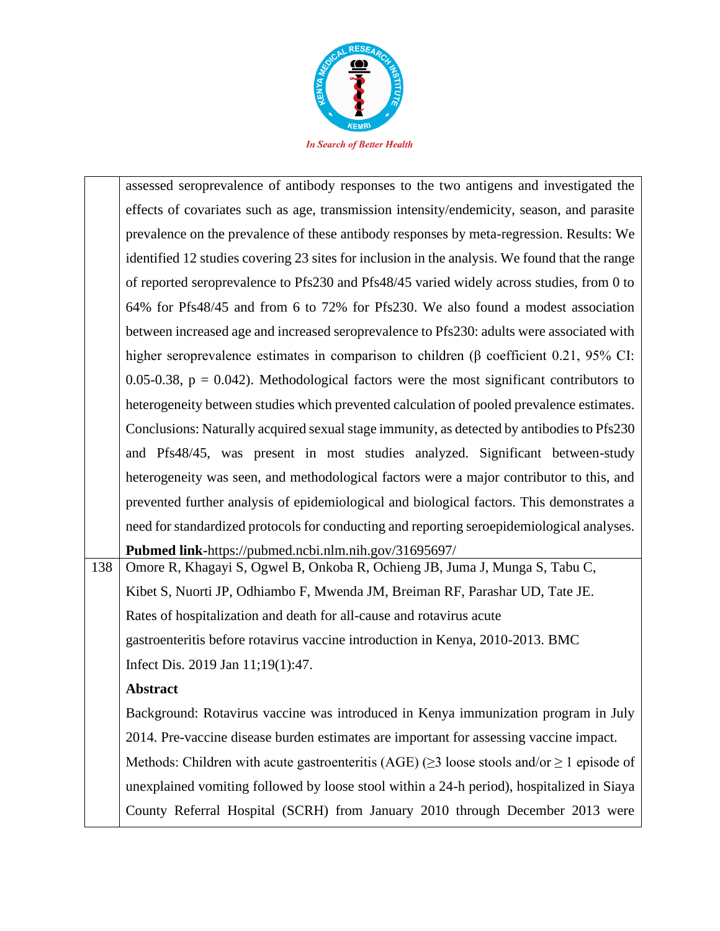

|     | assessed seroprevalence of antibody responses to the two antigens and investigated the                |
|-----|-------------------------------------------------------------------------------------------------------|
|     | effects of covariates such as age, transmission intensity/endemicity, season, and parasite            |
|     | prevalence on the prevalence of these antibody responses by meta-regression. Results: We              |
|     | identified 12 studies covering 23 sites for inclusion in the analysis. We found that the range        |
|     | of reported seroprevalence to Pfs230 and Pfs48/45 varied widely across studies, from 0 to             |
|     | 64% for Pfs48/45 and from 6 to 72% for Pfs230. We also found a modest association                     |
|     | between increased age and increased seroprevalence to Pfs230: adults were associated with             |
|     | higher seroprevalence estimates in comparison to children ( $\beta$ coefficient 0.21, 95% CI:         |
|     | 0.05-0.38, $p = 0.042$ ). Methodological factors were the most significant contributors to            |
|     | heterogeneity between studies which prevented calculation of pooled prevalence estimates.             |
|     | Conclusions: Naturally acquired sexual stage immunity, as detected by antibodies to Pfs230            |
|     | and Pfs48/45, was present in most studies analyzed. Significant between-study                         |
|     | heterogeneity was seen, and methodological factors were a major contributor to this, and              |
|     | prevented further analysis of epidemiological and biological factors. This demonstrates a             |
|     | need for standardized protocols for conducting and reporting seroepidemiological analyses.            |
|     | Pubmed link-https://pubmed.ncbi.nlm.nih.gov/31695697/                                                 |
| 138 | Omore R, Khagayi S, Ogwel B, Onkoba R, Ochieng JB, Juma J, Munga S, Tabu C,                           |
|     | Kibet S, Nuorti JP, Odhiambo F, Mwenda JM, Breiman RF, Parashar UD, Tate JE.                          |
|     | Rates of hospitalization and death for all-cause and rotavirus acute                                  |
|     | gastroenteritis before rotavirus vaccine introduction in Kenya, 2010-2013. BMC                        |
|     | Infect Dis. 2019 Jan 11;19(1):47.                                                                     |
|     | <b>Abstract</b>                                                                                       |
|     | Background: Rotavirus vaccine was introduced in Kenya immunization program in July                    |
|     | 2014. Pre-vaccine disease burden estimates are important for assessing vaccine impact.                |
|     | Methods: Children with acute gastroenteritis (AGE) ( $\geq$ 3 loose stools and/or $\geq$ 1 episode of |
|     | unexplained vomiting followed by loose stool within a 24-h period), hospitalized in Siaya             |
|     | County Referral Hospital (SCRH) from January 2010 through December 2013 were                          |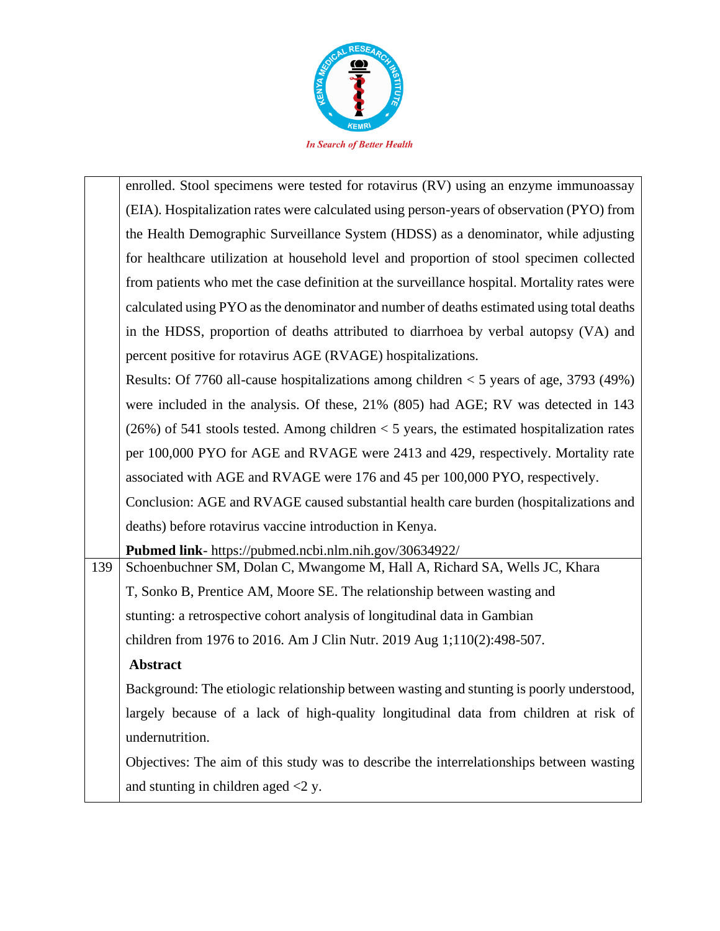

|     | enrolled. Stool specimens were tested for rotavirus (RV) using an enzyme immunoassay         |
|-----|----------------------------------------------------------------------------------------------|
|     | (EIA). Hospitalization rates were calculated using person-years of observation (PYO) from    |
|     | the Health Demographic Surveillance System (HDSS) as a denominator, while adjusting          |
|     | for healthcare utilization at household level and proportion of stool specimen collected     |
|     | from patients who met the case definition at the surveillance hospital. Mortality rates were |
|     | calculated using PYO as the denominator and number of deaths estimated using total deaths    |
|     | in the HDSS, proportion of deaths attributed to diarrhoea by verbal autopsy (VA) and         |
|     | percent positive for rotavirus AGE (RVAGE) hospitalizations.                                 |
|     | Results: Of 7760 all-cause hospitalizations among children $<$ 5 years of age, 3793 (49%)    |
|     | were included in the analysis. Of these, 21% (805) had AGE; RV was detected in 143           |
|     | $(26%)$ of 541 stools tested. Among children < 5 years, the estimated hospitalization rates  |
|     | per 100,000 PYO for AGE and RVAGE were 2413 and 429, respectively. Mortality rate            |
|     | associated with AGE and RVAGE were 176 and 45 per 100,000 PYO, respectively.                 |
|     | Conclusion: AGE and RVAGE caused substantial health care burden (hospitalizations and        |
|     | deaths) before rotavirus vaccine introduction in Kenya.                                      |
|     | Pubmed link- https://pubmed.ncbi.nlm.nih.gov/30634922/                                       |
| 139 | Schoenbuchner SM, Dolan C, Mwangome M, Hall A, Richard SA, Wells JC, Khara                   |
|     | T, Sonko B, Prentice AM, Moore SE. The relationship between wasting and                      |
|     | stunting: a retrospective cohort analysis of longitudinal data in Gambian                    |
|     | children from 1976 to 2016. Am J Clin Nutr. 2019 Aug 1;110(2):498-507.                       |
|     | <b>Abstract</b>                                                                              |
|     | Background: The etiologic relationship between wasting and stunting is poorly understood,    |
|     | largely because of a lack of high-quality longitudinal data from children at risk of         |
|     | undernutrition.                                                                              |
|     | Objectives: The aim of this study was to describe the interrelationships between wasting     |
|     | and stunting in children aged $<$ 2 y.                                                       |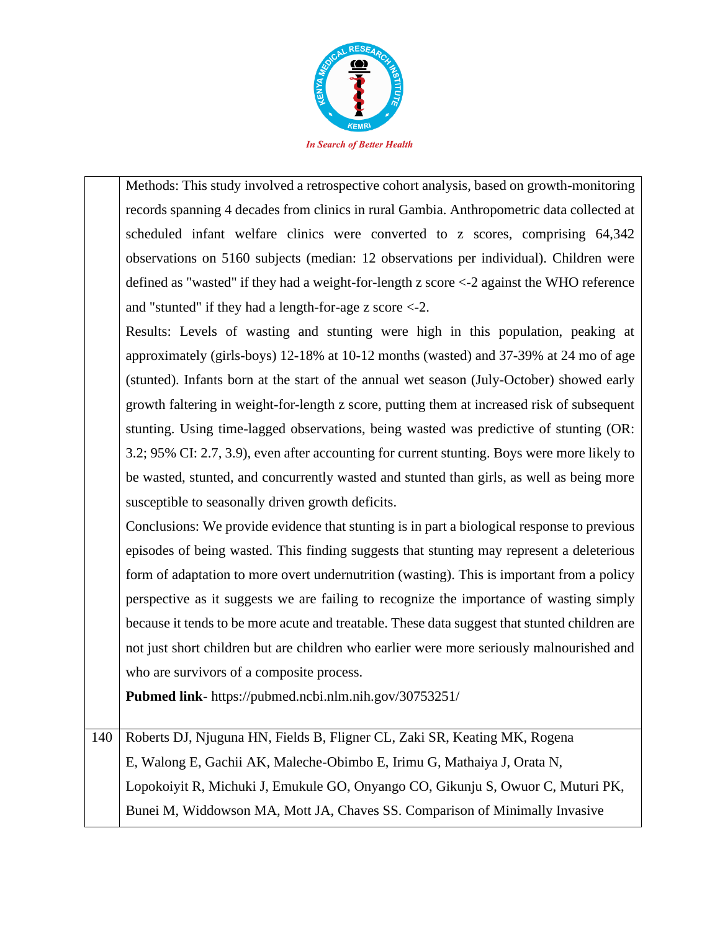

Methods: This study involved a retrospective cohort analysis, based on growth-monitoring records spanning 4 decades from clinics in rural Gambia. Anthropometric data collected at scheduled infant welfare clinics were converted to z scores, comprising 64,342 observations on 5160 subjects (median: 12 observations per individual). Children were defined as "wasted" if they had a weight-for-length z score <-2 against the WHO reference and "stunted" if they had a length-for-age z score <-2.

Results: Levels of wasting and stunting were high in this population, peaking at approximately (girls-boys) 12-18% at 10-12 months (wasted) and 37-39% at 24 mo of age (stunted). Infants born at the start of the annual wet season (July-October) showed early growth faltering in weight-for-length z score, putting them at increased risk of subsequent stunting. Using time-lagged observations, being wasted was predictive of stunting (OR: 3.2; 95% CI: 2.7, 3.9), even after accounting for current stunting. Boys were more likely to be wasted, stunted, and concurrently wasted and stunted than girls, as well as being more susceptible to seasonally driven growth deficits.

Conclusions: We provide evidence that stunting is in part a biological response to previous episodes of being wasted. This finding suggests that stunting may represent a deleterious form of adaptation to more overt undernutrition (wasting). This is important from a policy perspective as it suggests we are failing to recognize the importance of wasting simply because it tends to be more acute and treatable. These data suggest that stunted children are not just short children but are children who earlier were more seriously malnourished and who are survivors of a composite process.

**Pubmed link**- https://pubmed.ncbi.nlm.nih.gov/30753251/

140 Roberts DJ, Njuguna HN, Fields B, Fligner CL, Zaki SR, Keating MK, Rogena E, Walong E, Gachii AK, Maleche-Obimbo E, Irimu G, Mathaiya J, Orata N, Lopokoiyit R, Michuki J, Emukule GO, Onyango CO, Gikunju S, Owuor C, Muturi PK, Bunei M, Widdowson MA, Mott JA, Chaves SS. Comparison of Minimally Invasive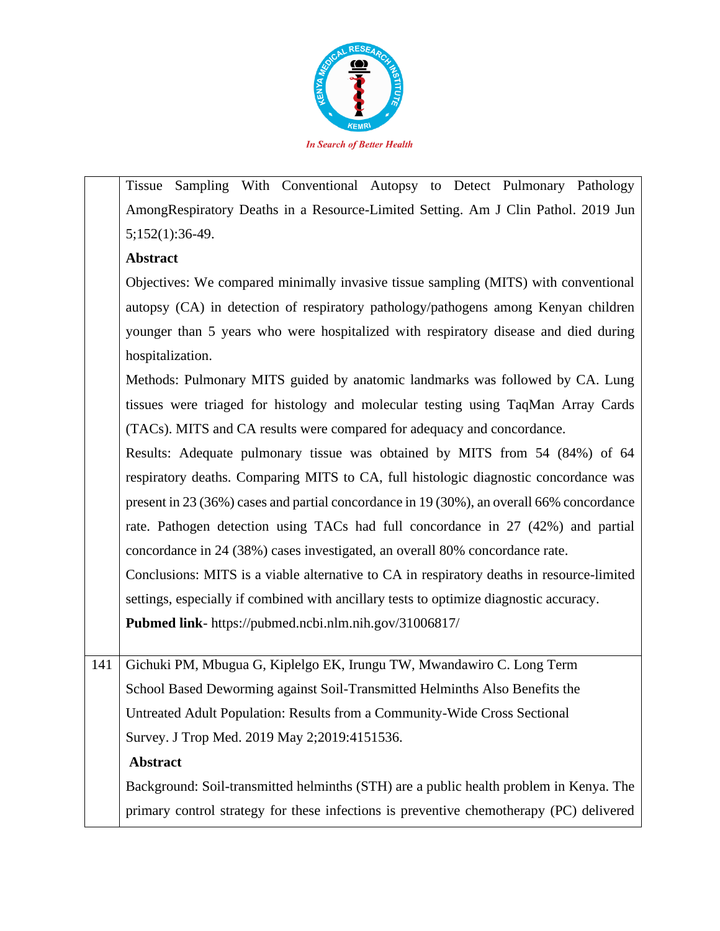

Tissue Sampling With Conventional Autopsy to Detect Pulmonary Pathology AmongRespiratory Deaths in a Resource-Limited Setting. Am J Clin Pathol. 2019 Jun 5;152(1):36-49.

### **Abstract**

Objectives: We compared minimally invasive tissue sampling (MITS) with conventional autopsy (CA) in detection of respiratory pathology/pathogens among Kenyan children younger than 5 years who were hospitalized with respiratory disease and died during hospitalization.

Methods: Pulmonary MITS guided by anatomic landmarks was followed by CA. Lung tissues were triaged for histology and molecular testing using TaqMan Array Cards (TACs). MITS and CA results were compared for adequacy and concordance.

Results: Adequate pulmonary tissue was obtained by MITS from 54 (84%) of 64 respiratory deaths. Comparing MITS to CA, full histologic diagnostic concordance was present in 23 (36%) cases and partial concordance in 19 (30%), an overall 66% concordance rate. Pathogen detection using TACs had full concordance in 27 (42%) and partial concordance in 24 (38%) cases investigated, an overall 80% concordance rate.

Conclusions: MITS is a viable alternative to CA in respiratory deaths in resource-limited settings, especially if combined with ancillary tests to optimize diagnostic accuracy.

**Pubmed link**- https://pubmed.ncbi.nlm.nih.gov/31006817/

141 Gichuki PM, Mbugua G, Kiplelgo EK, Irungu TW, Mwandawiro C. Long Term School Based Deworming against Soil-Transmitted Helminths Also Benefits the Untreated Adult Population: Results from a Community-Wide Cross Sectional Survey. J Trop Med. 2019 May 2;2019:4151536.

### **Abstract**

Background: Soil-transmitted helminths (STH) are a public health problem in Kenya. The primary control strategy for these infections is preventive chemotherapy (PC) delivered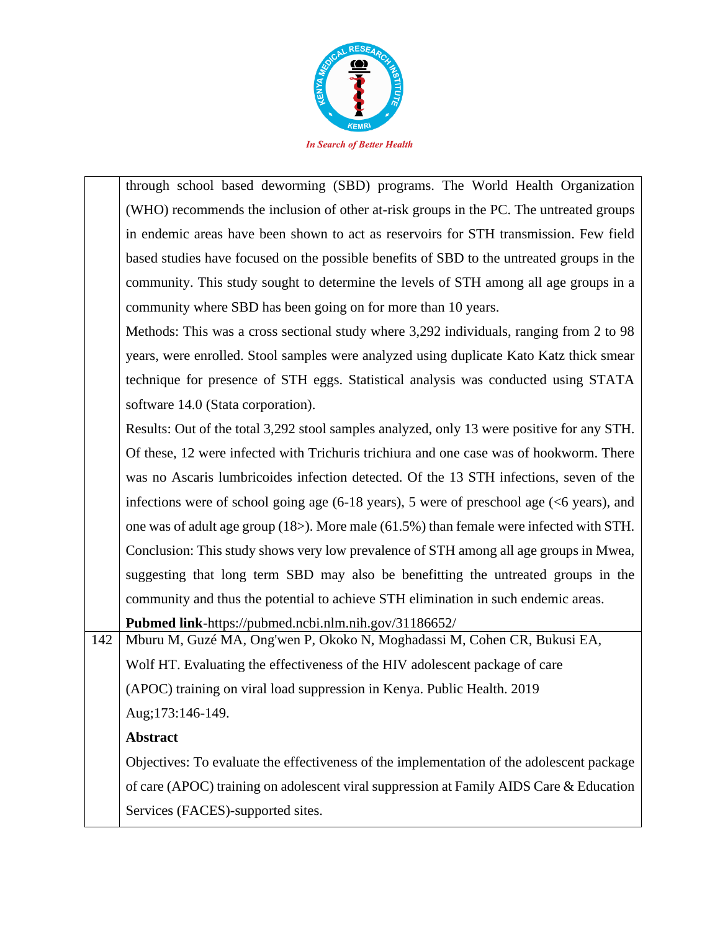

through school based deworming (SBD) programs. The World Health Organization (WHO) recommends the inclusion of other at-risk groups in the PC. The untreated groups in endemic areas have been shown to act as reservoirs for STH transmission. Few field based studies have focused on the possible benefits of SBD to the untreated groups in the community. This study sought to determine the levels of STH among all age groups in a community where SBD has been going on for more than 10 years.

Methods: This was a cross sectional study where 3,292 individuals, ranging from 2 to 98 years, were enrolled. Stool samples were analyzed using duplicate Kato Katz thick smear technique for presence of STH eggs. Statistical analysis was conducted using STATA software 14.0 (Stata corporation).

Results: Out of the total 3,292 stool samples analyzed, only 13 were positive for any STH. Of these, 12 were infected with Trichuris trichiura and one case was of hookworm. There was no Ascaris lumbricoides infection detected. Of the 13 STH infections, seven of the infections were of school going age  $(6-18 \text{ years})$ , 5 were of preschool age  $(< 6 \text{ years})$ , and one was of adult age group (18>). More male (61.5%) than female were infected with STH. Conclusion: This study shows very low prevalence of STH among all age groups in Mwea, suggesting that long term SBD may also be benefitting the untreated groups in the community and thus the potential to achieve STH elimination in such endemic areas.

**Pubmed link**-https://pubmed.ncbi.nlm.nih.gov/31186652/

142 Mburu M, Guzé MA, Ong'wen P, Okoko N, Moghadassi M, Cohen CR, Bukusi EA, Wolf HT. Evaluating the effectiveness of the HIV adolescent package of care (APOC) training on viral load suppression in Kenya. Public Health. 2019 Aug;173:146-149.

# **Abstract**

Objectives: To evaluate the effectiveness of the implementation of the adolescent package of care (APOC) training on adolescent viral suppression at Family AIDS Care & Education Services (FACES)-supported sites.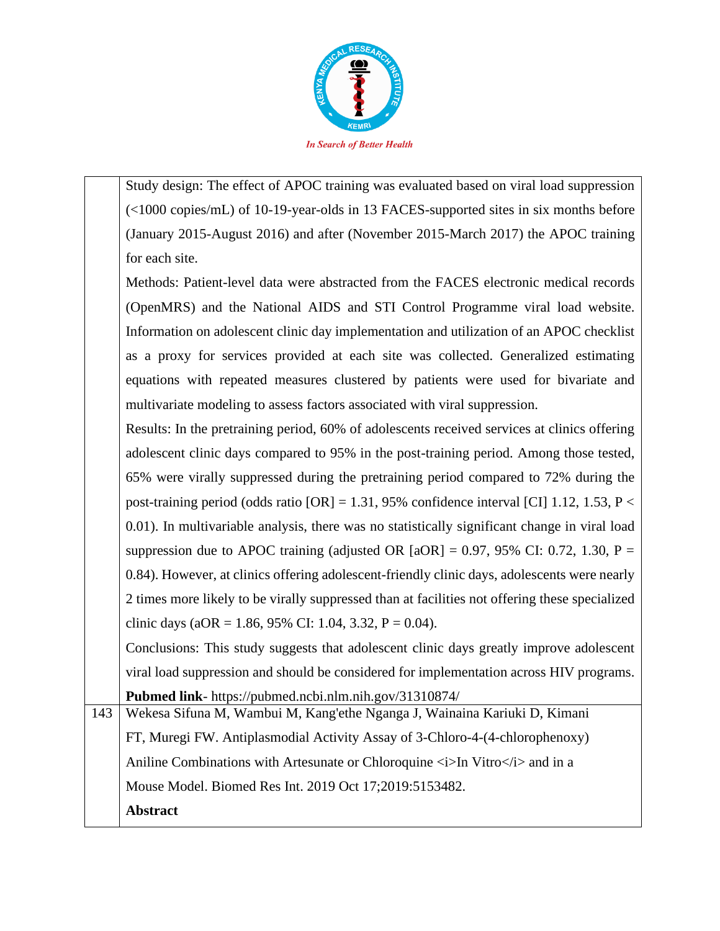

Study design: The effect of APOC training was evaluated based on viral load suppression (<1000 copies/mL) of 10-19-year-olds in 13 FACES-supported sites in six months before (January 2015-August 2016) and after (November 2015-March 2017) the APOC training for each site.

Methods: Patient-level data were abstracted from the FACES electronic medical records (OpenMRS) and the National AIDS and STI Control Programme viral load website. Information on adolescent clinic day implementation and utilization of an APOC checklist as a proxy for services provided at each site was collected. Generalized estimating equations with repeated measures clustered by patients were used for bivariate and multivariate modeling to assess factors associated with viral suppression.

Results: In the pretraining period, 60% of adolescents received services at clinics offering adolescent clinic days compared to 95% in the post-training period. Among those tested, 65% were virally suppressed during the pretraining period compared to 72% during the post-training period (odds ratio  $[OR] = 1.31$ , 95% confidence interval  $[CI]$  1.12, 1.53, P < 0.01). In multivariable analysis, there was no statistically significant change in viral load suppression due to APOC training (adjusted OR  $[aOR] = 0.97, 95\%$  CI: 0.72, 1.30, P = 0.84). However, at clinics offering adolescent-friendly clinic days, adolescents were nearly 2 times more likely to be virally suppressed than at facilities not offering these specialized clinic days (aOR = 1.86, 95% CI: 1.04, 3.32, P = 0.04).

Conclusions: This study suggests that adolescent clinic days greatly improve adolescent viral load suppression and should be considered for implementation across HIV programs. **Pubmed link**- https://pubmed.ncbi.nlm.nih.gov/31310874/

143 Wekesa Sifuna M, Wambui M, Kang'ethe Nganga J, Wainaina Kariuki D, Kimani FT, Muregi FW. Antiplasmodial Activity Assay of 3-Chloro-4-(4-chlorophenoxy) Aniline Combinations with Artesunate or Chloroquine  $\langle i \rangle$  In Vitro $\langle i \rangle$  and in a Mouse Model. Biomed Res Int. 2019 Oct 17;2019:5153482. **Abstract**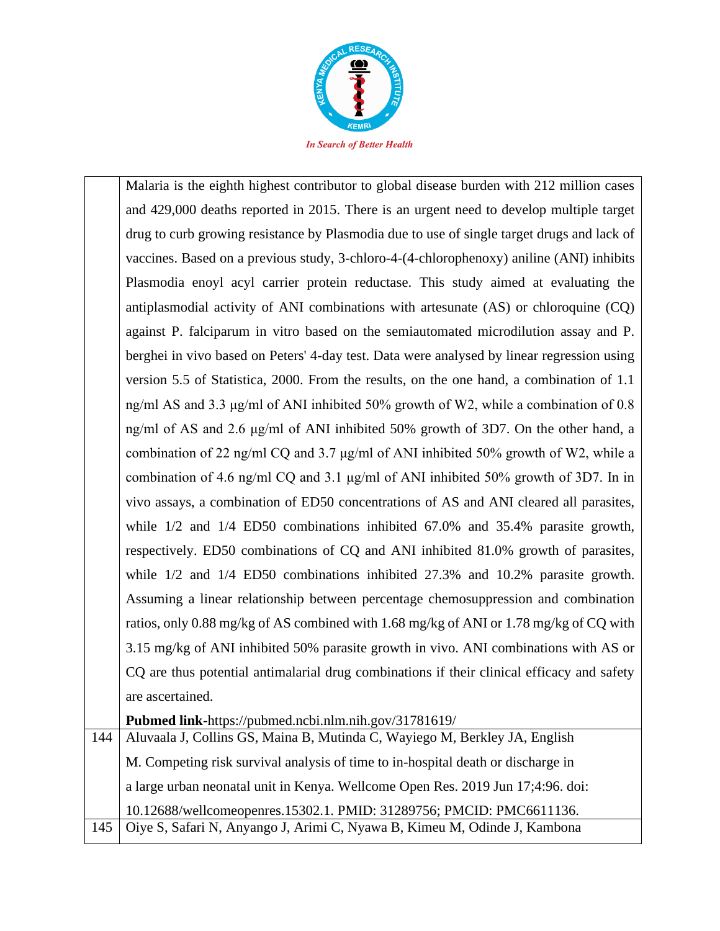

Malaria is the eighth highest contributor to global disease burden with 212 million cases and 429,000 deaths reported in 2015. There is an urgent need to develop multiple target drug to curb growing resistance by Plasmodia due to use of single target drugs and lack of vaccines. Based on a previous study, 3-chloro-4-(4-chlorophenoxy) aniline (ANI) inhibits Plasmodia enoyl acyl carrier protein reductase. This study aimed at evaluating the antiplasmodial activity of ANI combinations with artesunate (AS) or chloroquine (CQ) against P. falciparum in vitro based on the semiautomated microdilution assay and P. berghei in vivo based on Peters' 4-day test. Data were analysed by linear regression using version 5.5 of Statistica, 2000. From the results, on the one hand, a combination of 1.1 ng/ml AS and 3.3 μg/ml of ANI inhibited 50% growth of W2, while a combination of 0.8 ng/ml of AS and 2.6 μg/ml of ANI inhibited 50% growth of 3D7. On the other hand, a combination of 22 ng/ml CQ and 3.7 μg/ml of ANI inhibited 50% growth of W2, while a combination of 4.6 ng/ml CQ and 3.1 μg/ml of ANI inhibited 50% growth of 3D7. In in vivo assays, a combination of ED50 concentrations of AS and ANI cleared all parasites, while  $1/2$  and  $1/4$  ED50 combinations inhibited 67.0% and 35.4% parasite growth, respectively. ED50 combinations of CQ and ANI inhibited 81.0% growth of parasites, while 1/2 and 1/4 ED50 combinations inhibited 27.3% and 10.2% parasite growth. Assuming a linear relationship between percentage chemosuppression and combination ratios, only 0.88 mg/kg of AS combined with 1.68 mg/kg of ANI or 1.78 mg/kg of CQ with 3.15 mg/kg of ANI inhibited 50% parasite growth in vivo. ANI combinations with AS or CQ are thus potential antimalarial drug combinations if their clinical efficacy and safety are ascertained.

**Pubmed link**-https://pubmed.ncbi.nlm.nih.gov/31781619/

144 Aluvaala J, Collins GS, Maina B, Mutinda C, Wayiego M, Berkley JA, English M. Competing risk survival analysis of time to in-hospital death or discharge in a large urban neonatal unit in Kenya. Wellcome Open Res. 2019 Jun 17;4:96. doi: 10.12688/wellcomeopenres.15302.1. PMID: 31289756; PMCID: PMC6611136. 145 | Oiye S, Safari N, Anyango J, Arimi C, Nyawa B, Kimeu M, Odinde J, Kambona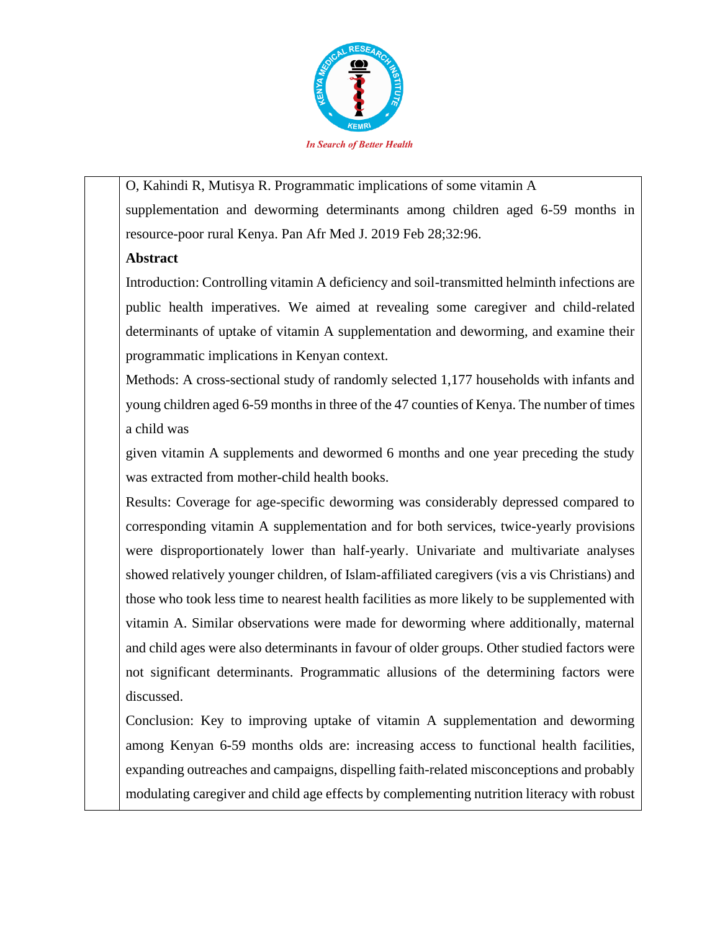

O, Kahindi R, Mutisya R. Programmatic implications of some vitamin A supplementation and deworming determinants among children aged 6-59 months in resource-poor rural Kenya. Pan Afr Med J. 2019 Feb 28;32:96.

### **Abstract**

Introduction: Controlling vitamin A deficiency and soil-transmitted helminth infections are public health imperatives. We aimed at revealing some caregiver and child-related determinants of uptake of vitamin A supplementation and deworming, and examine their programmatic implications in Kenyan context.

Methods: A cross-sectional study of randomly selected 1,177 households with infants and young children aged 6-59 months in three of the 47 counties of Kenya. The number of times a child was

given vitamin A supplements and dewormed 6 months and one year preceding the study was extracted from mother-child health books.

Results: Coverage for age-specific deworming was considerably depressed compared to corresponding vitamin A supplementation and for both services, twice-yearly provisions were disproportionately lower than half-yearly. Univariate and multivariate analyses showed relatively younger children, of Islam-affiliated caregivers (vis a vis Christians) and those who took less time to nearest health facilities as more likely to be supplemented with vitamin A. Similar observations were made for deworming where additionally, maternal and child ages were also determinants in favour of older groups. Other studied factors were not significant determinants. Programmatic allusions of the determining factors were discussed.

Conclusion: Key to improving uptake of vitamin A supplementation and deworming among Kenyan 6-59 months olds are: increasing access to functional health facilities, expanding outreaches and campaigns, dispelling faith-related misconceptions and probably modulating caregiver and child age effects by complementing nutrition literacy with robust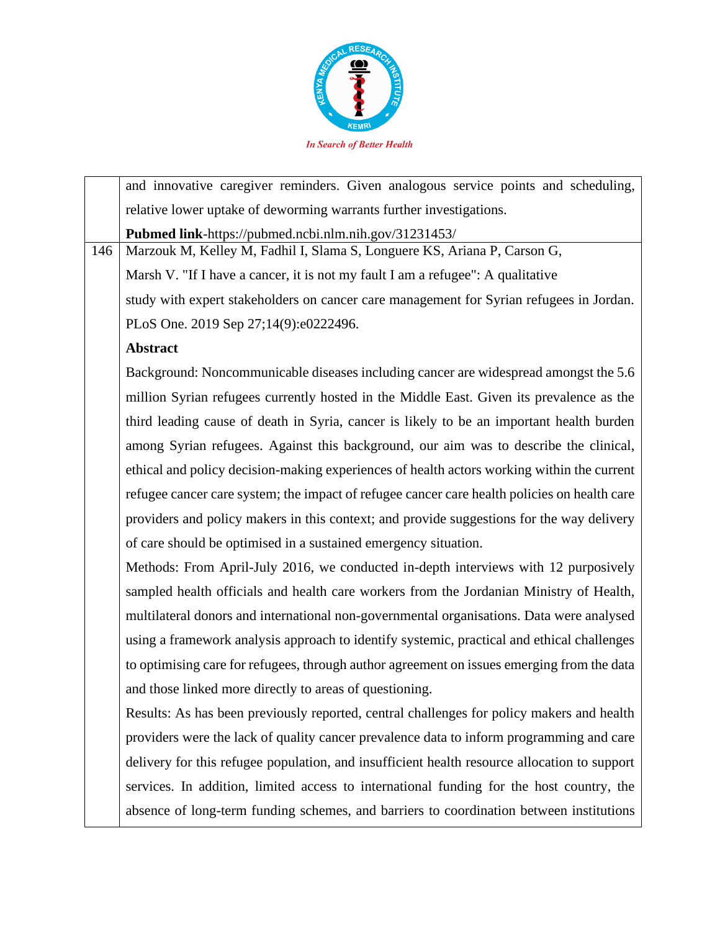

|     | and innovative caregiver reminders. Given analogous service points and scheduling,           |
|-----|----------------------------------------------------------------------------------------------|
|     | relative lower uptake of deworming warrants further investigations.                          |
|     | Pubmed link-https://pubmed.ncbi.nlm.nih.gov/31231453/                                        |
| 146 | Marzouk M, Kelley M, Fadhil I, Slama S, Longuere KS, Ariana P, Carson G,                     |
|     | Marsh V. "If I have a cancer, it is not my fault I am a refugee": A qualitative              |
|     | study with expert stakeholders on cancer care management for Syrian refugees in Jordan.      |
|     | PLoS One. 2019 Sep 27;14(9):e0222496.                                                        |
|     | <b>Abstract</b>                                                                              |
|     | Background: Noncommunicable diseases including cancer are widespread amongst the 5.6         |
|     | million Syrian refugees currently hosted in the Middle East. Given its prevalence as the     |
|     | third leading cause of death in Syria, cancer is likely to be an important health burden     |
|     | among Syrian refugees. Against this background, our aim was to describe the clinical,        |
|     | ethical and policy decision-making experiences of health actors working within the current   |
|     | refugee cancer care system; the impact of refugee cancer care health policies on health care |
|     | providers and policy makers in this context; and provide suggestions for the way delivery    |
|     | of care should be optimised in a sustained emergency situation.                              |
|     | Methods: From April-July 2016, we conducted in-depth interviews with 12 purposively          |
|     | sampled health officials and health care workers from the Jordanian Ministry of Health,      |
|     | multilateral donors and international non-governmental organisations. Data were analysed     |
|     | using a framework analysis approach to identify systemic, practical and ethical challenges   |
|     | to optimising care for refugees, through author agreement on issues emerging from the data   |
|     | and those linked more directly to areas of questioning.                                      |
|     | Results: As has been previously reported, central challenges for policy makers and health    |
|     | providers were the lack of quality cancer prevalence data to inform programming and care     |
|     | delivery for this refugee population, and insufficient health resource allocation to support |
|     | services. In addition, limited access to international funding for the host country, the     |
|     | absence of long-term funding schemes, and barriers to coordination between institutions      |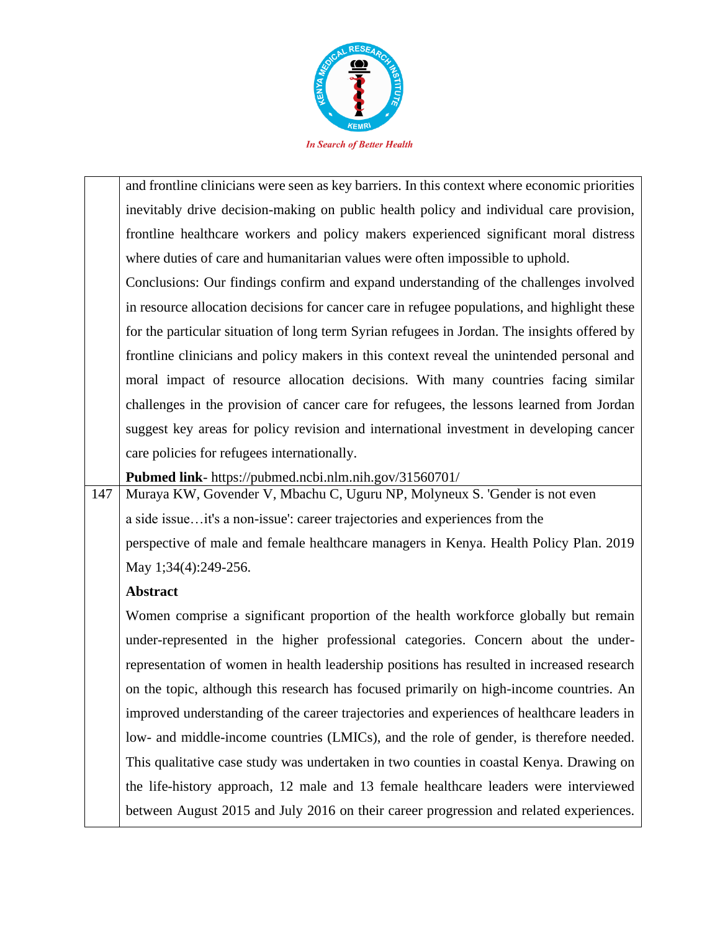

and frontline clinicians were seen as key barriers. In this context where economic priorities inevitably drive decision-making on public health policy and individual care provision, frontline healthcare workers and policy makers experienced significant moral distress where duties of care and humanitarian values were often impossible to uphold.

Conclusions: Our findings confirm and expand understanding of the challenges involved in resource allocation decisions for cancer care in refugee populations, and highlight these for the particular situation of long term Syrian refugees in Jordan. The insights offered by frontline clinicians and policy makers in this context reveal the unintended personal and moral impact of resource allocation decisions. With many countries facing similar challenges in the provision of cancer care for refugees, the lessons learned from Jordan suggest key areas for policy revision and international investment in developing cancer care policies for refugees internationally.

**Pubmed link**- https://pubmed.ncbi.nlm.nih.gov/31560701/

147 Muraya KW, Govender V, Mbachu C, Uguru NP, Molyneux S. 'Gender is not even a side issue…it's a non-issue': career trajectories and experiences from the perspective of male and female healthcare managers in Kenya. Health Policy Plan. 2019 May 1;34(4):249-256.

### **Abstract**

Women comprise a significant proportion of the health workforce globally but remain under-represented in the higher professional categories. Concern about the underrepresentation of women in health leadership positions has resulted in increased research on the topic, although this research has focused primarily on high-income countries. An improved understanding of the career trajectories and experiences of healthcare leaders in low- and middle-income countries (LMICs), and the role of gender, is therefore needed. This qualitative case study was undertaken in two counties in coastal Kenya. Drawing on the life-history approach, 12 male and 13 female healthcare leaders were interviewed between August 2015 and July 2016 on their career progression and related experiences.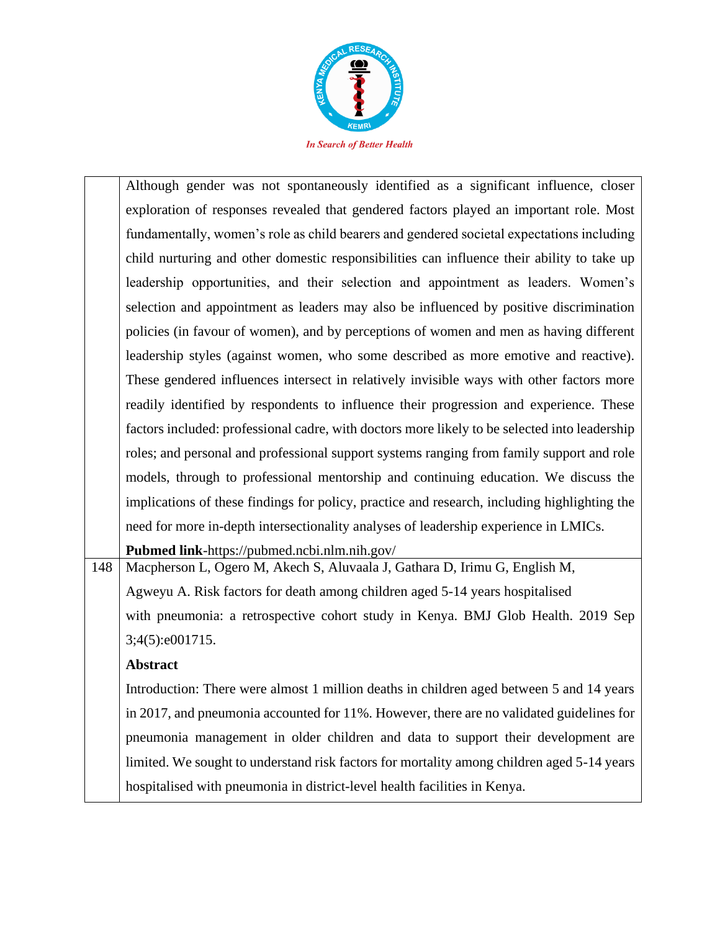

|     | Although gender was not spontaneously identified as a significant influence, closer           |
|-----|-----------------------------------------------------------------------------------------------|
|     | exploration of responses revealed that gendered factors played an important role. Most        |
|     | fundamentally, women's role as child bearers and gendered societal expectations including     |
|     | child nurturing and other domestic responsibilities can influence their ability to take up    |
|     | leadership opportunities, and their selection and appointment as leaders. Women's             |
|     | selection and appointment as leaders may also be influenced by positive discrimination        |
|     | policies (in favour of women), and by perceptions of women and men as having different        |
|     | leadership styles (against women, who some described as more emotive and reactive).           |
|     | These gendered influences intersect in relatively invisible ways with other factors more      |
|     | readily identified by respondents to influence their progression and experience. These        |
|     | factors included: professional cadre, with doctors more likely to be selected into leadership |
|     | roles; and personal and professional support systems ranging from family support and role     |
|     | models, through to professional mentorship and continuing education. We discuss the           |
|     | implications of these findings for policy, practice and research, including highlighting the  |
|     | need for more in-depth intersectionality analyses of leadership experience in LMICs.          |
|     | Pubmed link-https://pubmed.ncbi.nlm.nih.gov/                                                  |
| 148 | Macpherson L, Ogero M, Akech S, Aluvaala J, Gathara D, Irimu G, English M,                    |

Agweyu A. Risk factors for death among children aged 5-14 years hospitalised with pneumonia: a retrospective cohort study in Kenya. BMJ Glob Health. 2019 Sep 3;4(5):e001715.

### **Abstract**

Introduction: There were almost 1 million deaths in children aged between 5 and 14 years in 2017, and pneumonia accounted for 11%. However, there are no validated guidelines for pneumonia management in older children and data to support their development are limited. We sought to understand risk factors for mortality among children aged 5-14 years hospitalised with pneumonia in district-level health facilities in Kenya.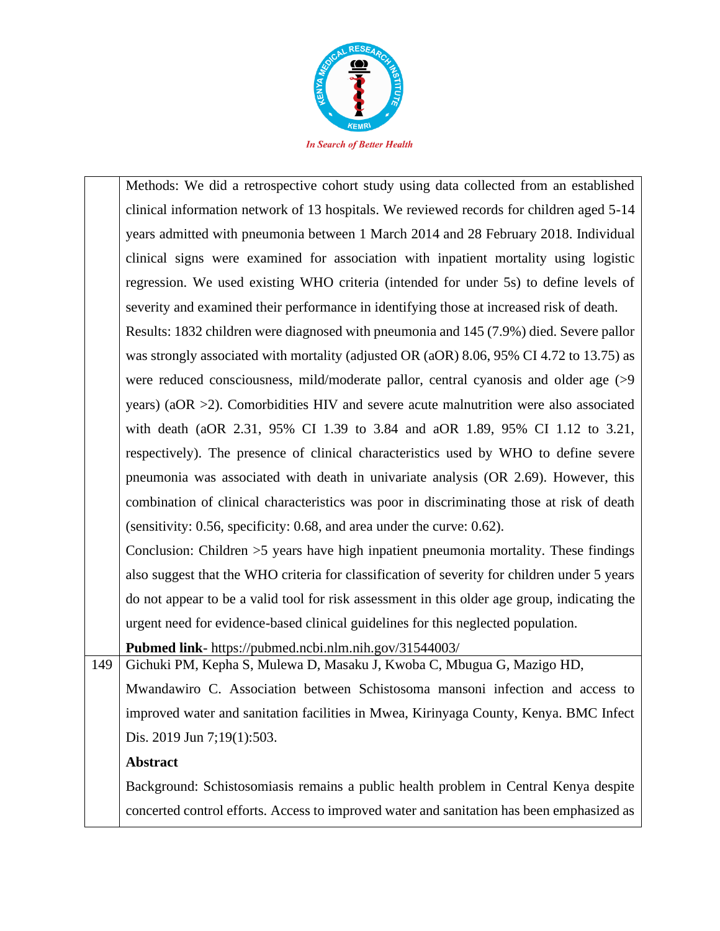

Methods: We did a retrospective cohort study using data collected from an established clinical information network of 13 hospitals. We reviewed records for children aged 5-14 years admitted with pneumonia between 1 March 2014 and 28 February 2018. Individual clinical signs were examined for association with inpatient mortality using logistic regression. We used existing WHO criteria (intended for under 5s) to define levels of severity and examined their performance in identifying those at increased risk of death. Results: 1832 children were diagnosed with pneumonia and 145 (7.9%) died. Severe pallor was strongly associated with mortality (adjusted OR (aOR) 8.06, 95% CI 4.72 to 13.75) as were reduced consciousness, mild/moderate pallor, central cyanosis and older age (>9 years) (aOR >2). Comorbidities HIV and severe acute malnutrition were also associated with death (aOR 2.31, 95% CI 1.39 to 3.84 and aOR 1.89, 95% CI 1.12 to 3.21, respectively). The presence of clinical characteristics used by WHO to define severe pneumonia was associated with death in univariate analysis (OR 2.69). However, this combination of clinical characteristics was poor in discriminating those at risk of death (sensitivity: 0.56, specificity: 0.68, and area under the curve: 0.62). Conclusion: Children >5 years have high inpatient pneumonia mortality. These findings also suggest that the WHO criteria for classification of severity for children under 5 years do not appear to be a valid tool for risk assessment in this older age group, indicating the urgent need for evidence-based clinical guidelines for this neglected population. **Pubmed link**- https://pubmed.ncbi.nlm.nih.gov/31544003/ 149 Gichuki PM, Kepha S, Mulewa D, Masaku J, Kwoba C, Mbugua G, Mazigo HD, Mwandawiro C. Association between Schistosoma mansoni infection and access to improved water and sanitation facilities in Mwea, Kirinyaga County, Kenya. BMC Infect

### **Abstract**

Dis. 2019 Jun 7;19(1):503.

Background: Schistosomiasis remains a public health problem in Central Kenya despite concerted control efforts. Access to improved water and sanitation has been emphasized as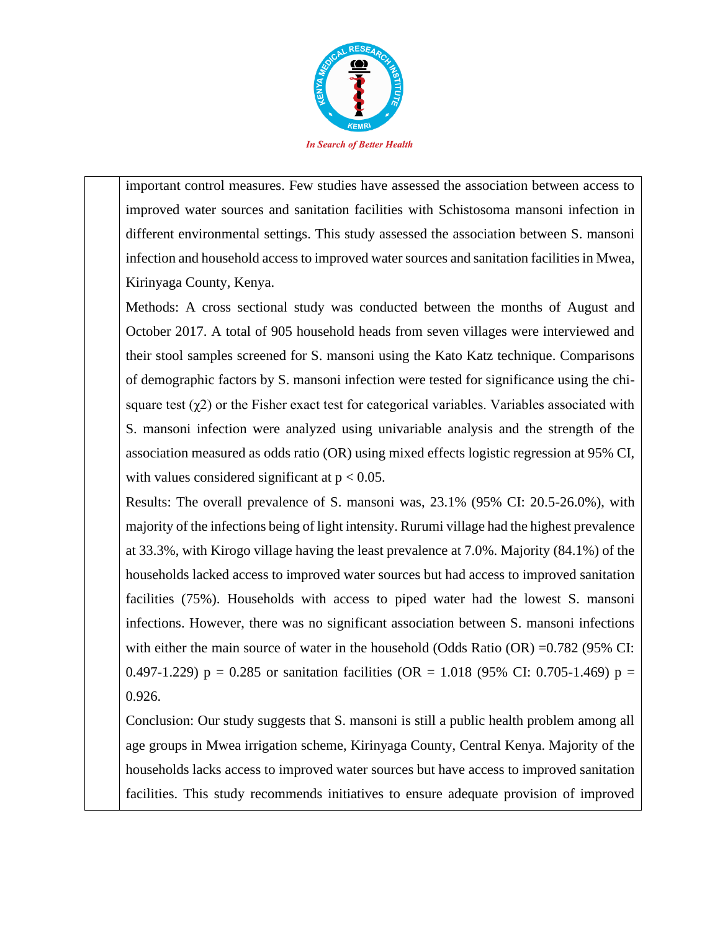

important control measures. Few studies have assessed the association between access to improved water sources and sanitation facilities with Schistosoma mansoni infection in different environmental settings. This study assessed the association between S. mansoni infection and household access to improved water sources and sanitation facilities in Mwea, Kirinyaga County, Kenya.

Methods: A cross sectional study was conducted between the months of August and October 2017. A total of 905 household heads from seven villages were interviewed and their stool samples screened for S. mansoni using the Kato Katz technique. Comparisons of demographic factors by S. mansoni infection were tested for significance using the chisquare test  $(\chi^2)$  or the Fisher exact test for categorical variables. Variables associated with S. mansoni infection were analyzed using univariable analysis and the strength of the association measured as odds ratio (OR) using mixed effects logistic regression at 95% CI, with values considered significant at  $p < 0.05$ .

Results: The overall prevalence of S. mansoni was, 23.1% (95% CI: 20.5-26.0%), with majority of the infections being of light intensity. Rurumi village had the highest prevalence at 33.3%, with Kirogo village having the least prevalence at 7.0%. Majority (84.1%) of the households lacked access to improved water sources but had access to improved sanitation facilities (75%). Households with access to piped water had the lowest S. mansoni infections. However, there was no significant association between S. mansoni infections with either the main source of water in the household (Odds Ratio (OR) =0.782 (95% CI: 0.497-1.229)  $p = 0.285$  or sanitation facilities (OR = 1.018 (95% CI: 0.705-1.469)  $p =$ 0.926.

Conclusion: Our study suggests that S. mansoni is still a public health problem among all age groups in Mwea irrigation scheme, Kirinyaga County, Central Kenya. Majority of the households lacks access to improved water sources but have access to improved sanitation facilities. This study recommends initiatives to ensure adequate provision of improved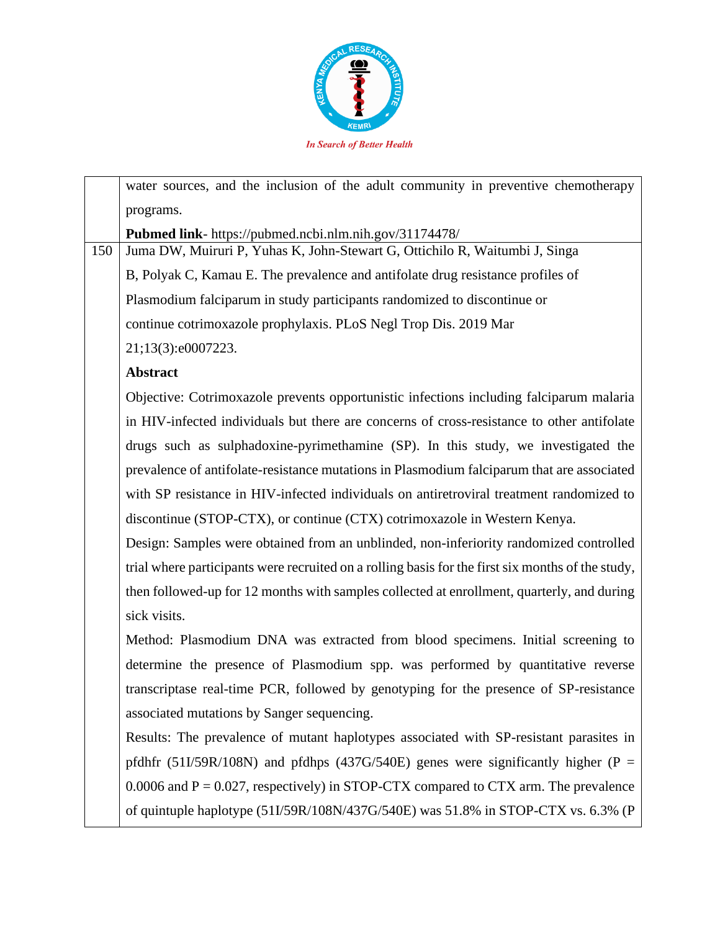

water sources, and the inclusion of the adult community in preventive chemotherapy programs. **Pubmed link**- https://pubmed.ncbi.nlm.nih.gov/31174478/ 150 Juma DW, Muiruri P, Yuhas K, John-Stewart G, Ottichilo R, Waitumbi J, Singa B, Polyak C, Kamau E. The prevalence and antifolate drug resistance profiles of Plasmodium falciparum in study participants randomized to discontinue or continue cotrimoxazole prophylaxis. PLoS Negl Trop Dis. 2019 Mar 21;13(3):e0007223. **Abstract** Objective: Cotrimoxazole prevents opportunistic infections including falciparum malaria in HIV-infected individuals but there are concerns of cross-resistance to other antifolate drugs such as sulphadoxine-pyrimethamine (SP). In this study, we investigated the prevalence of antifolate-resistance mutations in Plasmodium falciparum that are associated with SP resistance in HIV-infected individuals on antiretroviral treatment randomized to discontinue (STOP-CTX), or continue (CTX) cotrimoxazole in Western Kenya. Design: Samples were obtained from an unblinded, non-inferiority randomized controlled trial where participants were recruited on a rolling basis for the first six months of the study, then followed-up for 12 months with samples collected at enrollment, quarterly, and during sick visits. Method: Plasmodium DNA was extracted from blood specimens. Initial screening to determine the presence of Plasmodium spp. was performed by quantitative reverse transcriptase real-time PCR, followed by genotyping for the presence of SP-resistance associated mutations by Sanger sequencing. Results: The prevalence of mutant haplotypes associated with SP-resistant parasites in pfdhfr (51I/59R/108N) and pfdhps (437G/540E) genes were significantly higher (P = 0.0006 and  $P = 0.027$ , respectively) in STOP-CTX compared to CTX arm. The prevalence of quintuple haplotype (51I/59R/108N/437G/540E) was 51.8% in STOP-CTX vs. 6.3% (P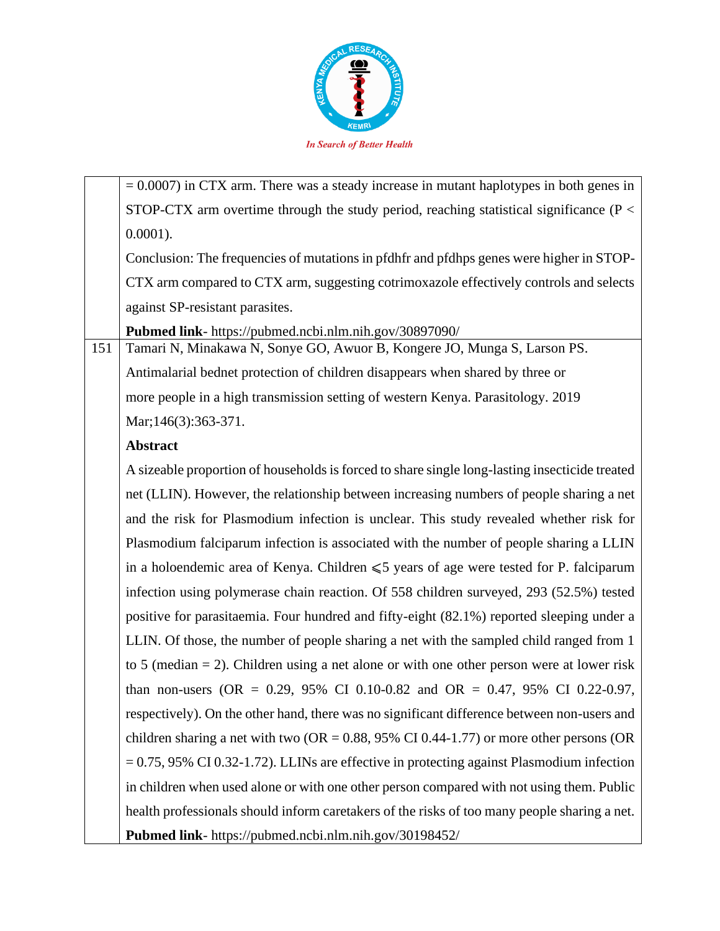

 $= 0.0007$ ) in CTX arm. There was a steady increase in mutant haplotypes in both genes in STOP-CTX arm overtime through the study period, reaching statistical significance (P < 0.0001). Conclusion: The frequencies of mutations in pfdhfr and pfdhps genes were higher in STOP-CTX arm compared to CTX arm, suggesting cotrimoxazole effectively controls and selects against SP-resistant parasites. **Pubmed link**- https://pubmed.ncbi.nlm.nih.gov/30897090/ 151 Tamari N, Minakawa N, Sonye GO, Awuor B, Kongere JO, Munga S, Larson PS. Antimalarial bednet protection of children disappears when shared by three or more people in a high transmission setting of western Kenya. Parasitology. 2019 Mar; 146(3): 363-371. **Abstract** A sizeable proportion of households is forced to share single long-lasting insecticide treated net (LLIN). However, the relationship between increasing numbers of people sharing a net and the risk for Plasmodium infection is unclear. This study revealed whether risk for Plasmodium falciparum infection is associated with the number of people sharing a LLIN in a holoendemic area of Kenya. Children  $\leq 5$  years of age were tested for P. falciparum infection using polymerase chain reaction. Of 558 children surveyed, 293 (52.5%) tested positive for parasitaemia. Four hundred and fifty-eight (82.1%) reported sleeping under a LLIN. Of those, the number of people sharing a net with the sampled child ranged from 1 to 5 (median = 2). Children using a net alone or with one other person were at lower risk than non-users (OR =  $0.29$ , 95% CI 0.10-0.82 and OR = 0.47, 95% CI 0.22-0.97, respectively). On the other hand, there was no significant difference between non-users and children sharing a net with two ( $OR = 0.88$ , 95% CI 0.44-1.77) or more other persons (OR

= 0.75, 95% CI 0.32-1.72). LLINs are effective in protecting against Plasmodium infection in children when used alone or with one other person compared with not using them. Public health professionals should inform caretakers of the risks of too many people sharing a net. **Pubmed link**- https://pubmed.ncbi.nlm.nih.gov/30198452/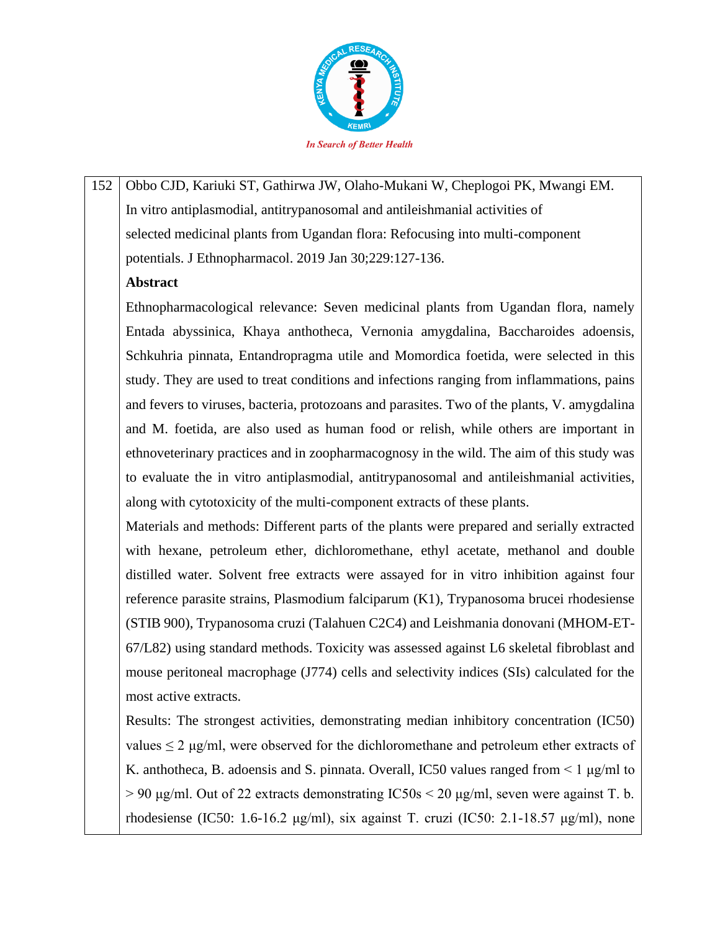

152 Obbo CJD, Kariuki ST, Gathirwa JW, Olaho-Mukani W, Cheplogoi PK, Mwangi EM. In vitro antiplasmodial, antitrypanosomal and antileishmanial activities of selected medicinal plants from Ugandan flora: Refocusing into multi-component potentials. J Ethnopharmacol. 2019 Jan 30;229:127-136.

### **Abstract**

Ethnopharmacological relevance: Seven medicinal plants from Ugandan flora, namely Entada abyssinica, Khaya anthotheca, Vernonia amygdalina, Baccharoides adoensis, Schkuhria pinnata, Entandropragma utile and Momordica foetida, were selected in this study. They are used to treat conditions and infections ranging from inflammations, pains and fevers to viruses, bacteria, protozoans and parasites. Two of the plants, V. amygdalina and M. foetida, are also used as human food or relish, while others are important in ethnoveterinary practices and in zoopharmacognosy in the wild. The aim of this study was to evaluate the in vitro antiplasmodial, antitrypanosomal and antileishmanial activities, along with cytotoxicity of the multi-component extracts of these plants.

Materials and methods: Different parts of the plants were prepared and serially extracted with hexane, petroleum ether, dichloromethane, ethyl acetate, methanol and double distilled water. Solvent free extracts were assayed for in vitro inhibition against four reference parasite strains, Plasmodium falciparum (K1), Trypanosoma brucei rhodesiense (STIB 900), Trypanosoma cruzi (Talahuen C2C4) and Leishmania donovani (MHOM-ET-67/L82) using standard methods. Toxicity was assessed against L6 skeletal fibroblast and mouse peritoneal macrophage (J774) cells and selectivity indices (SIs) calculated for the most active extracts.

Results: The strongest activities, demonstrating median inhibitory concentration (IC50) values  $\leq 2$  µg/ml, were observed for the dichloromethane and petroleum ether extracts of K. anthotheca, B. adoensis and S. pinnata. Overall, IC50 values ranged from < 1 μg/ml to  $> 90 \text{ µg/ml}$ . Out of 22 extracts demonstrating IC50s  $< 20 \text{ µg/ml}$ , seven were against T. b. rhodesiense (IC50: 1.6-16.2 μg/ml), six against T. cruzi (IC50: 2.1-18.57 μg/ml), none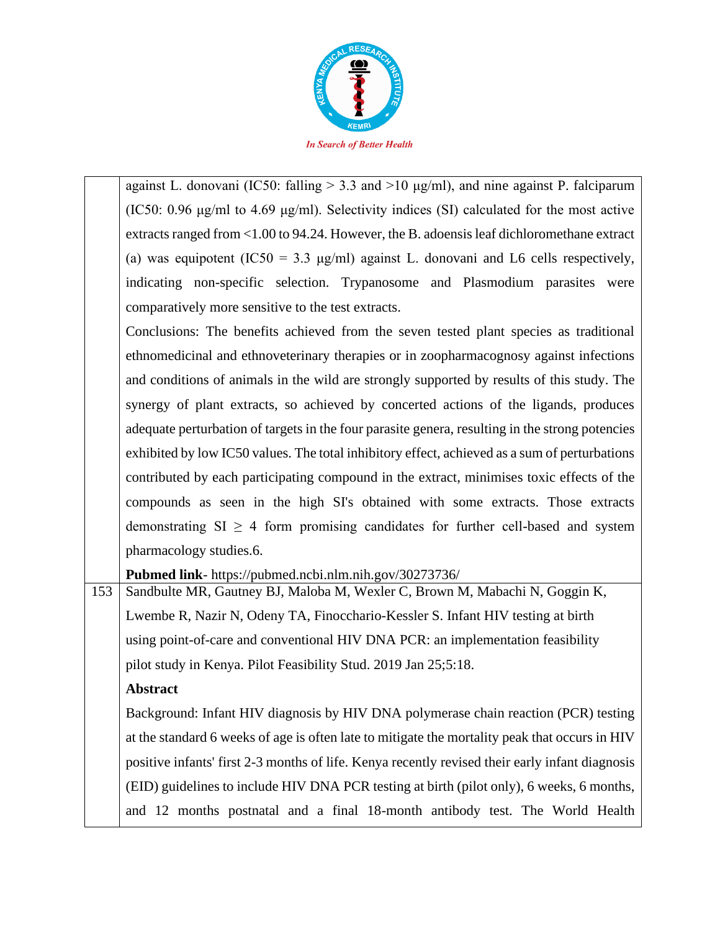

against L. donovani (IC50: falling  $> 3.3$  and  $>10 \mu g/ml$ ), and nine against P. falciparum (IC50: 0.96 μg/ml to 4.69 μg/ml). Selectivity indices (SI) calculated for the most active extracts ranged from <1.00 to 94.24. However, the B. adoensis leaf dichloromethane extract (a) was equipotent (IC50 = 3.3  $\mu$ g/ml) against L. donovani and L6 cells respectively, indicating non-specific selection. Trypanosome and Plasmodium parasites were comparatively more sensitive to the test extracts.

Conclusions: The benefits achieved from the seven tested plant species as traditional ethnomedicinal and ethnoveterinary therapies or in zoopharmacognosy against infections and conditions of animals in the wild are strongly supported by results of this study. The synergy of plant extracts, so achieved by concerted actions of the ligands, produces adequate perturbation of targets in the four parasite genera, resulting in the strong potencies exhibited by low IC50 values. The total inhibitory effect, achieved as a sum of perturbations contributed by each participating compound in the extract, minimises toxic effects of the compounds as seen in the high SI's obtained with some extracts. Those extracts demonstrating  $SI \geq 4$  form promising candidates for further cell-based and system pharmacology studies.6.

**Pubmed link**- https://pubmed.ncbi.nlm.nih.gov/30273736/

153 Sandbulte MR, Gautney BJ, Maloba M, Wexler C, Brown M, Mabachi N, Goggin K, Lwembe R, Nazir N, Odeny TA, Finocchario-Kessler S. Infant HIV testing at birth using point-of-care and conventional HIV DNA PCR: an implementation feasibility pilot study in Kenya. Pilot Feasibility Stud. 2019 Jan 25;5:18.

### **Abstract**

Background: Infant HIV diagnosis by HIV DNA polymerase chain reaction (PCR) testing at the standard 6 weeks of age is often late to mitigate the mortality peak that occurs in HIV positive infants' first 2-3 months of life. Kenya recently revised their early infant diagnosis (EID) guidelines to include HIV DNA PCR testing at birth (pilot only), 6 weeks, 6 months, and 12 months postnatal and a final 18-month antibody test. The World Health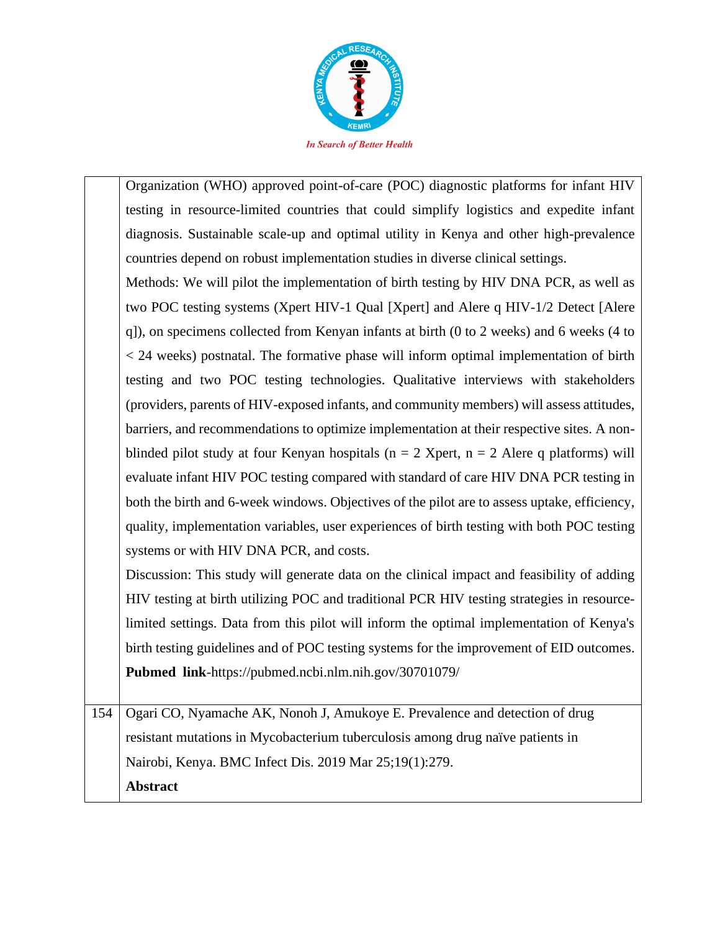

Organization (WHO) approved point-of-care (POC) diagnostic platforms for infant HIV testing in resource-limited countries that could simplify logistics and expedite infant diagnosis. Sustainable scale-up and optimal utility in Kenya and other high-prevalence countries depend on robust implementation studies in diverse clinical settings.

Methods: We will pilot the implementation of birth testing by HIV DNA PCR, as well as two POC testing systems (Xpert HIV-1 Qual [Xpert] and Alere q HIV-1/2 Detect [Alere q]), on specimens collected from Kenyan infants at birth (0 to 2 weeks) and 6 weeks (4 to < 24 weeks) postnatal. The formative phase will inform optimal implementation of birth testing and two POC testing technologies. Qualitative interviews with stakeholders (providers, parents of HIV-exposed infants, and community members) will assess attitudes, barriers, and recommendations to optimize implementation at their respective sites. A nonblinded pilot study at four Kenyan hospitals ( $n = 2$  Xpert,  $n = 2$  Alere q platforms) will evaluate infant HIV POC testing compared with standard of care HIV DNA PCR testing in both the birth and 6-week windows. Objectives of the pilot are to assess uptake, efficiency, quality, implementation variables, user experiences of birth testing with both POC testing systems or with HIV DNA PCR, and costs.

Discussion: This study will generate data on the clinical impact and feasibility of adding HIV testing at birth utilizing POC and traditional PCR HIV testing strategies in resourcelimited settings. Data from this pilot will inform the optimal implementation of Kenya's birth testing guidelines and of POC testing systems for the improvement of EID outcomes. **Pubmed link**-https://pubmed.ncbi.nlm.nih.gov/30701079/

154 Ogari CO, Nyamache AK, Nonoh J, Amukoye E. Prevalence and detection of drug resistant mutations in Mycobacterium tuberculosis among drug naïve patients in Nairobi, Kenya. BMC Infect Dis. 2019 Mar 25;19(1):279. **Abstract**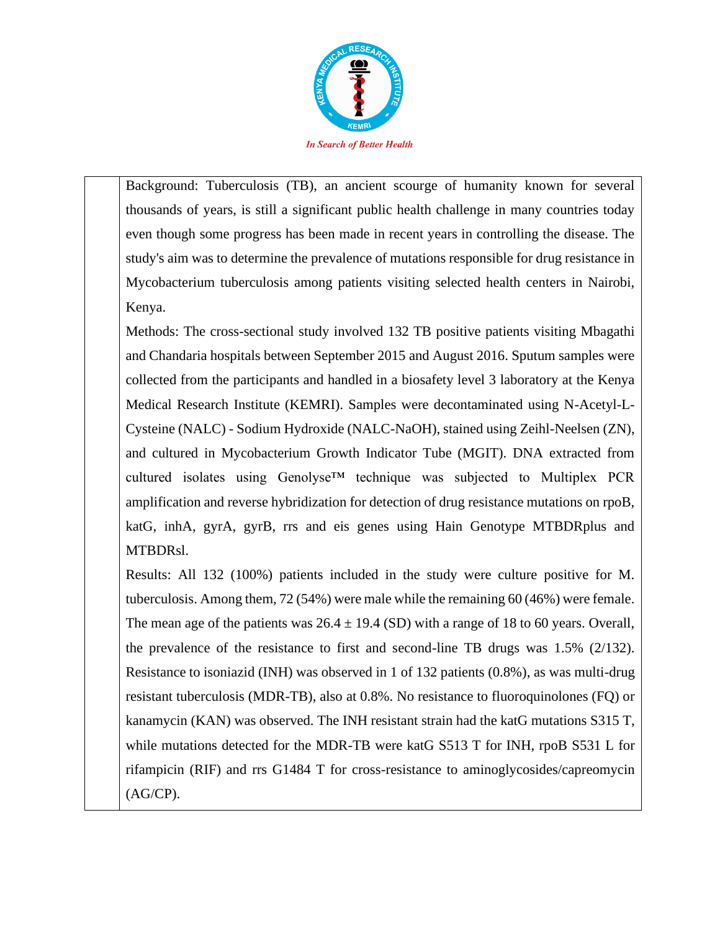

Background: Tuberculosis (TB), an ancient scourge of humanity known for several thousands of years, is still a significant public health challenge in many countries today even though some progress has been made in recent years in controlling the disease. The study's aim was to determine the prevalence of mutations responsible for drug resistance in Mycobacterium tuberculosis among patients visiting selected health centers in Nairobi, Kenya.

Methods: The cross-sectional study involved 132 TB positive patients visiting Mbagathi and Chandaria hospitals between September 2015 and August 2016. Sputum samples were collected from the participants and handled in a biosafety level 3 laboratory at the Kenya Medical Research Institute (KEMRI). Samples were decontaminated using N-Acetyl-L-Cysteine (NALC) - Sodium Hydroxide (NALC-NaOH), stained using Zeihl-Neelsen (ZN), and cultured in Mycobacterium Growth Indicator Tube (MGIT). DNA extracted from cultured isolates using Genolyse™ technique was subjected to Multiplex PCR amplification and reverse hybridization for detection of drug resistance mutations on rpoB, katG, inhA, gyrA, gyrB, rrs and eis genes using Hain Genotype MTBDRplus and MTBDRsl.

Results: All 132 (100%) patients included in the study were culture positive for M. tuberculosis. Among them, 72 (54%) were male while the remaining 60 (46%) were female. The mean age of the patients was  $26.4 \pm 19.4$  (SD) with a range of 18 to 60 years. Overall, the prevalence of the resistance to first and second-line TB drugs was 1.5% (2/132). Resistance to isoniazid (INH) was observed in 1 of 132 patients (0.8%), as was multi-drug resistant tuberculosis (MDR-TB), also at 0.8%. No resistance to fluoroquinolones (FQ) or kanamycin (KAN) was observed. The INH resistant strain had the katG mutations S315 T, while mutations detected for the MDR-TB were katG S513 T for INH, rpoB S531 L for rifampicin (RIF) and rrs G1484 T for cross-resistance to aminoglycosides/capreomycin (AG/CP).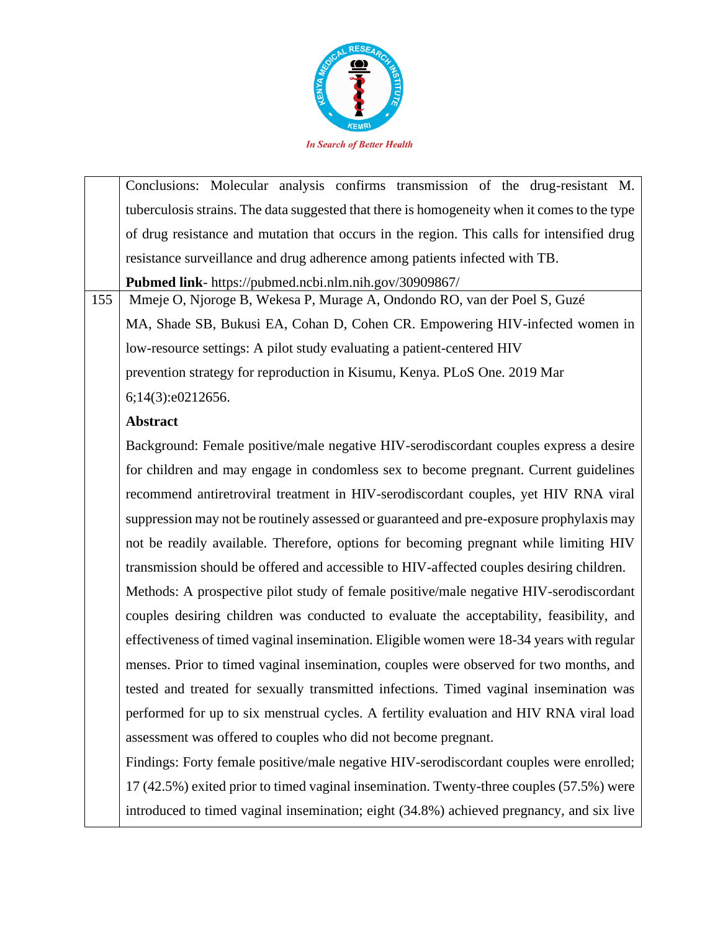

|     | Conclusions: Molecular analysis confirms transmission of the drug-resistant M.               |
|-----|----------------------------------------------------------------------------------------------|
|     | tuberculosis strains. The data suggested that there is homogeneity when it comes to the type |
|     | of drug resistance and mutation that occurs in the region. This calls for intensified drug   |
|     | resistance surveillance and drug adherence among patients infected with TB.                  |
|     | <b>Pubmed link-</b> https://pubmed.ncbi.nlm.nih.gov/30909867/                                |
| 155 | Mmeje O, Njoroge B, Wekesa P, Murage A, Ondondo RO, van der Poel S, Guzé                     |
|     | MA, Shade SB, Bukusi EA, Cohan D, Cohen CR. Empowering HIV-infected women in                 |
|     | low-resource settings: A pilot study evaluating a patient-centered HIV                       |
|     | prevention strategy for reproduction in Kisumu, Kenya. PLoS One. 2019 Mar                    |
|     | 6;14(3):e0212656.                                                                            |
|     | <b>Abstract</b>                                                                              |
|     | Background: Female positive/male negative HIV-serodiscordant couples express a desire        |
|     | for children and may engage in condomless sex to become pregnant. Current guidelines         |
|     | recommend antiretroviral treatment in HIV-serodiscordant couples, yet HIV RNA viral          |
|     | suppression may not be routinely assessed or guaranteed and pre-exposure prophylaxis may     |
|     | not be readily available. Therefore, options for becoming pregnant while limiting HIV        |
|     | transmission should be offered and accessible to HIV-affected couples desiring children.     |

Methods: A prospective pilot study of female positive/male negative HIV-serodiscordant couples desiring children was conducted to evaluate the acceptability, feasibility, and effectiveness of timed vaginal insemination. Eligible women were 18-34 years with regular menses. Prior to timed vaginal insemination, couples were observed for two months, and tested and treated for sexually transmitted infections. Timed vaginal insemination was performed for up to six menstrual cycles. A fertility evaluation and HIV RNA viral load assessment was offered to couples who did not become pregnant.

Findings: Forty female positive/male negative HIV-serodiscordant couples were enrolled; 17 (42.5%) exited prior to timed vaginal insemination. Twenty-three couples (57.5%) were introduced to timed vaginal insemination; eight (34.8%) achieved pregnancy, and six live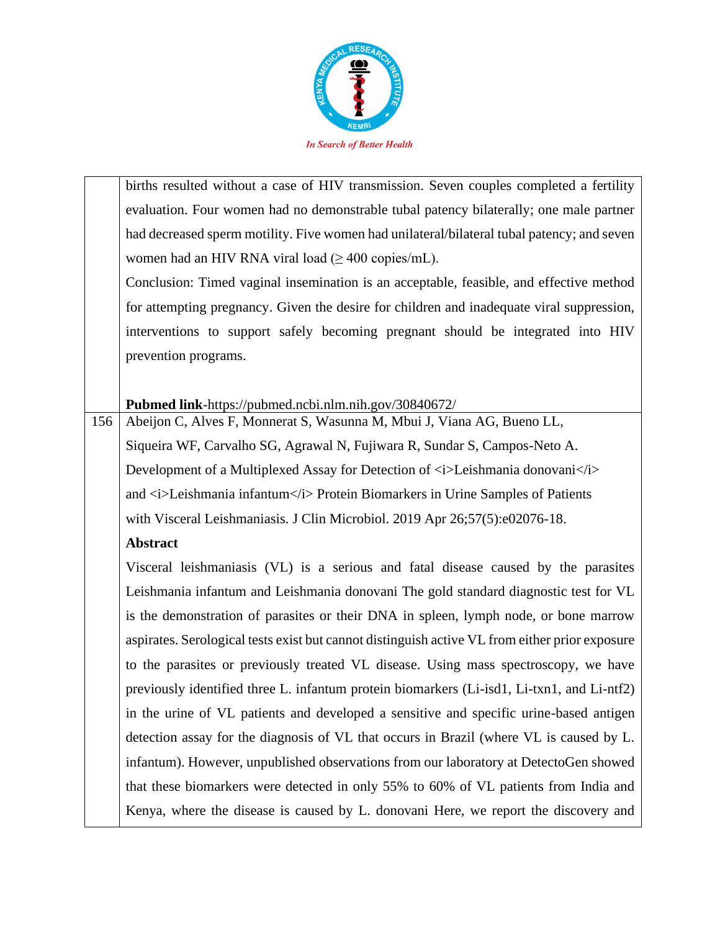

births resulted without a case of HIV transmission. Seven couples completed a fertility evaluation. Four women had no demonstrable tubal patency bilaterally; one male partner had decreased sperm motility. Five women had unilateral/bilateral tubal patency; and seven women had an HIV RNA viral load  $(\geq 400 \text{ copies/mL}).$ 

Conclusion: Timed vaginal insemination is an acceptable, feasible, and effective method for attempting pregnancy. Given the desire for children and inadequate viral suppression, interventions to support safely becoming pregnant should be integrated into HIV prevention programs.

**Pubmed link**-https://pubmed.ncbi.nlm.nih.gov/30840672/

156 Abeijon C, Alves F, Monnerat S, Wasunna M, Mbui J, Viana AG, Bueno LL, Siqueira WF, Carvalho SG, Agrawal N, Fujiwara R, Sundar S, Campos-Neto A. Development of a Multiplexed Assay for Detection of  $\langle i \rangle$ Leishmania donovani $\langle i \rangle$ and  $\langle i \rangle$ Leishmania infantum $\langle i \rangle$  Protein Biomarkers in Urine Samples of Patients with Visceral Leishmaniasis. J Clin Microbiol. 2019 Apr 26;57(5):e02076-18.

### **Abstract**

Visceral leishmaniasis (VL) is a serious and fatal disease caused by the parasites Leishmania infantum and Leishmania donovani The gold standard diagnostic test for VL is the demonstration of parasites or their DNA in spleen, lymph node, or bone marrow aspirates. Serological tests exist but cannot distinguish active VL from either prior exposure to the parasites or previously treated VL disease. Using mass spectroscopy, we have previously identified three L. infantum protein biomarkers (Li-isd1, Li-txn1, and Li-ntf2) in the urine of VL patients and developed a sensitive and specific urine-based antigen detection assay for the diagnosis of VL that occurs in Brazil (where VL is caused by L. infantum). However, unpublished observations from our laboratory at DetectoGen showed that these biomarkers were detected in only 55% to 60% of VL patients from India and Kenya, where the disease is caused by L. donovani Here, we report the discovery and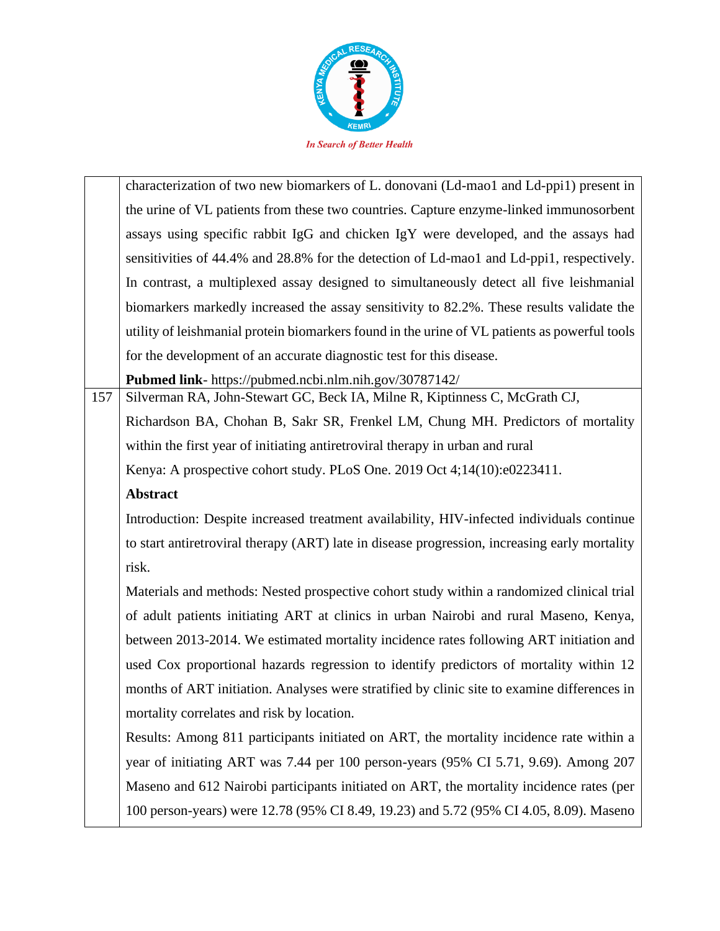

characterization of two new biomarkers of L. donovani (Ld-mao1 and Ld-ppi1) present in the urine of VL patients from these two countries. Capture enzyme-linked immunosorbent assays using specific rabbit IgG and chicken IgY were developed, and the assays had sensitivities of 44.4% and 28.8% for the detection of Ld-mao1 and Ld-ppi1, respectively. In contrast, a multiplexed assay designed to simultaneously detect all five leishmanial biomarkers markedly increased the assay sensitivity to 82.2%. These results validate the utility of leishmanial protein biomarkers found in the urine of VL patients as powerful tools for the development of an accurate diagnostic test for this disease.

**Pubmed link**- https://pubmed.ncbi.nlm.nih.gov/30787142/

157 | Silverman RA, John-Stewart GC, Beck IA, Milne R, Kiptinness C, McGrath CJ, Richardson BA, Chohan B, Sakr SR, Frenkel LM, Chung MH. Predictors of mortality within the first year of initiating antiretroviral therapy in urban and rural Kenya: A prospective cohort study. PLoS One. 2019 Oct 4;14(10):e0223411.

### **Abstract**

Introduction: Despite increased treatment availability, HIV-infected individuals continue to start antiretroviral therapy (ART) late in disease progression, increasing early mortality risk.

Materials and methods: Nested prospective cohort study within a randomized clinical trial of adult patients initiating ART at clinics in urban Nairobi and rural Maseno, Kenya, between 2013-2014. We estimated mortality incidence rates following ART initiation and used Cox proportional hazards regression to identify predictors of mortality within 12 months of ART initiation. Analyses were stratified by clinic site to examine differences in mortality correlates and risk by location.

Results: Among 811 participants initiated on ART, the mortality incidence rate within a year of initiating ART was 7.44 per 100 person-years (95% CI 5.71, 9.69). Among 207 Maseno and 612 Nairobi participants initiated on ART, the mortality incidence rates (per 100 person-years) were 12.78 (95% CI 8.49, 19.23) and 5.72 (95% CI 4.05, 8.09). Maseno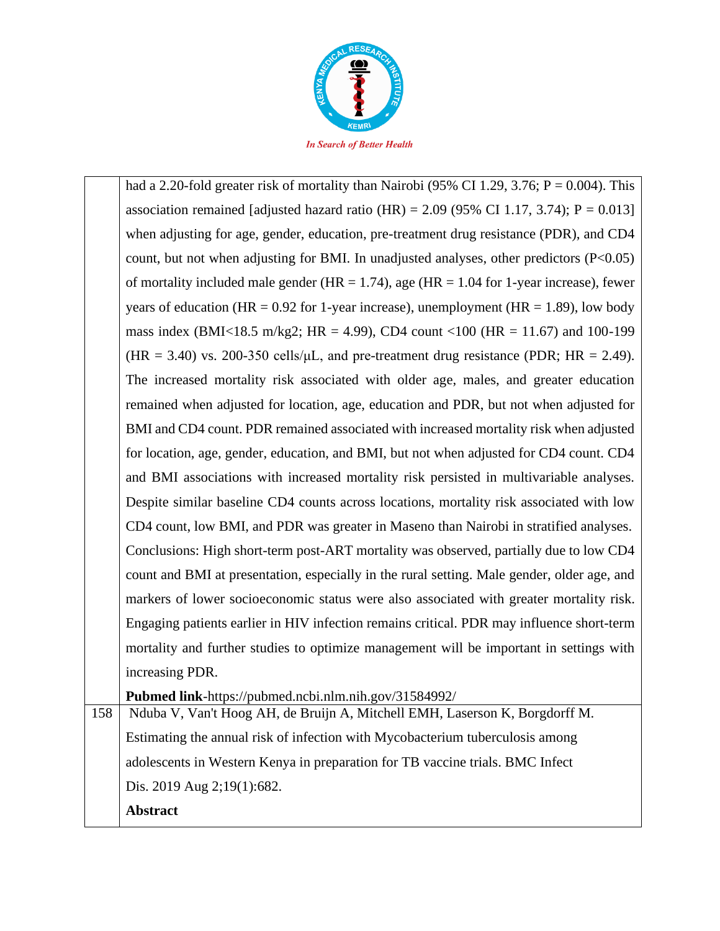

had a 2.20-fold greater risk of mortality than Nairobi (95% CI 1.29, 3.76;  $P = 0.004$ ). This association remained [adjusted hazard ratio (HR) =  $2.09$  (95% CI 1.17, 3.74); P = 0.013] when adjusting for age, gender, education, pre-treatment drug resistance (PDR), and CD4 count, but not when adjusting for BMI. In unadjusted analyses, other predictors  $(P<0.05)$ of mortality included male gender ( $HR = 1.74$ ), age ( $HR = 1.04$  for 1-year increase), fewer years of education (HR =  $0.92$  for 1-year increase), unemployment (HR = 1.89), low body mass index (BMI<18.5 m/kg2; HR = 4.99), CD4 count <100 (HR = 11.67) and 100-199 (HR = 3.40) vs. 200-350 cells/ $\mu$ L, and pre-treatment drug resistance (PDR; HR = 2.49). The increased mortality risk associated with older age, males, and greater education remained when adjusted for location, age, education and PDR, but not when adjusted for BMI and CD4 count. PDR remained associated with increased mortality risk when adjusted for location, age, gender, education, and BMI, but not when adjusted for CD4 count. CD4 and BMI associations with increased mortality risk persisted in multivariable analyses. Despite similar baseline CD4 counts across locations, mortality risk associated with low CD4 count, low BMI, and PDR was greater in Maseno than Nairobi in stratified analyses. Conclusions: High short-term post-ART mortality was observed, partially due to low CD4 count and BMI at presentation, especially in the rural setting. Male gender, older age, and markers of lower socioeconomic status were also associated with greater mortality risk. Engaging patients earlier in HIV infection remains critical. PDR may influence short-term mortality and further studies to optimize management will be important in settings with increasing PDR.

**Pubmed link**-https://pubmed.ncbi.nlm.nih.gov/31584992/

158 Nduba V, Van't Hoog AH, de Bruijn A, Mitchell EMH, Laserson K, Borgdorff M. Estimating the annual risk of infection with Mycobacterium tuberculosis among adolescents in Western Kenya in preparation for TB vaccine trials. BMC Infect Dis. 2019 Aug 2;19(1):682.

**Abstract**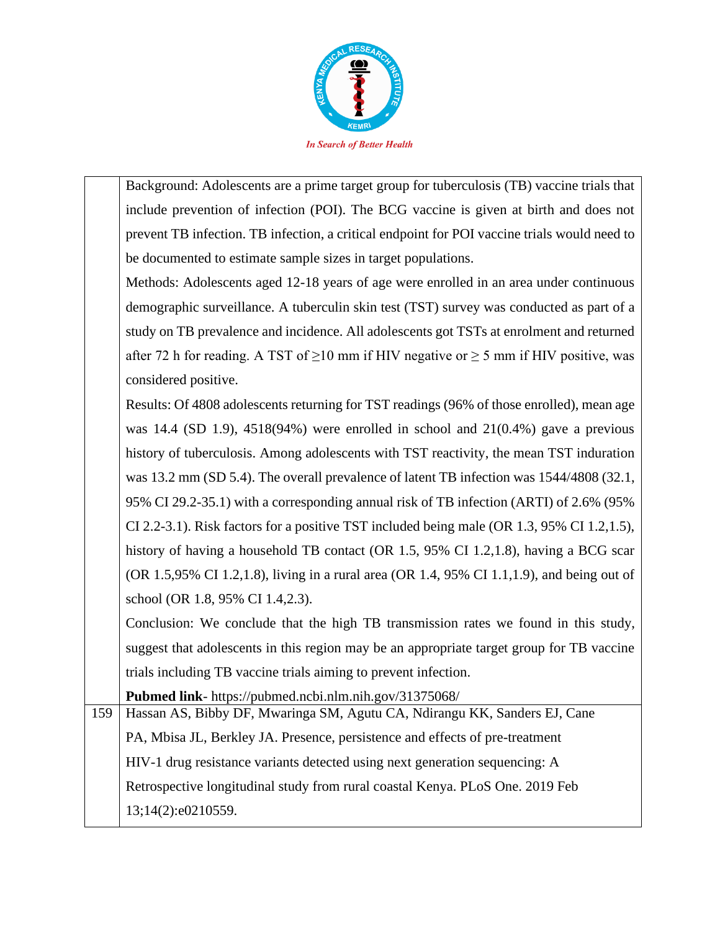

Background: Adolescents are a prime target group for tuberculosis (TB) vaccine trials that include prevention of infection (POI). The BCG vaccine is given at birth and does not prevent TB infection. TB infection, a critical endpoint for POI vaccine trials would need to be documented to estimate sample sizes in target populations.

Methods: Adolescents aged 12-18 years of age were enrolled in an area under continuous demographic surveillance. A tuberculin skin test (TST) survey was conducted as part of a study on TB prevalence and incidence. All adolescents got TSTs at enrolment and returned after 72 h for reading. A TST of  $\geq 10$  mm if HIV negative or  $\geq 5$  mm if HIV positive, was considered positive.

Results: Of 4808 adolescents returning for TST readings (96% of those enrolled), mean age was 14.4 (SD 1.9), 4518(94%) were enrolled in school and 21(0.4%) gave a previous history of tuberculosis. Among adolescents with TST reactivity, the mean TST induration was 13.2 mm (SD 5.4). The overall prevalence of latent TB infection was 1544/4808 (32.1, 95% CI 29.2-35.1) with a corresponding annual risk of TB infection (ARTI) of 2.6% (95% CI 2.2-3.1). Risk factors for a positive TST included being male (OR 1.3, 95% CI 1.2,1.5), history of having a household TB contact (OR 1.5, 95% CI 1.2,1.8), having a BCG scar (OR 1.5,95% CI 1.2,1.8), living in a rural area (OR 1.4, 95% CI 1.1,1.9), and being out of school (OR 1.8, 95% CI 1.4,2.3).

Conclusion: We conclude that the high TB transmission rates we found in this study, suggest that adolescents in this region may be an appropriate target group for TB vaccine trials including TB vaccine trials aiming to prevent infection.

**Pubmed link**- https://pubmed.ncbi.nlm.nih.gov/31375068/

159 Hassan AS, Bibby DF, Mwaringa SM, Agutu CA, Ndirangu KK, Sanders EJ, Cane PA, Mbisa JL, Berkley JA. Presence, persistence and effects of pre-treatment HIV-1 drug resistance variants detected using next generation sequencing: A Retrospective longitudinal study from rural coastal Kenya. PLoS One. 2019 Feb 13;14(2):e0210559.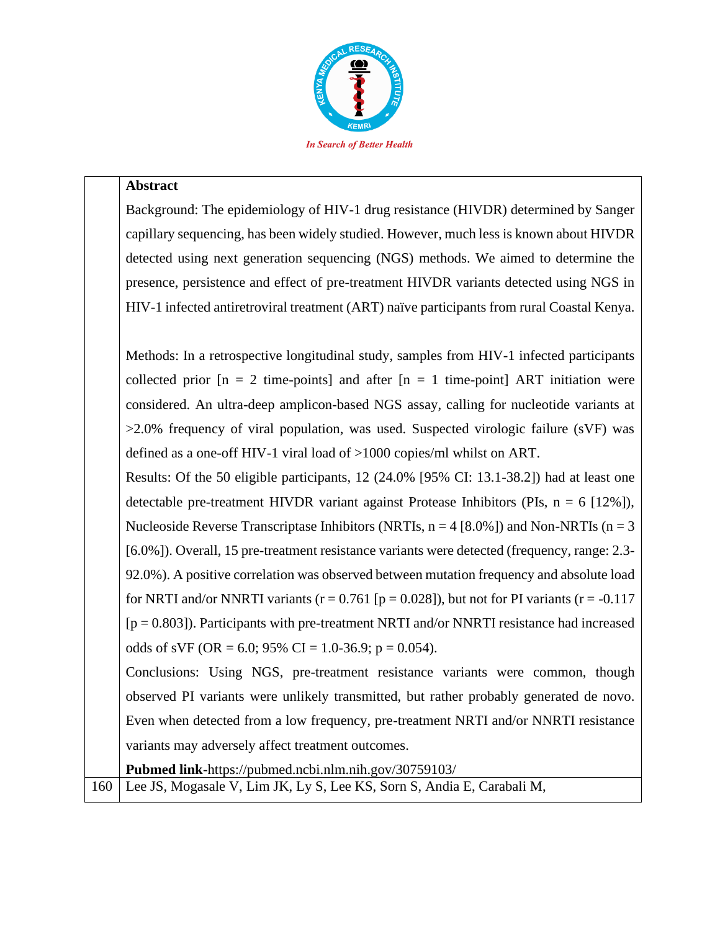

#### **Abstract**

Background: The epidemiology of HIV-1 drug resistance (HIVDR) determined by Sanger capillary sequencing, has been widely studied. However, much less is known about HIVDR detected using next generation sequencing (NGS) methods. We aimed to determine the presence, persistence and effect of pre-treatment HIVDR variants detected using NGS in HIV-1 infected antiretroviral treatment (ART) naïve participants from rural Coastal Kenya.

Methods: In a retrospective longitudinal study, samples from HIV-1 infected participants collected prior  $[n = 2$  time-points] and after  $[n = 1$  time-point] ART initiation were considered. An ultra-deep amplicon-based NGS assay, calling for nucleotide variants at >2.0% frequency of viral population, was used. Suspected virologic failure (sVF) was defined as a one-off HIV-1 viral load of >1000 copies/ml whilst on ART.

Results: Of the 50 eligible participants, 12 (24.0% [95% CI: 13.1-38.2]) had at least one detectable pre-treatment HIVDR variant against Protease Inhibitors (PIs,  $n = 6$  [12%]), Nucleoside Reverse Transcriptase Inhibitors (NRTIs,  $n = 4$  [8.0%]) and Non-NRTIs ( $n = 3$ [6.0%]). Overall, 15 pre-treatment resistance variants were detected (frequency, range: 2.3- 92.0%). A positive correlation was observed between mutation frequency and absolute load for NRTI and/or NNRTI variants ( $r = 0.761$  [ $p = 0.028$ ]), but not for PI variants ( $r = -0.117$  $[p = 0.803]$ ). Participants with pre-treatment NRTI and/or NNRTI resistance had increased odds of sVF (OR = 6.0; 95% CI = 1.0-36.9; p = 0.054).

Conclusions: Using NGS, pre-treatment resistance variants were common, though observed PI variants were unlikely transmitted, but rather probably generated de novo. Even when detected from a low frequency, pre-treatment NRTI and/or NNRTI resistance variants may adversely affect treatment outcomes.

**Pubmed link**-https://pubmed.ncbi.nlm.nih.gov/30759103/ 160 Lee JS, Mogasale V, Lim JK, Ly S, Lee KS, Sorn S, Andia E, Carabali M,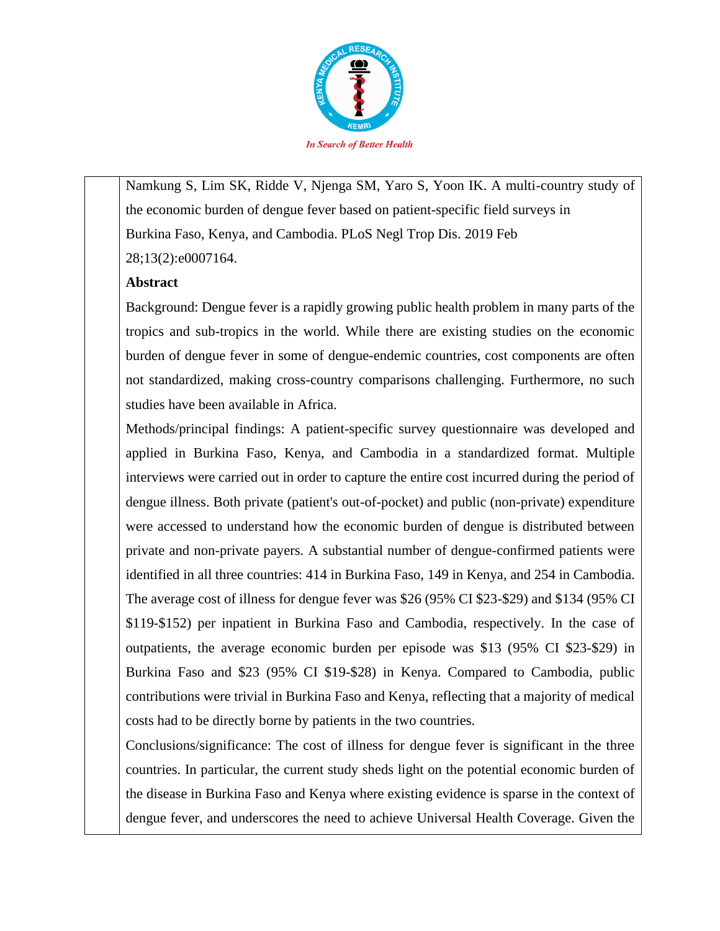

Namkung S, Lim SK, Ridde V, Njenga SM, Yaro S, Yoon IK. A multi-country study of the economic burden of dengue fever based on patient-specific field surveys in Burkina Faso, Kenya, and Cambodia. PLoS Negl Trop Dis. 2019 Feb 28;13(2):e0007164.

### **Abstract**

Background: Dengue fever is a rapidly growing public health problem in many parts of the tropics and sub-tropics in the world. While there are existing studies on the economic burden of dengue fever in some of dengue-endemic countries, cost components are often not standardized, making cross-country comparisons challenging. Furthermore, no such studies have been available in Africa.

Methods/principal findings: A patient-specific survey questionnaire was developed and applied in Burkina Faso, Kenya, and Cambodia in a standardized format. Multiple interviews were carried out in order to capture the entire cost incurred during the period of dengue illness. Both private (patient's out-of-pocket) and public (non-private) expenditure were accessed to understand how the economic burden of dengue is distributed between private and non-private payers. A substantial number of dengue-confirmed patients were identified in all three countries: 414 in Burkina Faso, 149 in Kenya, and 254 in Cambodia. The average cost of illness for dengue fever was \$26 (95% CI \$23-\$29) and \$134 (95% CI \$119-\$152) per inpatient in Burkina Faso and Cambodia, respectively. In the case of outpatients, the average economic burden per episode was \$13 (95% CI \$23-\$29) in Burkina Faso and \$23 (95% CI \$19-\$28) in Kenya. Compared to Cambodia, public contributions were trivial in Burkina Faso and Kenya, reflecting that a majority of medical costs had to be directly borne by patients in the two countries.

Conclusions/significance: The cost of illness for dengue fever is significant in the three countries. In particular, the current study sheds light on the potential economic burden of the disease in Burkina Faso and Kenya where existing evidence is sparse in the context of dengue fever, and underscores the need to achieve Universal Health Coverage. Given the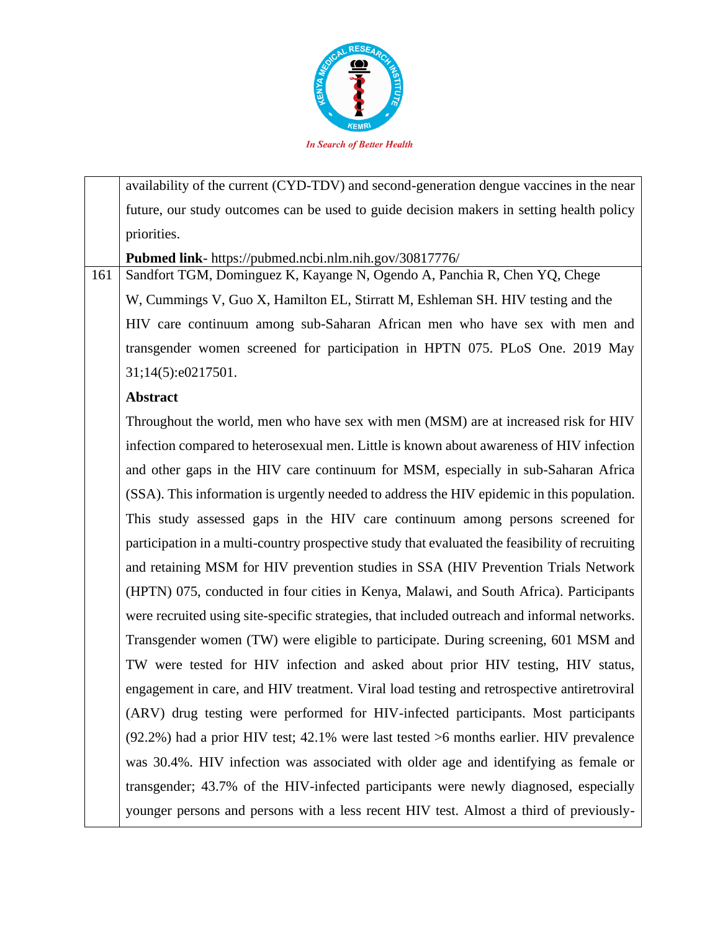

availability of the current (CYD-TDV) and second-generation dengue vaccines in the near future, our study outcomes can be used to guide decision makers in setting health policy priorities.

**Pubmed link**- https://pubmed.ncbi.nlm.nih.gov/30817776/

161 Sandfort TGM, Dominguez K, Kayange N, Ogendo A, Panchia R, Chen YQ, Chege W, Cummings V, Guo X, Hamilton EL, Stirratt M, Eshleman SH. HIV testing and the HIV care continuum among sub-Saharan African men who have sex with men and transgender women screened for participation in HPTN 075. PLoS One. 2019 May 31;14(5):e0217501.

### **Abstract**

Throughout the world, men who have sex with men (MSM) are at increased risk for HIV infection compared to heterosexual men. Little is known about awareness of HIV infection and other gaps in the HIV care continuum for MSM, especially in sub-Saharan Africa (SSA). This information is urgently needed to address the HIV epidemic in this population. This study assessed gaps in the HIV care continuum among persons screened for participation in a multi-country prospective study that evaluated the feasibility of recruiting and retaining MSM for HIV prevention studies in SSA (HIV Prevention Trials Network (HPTN) 075, conducted in four cities in Kenya, Malawi, and South Africa). Participants were recruited using site-specific strategies, that included outreach and informal networks. Transgender women (TW) were eligible to participate. During screening, 601 MSM and TW were tested for HIV infection and asked about prior HIV testing, HIV status, engagement in care, and HIV treatment. Viral load testing and retrospective antiretroviral (ARV) drug testing were performed for HIV-infected participants. Most participants (92.2%) had a prior HIV test; 42.1% were last tested >6 months earlier. HIV prevalence was 30.4%. HIV infection was associated with older age and identifying as female or transgender; 43.7% of the HIV-infected participants were newly diagnosed, especially younger persons and persons with a less recent HIV test. Almost a third of previously-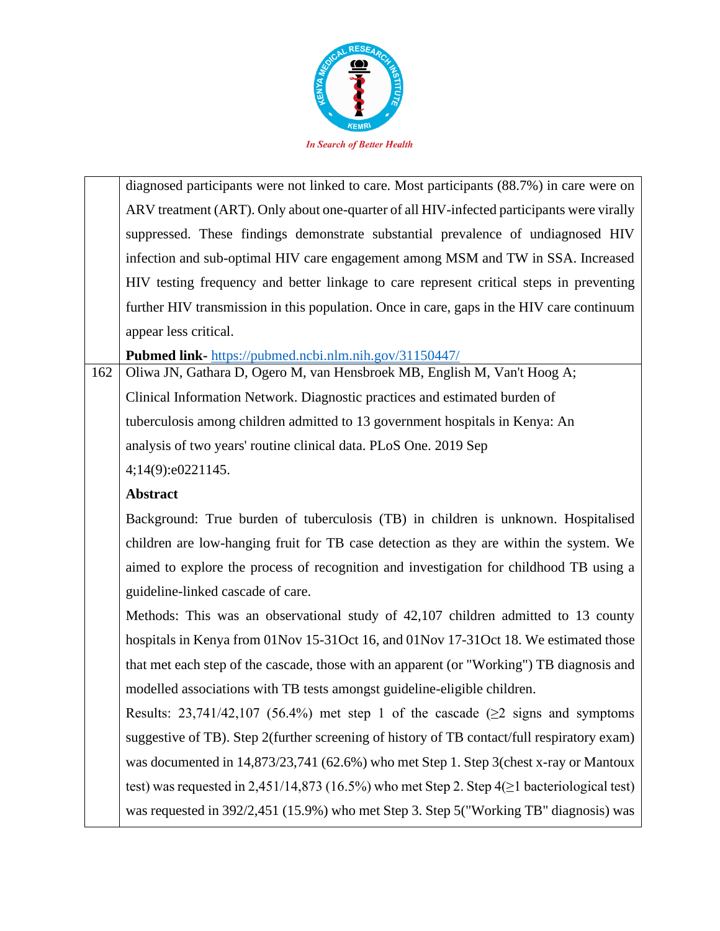

diagnosed participants were not linked to care. Most participants (88.7%) in care were on ARV treatment (ART). Only about one-quarter of all HIV-infected participants were virally suppressed. These findings demonstrate substantial prevalence of undiagnosed HIV infection and sub-optimal HIV care engagement among MSM and TW in SSA. Increased HIV testing frequency and better linkage to care represent critical steps in preventing further HIV transmission in this population. Once in care, gaps in the HIV care continuum appear less critical.

**Pubmed link-** https://pubmed.ncbi.nlm.nih.gov/31150447/

162 Oliwa JN, Gathara D, Ogero M, van Hensbroek MB, English M, Van't Hoog A; Clinical Information Network. Diagnostic practices and estimated burden of tuberculosis among children admitted to 13 government hospitals in Kenya: An analysis of two years' routine clinical data. PLoS One. 2019 Sep 4;14(9):e0221145.

# **Abstract**

Background: True burden of tuberculosis (TB) in children is unknown. Hospitalised children are low-hanging fruit for TB case detection as they are within the system. We aimed to explore the process of recognition and investigation for childhood TB using a guideline-linked cascade of care.

Methods: This was an observational study of 42,107 children admitted to 13 county hospitals in Kenya from 01Nov 15-31Oct 16, and 01Nov 17-31Oct 18. We estimated those that met each step of the cascade, those with an apparent (or "Working") TB diagnosis and modelled associations with TB tests amongst guideline-eligible children.

Results: 23,741/42,107 (56.4%) met step 1 of the cascade ( $\geq$ 2 signs and symptoms suggestive of TB). Step 2(further screening of history of TB contact/full respiratory exam) was documented in 14,873/23,741 (62.6%) who met Step 1. Step 3(chest x-ray or Mantoux test) was requested in 2,451/14,873 (16.5%) who met Step 2. Step 4(≥1 bacteriological test) was requested in 392/2,451 (15.9%) who met Step 3. Step 5("Working TB" diagnosis) was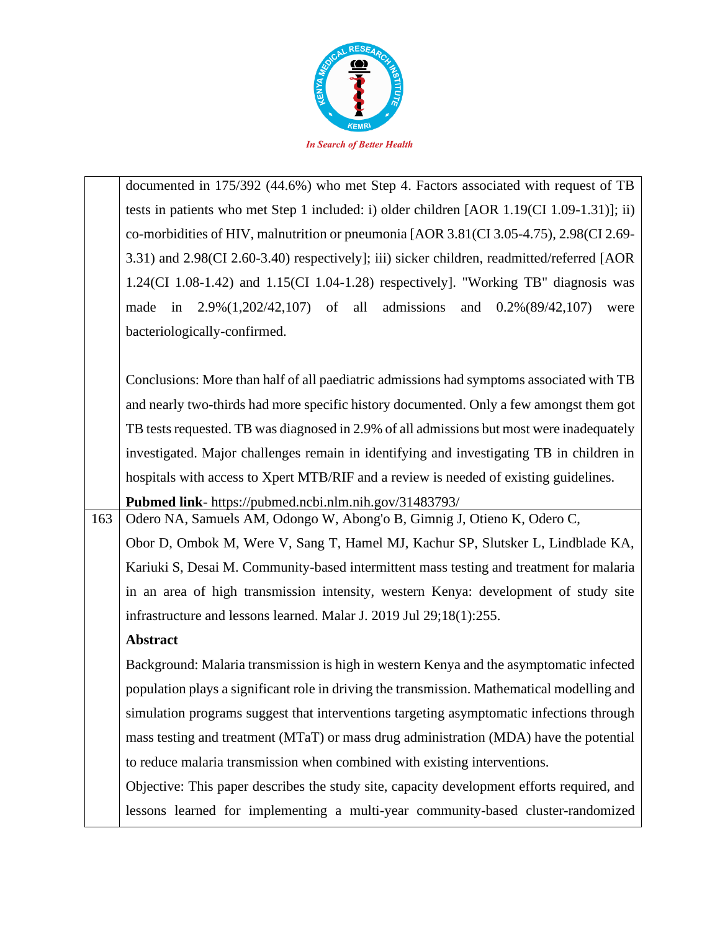

|     | documented in 175/392 (44.6%) who met Step 4. Factors associated with request of TB           |
|-----|-----------------------------------------------------------------------------------------------|
|     | tests in patients who met Step 1 included: i) older children [AOR 1.19(CI 1.09-1.31)]; ii)    |
|     | co-morbidities of HIV, malnutrition or pneumonia [AOR 3.81(CI 3.05-4.75), 2.98(CI 2.69-       |
|     | 3.31) and 2.98(CI 2.60-3.40) respectively]; iii) sicker children, readmitted/referred [AOR    |
|     | $1.24$ (CI 1.08-1.42) and 1.15(CI 1.04-1.28) respectively]. "Working TB" diagnosis was        |
|     | in $2.9\%(1,202/42,107)$ of<br>all<br>admissions<br>and<br>$0.2\%(89/42,107)$<br>made<br>were |
|     | bacteriologically-confirmed.                                                                  |
|     |                                                                                               |
|     | Conclusions: More than half of all paediatric admissions had symptoms associated with TB      |
|     | and nearly two-thirds had more specific history documented. Only a few amongst them got       |
|     | TB tests requested. TB was diagnosed in 2.9% of all admissions but most were inadequately     |
|     | investigated. Major challenges remain in identifying and investigating TB in children in      |
|     | hospitals with access to Xpert MTB/RIF and a review is needed of existing guidelines.         |
|     | Pubmed link- https://pubmed.ncbi.nlm.nih.gov/31483793/                                        |
| 163 | Odero NA, Samuels AM, Odongo W, Abong'o B, Gimnig J, Otieno K, Odero C,                       |
|     | Obor D, Ombok M, Were V, Sang T, Hamel MJ, Kachur SP, Slutsker L, Lindblade KA,               |
|     | Kariuki S, Desai M. Community-based intermittent mass testing and treatment for malaria       |
|     | in an area of high transmission intensity, western Kenya: development of study site           |
|     | infrastructure and lessons learned. Malar J. 2019 Jul 29;18(1):255.                           |
|     | Abstract                                                                                      |
|     | Background: Malaria transmission is high in western Kenya and the asymptomatic infected       |
|     | population plays a significant role in driving the transmission. Mathematical modelling and   |
|     | simulation programs suggest that interventions targeting asymptomatic infections through      |
|     | mass testing and treatment (MTaT) or mass drug administration (MDA) have the potential        |
|     | to reduce malaria transmission when combined with existing interventions.                     |
|     | Objective: This paper describes the study site, capacity development efforts required, and    |
|     | lessons learned for implementing a multi-year community-based cluster-randomized              |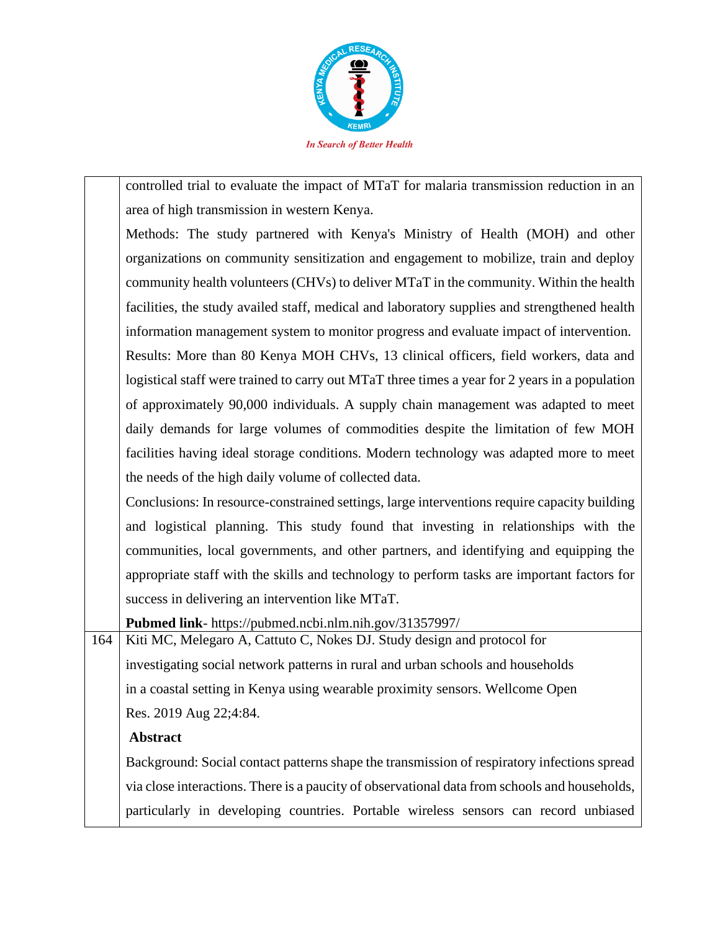

controlled trial to evaluate the impact of MTaT for malaria transmission reduction in an area of high transmission in western Kenya.

Methods: The study partnered with Kenya's Ministry of Health (MOH) and other organizations on community sensitization and engagement to mobilize, train and deploy community health volunteers (CHVs) to deliver MTaT in the community. Within the health facilities, the study availed staff, medical and laboratory supplies and strengthened health information management system to monitor progress and evaluate impact of intervention. Results: More than 80 Kenya MOH CHVs, 13 clinical officers, field workers, data and logistical staff were trained to carry out MTaT three times a year for 2 years in a population of approximately 90,000 individuals. A supply chain management was adapted to meet daily demands for large volumes of commodities despite the limitation of few MOH facilities having ideal storage conditions. Modern technology was adapted more to meet the needs of the high daily volume of collected data.

Conclusions: In resource-constrained settings, large interventions require capacity building and logistical planning. This study found that investing in relationships with the communities, local governments, and other partners, and identifying and equipping the appropriate staff with the skills and technology to perform tasks are important factors for success in delivering an intervention like MTaT.

**Pubmed link**- https://pubmed.ncbi.nlm.nih.gov/31357997/

164 Kiti MC, Melegaro A, Cattuto C, Nokes DJ. Study design and protocol for investigating social network patterns in rural and urban schools and households in a coastal setting in Kenya using wearable proximity sensors. Wellcome Open Res. 2019 Aug 22;4:84.

# **Abstract**

Background: Social contact patterns shape the transmission of respiratory infections spread via close interactions. There is a paucity of observational data from schools and households, particularly in developing countries. Portable wireless sensors can record unbiased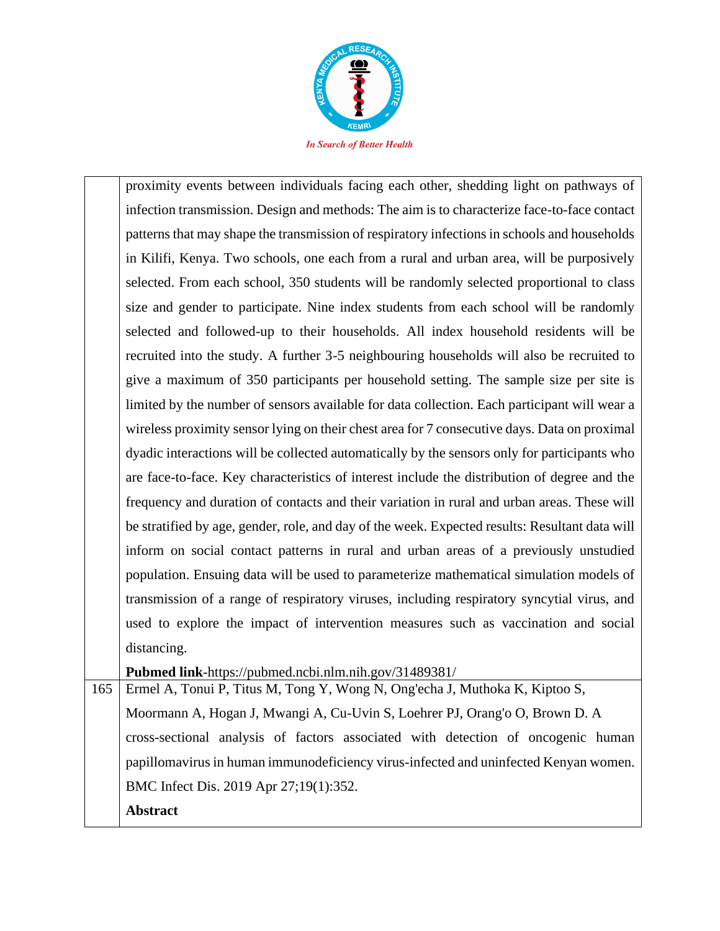

proximity events between individuals facing each other, shedding light on pathways of infection transmission. Design and methods: The aim is to characterize face-to-face contact patterns that may shape the transmission of respiratory infections in schools and households in Kilifi, Kenya. Two schools, one each from a rural and urban area, will be purposively selected. From each school, 350 students will be randomly selected proportional to class size and gender to participate. Nine index students from each school will be randomly selected and followed-up to their households. All index household residents will be recruited into the study. A further 3-5 neighbouring households will also be recruited to give a maximum of 350 participants per household setting. The sample size per site is limited by the number of sensors available for data collection. Each participant will wear a wireless proximity sensor lying on their chest area for 7 consecutive days. Data on proximal dyadic interactions will be collected automatically by the sensors only for participants who are face-to-face. Key characteristics of interest include the distribution of degree and the frequency and duration of contacts and their variation in rural and urban areas. These will be stratified by age, gender, role, and day of the week. Expected results: Resultant data will inform on social contact patterns in rural and urban areas of a previously unstudied population. Ensuing data will be used to parameterize mathematical simulation models of transmission of a range of respiratory viruses, including respiratory syncytial virus, and used to explore the impact of intervention measures such as vaccination and social distancing.

**Pubmed link**-https://pubmed.ncbi.nlm.nih.gov/31489381/

165 Ermel A, Tonui P, Titus M, Tong Y, Wong N, Ong'echa J, Muthoka K, Kiptoo S, Moormann A, Hogan J, Mwangi A, Cu-Uvin S, Loehrer PJ, Orang'o O, Brown D. A cross-sectional analysis of factors associated with detection of oncogenic human papillomavirus in human immunodeficiency virus-infected and uninfected Kenyan women. BMC Infect Dis. 2019 Apr 27;19(1):352. **Abstract**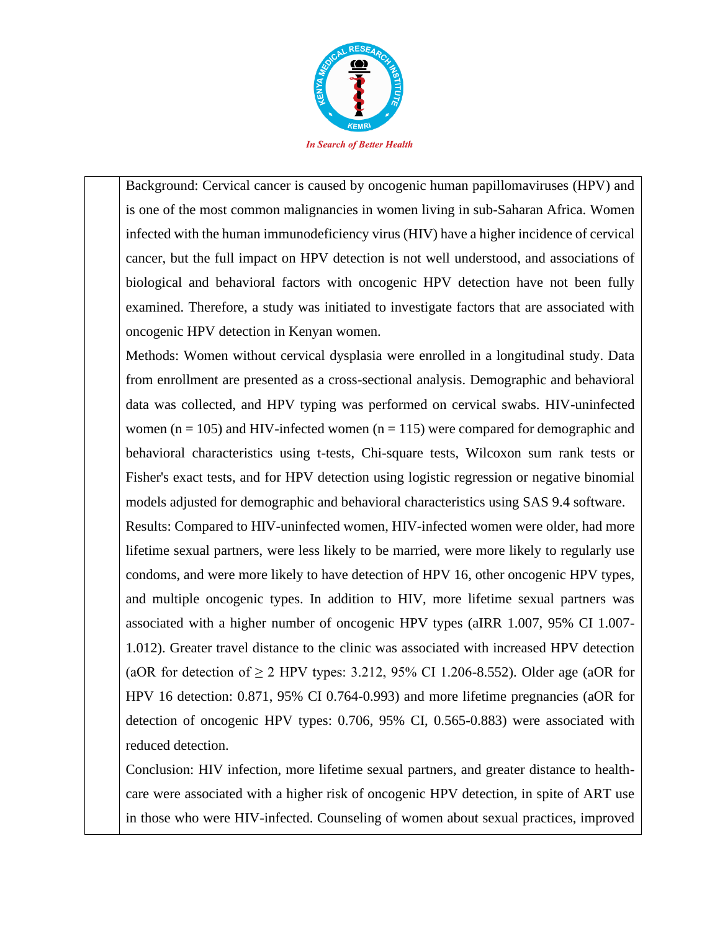

Background: Cervical cancer is caused by oncogenic human papillomaviruses (HPV) and is one of the most common malignancies in women living in sub-Saharan Africa. Women infected with the human immunodeficiency virus (HIV) have a higher incidence of cervical cancer, but the full impact on HPV detection is not well understood, and associations of biological and behavioral factors with oncogenic HPV detection have not been fully examined. Therefore, a study was initiated to investigate factors that are associated with oncogenic HPV detection in Kenyan women.

Methods: Women without cervical dysplasia were enrolled in a longitudinal study. Data from enrollment are presented as a cross-sectional analysis. Demographic and behavioral data was collected, and HPV typing was performed on cervical swabs. HIV-uninfected women ( $n = 105$ ) and HIV-infected women ( $n = 115$ ) were compared for demographic and behavioral characteristics using t-tests, Chi-square tests, Wilcoxon sum rank tests or Fisher's exact tests, and for HPV detection using logistic regression or negative binomial models adjusted for demographic and behavioral characteristics using SAS 9.4 software.

Results: Compared to HIV-uninfected women, HIV-infected women were older, had more lifetime sexual partners, were less likely to be married, were more likely to regularly use condoms, and were more likely to have detection of HPV 16, other oncogenic HPV types, and multiple oncogenic types. In addition to HIV, more lifetime sexual partners was associated with a higher number of oncogenic HPV types (aIRR 1.007, 95% CI 1.007- 1.012). Greater travel distance to the clinic was associated with increased HPV detection (aOR for detection of  $\geq 2$  HPV types: 3.212, 95% CI 1.206-8.552). Older age (aOR for HPV 16 detection: 0.871, 95% CI 0.764-0.993) and more lifetime pregnancies (aOR for detection of oncogenic HPV types: 0.706, 95% CI, 0.565-0.883) were associated with reduced detection.

Conclusion: HIV infection, more lifetime sexual partners, and greater distance to healthcare were associated with a higher risk of oncogenic HPV detection, in spite of ART use in those who were HIV-infected. Counseling of women about sexual practices, improved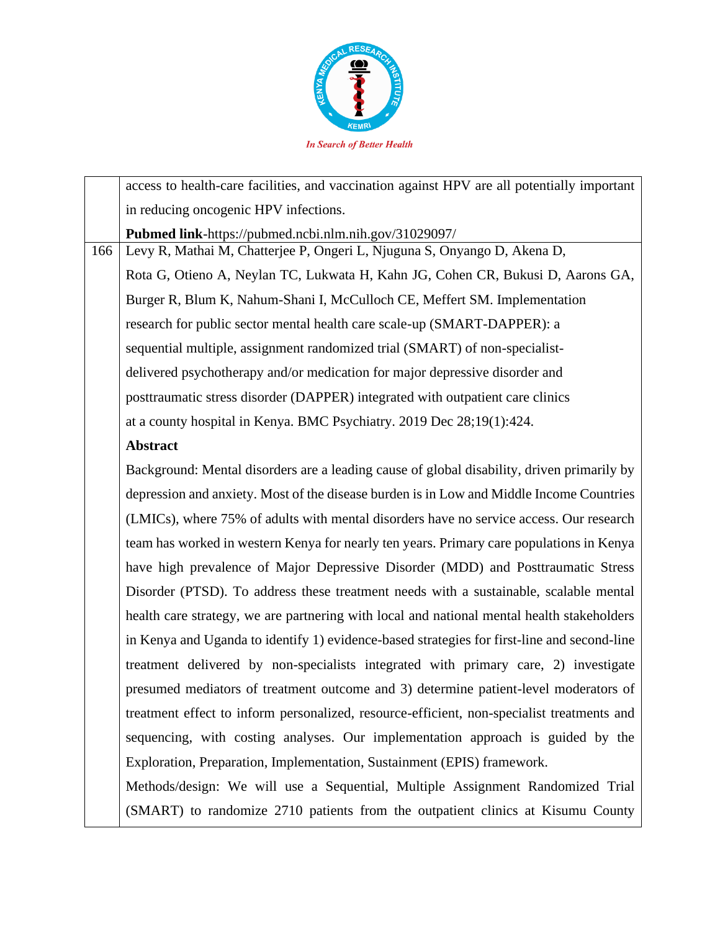

|     | access to health-care facilities, and vaccination against HPV are all potentially important |
|-----|---------------------------------------------------------------------------------------------|
|     | in reducing oncogenic HPV infections.                                                       |
|     | Pubmed link-https://pubmed.ncbi.nlm.nih.gov/31029097/                                       |
| 166 | Levy R, Mathai M, Chatterjee P, Ongeri L, Njuguna S, Onyango D, Akena D,                    |
|     | Rota G, Otieno A, Neylan TC, Lukwata H, Kahn JG, Cohen CR, Bukusi D, Aarons GA,             |
|     | Burger R, Blum K, Nahum-Shani I, McCulloch CE, Meffert SM. Implementation                   |
|     | research for public sector mental health care scale-up (SMART-DAPPER): a                    |
|     | sequential multiple, assignment randomized trial (SMART) of non-specialist-                 |
|     | delivered psychotherapy and/or medication for major depressive disorder and                 |
|     | posttraumatic stress disorder (DAPPER) integrated with outpatient care clinics              |
|     | at a county hospital in Kenya. BMC Psychiatry. 2019 Dec 28;19(1):424.                       |
|     | <b>Abstract</b>                                                                             |
|     | Background: Mental disorders are a leading cause of global disability, driven primarily by  |
|     | depression and anxiety. Most of the disease burden is in Low and Middle Income Countries    |
|     | (LMICs), where 75% of adults with mental disorders have no service access. Our research     |
|     | team has worked in western Kenya for nearly ten years. Primary care populations in Kenya    |
|     | have high prevalence of Major Depressive Disorder (MDD) and Posttraumatic Stress            |
|     | Disorder (PTSD). To address these treatment needs with a sustainable, scalable mental       |
|     | health care strategy, we are partnering with local and national mental health stakeholders  |
|     | in Kenya and Uganda to identify 1) evidence-based strategies for first-line and second-line |
|     | treatment delivered by non-specialists integrated with primary care, 2) investigate         |
|     | presumed mediators of treatment outcome and 3) determine patient-level moderators of        |
|     | treatment effect to inform personalized, resource-efficient, non-specialist treatments and  |
|     | sequencing, with costing analyses. Our implementation approach is guided by the             |
|     | Exploration, Preparation, Implementation, Sustainment (EPIS) framework.                     |
|     | Methods/design: We will use a Sequential, Multiple Assignment Randomized Trial              |
|     | (SMART) to randomize 2710 patients from the outpatient clinics at Kisumu County             |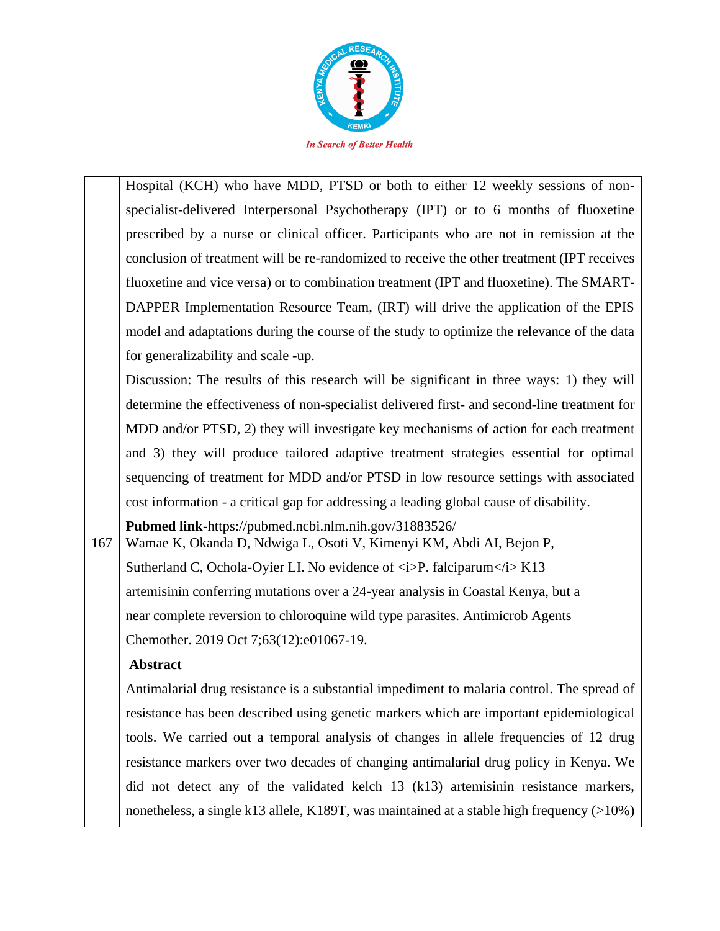

|     | Hospital (KCH) who have MDD, PTSD or both to either 12 weekly sessions of non-                           |
|-----|----------------------------------------------------------------------------------------------------------|
|     | specialist-delivered Interpersonal Psychotherapy (IPT) or to 6 months of fluoxetine                      |
|     | prescribed by a nurse or clinical officer. Participants who are not in remission at the                  |
|     | conclusion of treatment will be re-randomized to receive the other treatment (IPT receives               |
|     | fluoxetine and vice versa) or to combination treatment (IPT and fluoxetine). The SMART-                  |
|     | DAPPER Implementation Resource Team, (IRT) will drive the application of the EPIS                        |
|     | model and adaptations during the course of the study to optimize the relevance of the data               |
|     | for generalizability and scale -up.                                                                      |
|     | Discussion: The results of this research will be significant in three ways: 1) they will                 |
|     | determine the effectiveness of non-specialist delivered first- and second-line treatment for             |
|     | MDD and/or PTSD, 2) they will investigate key mechanisms of action for each treatment                    |
|     | and 3) they will produce tailored adaptive treatment strategies essential for optimal                    |
|     | sequencing of treatment for MDD and/or PTSD in low resource settings with associated                     |
|     | cost information - a critical gap for addressing a leading global cause of disability.                   |
|     | Pubmed link-https://pubmed.ncbi.nlm.nih.gov/31883526/                                                    |
| 167 | Wamae K, Okanda D, Ndwiga L, Osoti V, Kimenyi KM, Abdi AI, Bejon P,                                      |
|     | Sutherland C, Ochola-Oyier LI. No evidence of $\langle i \rangle P$ . falciparum $\langle i \rangle K13$ |
|     | artemisinin conferring mutations over a 24-year analysis in Coastal Kenya, but a                         |
|     | near complete reversion to chloroquine wild type parasites. Antimicrob Agents                            |
|     | Chemother. 2019 Oct 7;63(12):e01067-19.                                                                  |
|     | <b>Abstract</b>                                                                                          |
|     | Antimalarial drug resistance is a substantial impediment to malaria control. The spread of               |
|     | resistance has been described using genetic markers which are important epidemiological                  |
|     | tools. We carried out a temporal analysis of changes in allele frequencies of 12 drug                    |

did not detect any of the validated kelch 13 (k13) artemisinin resistance markers, nonetheless, a single k13 allele, K189T, was maintained at a stable high frequency (>10%)

resistance markers over two decades of changing antimalarial drug policy in Kenya. We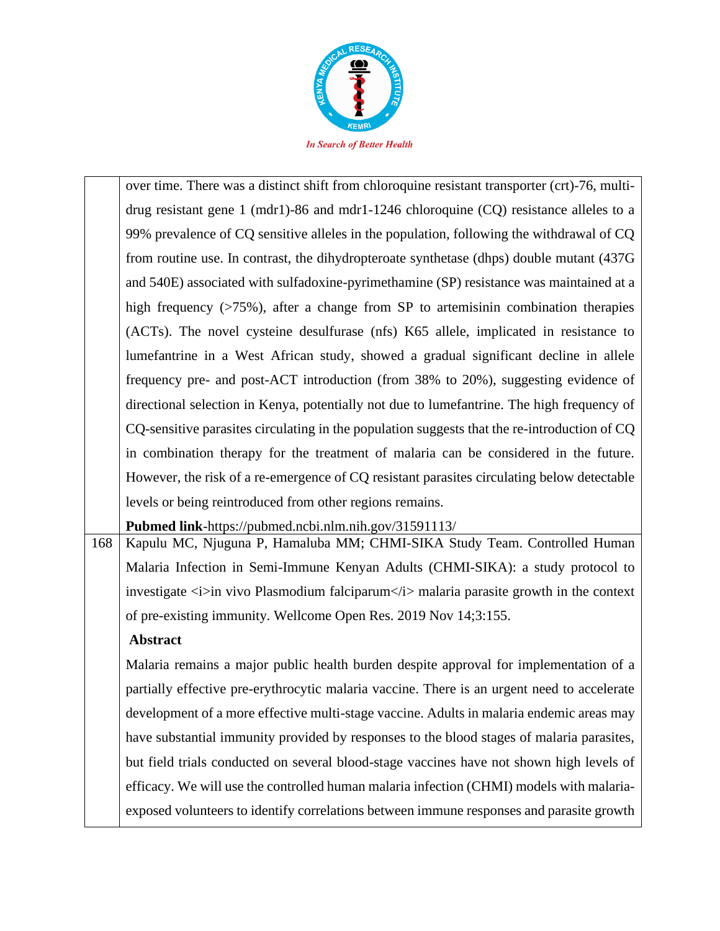

|     | over time. There was a distinct shift from chloroquine resistant transporter (crt)-76, multi- |
|-----|-----------------------------------------------------------------------------------------------|
|     | drug resistant gene 1 (mdr1)-86 and mdr1-1246 chloroquine $(CQ)$ resistance alleles to a      |
|     | 99% prevalence of CQ sensitive alleles in the population, following the withdrawal of CQ      |
|     | from routine use. In contrast, the dihydropteroate synthetase (dhps) double mutant (437G)     |
|     | and 540E) associated with sulfadoxine-pyrimethamine (SP) resistance was maintained at a       |
|     | high frequency $($ >75%), after a change from SP to artemisinin combination therapies         |
|     | (ACTs). The novel cysteine desulfurase (nfs) K65 allele, implicated in resistance to          |
|     | lumefantrine in a West African study, showed a gradual significant decline in allele          |
|     | frequency pre- and post-ACT introduction (from 38% to 20%), suggesting evidence of            |
|     | directional selection in Kenya, potentially not due to lumefantrine. The high frequency of    |
|     | CQ-sensitive parasites circulating in the population suggests that the re-introduction of CQ  |
|     | in combination therapy for the treatment of malaria can be considered in the future.          |
|     | However, the risk of a re-emergence of CQ resistant parasites circulating below detectable    |
|     | levels or being reintroduced from other regions remains.                                      |
|     | <b>Pubmed link-https://pubmed.ncbi.nlm.nih.gov/31591113/</b>                                  |
| 168 | Kapulu MC, Njuguna P, Hamaluba MM; CHMI-SIKA Study Team. Controlled Human                     |
|     |                                                                                               |

Malaria Infection in Semi-Immune Kenyan Adults (CHMI-SIKA): a study protocol to investigate  $\langle i \rangle$  in vivo Plasmodium falciparum $\langle i \rangle$  malaria parasite growth in the context of pre-existing immunity. Wellcome Open Res. 2019 Nov 14;3:155.

# **Abstract**

Malaria remains a major public health burden despite approval for implementation of a partially effective pre-erythrocytic malaria vaccine. There is an urgent need to accelerate development of a more effective multi-stage vaccine. Adults in malaria endemic areas may have substantial immunity provided by responses to the blood stages of malaria parasites, but field trials conducted on several blood-stage vaccines have not shown high levels of efficacy. We will use the controlled human malaria infection (CHMI) models with malariaexposed volunteers to identify correlations between immune responses and parasite growth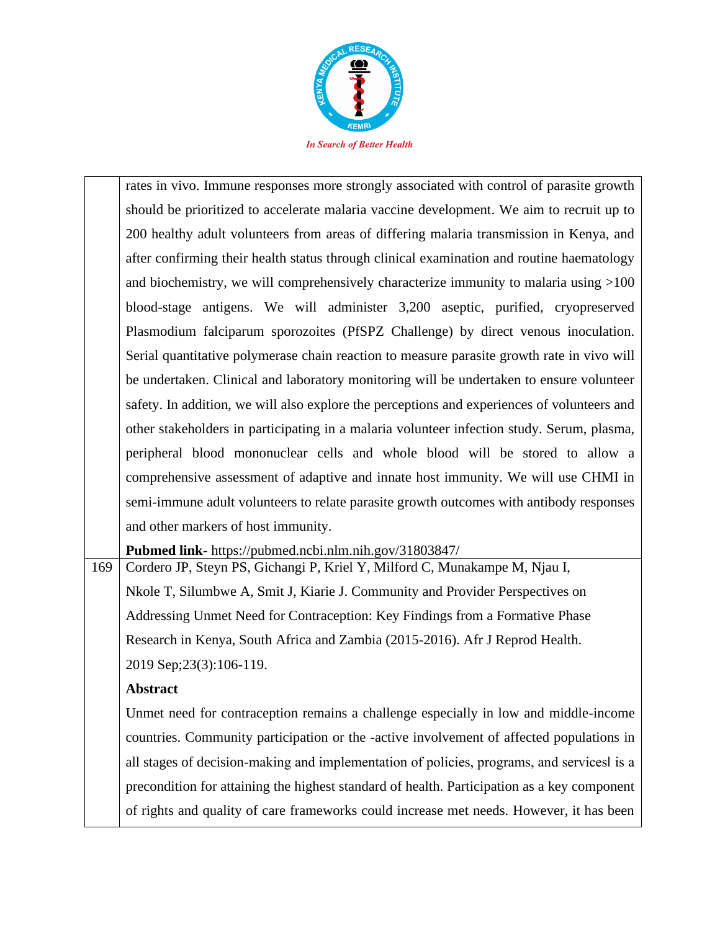

| rates in vivo. Immune responses more strongly associated with control of parasite growth    |
|---------------------------------------------------------------------------------------------|
| should be prioritized to accelerate malaria vaccine development. We aim to recruit up to    |
| 200 healthy adult volunteers from areas of differing malaria transmission in Kenya, and     |
| after confirming their health status through clinical examination and routine haematology   |
| and biochemistry, we will comprehensively characterize immunity to malaria using $>100$     |
| blood-stage antigens. We will administer 3,200 aseptic, purified, cryopreserved             |
| Plasmodium falciparum sporozoites (PfSPZ Challenge) by direct venous inoculation.           |
| Serial quantitative polymerase chain reaction to measure parasite growth rate in vivo will  |
| be undertaken. Clinical and laboratory monitoring will be undertaken to ensure volunteer    |
| safety. In addition, we will also explore the perceptions and experiences of volunteers and |
| other stakeholders in participating in a malaria volunteer infection study. Serum, plasma,  |
| peripheral blood mononuclear cells and whole blood will be stored to allow a                |
| comprehensive assessment of adaptive and innate host immunity. We will use CHMI in          |
| semi-immune adult volunteers to relate parasite growth outcomes with antibody responses     |
| and other markers of host immunity.                                                         |
| Pubmed link- https://pubmed.ncbi.nlm.nih.gov/31803847/                                      |

169 | Cordero JP, Steyn PS, Gichangi P, Kriel Y, Milford C, Munakampe M, Njau I, Nkole T, Silumbwe A, Smit J, Kiarie J. Community and Provider Perspectives on Addressing Unmet Need for Contraception: Key Findings from a Formative Phase Research in Kenya, South Africa and Zambia (2015-2016). Afr J Reprod Health. 2019 Sep;23(3):106-119.

# **Abstract**

Unmet need for contraception remains a challenge especially in low and middle-income countries. Community participation or the -active involvement of affected populations in all stages of decision-making and implementation of policies, programs, and services‖ is a precondition for attaining the highest standard of health. Participation as a key component of rights and quality of care frameworks could increase met needs. However, it has been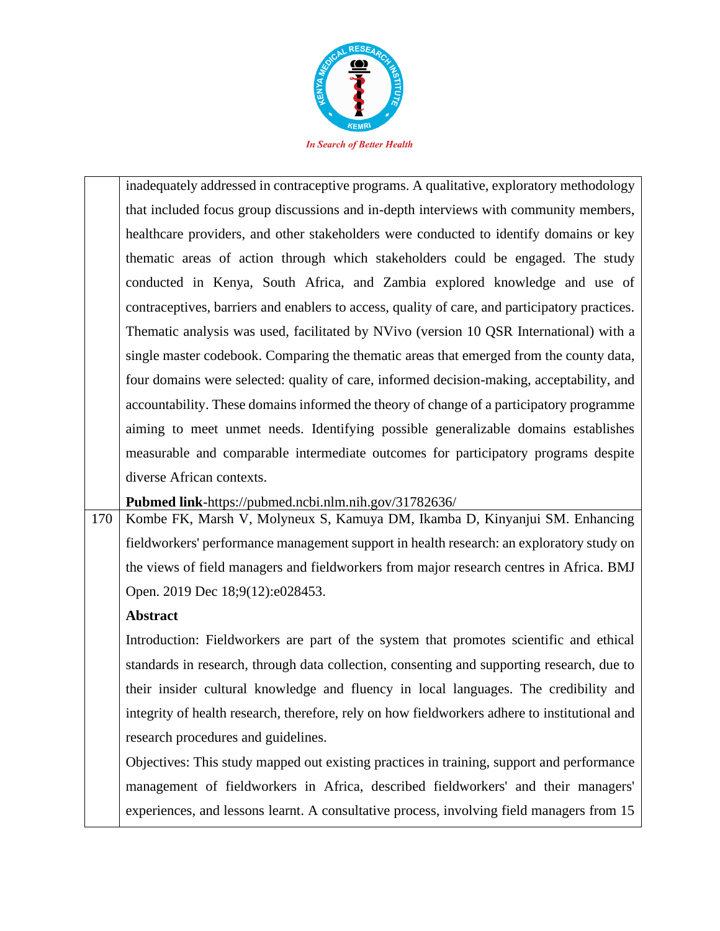

inadequately addressed in contraceptive programs. A qualitative, exploratory methodology that included focus group discussions and in-depth interviews with community members, healthcare providers, and other stakeholders were conducted to identify domains or key thematic areas of action through which stakeholders could be engaged. The study conducted in Kenya, South Africa, and Zambia explored knowledge and use of contraceptives, barriers and enablers to access, quality of care, and participatory practices. Thematic analysis was used, facilitated by NVivo (version 10 QSR International) with a single master codebook. Comparing the thematic areas that emerged from the county data, four domains were selected: quality of care, informed decision-making, acceptability, and accountability. These domains informed the theory of change of a participatory programme aiming to meet unmet needs. Identifying possible generalizable domains establishes measurable and comparable intermediate outcomes for participatory programs despite diverse African contexts.

**Pubmed link**-https://pubmed.ncbi.nlm.nih.gov/31782636/

170 Kombe FK, Marsh V, Molyneux S, Kamuya DM, Ikamba D, Kinyanjui SM. Enhancing fieldworkers' performance management support in health research: an exploratory study on the views of field managers and fieldworkers from major research centres in Africa. BMJ Open. 2019 Dec 18;9(12):e028453.

# **Abstract**

Introduction: Fieldworkers are part of the system that promotes scientific and ethical standards in research, through data collection, consenting and supporting research, due to their insider cultural knowledge and fluency in local languages. The credibility and integrity of health research, therefore, rely on how fieldworkers adhere to institutional and research procedures and guidelines.

Objectives: This study mapped out existing practices in training, support and performance management of fieldworkers in Africa, described fieldworkers' and their managers' experiences, and lessons learnt. A consultative process, involving field managers from 15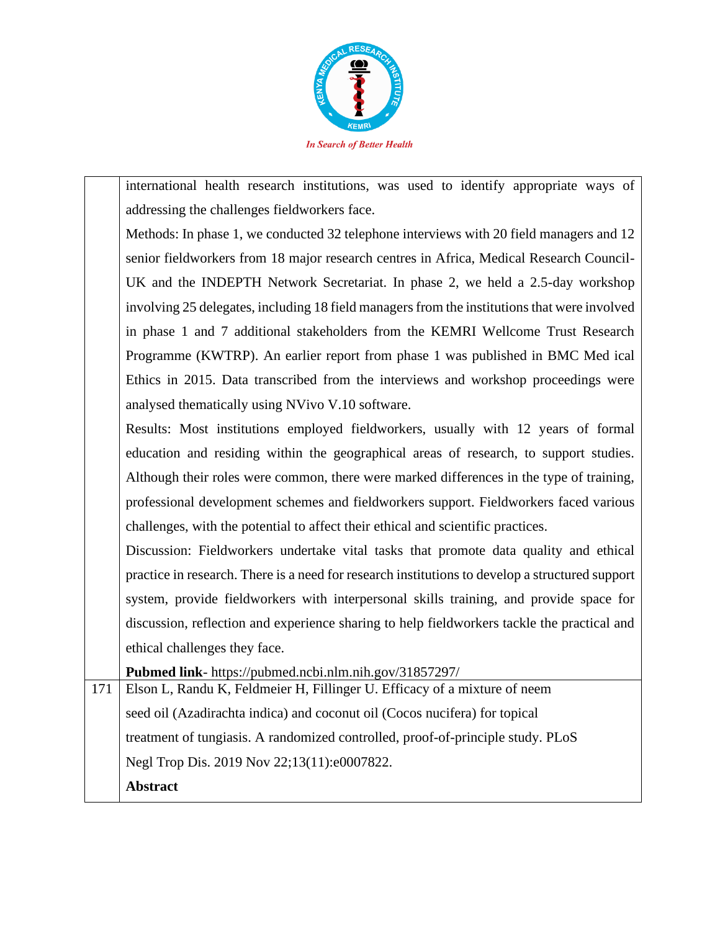

international health research institutions, was used to identify appropriate ways of addressing the challenges fieldworkers face.

Methods: In phase 1, we conducted 32 telephone interviews with 20 field managers and 12 senior fieldworkers from 18 major research centres in Africa, Medical Research Council-UK and the INDEPTH Network Secretariat. In phase 2, we held a 2.5-day workshop involving 25 delegates, including 18 field managers from the institutions that were involved in phase 1 and 7 additional stakeholders from the KEMRI Wellcome Trust Research Programme (KWTRP). An earlier report from phase 1 was published in BMC Med ical Ethics in 2015. Data transcribed from the interviews and workshop proceedings were analysed thematically using NVivo V.10 software.

Results: Most institutions employed fieldworkers, usually with 12 years of formal education and residing within the geographical areas of research, to support studies. Although their roles were common, there were marked differences in the type of training, professional development schemes and fieldworkers support. Fieldworkers faced various challenges, with the potential to affect their ethical and scientific practices.

Discussion: Fieldworkers undertake vital tasks that promote data quality and ethical practice in research. There is a need for research institutions to develop a structured support system, provide fieldworkers with interpersonal skills training, and provide space for discussion, reflection and experience sharing to help fieldworkers tackle the practical and ethical challenges they face.

**Pubmed link**- https://pubmed.ncbi.nlm.nih.gov/31857297/

171 Elson L, Randu K, Feldmeier H, Fillinger U. Efficacy of a mixture of neem seed oil (Azadirachta indica) and coconut oil (Cocos nucifera) for topical treatment of tungiasis. A randomized controlled, proof-of-principle study. PLoS Negl Trop Dis. 2019 Nov 22;13(11):e0007822. **Abstract**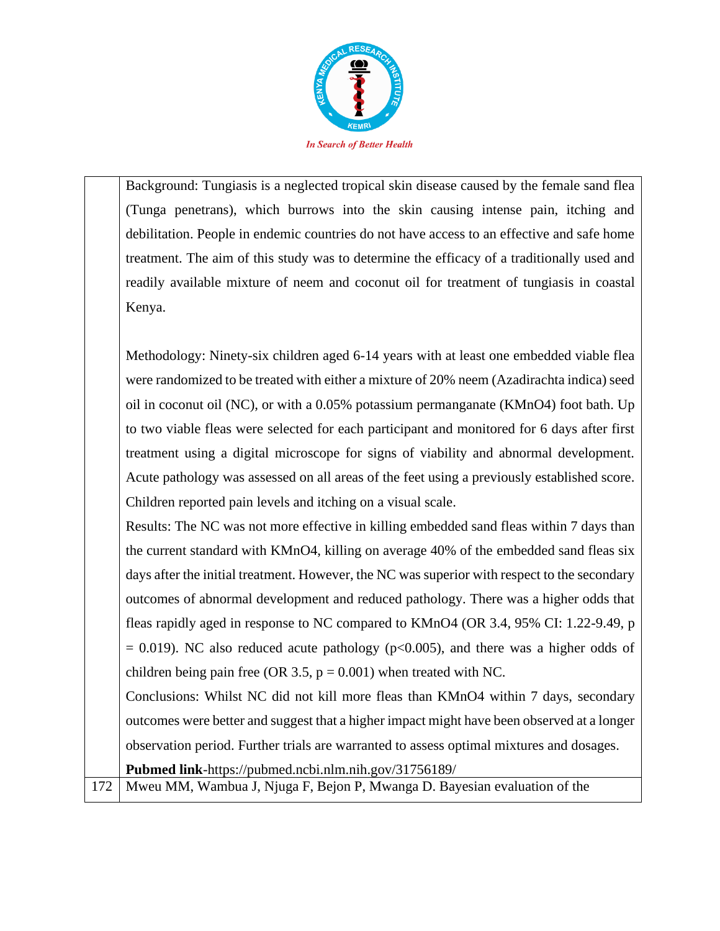

Background: Tungiasis is a neglected tropical skin disease caused by the female sand flea (Tunga penetrans), which burrows into the skin causing intense pain, itching and debilitation. People in endemic countries do not have access to an effective and safe home treatment. The aim of this study was to determine the efficacy of a traditionally used and readily available mixture of neem and coconut oil for treatment of tungiasis in coastal Kenya.

Methodology: Ninety-six children aged 6-14 years with at least one embedded viable flea were randomized to be treated with either a mixture of 20% neem (Azadirachta indica) seed oil in coconut oil (NC), or with a 0.05% potassium permanganate (KMnO4) foot bath. Up to two viable fleas were selected for each participant and monitored for 6 days after first treatment using a digital microscope for signs of viability and abnormal development. Acute pathology was assessed on all areas of the feet using a previously established score. Children reported pain levels and itching on a visual scale.

Results: The NC was not more effective in killing embedded sand fleas within 7 days than the current standard with KMnO4, killing on average 40% of the embedded sand fleas six days after the initial treatment. However, the NC was superior with respect to the secondary outcomes of abnormal development and reduced pathology. There was a higher odds that fleas rapidly aged in response to NC compared to KMnO4 (OR 3.4, 95% CI: 1.22-9.49, p  $= 0.019$ ). NC also reduced acute pathology (p $<0.005$ ), and there was a higher odds of children being pain free (OR 3.5,  $p = 0.001$ ) when treated with NC.

Conclusions: Whilst NC did not kill more fleas than KMnO4 within 7 days, secondary outcomes were better and suggest that a higher impact might have been observed at a longer observation period. Further trials are warranted to assess optimal mixtures and dosages. **Pubmed link**-https://pubmed.ncbi.nlm.nih.gov/31756189/

172 Mweu MM, Wambua J, Njuga F, Bejon P, Mwanga D. Bayesian evaluation of the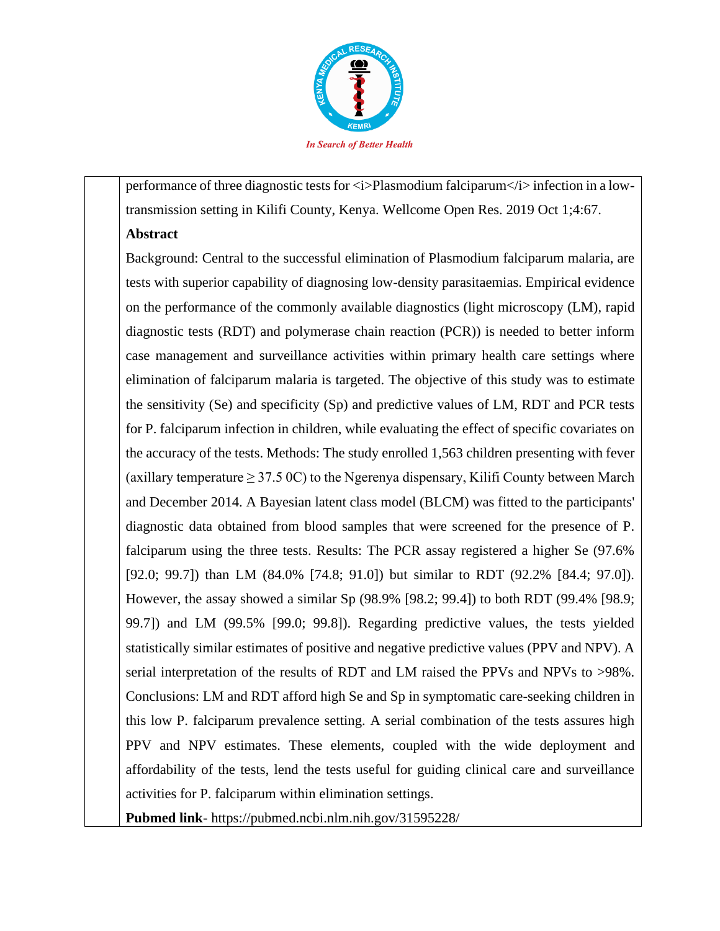

performance of three diagnostic tests for <i>Plasmodium falciparum</i>in</i> infection in a lowtransmission setting in Kilifi County, Kenya. Wellcome Open Res. 2019 Oct 1;4:67.

### **Abstract**

Background: Central to the successful elimination of Plasmodium falciparum malaria, are tests with superior capability of diagnosing low-density parasitaemias. Empirical evidence on the performance of the commonly available diagnostics (light microscopy (LM), rapid diagnostic tests (RDT) and polymerase chain reaction (PCR)) is needed to better inform case management and surveillance activities within primary health care settings where elimination of falciparum malaria is targeted. The objective of this study was to estimate the sensitivity (Se) and specificity (Sp) and predictive values of LM, RDT and PCR tests for P. falciparum infection in children, while evaluating the effect of specific covariates on the accuracy of the tests. Methods: The study enrolled 1,563 children presenting with fever (axillary temperature  $\geq$  37.5 0C) to the Ngerenya dispensary, Kilifi County between March and December 2014. A Bayesian latent class model (BLCM) was fitted to the participants' diagnostic data obtained from blood samples that were screened for the presence of P. falciparum using the three tests. Results: The PCR assay registered a higher Se (97.6% [92.0; 99.7]) than LM (84.0% [74.8; 91.0]) but similar to RDT (92.2% [84.4; 97.0]). However, the assay showed a similar Sp (98.9% [98.2; 99.4]) to both RDT (99.4% [98.9; 99.7]) and LM (99.5% [99.0; 99.8]). Regarding predictive values, the tests yielded statistically similar estimates of positive and negative predictive values (PPV and NPV). A serial interpretation of the results of RDT and LM raised the PPVs and NPVs to >98%. Conclusions: LM and RDT afford high Se and Sp in symptomatic care-seeking children in this low P. falciparum prevalence setting. A serial combination of the tests assures high PPV and NPV estimates. These elements, coupled with the wide deployment and affordability of the tests, lend the tests useful for guiding clinical care and surveillance activities for P. falciparum within elimination settings.

**Pubmed link**- https://pubmed.ncbi.nlm.nih.gov/31595228/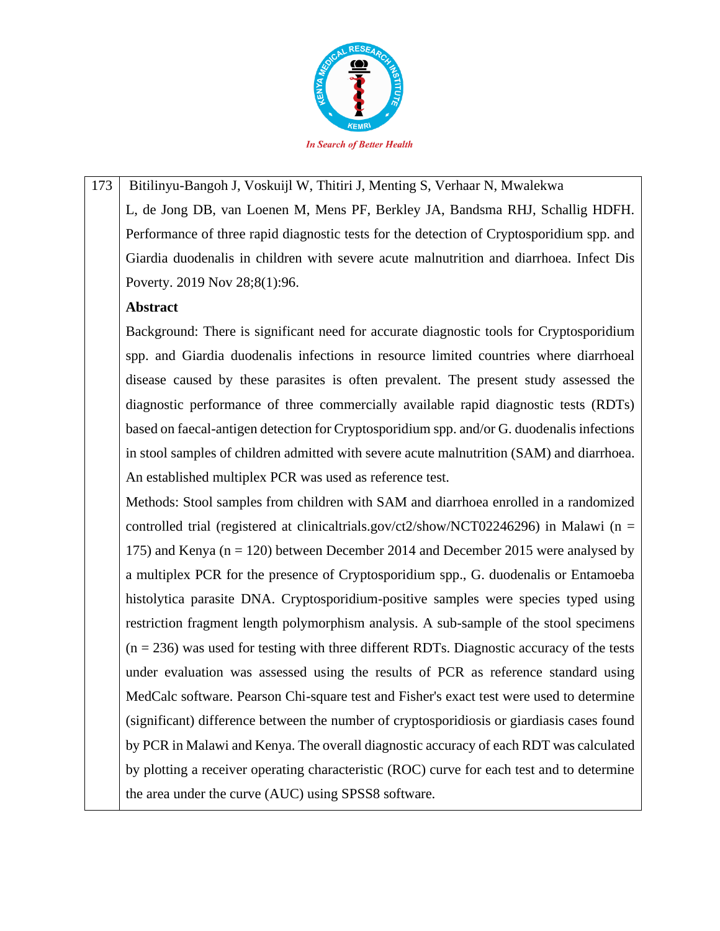

173 Bitilinyu-Bangoh J, Voskuijl W, Thitiri J, Menting S, Verhaar N, Mwalekwa L, de Jong DB, van Loenen M, Mens PF, Berkley JA, Bandsma RHJ, Schallig HDFH. Performance of three rapid diagnostic tests for the detection of Cryptosporidium spp. and Giardia duodenalis in children with severe acute malnutrition and diarrhoea. Infect Dis Poverty. 2019 Nov 28;8(1):96.

### **Abstract**

Background: There is significant need for accurate diagnostic tools for Cryptosporidium spp. and Giardia duodenalis infections in resource limited countries where diarrhoeal disease caused by these parasites is often prevalent. The present study assessed the diagnostic performance of three commercially available rapid diagnostic tests (RDTs) based on faecal-antigen detection for Cryptosporidium spp. and/or G. duodenalis infections in stool samples of children admitted with severe acute malnutrition (SAM) and diarrhoea. An established multiplex PCR was used as reference test.

Methods: Stool samples from children with SAM and diarrhoea enrolled in a randomized controlled trial (registered at clinicaltrials.gov/ct2/show/NCT02246296) in Malawi ( $n =$ 175) and Kenya ( $n = 120$ ) between December 2014 and December 2015 were analysed by a multiplex PCR for the presence of Cryptosporidium spp., G. duodenalis or Entamoeba histolytica parasite DNA. Cryptosporidium-positive samples were species typed using restriction fragment length polymorphism analysis. A sub-sample of the stool specimens  $(n = 236)$  was used for testing with three different RDTs. Diagnostic accuracy of the tests under evaluation was assessed using the results of PCR as reference standard using MedCalc software. Pearson Chi-square test and Fisher's exact test were used to determine (significant) difference between the number of cryptosporidiosis or giardiasis cases found by PCR in Malawi and Kenya. The overall diagnostic accuracy of each RDT was calculated by plotting a receiver operating characteristic (ROC) curve for each test and to determine the area under the curve (AUC) using SPSS8 software.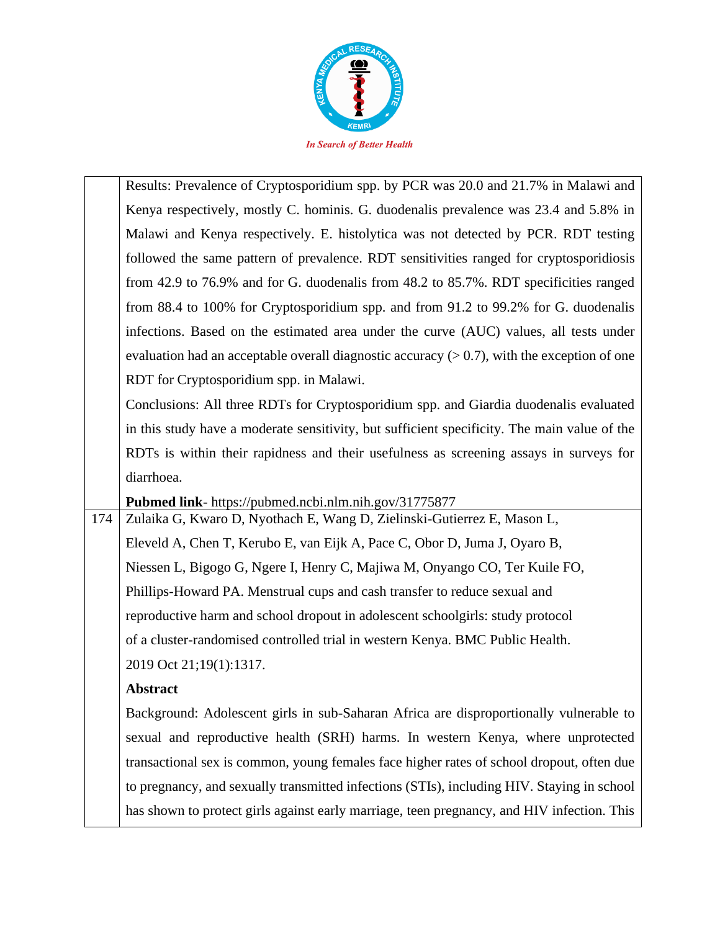

|     | Results: Prevalence of Cryptosporidium spp. by PCR was 20.0 and 21.7% in Malawi and            |
|-----|------------------------------------------------------------------------------------------------|
|     | Kenya respectively, mostly C. hominis. G. duodenalis prevalence was 23.4 and 5.8% in           |
|     | Malawi and Kenya respectively. E. histolytica was not detected by PCR. RDT testing             |
|     | followed the same pattern of prevalence. RDT sensitivities ranged for cryptosporidiosis        |
|     | from 42.9 to 76.9% and for G. duodenalis from 48.2 to 85.7%. RDT specificities ranged          |
|     | from 88.4 to 100% for Cryptosporidium spp. and from 91.2 to 99.2% for G. duodenalis            |
|     | infections. Based on the estimated area under the curve (AUC) values, all tests under          |
|     | evaluation had an acceptable overall diagnostic accuracy $(> 0.7)$ , with the exception of one |
|     | RDT for Cryptosporidium spp. in Malawi.                                                        |
|     | Conclusions: All three RDTs for Cryptosporidium spp. and Giardia duodenalis evaluated          |
|     | in this study have a moderate sensitivity, but sufficient specificity. The main value of the   |
|     | RDTs is within their rapidness and their usefulness as screening assays in surveys for         |
|     | diarrhoea.                                                                                     |
|     | Pubmed link- https://pubmed.ncbi.nlm.nih.gov/31775877                                          |
| 174 | Zulaika G, Kwaro D, Nyothach E, Wang D, Zielinski-Gutierrez E, Mason L,                        |
|     | Eleveld A, Chen T, Kerubo E, van Eijk A, Pace C, Obor D, Juma J, Oyaro B,                      |
|     | Niessen L, Bigogo G, Ngere I, Henry C, Majiwa M, Onyango CO, Ter Kuile FO,                     |
|     | Phillips-Howard PA. Menstrual cups and cash transfer to reduce sexual and                      |
|     | reproductive harm and school dropout in adolescent schoolgirls: study protocol                 |
|     | of a cluster-randomised controlled trial in western Kenya. BMC Public Health.                  |
|     | 2019 Oct 21;19(1):1317.                                                                        |
|     | <b>Abstract</b>                                                                                |
|     | Background: Adolescent girls in sub-Saharan Africa are disproportionally vulnerable to         |
|     | sexual and reproductive health (SRH) harms. In western Kenya, where unprotected                |
|     | transactional sex is common, young females face higher rates of school dropout, often due      |
|     | to pregnancy, and sexually transmitted infections (STIs), including HIV. Staying in school     |
|     | has shown to protect girls against early marriage, teen pregnancy, and HIV infection. This     |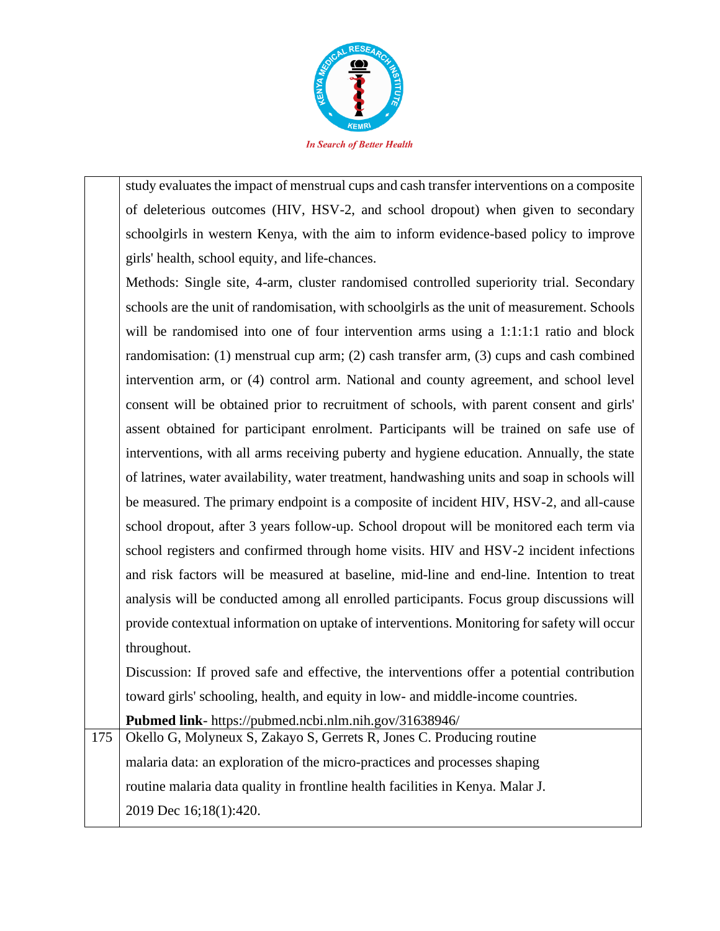

study evaluates the impact of menstrual cups and cash transfer interventions on a composite of deleterious outcomes (HIV, HSV-2, and school dropout) when given to secondary schoolgirls in western Kenya, with the aim to inform evidence-based policy to improve girls' health, school equity, and life-chances.

Methods: Single site, 4-arm, cluster randomised controlled superiority trial. Secondary schools are the unit of randomisation, with schoolgirls as the unit of measurement. Schools will be randomised into one of four intervention arms using a 1:1:1:1 ratio and block randomisation: (1) menstrual cup arm; (2) cash transfer arm, (3) cups and cash combined intervention arm, or (4) control arm. National and county agreement, and school level consent will be obtained prior to recruitment of schools, with parent consent and girls' assent obtained for participant enrolment. Participants will be trained on safe use of interventions, with all arms receiving puberty and hygiene education. Annually, the state of latrines, water availability, water treatment, handwashing units and soap in schools will be measured. The primary endpoint is a composite of incident HIV, HSV-2, and all-cause school dropout, after 3 years follow-up. School dropout will be monitored each term via school registers and confirmed through home visits. HIV and HSV-2 incident infections and risk factors will be measured at baseline, mid-line and end-line. Intention to treat analysis will be conducted among all enrolled participants. Focus group discussions will provide contextual information on uptake of interventions. Monitoring for safety will occur throughout.

Discussion: If proved safe and effective, the interventions offer a potential contribution toward girls' schooling, health, and equity in low- and middle-income countries.

**Pubmed link**- https://pubmed.ncbi.nlm.nih.gov/31638946/

175 Okello G, Molyneux S, Zakayo S, Gerrets R, Jones C. Producing routine malaria data: an exploration of the micro-practices and processes shaping routine malaria data quality in frontline health facilities in Kenya. Malar J. 2019 Dec 16;18(1):420.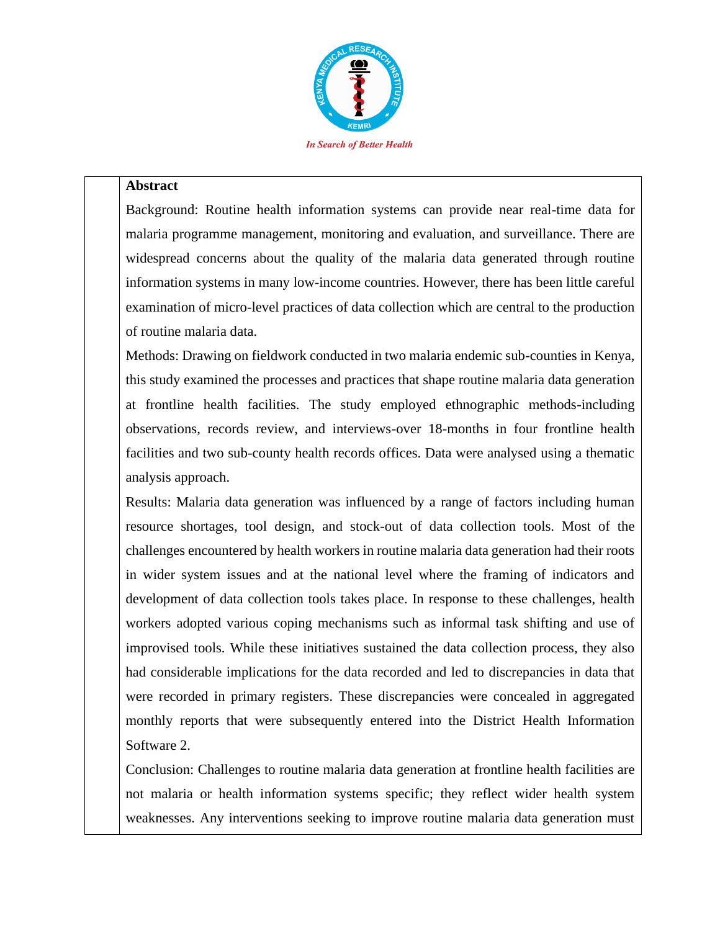

#### **Abstract**

Background: Routine health information systems can provide near real-time data for malaria programme management, monitoring and evaluation, and surveillance. There are widespread concerns about the quality of the malaria data generated through routine information systems in many low-income countries. However, there has been little careful examination of micro-level practices of data collection which are central to the production of routine malaria data.

Methods: Drawing on fieldwork conducted in two malaria endemic sub-counties in Kenya, this study examined the processes and practices that shape routine malaria data generation at frontline health facilities. The study employed ethnographic methods-including observations, records review, and interviews-over 18-months in four frontline health facilities and two sub-county health records offices. Data were analysed using a thematic analysis approach.

Results: Malaria data generation was influenced by a range of factors including human resource shortages, tool design, and stock-out of data collection tools. Most of the challenges encountered by health workers in routine malaria data generation had their roots in wider system issues and at the national level where the framing of indicators and development of data collection tools takes place. In response to these challenges, health workers adopted various coping mechanisms such as informal task shifting and use of improvised tools. While these initiatives sustained the data collection process, they also had considerable implications for the data recorded and led to discrepancies in data that were recorded in primary registers. These discrepancies were concealed in aggregated monthly reports that were subsequently entered into the District Health Information Software 2.

Conclusion: Challenges to routine malaria data generation at frontline health facilities are not malaria or health information systems specific; they reflect wider health system weaknesses. Any interventions seeking to improve routine malaria data generation must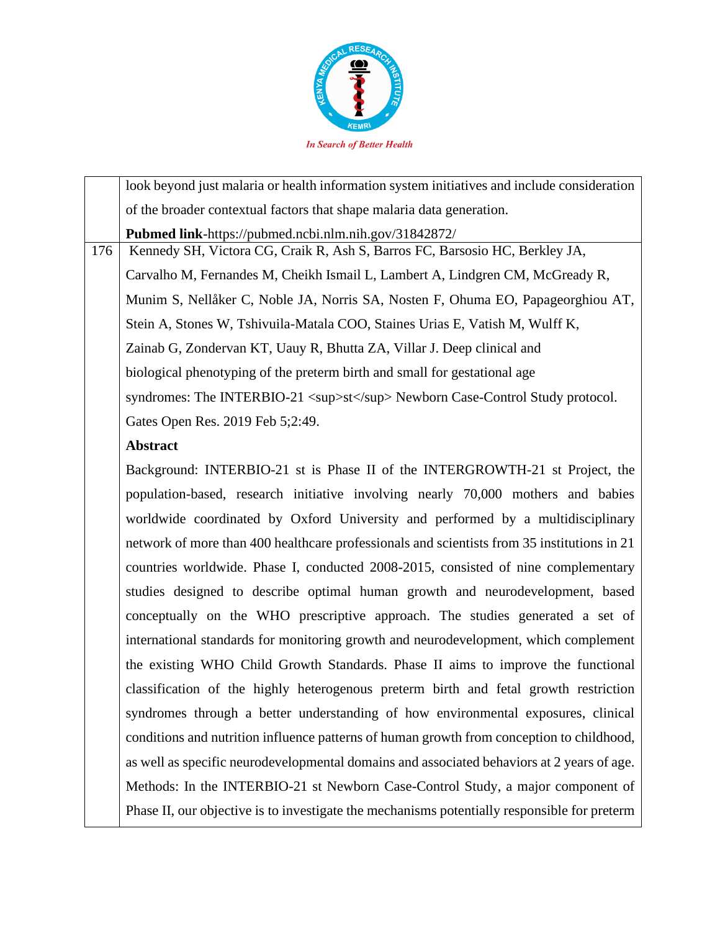

look beyond just malaria or health information system initiatives and include consideration of the broader contextual factors that shape malaria data generation. **Pubmed link**-https://pubmed.ncbi.nlm.nih.gov/31842872/ 176 | Kennedy SH, Victora CG, Craik R, Ash S, Barros FC, Barsosio HC, Berkley JA, Carvalho M, Fernandes M, Cheikh Ismail L, Lambert A, Lindgren CM, McGready R, Munim S, Nellåker C, Noble JA, Norris SA, Nosten F, Ohuma EO, Papageorghiou AT, Stein A, Stones W, Tshivuila-Matala COO, Staines Urias E, Vatish M, Wulff K, Zainab G, Zondervan KT, Uauy R, Bhutta ZA, Villar J. Deep clinical and biological phenotyping of the preterm birth and small for gestational age syndromes: The INTERBIO-21  $\langle \text{sup} \rangle$ st $\langle \text{sup} \rangle$  Newborn Case-Control Study protocol. Gates Open Res. 2019 Feb 5;2:49. **Abstract** Background: INTERBIO-21 st is Phase II of the INTERGROWTH-21 st Project, the population-based, research initiative involving nearly 70,000 mothers and babies worldwide coordinated by Oxford University and performed by a multidisciplinary network of more than 400 healthcare professionals and scientists from 35 institutions in 21 countries worldwide. Phase I, conducted 2008-2015, consisted of nine complementary studies designed to describe optimal human growth and neurodevelopment, based conceptually on the WHO prescriptive approach. The studies generated a set of international standards for monitoring growth and neurodevelopment, which complement the existing WHO Child Growth Standards. Phase II aims to improve the functional classification of the highly heterogenous preterm birth and fetal growth restriction syndromes through a better understanding of how environmental exposures, clinical conditions and nutrition influence patterns of human growth from conception to childhood, as well as specific neurodevelopmental domains and associated behaviors at 2 years of age. Methods: In the INTERBIO-21 st Newborn Case-Control Study, a major component of

Phase II, our objective is to investigate the mechanisms potentially responsible for preterm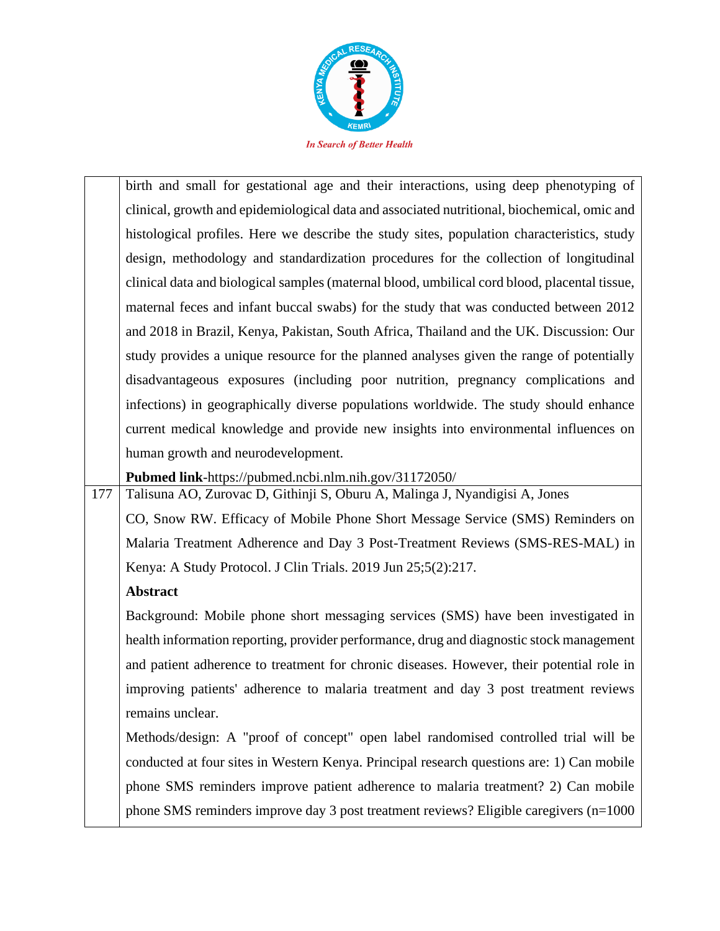

birth and small for gestational age and their interactions, using deep phenotyping of clinical, growth and epidemiological data and associated nutritional, biochemical, omic and histological profiles. Here we describe the study sites, population characteristics, study design, methodology and standardization procedures for the collection of longitudinal clinical data and biological samples (maternal blood, umbilical cord blood, placental tissue, maternal feces and infant buccal swabs) for the study that was conducted between 2012 and 2018 in Brazil, Kenya, Pakistan, South Africa, Thailand and the UK. Discussion: Our study provides a unique resource for the planned analyses given the range of potentially disadvantageous exposures (including poor nutrition, pregnancy complications and infections) in geographically diverse populations worldwide. The study should enhance current medical knowledge and provide new insights into environmental influences on human growth and neurodevelopment.

**Pubmed link**-https://pubmed.ncbi.nlm.nih.gov/31172050/

177 Talisuna AO, Zurovac D, Githinji S, Oburu A, Malinga J, Nyandigisi A, Jones CO, Snow RW. Efficacy of Mobile Phone Short Message Service (SMS) Reminders on Malaria Treatment Adherence and Day 3 Post-Treatment Reviews (SMS-RES-MAL) in Kenya: A Study Protocol. J Clin Trials. 2019 Jun 25;5(2):217.

# **Abstract**

Background: Mobile phone short messaging services (SMS) have been investigated in health information reporting, provider performance, drug and diagnostic stock management and patient adherence to treatment for chronic diseases. However, their potential role in improving patients' adherence to malaria treatment and day 3 post treatment reviews remains unclear.

Methods/design: A "proof of concept" open label randomised controlled trial will be conducted at four sites in Western Kenya. Principal research questions are: 1) Can mobile phone SMS reminders improve patient adherence to malaria treatment? 2) Can mobile phone SMS reminders improve day 3 post treatment reviews? Eligible caregivers (n=1000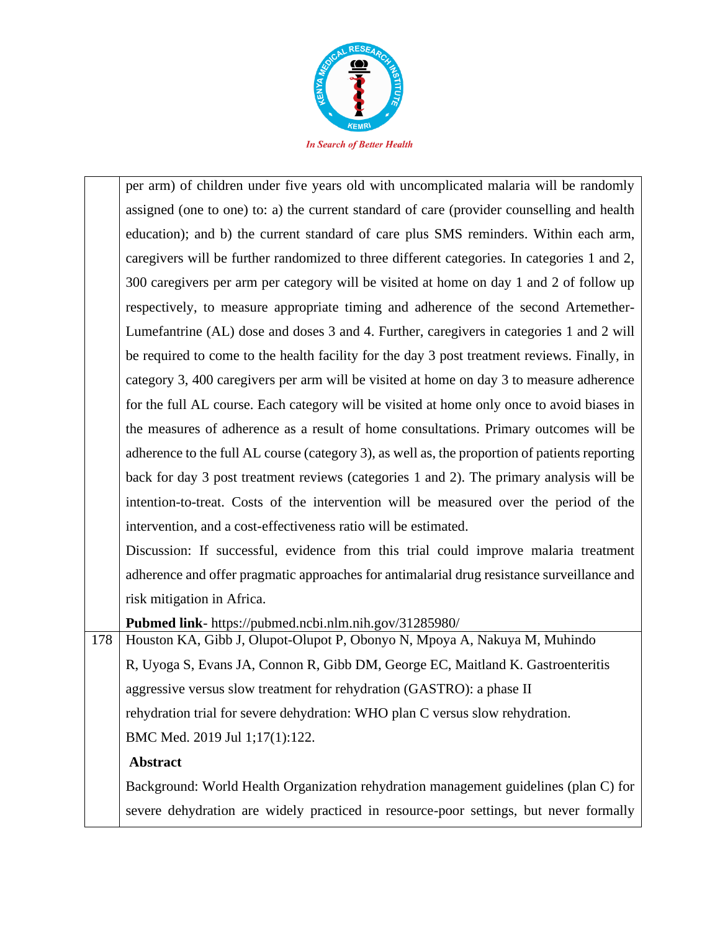

per arm) of children under five years old with uncomplicated malaria will be randomly assigned (one to one) to: a) the current standard of care (provider counselling and health education); and b) the current standard of care plus SMS reminders. Within each arm, caregivers will be further randomized to three different categories. In categories 1 and 2, 300 caregivers per arm per category will be visited at home on day 1 and 2 of follow up respectively, to measure appropriate timing and adherence of the second Artemether-Lumefantrine (AL) dose and doses 3 and 4. Further, caregivers in categories 1 and 2 will be required to come to the health facility for the day 3 post treatment reviews. Finally, in category 3, 400 caregivers per arm will be visited at home on day 3 to measure adherence for the full AL course. Each category will be visited at home only once to avoid biases in the measures of adherence as a result of home consultations. Primary outcomes will be adherence to the full AL course (category 3), as well as, the proportion of patients reporting back for day 3 post treatment reviews (categories 1 and 2). The primary analysis will be intention-to-treat. Costs of the intervention will be measured over the period of the intervention, and a cost-effectiveness ratio will be estimated.

Discussion: If successful, evidence from this trial could improve malaria treatment adherence and offer pragmatic approaches for antimalarial drug resistance surveillance and risk mitigation in Africa.

**Pubmed link**- https://pubmed.ncbi.nlm.nih.gov/31285980/

178 Houston KA, Gibb J, Olupot-Olupot P, Obonyo N, Mpoya A, Nakuya M, Muhindo R, Uyoga S, Evans JA, Connon R, Gibb DM, George EC, Maitland K. Gastroenteritis aggressive versus slow treatment for rehydration (GASTRO): a phase II rehydration trial for severe dehydration: WHO plan C versus slow rehydration. BMC Med. 2019 Jul 1;17(1):122.

# **Abstract**

Background: World Health Organization rehydration management guidelines (plan C) for severe dehydration are widely practiced in resource-poor settings, but never formally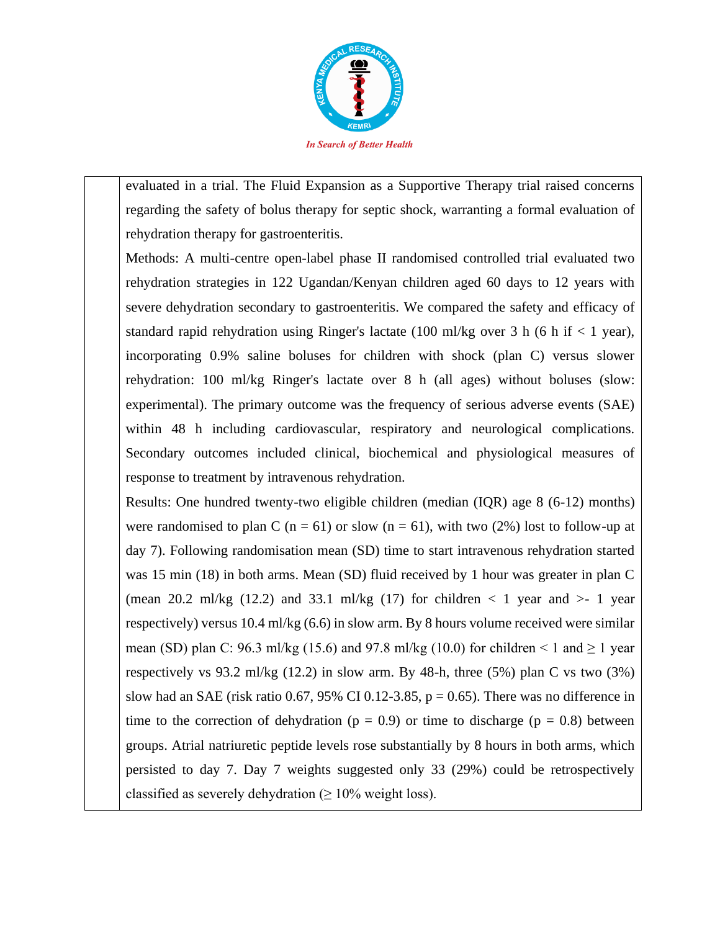

evaluated in a trial. The Fluid Expansion as a Supportive Therapy trial raised concerns regarding the safety of bolus therapy for septic shock, warranting a formal evaluation of rehydration therapy for gastroenteritis.

Methods: A multi-centre open-label phase II randomised controlled trial evaluated two rehydration strategies in 122 Ugandan/Kenyan children aged 60 days to 12 years with severe dehydration secondary to gastroenteritis. We compared the safety and efficacy of standard rapid rehydration using Ringer's lactate (100 ml/kg over 3 h (6 h if  $< 1$  year), incorporating 0.9% saline boluses for children with shock (plan C) versus slower rehydration: 100 ml/kg Ringer's lactate over 8 h (all ages) without boluses (slow: experimental). The primary outcome was the frequency of serious adverse events (SAE) within 48 h including cardiovascular, respiratory and neurological complications. Secondary outcomes included clinical, biochemical and physiological measures of response to treatment by intravenous rehydration.

Results: One hundred twenty-two eligible children (median (IQR) age 8 (6-12) months) were randomised to plan C ( $n = 61$ ) or slow ( $n = 61$ ), with two (2%) lost to follow-up at day 7). Following randomisation mean (SD) time to start intravenous rehydration started was 15 min (18) in both arms. Mean (SD) fluid received by 1 hour was greater in plan C (mean 20.2 ml/kg  $(12.2)$  and 33.1 ml/kg  $(17)$  for children  $\lt 1$  year and  $\gt 1$  year respectively) versus 10.4 ml/kg (6.6) in slow arm. By 8 hours volume received were similar mean (SD) plan C: 96.3 ml/kg (15.6) and 97.8 ml/kg (10.0) for children  $\leq 1$  and  $\geq 1$  year respectively vs 93.2 ml/kg (12.2) in slow arm. By 48-h, three (5%) plan C vs two (3%) slow had an SAE (risk ratio 0.67, 95% CI 0.12-3.85,  $p = 0.65$ ). There was no difference in time to the correction of dehydration ( $p = 0.9$ ) or time to discharge ( $p = 0.8$ ) between groups. Atrial natriuretic peptide levels rose substantially by 8 hours in both arms, which persisted to day 7. Day 7 weights suggested only 33 (29%) could be retrospectively classified as severely dehydration  $(≥ 10%$  weight loss).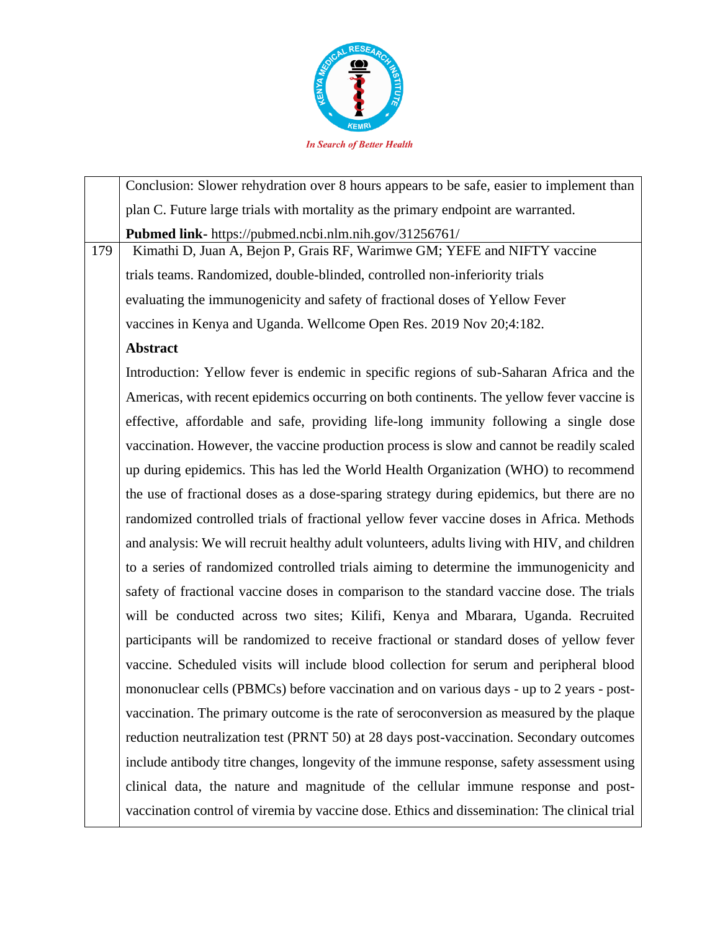

Conclusion: Slower rehydration over 8 hours appears to be safe, easier to implement than plan C. Future large trials with mortality as the primary endpoint are warranted. **Pubmed link-** https://pubmed.ncbi.nlm.nih.gov/31256761/ 179 | Kimathi D, Juan A, Bejon P, Grais RF, Warimwe GM; YEFE and NIFTY vaccine trials teams. Randomized, double-blinded, controlled non-inferiority trials evaluating the immunogenicity and safety of fractional doses of Yellow Fever vaccines in Kenya and Uganda. Wellcome Open Res. 2019 Nov 20;4:182. **Abstract** Introduction: Yellow fever is endemic in specific regions of sub-Saharan Africa and the Americas, with recent epidemics occurring on both continents. The yellow fever vaccine is effective, affordable and safe, providing life-long immunity following a single dose vaccination. However, the vaccine production process is slow and cannot be readily scaled up during epidemics. This has led the World Health Organization (WHO) to recommend the use of fractional doses as a dose-sparing strategy during epidemics, but there are no randomized controlled trials of fractional yellow fever vaccine doses in Africa. Methods and analysis: We will recruit healthy adult volunteers, adults living with HIV, and children to a series of randomized controlled trials aiming to determine the immunogenicity and safety of fractional vaccine doses in comparison to the standard vaccine dose. The trials will be conducted across two sites; Kilifi, Kenya and Mbarara, Uganda. Recruited participants will be randomized to receive fractional or standard doses of yellow fever vaccine. Scheduled visits will include blood collection for serum and peripheral blood mononuclear cells (PBMCs) before vaccination and on various days - up to 2 years - postvaccination. The primary outcome is the rate of seroconversion as measured by the plaque reduction neutralization test (PRNT 50) at 28 days post-vaccination. Secondary outcomes include antibody titre changes, longevity of the immune response, safety assessment using clinical data, the nature and magnitude of the cellular immune response and postvaccination control of viremia by vaccine dose. Ethics and dissemination: The clinical trial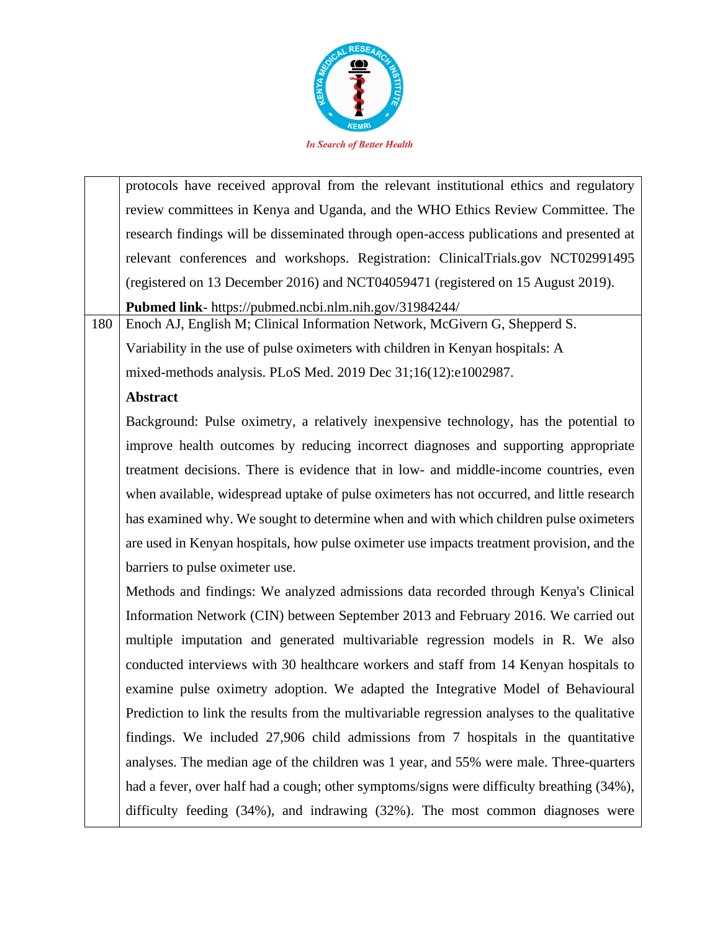

protocols have received approval from the relevant institutional ethics and regulatory review committees in Kenya and Uganda, and the WHO Ethics Review Committee. The research findings will be disseminated through open-access publications and presented at relevant conferences and workshops. Registration: ClinicalTrials.gov NCT02991495 (registered on 13 December 2016) and NCT04059471 (registered on 15 August 2019). **Pubmed link**- https://pubmed.ncbi.nlm.nih.gov/31984244/

180 Enoch AJ, English M; Clinical Information Network, McGivern G, Shepperd S. Variability in the use of pulse oximeters with children in Kenyan hospitals: A mixed-methods analysis. PLoS Med. 2019 Dec 31;16(12):e1002987.

# **Abstract**

Background: Pulse oximetry, a relatively inexpensive technology, has the potential to improve health outcomes by reducing incorrect diagnoses and supporting appropriate treatment decisions. There is evidence that in low- and middle-income countries, even when available, widespread uptake of pulse oximeters has not occurred, and little research has examined why. We sought to determine when and with which children pulse oximeters are used in Kenyan hospitals, how pulse oximeter use impacts treatment provision, and the barriers to pulse oximeter use.

Methods and findings: We analyzed admissions data recorded through Kenya's Clinical Information Network (CIN) between September 2013 and February 2016. We carried out multiple imputation and generated multivariable regression models in R. We also conducted interviews with 30 healthcare workers and staff from 14 Kenyan hospitals to examine pulse oximetry adoption. We adapted the Integrative Model of Behavioural Prediction to link the results from the multivariable regression analyses to the qualitative findings. We included 27,906 child admissions from 7 hospitals in the quantitative analyses. The median age of the children was 1 year, and 55% were male. Three-quarters had a fever, over half had a cough; other symptoms/signs were difficulty breathing (34%), difficulty feeding (34%), and indrawing (32%). The most common diagnoses were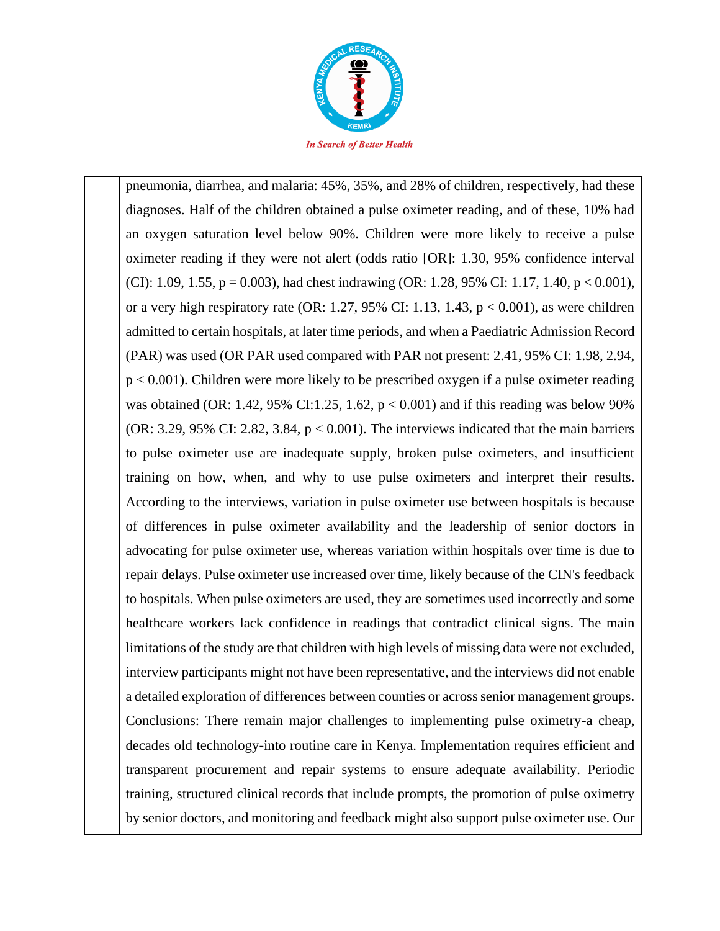

pneumonia, diarrhea, and malaria: 45%, 35%, and 28% of children, respectively, had these diagnoses. Half of the children obtained a pulse oximeter reading, and of these, 10% had an oxygen saturation level below 90%. Children were more likely to receive a pulse oximeter reading if they were not alert (odds ratio [OR]: 1.30, 95% confidence interval (CI): 1.09, 1.55,  $p = 0.003$ ), had chest indrawing (OR: 1.28, 95% CI: 1.17, 1.40,  $p < 0.001$ ), or a very high respiratory rate (OR: 1.27, 95% CI: 1.13, 1.43,  $p < 0.001$ ), as were children admitted to certain hospitals, at later time periods, and when a Paediatric Admission Record (PAR) was used (OR PAR used compared with PAR not present: 2.41, 95% CI: 1.98, 2.94, p < 0.001). Children were more likely to be prescribed oxygen if a pulse oximeter reading was obtained (OR: 1.42, 95% CI:1.25, 1.62,  $p < 0.001$ ) and if this reading was below 90% (OR: 3.29, 95% CI: 2.82, 3.84,  $p < 0.001$ ). The interviews indicated that the main barriers to pulse oximeter use are inadequate supply, broken pulse oximeters, and insufficient training on how, when, and why to use pulse oximeters and interpret their results. According to the interviews, variation in pulse oximeter use between hospitals is because of differences in pulse oximeter availability and the leadership of senior doctors in advocating for pulse oximeter use, whereas variation within hospitals over time is due to repair delays. Pulse oximeter use increased over time, likely because of the CIN's feedback to hospitals. When pulse oximeters are used, they are sometimes used incorrectly and some healthcare workers lack confidence in readings that contradict clinical signs. The main limitations of the study are that children with high levels of missing data were not excluded, interview participants might not have been representative, and the interviews did not enable a detailed exploration of differences between counties or across senior management groups. Conclusions: There remain major challenges to implementing pulse oximetry-a cheap, decades old technology-into routine care in Kenya. Implementation requires efficient and transparent procurement and repair systems to ensure adequate availability. Periodic training, structured clinical records that include prompts, the promotion of pulse oximetry by senior doctors, and monitoring and feedback might also support pulse oximeter use. Our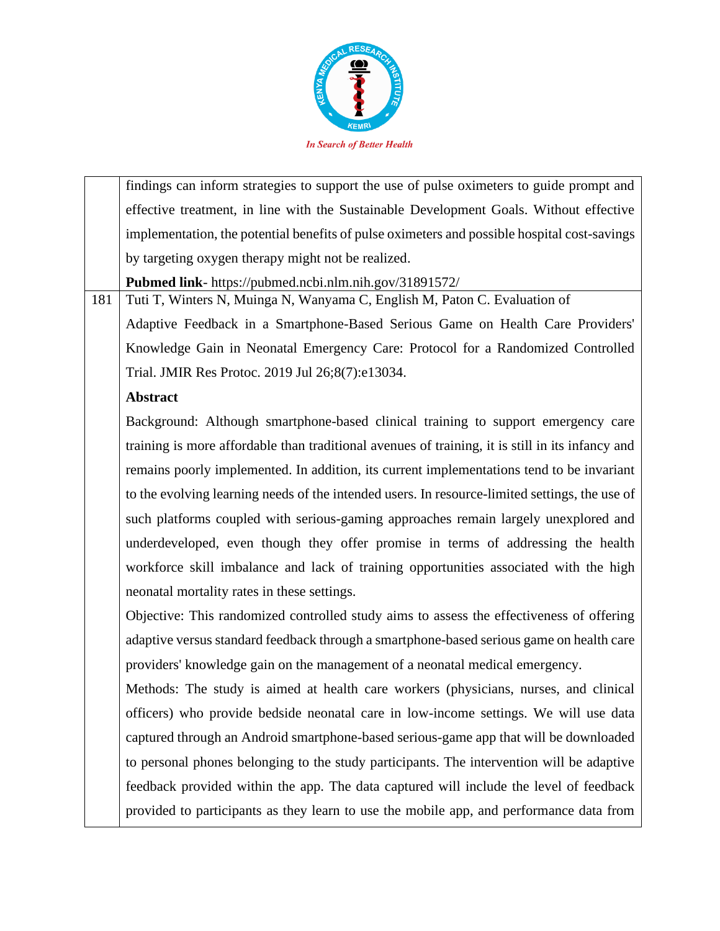

findings can inform strategies to support the use of pulse oximeters to guide prompt and effective treatment, in line with the Sustainable Development Goals. Without effective implementation, the potential benefits of pulse oximeters and possible hospital cost-savings by targeting oxygen therapy might not be realized. **Pubmed link**- https://pubmed.ncbi.nlm.nih.gov/31891572/ 181 Tuti T, Winters N, Muinga N, Wanyama C, English M, Paton C. Evaluation of Adaptive Feedback in a Smartphone-Based Serious Game on Health Care Providers' Knowledge Gain in Neonatal Emergency Care: Protocol for a Randomized Controlled Trial. JMIR Res Protoc. 2019 Jul 26;8(7):e13034. **Abstract** Background: Although smartphone-based clinical training to support emergency care training is more affordable than traditional avenues of training, it is still in its infancy and remains poorly implemented. In addition, its current implementations tend to be invariant to the evolving learning needs of the intended users. In resource-limited settings, the use of

such platforms coupled with serious-gaming approaches remain largely unexplored and underdeveloped, even though they offer promise in terms of addressing the health workforce skill imbalance and lack of training opportunities associated with the high neonatal mortality rates in these settings.

Objective: This randomized controlled study aims to assess the effectiveness of offering adaptive versus standard feedback through a smartphone-based serious game on health care providers' knowledge gain on the management of a neonatal medical emergency.

Methods: The study is aimed at health care workers (physicians, nurses, and clinical officers) who provide bedside neonatal care in low-income settings. We will use data captured through an Android smartphone-based serious-game app that will be downloaded to personal phones belonging to the study participants. The intervention will be adaptive feedback provided within the app. The data captured will include the level of feedback provided to participants as they learn to use the mobile app, and performance data from